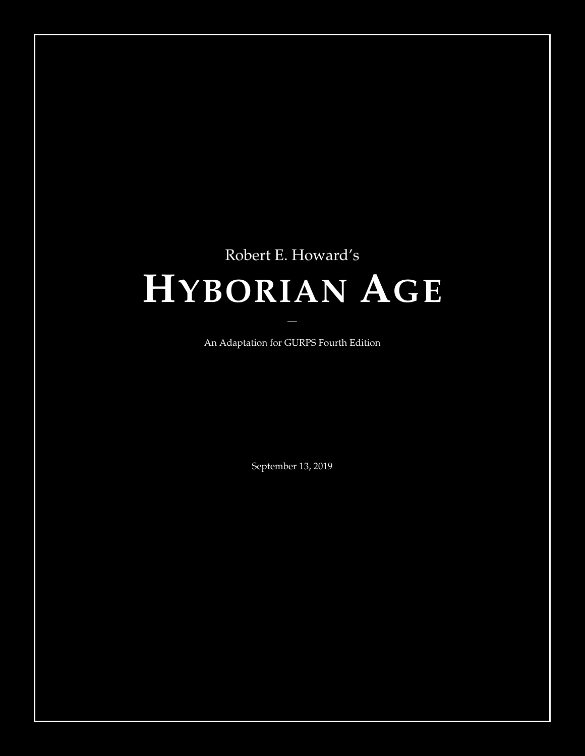## Robert E. Howard's

# <span id="page-0-0"></span>**HYBORIAN AGE**

An Adaptation for GURPS Fourth Edition

September 13, 2019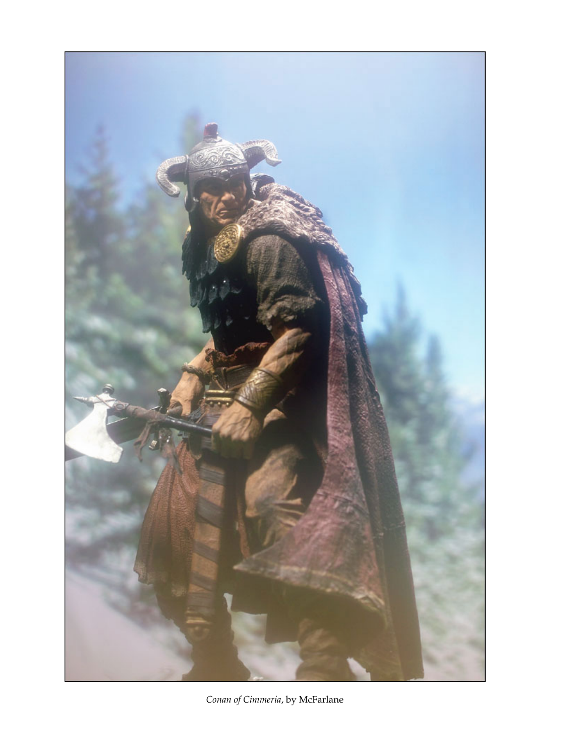

*Conan of Cimmeria*, by McFarlane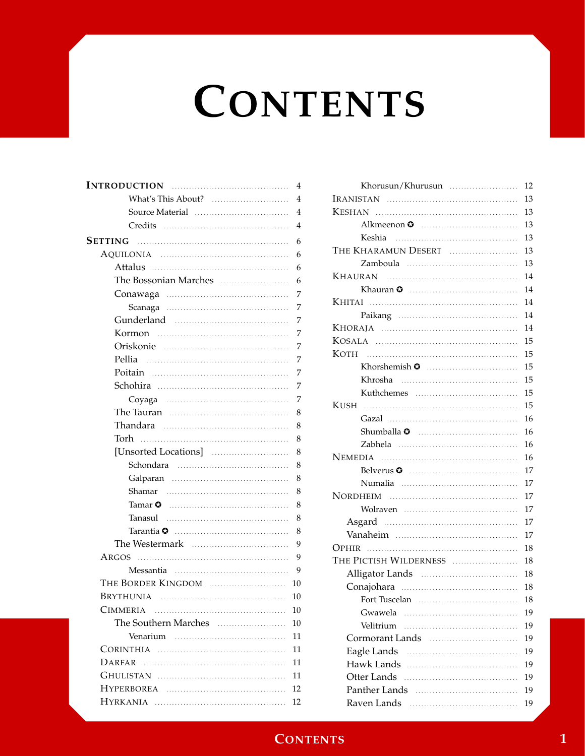# **CONTENTS**

|                                                    | $\overline{4}$ |
|----------------------------------------------------|----------------|
|                                                    | $\overline{4}$ |
|                                                    | $\overline{4}$ |
|                                                    | $\overline{4}$ |
| <b>SETTING</b>                                     | 6              |
|                                                    | 6              |
| Attalus                                            | 6              |
| The Bossonian Marches                              | 6              |
|                                                    | 7              |
|                                                    | 7              |
|                                                    | 7              |
|                                                    | 7              |
| Oriskonie                                          | 7              |
| Pellia                                             | 7              |
| Poitain                                            | 7              |
|                                                    | 7              |
|                                                    | 7              |
|                                                    | 8              |
|                                                    | 8              |
|                                                    | 8              |
|                                                    | 8              |
|                                                    | 8              |
|                                                    | 8              |
|                                                    | 8              |
|                                                    | 8              |
|                                                    | 8              |
|                                                    | 8              |
| The Westermark <b>contracts</b> and the Westermark | 9              |
|                                                    | 9              |
|                                                    | 9              |
| THE BORDER KINGDOM                                 | 10             |
|                                                    | 10             |
|                                                    | 10             |
| The Southern Marches                               | 10             |
|                                                    | 11             |
|                                                    | 11             |
| DARFAR                                             | 11             |
|                                                    | 11             |
|                                                    | 12             |
|                                                    | 12             |

| Khorusun/Khurusun      | 12 |
|------------------------|----|
| IRANISTAN              | 13 |
|                        | 13 |
|                        | 13 |
| Keshia                 | 13 |
| THE KHARAMUN DESERT    | 13 |
|                        | 13 |
|                        | 14 |
|                        | 14 |
| <b>KHITAI</b>          | 14 |
|                        | 14 |
|                        | 14 |
|                        | 15 |
|                        | 15 |
|                        | 15 |
|                        | 15 |
|                        | 15 |
|                        | 15 |
|                        | 16 |
|                        | 16 |
|                        | 16 |
|                        | 16 |
|                        | 17 |
|                        | 17 |
| NORDHEIM               | 17 |
|                        | 17 |
| Asgard                 | 17 |
|                        | 17 |
|                        | 18 |
| THE PICTISH WILDERNESS | 18 |
|                        | 18 |
|                        | 18 |
|                        | 18 |
| Gwawela                | 19 |
| Velitrium              | 19 |
| Cormorant Lands        | 19 |
| Eagle Lands            | 19 |
| Hawk Lands             | 19 |
| Otter Lands            | 19 |
|                        | 19 |
|                        | 19 |

#### **CONTENTS**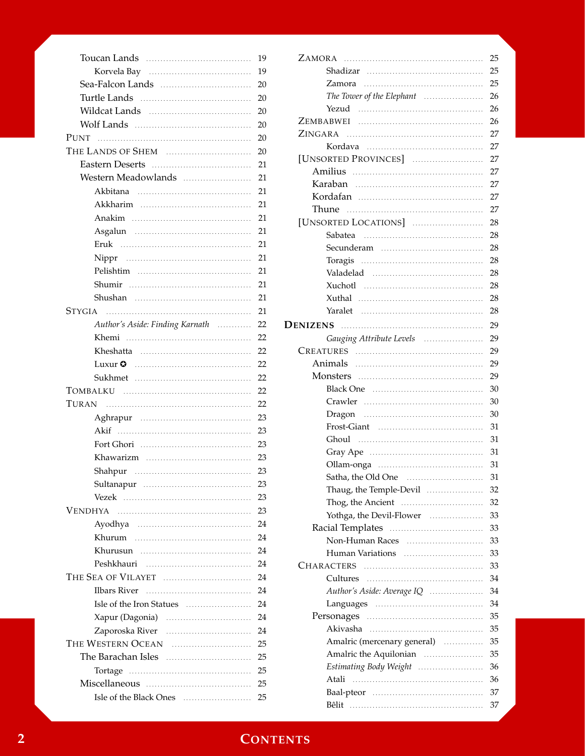|                                 | 19 |
|---------------------------------|----|
|                                 | 19 |
| Sea-Falcon Lands                | 20 |
| Turtle Lands                    | 20 |
|                                 | 20 |
|                                 | 20 |
| PUNT                            | 20 |
|                                 | 20 |
|                                 | 21 |
| Western Meadowlands             | 21 |
|                                 | 21 |
|                                 | 21 |
|                                 | 21 |
| Asgalun                         | 21 |
|                                 | 21 |
|                                 | 21 |
| Pelishtim                       | 21 |
|                                 | 21 |
|                                 | 21 |
| STYGIA                          | 21 |
|                                 |    |
| Author's Aside: Finding Karnath | 22 |
|                                 | 22 |
|                                 | 22 |
|                                 | 22 |
|                                 | 22 |
|                                 | 22 |
|                                 | 22 |
| Aghrapur                        | 23 |
|                                 | 23 |
|                                 | 23 |
|                                 | 23 |
| Shahpur                         | 23 |
|                                 | 23 |
| Vezek                           | 23 |
| <b>VENDHYA</b>                  | 23 |
|                                 | 24 |
| Khurum                          | 24 |
| Khurusun                        | 24 |
| Peshkhauri                      | 24 |
|                                 | 24 |
|                                 | 24 |
|                                 | 24 |
|                                 | 24 |
|                                 | 24 |
| THE WESTERN OCEAN               | 25 |
| The Barachan Isles              | 25 |
|                                 | 25 |
|                                 | 25 |
|                                 | 25 |

| ZAMORA                      | 25 |
|-----------------------------|----|
|                             | 25 |
| Zamora                      | 25 |
| The Tower of the Elephant   | 26 |
|                             | 26 |
|                             | 26 |
| ZINGARA                     | 27 |
|                             | 27 |
|                             | 27 |
|                             | 27 |
|                             | 27 |
|                             | 27 |
| Thune                       | 27 |
| [UNSORTED LOCATIONS]        | 28 |
|                             | 28 |
|                             | 28 |
| Toragis                     | 28 |
|                             | 28 |
|                             | 28 |
|                             | 28 |
|                             | 28 |
|                             |    |
| <b>DENIZENS</b>             | 29 |
| Gauging Attribute Levels    | 29 |
|                             | 29 |
| Animals                     | 29 |
|                             | 29 |
| Black One                   | 30 |
|                             | 30 |
|                             | 30 |
| Frost-Giant                 | 31 |
|                             | 31 |
|                             | 31 |
|                             | 31 |
|                             | 31 |
| Thaug, the Temple-Devil     | 32 |
|                             | 32 |
| Yothga, the Devil-Flower    | 33 |
|                             | 33 |
| Non-Human Races             | 33 |
| Human Variations            | 33 |
| <b>CHARACTERS</b>           | 33 |
| Cultures                    | 34 |
| Author's Aside: Average IQ  | 34 |
|                             | 34 |
| Personages                  | 35 |
| Akivasha                    | 35 |
| Amalric (mercenary general) | 35 |
| Amalric the Aquilonian      | 35 |
|                             | 36 |
| Atali                       | 36 |
|                             | 37 |
| Bêlit                       | 37 |
|                             |    |

### **CONTENTS**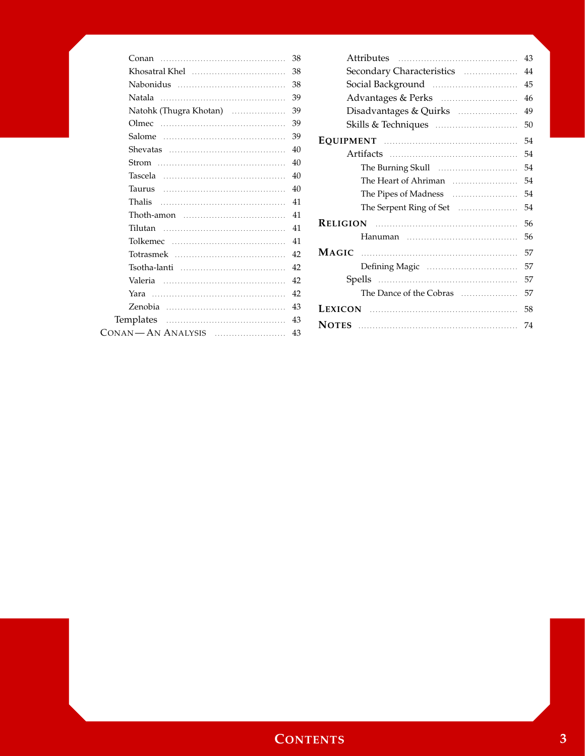| Conan                                                                          | 38 |
|--------------------------------------------------------------------------------|----|
|                                                                                | 38 |
|                                                                                | 38 |
| Natala                                                                         | 39 |
| Natohk (Thugra Khotan)                                                         | 39 |
|                                                                                | 39 |
|                                                                                | 39 |
|                                                                                | 40 |
|                                                                                | 40 |
| Tascela                                                                        | 40 |
| Taurus                                                                         | 40 |
| Thalis                                                                         | 41 |
|                                                                                | 41 |
| Tilutan                                                                        | 41 |
|                                                                                | 41 |
|                                                                                | 42 |
| $Tsotha$ -lanti $\dots\dots\dots\dots\dots\dots\dots\dots\dots\dots\dots\dots$ | 42 |
|                                                                                | 42 |
| Yara                                                                           | 42 |
|                                                                                | 43 |
|                                                                                | 43 |
|                                                                                | 43 |
|                                                                                |    |

|                                                                                                                | 43 |  |
|----------------------------------------------------------------------------------------------------------------|----|--|
| Secondary Characteristics                                                                                      |    |  |
|                                                                                                                |    |  |
| Advantages & Perks                                                                                             | 46 |  |
| Disadvantages & Quirks                                                                                         | 49 |  |
| Skills & Techniques                                                                                            | 50 |  |
| EQUIPMENT MARIEURE DE LA CONTRACTE DE LA CONTRACTE DE LA CONTRACTE DE LA CONTRACTE DE LA CONTRACTE DE LA CONTR | 54 |  |
|                                                                                                                | 54 |  |
|                                                                                                                | 54 |  |
| The Heart of Ahriman                                                                                           | 54 |  |
|                                                                                                                | 54 |  |
|                                                                                                                |    |  |
| RELIGION <b>Example</b> 1980 RELIGION                                                                          | 56 |  |
|                                                                                                                | 56 |  |
| MAGIC MARIOUS                                                                                                  | 57 |  |
|                                                                                                                | 57 |  |
|                                                                                                                | 57 |  |
| The Dance of the Cobras                                                                                        | 57 |  |
|                                                                                                                | 58 |  |
|                                                                                                                | 74 |  |

### **CONTENTS**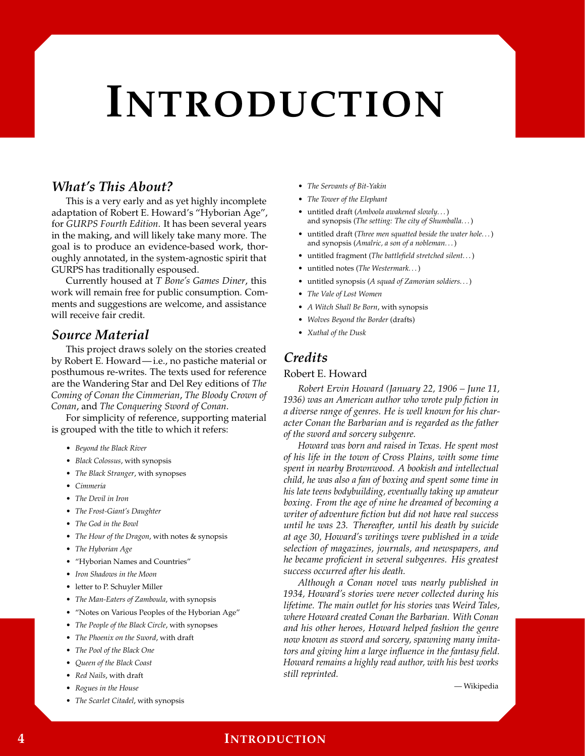# <span id="page-5-0"></span>**INTRODUCTION**

#### <span id="page-5-1"></span>*What's This About?*

This is a very early and as yet highly incomplete adaptation of Robert E. Howard's "Hyborian Age", for *GURPS Fourth Edition*. It has been several years in the making, and will likely take many more. The goal is to produce an evidence-based work, thoroughly annotated, in the system-agnostic spirit that GURPS has traditionally espoused.

Currently housed at *[T Bone's Games Diner](https://www.gamesdiner.com/)*, this work will remain free for public consumption. Comments and suggestions are welcome, and assistance will receive fair credit.

#### <span id="page-5-2"></span>*Source Material*

This project draws solely on the stories created by Robert E. Howard—i.e., no pastiche material or posthumous re-writes. The texts used for reference are the Wandering Star and Del Rey editions of *[The](https://en.wikipedia.org/wiki/The_Coming_of_Conan_the_Cimmerian) [Coming of Conan the Cimmerian](https://en.wikipedia.org/wiki/The_Coming_of_Conan_the_Cimmerian)*, *[The Bloody Crown of](https://en.wikipedia.org/wiki/The_Bloody_Crown_of_Conan) [Conan](https://en.wikipedia.org/wiki/The_Bloody_Crown_of_Conan)*, and *[The Conquering Sword of Conan](https://en.wikipedia.org/wiki/The_Conquering_Sword_of_Conan)*.

For simplicity of reference, supporting material is grouped with the title to which it refers:

- *Beyond the Black River*
- *Black Colossus*, with synopsis
- *The Black Stranger*, with synopses
- *Cimmeria*
- *The Devil in Iron*
- *The Frost-Giant's Daughter*
- *The God in the Bowl*
- *The Hour of the Dragon*, with notes & synopsis
- *The Hyborian Age*
- "Hyborian Names and Countries"
- *Iron Shadows in the Moon*
- letter to P. Schuyler Miller
- *The Man-Eaters of Zamboula*, with synopsis
- "Notes on Various Peoples of the Hyborian Age"
- *The People of the Black Circle*, with synopses
- *The Phoenix on the Sword*, with draft
- *The Pool of the Black One*
- *Queen of the Black Coast*
- *Red Nails*, with draft
- *Rogues in the House*
- *The Scarlet Citadel*, with synopsis
- *The Servants of Bit-Yakin*
- *The Tower of the Elephant*
- untitled draft (*Amboola awakened slowly. . .*) and synopsis (*The setting: The city of Shumballa. . .*)
- untitled draft (*Three men squatted beside the water hole. . .*) and synopsis (*Amalric, a son of a nobleman. . .*)
- untitled fragment (*The battlefield stretched silent. . .*)
- untitled notes (*The Westermark. . .*)
- untitled synopsis (*A squad of Zamorian soldiers. . .*)
- *The Vale of Lost Women*
- *A Witch Shall Be Born*, with synopsis
- *Wolves Beyond the Border* (drafts)
- *Xuthal of the Dusk*

#### <span id="page-5-3"></span>*Credits*

#### Robert E. Howard

*Robert Ervin Howard (January 22, 1906 – June 11, 1936) was an American author who wrote pulp fiction in a diverse range of genres. He is well known for his character Conan the Barbarian and is regarded as the father of the sword and sorcery subgenre.*

*Howard was born and raised in Texas. He spent most of his life in the town of Cross Plains, with some time spent in nearby Brownwood. A bookish and intellectual child, he was also a fan of boxing and spent some time in his late teens bodybuilding, eventually taking up amateur boxing. From the age of nine he dreamed of becoming a writer of adventure fiction but did not have real success until he was 23. Thereafter, until his death by suicide at age 30, Howard's writings were published in a wide selection of magazines, journals, and newspapers, and he became proficient in several subgenres. His greatest success occurred after his death.*

*Although a Conan novel was nearly published in 1934, Howard's stories were never collected during his lifetime. The main outlet for his stories was Weird Tales, where Howard created Conan the Barbarian. With Conan and his other heroes, Howard helped fashion the genre now known as sword and sorcery, spawning many imitators and giving him a large influence in the fantasy field. Howard remains a highly read author, with his best works still reprinted.*

— Wikipedia

#### **4 INTRODUCTION**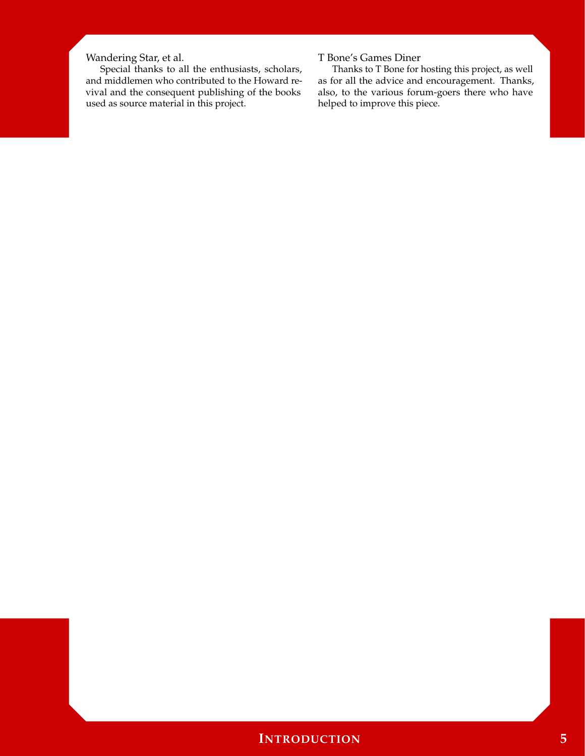#### Wandering Star, et al.

Special thanks to all the enthusiasts, scholars, and middlemen who contributed to the Howard revival and the consequent publishing of the books used as source material in this project.

#### T Bone's Games Diner

Thanks to T Bone for hosting this project, as well as for all the advice and encouragement. Thanks, also, to the various forum-goers there who have helped to improve this piece.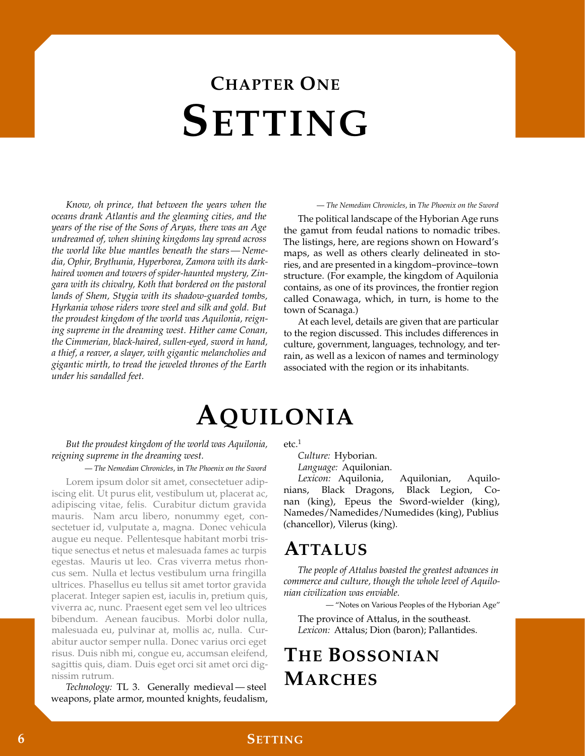## <span id="page-7-0"></span>**CHAPTER ONE SETTING**

*Know, oh prince, that between the years when the oceans drank Atlantis and the gleaming cities, and the years of the rise of the Sons of Aryas, there was an Age undreamed of, when shining kingdoms lay spread across the world like blue mantles beneath the stars— Nemedia, Ophir, Brythunia, Hyperborea, Zamora with its darkhaired women and towers of spider-haunted mystery, Zingara with its chivalry, Koth that bordered on the pastoral lands of Shem, Stygia with its shadow-guarded tombs, Hyrkania whose riders wore steel and silk and gold. But the proudest kingdom of the world was Aquilonia, reigning supreme in the dreaming west. Hither came Conan, the Cimmerian, black-haired, sullen-eyed, sword in hand, a thief, a reaver, a slayer, with gigantic melancholies and gigantic mirth, to tread the jeweled thrones of the Earth under his sandalled feet.*

— *The Nemedian Chronicles*, in *The Phoenix on the Sword*

The political landscape of the Hyborian Age runs the gamut from feudal nations to nomadic tribes. The listings, here, are regions shown on Howard's maps, as well as others clearly delineated in stories, and are presented in a kingdom–province–town structure. (For example, the kingdom of Aquilonia contains, as one of its provinces, the frontier region called Conawaga, which, in turn, is home to the town of Scanaga.)

At each level, details are given that are particular to the region discussed. This includes differences in culture, government, languages, technology, and terrain, as well as a lexicon of names and terminology associated with the region or its inhabitants.

## **AQUILONIA**

#### <span id="page-7-1"></span>*But the proudest kingdom of the world was Aquilonia, reigning supreme in the dreaming west.*

#### — *The Nemedian Chronicles*, in *The Phoenix on the Sword*

Lorem ipsum dolor sit amet, consectetuer adipiscing elit. Ut purus elit, vestibulum ut, placerat ac, adipiscing vitae, felis. Curabitur dictum gravida mauris. Nam arcu libero, nonummy eget, consectetuer id, vulputate a, magna. Donec vehicula augue eu neque. Pellentesque habitant morbi tristique senectus et netus et malesuada fames ac turpis egestas. Mauris ut leo. Cras viverra metus rhoncus sem. Nulla et lectus vestibulum urna fringilla ultrices. Phasellus eu tellus sit amet tortor gravida placerat. Integer sapien est, iaculis in, pretium quis, viverra ac, nunc. Praesent eget sem vel leo ultrices bibendum. Aenean faucibus. Morbi dolor nulla, malesuada eu, pulvinar at, mollis ac, nulla. Curabitur auctor semper nulla. Donec varius orci eget risus. Duis nibh mi, congue eu, accumsan eleifend, sagittis quis, diam. Duis eget orci sit amet orci dignissim rutrum.

*Technology:* TL 3. Generally medieval — steel weapons, plate armor, mounted knights, feudalism,  $etc.<sup>1</sup>$  $etc.<sup>1</sup>$  $etc.<sup>1</sup>$ 

*Culture:* Hyborian. *Language:* Aquilonian.

*Lexicon:* Aquilonia, Aquilonian, Aquilonians, Black Dragons, Black Legion, Conan (king), Epeus the Sword-wielder (king), Namedes/Namedides/Numedides (king), Publius (chancellor), Vilerus (king).

### <span id="page-7-2"></span>**ATTALUS**

*The people of Attalus boasted the greatest advances in commerce and culture, though the whole level of Aquilonian civilization was enviable.*

— "Notes on Various Peoples of the Hyborian Age"

The province of Attalus, in the southeast. *Lexicon:* Attalus; Dion (baron); Pallantides.

## <span id="page-7-3"></span>**THE BOSSONIAN MARCHES**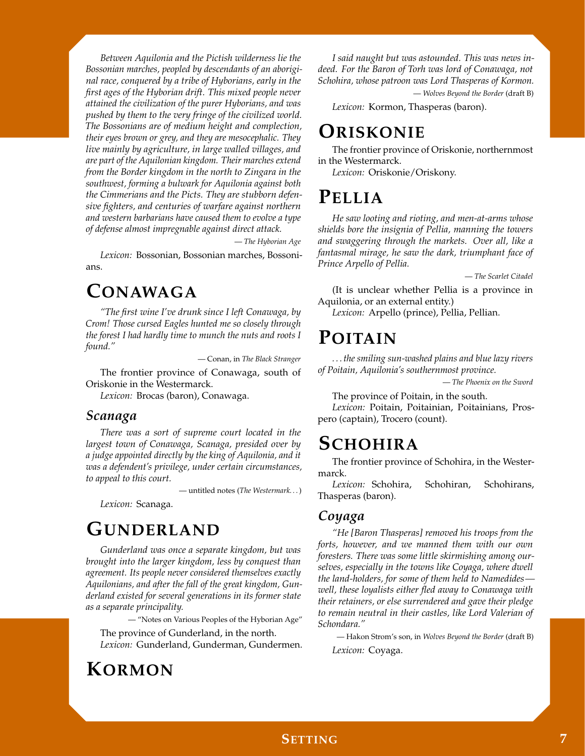*Between Aquilonia and the Pictish wilderness lie the Bossonian marches, peopled by descendants of an aboriginal race, conquered by a tribe of Hyborians, early in the first ages of the Hyborian drift. This mixed people never attained the civilization of the purer Hyborians, and was pushed by them to the very fringe of the civilized world. The Bossonians are of medium height and complection, their eyes brown or grey, and they are mesocephalic. They live mainly by agriculture, in large walled villages, and are part of the Aquilonian kingdom. Their marches extend from the Border kingdom in the north to Zingara in the southwest, forming a bulwark for Aquilonia against both the Cimmerians and the Picts. They are stubborn defensive fighters, and centuries of warfare against northern and western barbarians have caused them to evolve a type of defense almost impregnable against direct attack.*

— *The Hyborian Age*

*Lexicon:* Bossonian, Bossonian marches, Bossonians.

### <span id="page-8-0"></span>**CONAWAGA**

*"The first wine I've drunk since I left Conawaga, by Crom! Those cursed Eagles hunted me so closely through the forest I had hardly time to munch the nuts and roots I found."*

— Conan, in *The Black Stranger*

The frontier province of Conawaga, south of Oriskonie in the Westermarck.

*Lexicon:* Brocas (baron), Conawaga.

#### <span id="page-8-1"></span>*Scanaga*

*There was a sort of supreme court located in the largest town of Conawaga, Scanaga, presided over by a judge appointed directly by the king of Aquilonia, and it was a defendent's privilege, under certain circumstances, to appeal to this court.*

— untitled notes (*The Westermark. . .*)

*Lexicon:* Scanaga.

### <span id="page-8-2"></span>**GUNDERLAND**

*Gunderland was once a separate kingdom, but was brought into the larger kingdom, less by conquest than agreement. Its people never considered themselves exactly Aquilonians, and after the fall of the great kingdom, Gunderland existed for several generations in its former state as a separate principality.*

— "Notes on Various Peoples of the Hyborian Age"

The province of Gunderland, in the north. *Lexicon:* Gunderland, Gunderman, Gundermen.

### <span id="page-8-3"></span>**KORMON**

*I said naught but was astounded. This was news indeed. For the Baron of Torh was lord of Conawaga, not Schohira, whose patroon was Lord Thasperas of Kormon.*

— *Wolves Beyond the Border* (draft B)

*Lexicon:* Kormon, Thasperas (baron).

### <span id="page-8-4"></span>**ORISKONIE**

The frontier province of Oriskonie, northernmost in the Westermarck.

*Lexicon:* Oriskonie/Oriskony.

### <span id="page-8-5"></span>**PELLIA**

*He saw looting and rioting, and men-at-arms whose shields bore the insignia of Pellia, manning the towers and swaggering through the markets. Over all, like a fantasmal mirage, he saw the dark, triumphant face of Prince Arpello of Pellia.*

— *The Scarlet Citadel*

(It is unclear whether Pellia is a province in Aquilonia, or an external entity.)

*Lexicon:* Arpello (prince), Pellia, Pellian.

### <span id="page-8-6"></span>**POITAIN**

*. . . the smiling sun-washed plains and blue lazy rivers of Poitain, Aquilonia's southernmost province.*

— *The Phoenix on the Sword*

The province of Poitain, in the south.

*Lexicon:* Poitain, Poitainian, Poitainians, Prospero (captain), Trocero (count).

### <span id="page-8-7"></span>**SCHOHIRA**

The frontier province of Schohira, in the Westermarck.

*Lexicon:* Schohira, Schohiran, Schohirans, Thasperas (baron).

#### <span id="page-8-8"></span>*Coyaga*

*"He [Baron Thasperas] removed his troops from the forts, however, and we manned them with our own foresters. There was some little skirmishing among ourselves, especially in the towns like Coyaga, where dwell the land-holders, for some of them held to Namedides well, these loyalists either fled away to Conawaga with their retainers, or else surrendered and gave their pledge to remain neutral in their castles, like Lord Valerian of Schondara."*

— Hakon Strom's son, in *Wolves Beyond the Border* (draft B) *Lexicon:* Coyaga.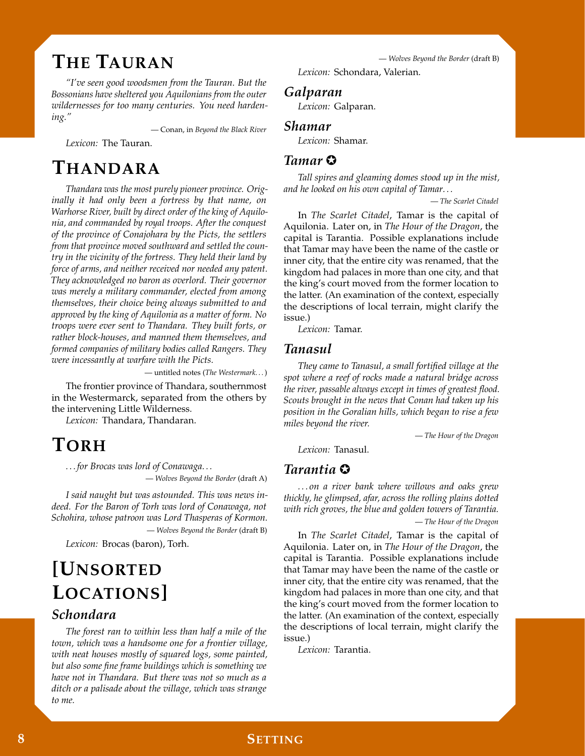<span id="page-9-0"></span>**THE TAURAN**

*"I've seen good woodsmen from the Tauran. But the Bossonians have sheltered you Aquilonians from the outer wildernesses for too many centuries. You need hardening."*

— Conan, in *Beyond the Black River*

*Lexicon:* The Tauran.

### <span id="page-9-1"></span>**THANDARA**

*Thandara was the most purely pioneer province. Originally it had only been a fortress by that name, on Warhorse River, built by direct order of the king of Aquilonia, and commanded by royal troops. After the conquest of the province of Conajohara by the Picts, the settlers from that province moved southward and settled the country in the vicinity of the fortress. They held their land by force of arms, and neither received nor needed any patent. They acknowledged no baron as overlord. Their governor was merely a military commander, elected from among themselves, their choice being always submitted to and approved by the king of Aquilonia as a matter of form. No troops were ever sent to Thandara. They built forts, or rather block-houses, and manned them themselves, and formed companies of military bodies called Rangers. They were incessantly at warfare with the Picts.*

— untitled notes (*The Westermark. . .*)

The frontier province of Thandara, southernmost in the Westermarck, separated from the others by the intervening Little Wilderness.

*Lexicon:* Thandara, Thandaran.

### <span id="page-9-2"></span>**TORH**

*. . . for Brocas was lord of Conawaga. . .* — *Wolves Beyond the Border* (draft A)

*I said naught but was astounded. This was news indeed. For the Baron of Torh was lord of Conawaga, not Schohira, whose patroon was Lord Thasperas of Kormon.* — *Wolves Beyond the Border* (draft B)

*Lexicon:* Brocas (baron), Torh.

## <span id="page-9-3"></span>**[UNSORTED LOCATIONS]**

#### <span id="page-9-4"></span>*Schondara*

*The forest ran to within less than half a mile of the town, which was a handsome one for a frontier village, with neat houses mostly of squared logs, some painted, but also some fine frame buildings which is something we have not in Thandara. But there was not so much as a ditch or a palisade about the village, which was strange to me.*

— *Wolves Beyond the Border* (draft B) *Lexicon:* Schondara, Valerian.

#### <span id="page-9-5"></span>*Galparan*

*Lexicon:* Galparan.

#### <span id="page-9-6"></span>*Shamar*

*Lexicon:* Shamar.

#### <span id="page-9-7"></span>*Tamar* ✪

*Tall spires and gleaming domes stood up in the mist, and he looked on his own capital of Tamar. . .*

— *The Scarlet Citadel*

In *The Scarlet Citadel*, Tamar is the capital of Aquilonia. Later on, in *The Hour of the Dragon*, the capital is Tarantia. Possible explanations include that Tamar may have been the name of the castle or inner city, that the entire city was renamed, that the kingdom had palaces in more than one city, and that the king's court moved from the former location to the latter. (An examination of the context, especially the descriptions of local terrain, might clarify the issue.)

*Lexicon:* Tamar.

#### <span id="page-9-8"></span>*Tanasul*

*They came to Tanasul, a small fortified village at the spot where a reef of rocks made a natural bridge across the river, passable always except in times of greatest flood. Scouts brought in the news that Conan had taken up his position in the Goralian hills, which began to rise a few miles beyond the river.*

— *The Hour of the Dragon*

*Lexicon:* Tanasul.

#### <span id="page-9-9"></span>*Tarantia* ✪

*. . . on a river bank where willows and oaks grew thickly, he glimpsed, afar, across the rolling plains dotted with rich groves, the blue and golden towers of Tarantia.* — *The Hour of the Dragon*

In *The Scarlet Citadel*, Tamar is the capital of Aquilonia. Later on, in *The Hour of the Dragon*, the capital is Tarantia. Possible explanations include that Tamar may have been the name of the castle or inner city, that the entire city was renamed, that the kingdom had palaces in more than one city, and that the king's court moved from the former location to the latter. (An examination of the context, especially the descriptions of local terrain, might clarify the issue.)

*Lexicon:* Tarantia.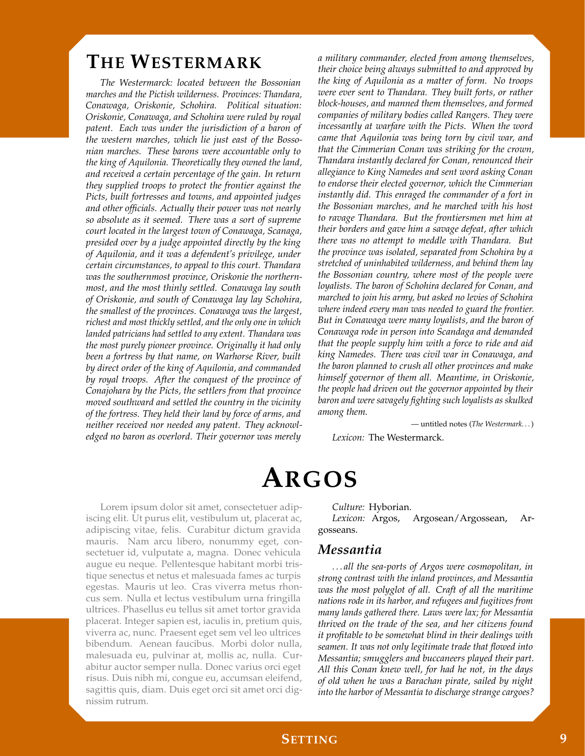### <span id="page-10-0"></span>**THE WESTERMARK**

*The Westermarck: located between the Bossonian marches and the Pictish wilderness. Provinces: Thandara, Conawaga, Oriskonie, Schohira. Political situation: Oriskonie, Conawaga, and Schohira were ruled by royal patent. Each was under the jurisdiction of a baron of the western marches, which lie just east of the Bossonian marches. These barons were accountable only to the king of Aquilonia. Theoretically they owned the land, and received a certain percentage of the gain. In return they supplied troops to protect the frontier against the Picts, built fortresses and towns, and appointed judges and other officials. Actually their power was not nearly so absolute as it seemed. There was a sort of supreme court located in the largest town of Conawaga, Scanaga, presided over by a judge appointed directly by the king of Aquilonia, and it was a defendent's privilege, under certain circumstances, to appeal to this court. Thandara was the southernmost province, Oriskonie the northernmost, and the most thinly settled. Conawaga lay south of Oriskonie, and south of Conawaga lay lay Schohira, the smallest of the provinces. Conawaga was the largest, richest and most thickly settled, and the only one in which landed patricians had settled to any extent. Thandara was the most purely pioneer province. Originally it had only been a fortress by that name, on Warhorse River, built by direct order of the king of Aquilonia, and commanded by royal troops. After the conquest of the province of Conajohara by the Picts, the settlers from that province moved southward and settled the country in the vicinity of the fortress. They held their land by force of arms, and neither received nor needed any patent. They acknowledged no baron as overlord. Their governor was merely*

*a military commander, elected from among themselves, their choice being always submitted to and approved by the king of Aquilonia as a matter of form. No troops were ever sent to Thandara. They built forts, or rather block-houses, and manned them themselves, and formed companies of military bodies called Rangers. They were incessantly at warfare with the Picts. When the word came that Aquilonia was being torn by civil war, and that the Cimmerian Conan was striking for the crown, Thandara instantly declared for Conan, renounced their allegiance to King Namedes and sent word asking Conan to endorse their elected governor, which the Cimmerian instantly did. This enraged the commander of a fort in the Bossonian marches, and he marched with his host to ravage Thandara. But the frontiersmen met him at their borders and gave him a savage defeat, after which there was no attempt to meddle with Thandara. But the province was isolated, separated from Schohira by a stretched of uninhabited wilderness, and behind them lay the Bossonian country, where most of the people were loyalists. The baron of Schohira declared for Conan, and marched to join his army, but asked no levies of Schohira where indeed every man was needed to guard the frontier. But in Conawaga were many loyalists, and the baron of Conawaga rode in person into Scandaga and demanded that the people supply him with a force to ride and aid king Namedes. There was civil war in Conawaga, and the baron planned to crush all other provinces and make himself governor of them all. Meantime, in Oriskonie, the people had driven out the governor appointed by their baron and were savagely fighting such loyalists as skulked among them.*

— untitled notes (*The Westermark. . .*)

*Lexicon:* The Westermarck.

## **ARGOS**

<span id="page-10-1"></span>Lorem ipsum dolor sit amet, consectetuer adipiscing elit. Ut purus elit, vestibulum ut, placerat ac, adipiscing vitae, felis. Curabitur dictum gravida mauris. Nam arcu libero, nonummy eget, consectetuer id, vulputate a, magna. Donec vehicula augue eu neque. Pellentesque habitant morbi tristique senectus et netus et malesuada fames ac turpis egestas. Mauris ut leo. Cras viverra metus rhoncus sem. Nulla et lectus vestibulum urna fringilla ultrices. Phasellus eu tellus sit amet tortor gravida placerat. Integer sapien est, iaculis in, pretium quis, viverra ac, nunc. Praesent eget sem vel leo ultrices bibendum. Aenean faucibus. Morbi dolor nulla, malesuada eu, pulvinar at, mollis ac, nulla. Curabitur auctor semper nulla. Donec varius orci eget risus. Duis nibh mi, congue eu, accumsan eleifend, sagittis quis, diam. Duis eget orci sit amet orci dignissim rutrum.

*Culture:* Hyborian.

*Lexicon:* Argos, Argosean/Argossean, Argosseans.

#### <span id="page-10-2"></span>*Messantia*

*. . . all the sea-ports of Argos were cosmopolitan, in strong contrast with the inland provinces, and Messantia was the most polyglot of all. Craft of all the maritime nations rode in its harbor, and refugees and fugitives from many lands gathered there. Laws were lax; for Messantia thrived on the trade of the sea, and her citizens found it profitable to be somewhat blind in their dealings with seamen. It was not only legitimate trade that flowed into Messantia; smugglers and buccaneers played their part. All this Conan knew well, for had he not, in the days of old when he was a Barachan pirate, sailed by night into the harbor of Messantia to discharge strange cargoes?*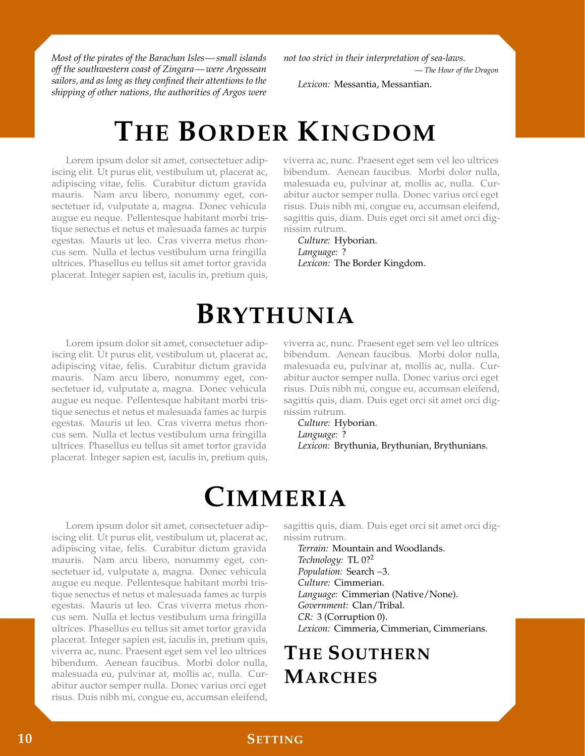*Most of the pirates of the Barachan Isles—small islands off the southwestern coast of Zingara—were Argossean sailors, and as long as they confined their attentions to the shipping of other nations, the authorities of Argos were* *not too strict in their interpretation of sea-laws.* — *The Hour of the Dragon*

*Lexicon:* Messantia, Messantian.

## **THE BORDER KINGDOM**

<span id="page-11-0"></span>Lorem ipsum dolor sit amet, consectetuer adipiscing elit. Ut purus elit, vestibulum ut, placerat ac, adipiscing vitae, felis. Curabitur dictum gravida mauris. Nam arcu libero, nonummy eget, consectetuer id, vulputate a, magna. Donec vehicula augue eu neque. Pellentesque habitant morbi tristique senectus et netus et malesuada fames ac turpis egestas. Mauris ut leo. Cras viverra metus rhoncus sem. Nulla et lectus vestibulum urna fringilla ultrices. Phasellus eu tellus sit amet tortor gravida placerat. Integer sapien est, iaculis in, pretium quis,

viverra ac, nunc. Praesent eget sem vel leo ultrices bibendum. Aenean faucibus. Morbi dolor nulla, malesuada eu, pulvinar at, mollis ac, nulla. Curabitur auctor semper nulla. Donec varius orci eget risus. Duis nibh mi, congue eu, accumsan eleifend, sagittis quis, diam. Duis eget orci sit amet orci dignissim rutrum.

*Culture:* Hyborian. *Language:* ? *Lexicon:* The Border Kingdom.

## **BRYTHUNIA**

<span id="page-11-1"></span>Lorem ipsum dolor sit amet, consectetuer adipiscing elit. Ut purus elit, vestibulum ut, placerat ac, adipiscing vitae, felis. Curabitur dictum gravida mauris. Nam arcu libero, nonummy eget, consectetuer id, vulputate a, magna. Donec vehicula augue eu neque. Pellentesque habitant morbi tristique senectus et netus et malesuada fames ac turpis egestas. Mauris ut leo. Cras viverra metus rhoncus sem. Nulla et lectus vestibulum urna fringilla ultrices. Phasellus eu tellus sit amet tortor gravida placerat. Integer sapien est, iaculis in, pretium quis, viverra ac, nunc. Praesent eget sem vel leo ultrices bibendum. Aenean faucibus. Morbi dolor nulla, malesuada eu, pulvinar at, mollis ac, nulla. Curabitur auctor semper nulla. Donec varius orci eget risus. Duis nibh mi, congue eu, accumsan eleifend, sagittis quis, diam. Duis eget orci sit amet orci dignissim rutrum.

*Culture:* Hyborian. *Language:* ? *Lexicon:* Brythunia, Brythunian, Brythunians.

## **CIMMERIA**

<span id="page-11-2"></span>Lorem ipsum dolor sit amet, consectetuer adipiscing elit. Ut purus elit, vestibulum ut, placerat ac, adipiscing vitae, felis. Curabitur dictum gravida mauris. Nam arcu libero, nonummy eget, consectetuer id, vulputate a, magna. Donec vehicula augue eu neque. Pellentesque habitant morbi tristique senectus et netus et malesuada fames ac turpis egestas. Mauris ut leo. Cras viverra metus rhoncus sem. Nulla et lectus vestibulum urna fringilla ultrices. Phasellus eu tellus sit amet tortor gravida placerat. Integer sapien est, iaculis in, pretium quis, viverra ac, nunc. Praesent eget sem vel leo ultrices bibendum. Aenean faucibus. Morbi dolor nulla, malesuada eu, pulvinar at, mollis ac, nulla. Curabitur auctor semper nulla. Donec varius orci eget risus. Duis nibh mi, congue eu, accumsan eleifend,

sagittis quis, diam. Duis eget orci sit amet orci dignissim rutrum.

*Terrain:* Mountain and Woodlands. *Technology:* TL 0?[2](#page-75-2) *Population:* Search −3. *Culture:* Cimmerian. *Language:* Cimmerian (Native/None). *Government:* Clan/Tribal. *CR:* 3 (Corruption 0). *Lexicon:* Cimmeria, Cimmerian, Cimmerians.

## <span id="page-11-3"></span>**THE SOUTHERN MARCHES**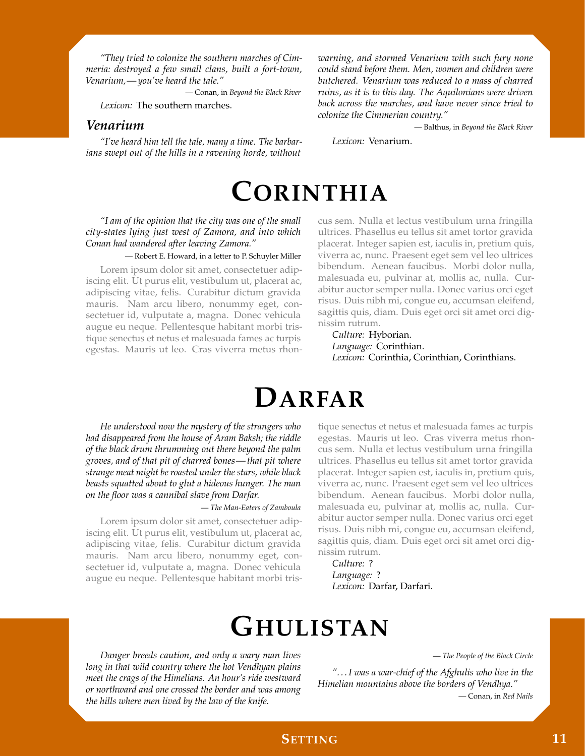*"They tried to colonize the southern marches of Cimmeria: destroyed a few small clans, built a fort-town, Venarium,— you've heard the tale."*

— Conan, in *Beyond the Black River*

*Lexicon:* The southern marches.

#### <span id="page-12-0"></span>*Venarium*

<span id="page-12-1"></span>*"I've heard him tell the tale, many a time. The barbarians swept out of the hills in a ravening horde, without*

*warning, and stormed Venarium with such fury none could stand before them. Men, women and children were butchered. Venarium was reduced to a mass of charred ruins, as it is to this day. The Aquilonians were driven back across the marches, and have never since tried to colonize the Cimmerian country."*

— Balthus, in *Beyond the Black River*

*Lexicon:* Venarium.

## **CORINTHIA**

*"I am of the opinion that the city was one of the small city-states lying just west of Zamora, and into which Conan had wandered after leaving Zamora."*

#### — Robert E. Howard, in a letter to P. Schuyler Miller

Lorem ipsum dolor sit amet, consectetuer adipiscing elit. Ut purus elit, vestibulum ut, placerat ac, adipiscing vitae, felis. Curabitur dictum gravida mauris. Nam arcu libero, nonummy eget, consectetuer id, vulputate a, magna. Donec vehicula augue eu neque. Pellentesque habitant morbi tristique senectus et netus et malesuada fames ac turpis egestas. Mauris ut leo. Cras viverra metus rhoncus sem. Nulla et lectus vestibulum urna fringilla ultrices. Phasellus eu tellus sit amet tortor gravida placerat. Integer sapien est, iaculis in, pretium quis, viverra ac, nunc. Praesent eget sem vel leo ultrices bibendum. Aenean faucibus. Morbi dolor nulla, malesuada eu, pulvinar at, mollis ac, nulla. Curabitur auctor semper nulla. Donec varius orci eget risus. Duis nibh mi, congue eu, accumsan eleifend, sagittis quis, diam. Duis eget orci sit amet orci dignissim rutrum.

*Culture:* Hyborian. *Language:* Corinthian. *Lexicon:* Corinthia, Corinthian, Corinthians.

## **DARFAR**

<span id="page-12-2"></span>*He understood now the mystery of the strangers who had disappeared from the house of Aram Baksh; the riddle of the black drum thrumming out there beyond the palm groves, and of that pit of charred bones—that pit where strange meat might be roasted under the stars, while black beasts squatted about to glut a hideous hunger. The man on the floor was a cannibal slave from Darfar.*

— *The Man-Eaters of Zamboula*

Lorem ipsum dolor sit amet, consectetuer adipiscing elit. Ut purus elit, vestibulum ut, placerat ac, adipiscing vitae, felis. Curabitur dictum gravida mauris. Nam arcu libero, nonummy eget, consectetuer id, vulputate a, magna. Donec vehicula augue eu neque. Pellentesque habitant morbi tris-

tique senectus et netus et malesuada fames ac turpis egestas. Mauris ut leo. Cras viverra metus rhoncus sem. Nulla et lectus vestibulum urna fringilla ultrices. Phasellus eu tellus sit amet tortor gravida placerat. Integer sapien est, iaculis in, pretium quis, viverra ac, nunc. Praesent eget sem vel leo ultrices bibendum. Aenean faucibus. Morbi dolor nulla, malesuada eu, pulvinar at, mollis ac, nulla. Curabitur auctor semper nulla. Donec varius orci eget risus. Duis nibh mi, congue eu, accumsan eleifend, sagittis quis, diam. Duis eget orci sit amet orci dignissim rutrum.

*Culture:* ? *Language:* ? *Lexicon:* Darfar, Darfari.

## **GHULISTAN**

<span id="page-12-3"></span>*Danger breeds caution, and only a wary man lives long in that wild country where the hot Vendhyan plains meet the crags of the Himelians. An hour's ride westward or northward and one crossed the border and was among the hills where men lived by the law of the knife.*

— *The People of the Black Circle*

*". . . I was a war-chief of the Afghulis who live in the Himelian mountains above the borders of Vendhya."* — Conan, in *Red Nails*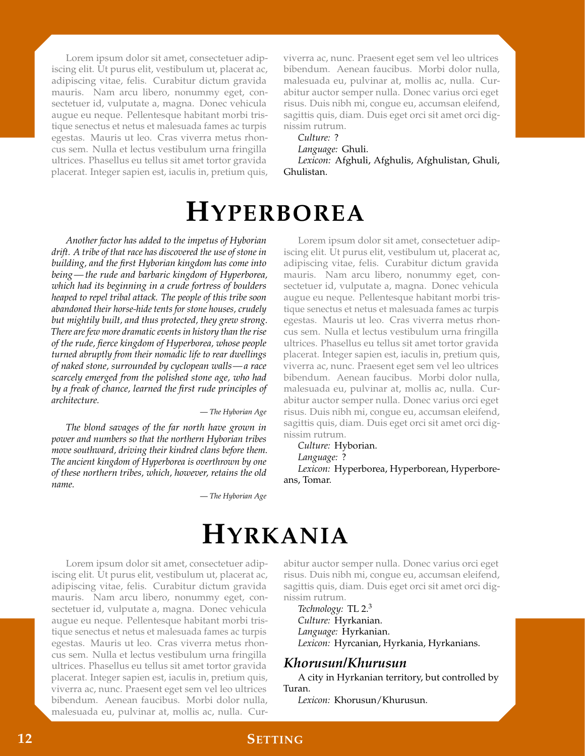Lorem ipsum dolor sit amet, consectetuer adipiscing elit. Ut purus elit, vestibulum ut, placerat ac, adipiscing vitae, felis. Curabitur dictum gravida mauris. Nam arcu libero, nonummy eget, consectetuer id, vulputate a, magna. Donec vehicula augue eu neque. Pellentesque habitant morbi tristique senectus et netus et malesuada fames ac turpis egestas. Mauris ut leo. Cras viverra metus rhoncus sem. Nulla et lectus vestibulum urna fringilla ultrices. Phasellus eu tellus sit amet tortor gravida placerat. Integer sapien est, iaculis in, pretium quis,

viverra ac, nunc. Praesent eget sem vel leo ultrices bibendum. Aenean faucibus. Morbi dolor nulla, malesuada eu, pulvinar at, mollis ac, nulla. Curabitur auctor semper nulla. Donec varius orci eget risus. Duis nibh mi, congue eu, accumsan eleifend, sagittis quis, diam. Duis eget orci sit amet orci dignissim rutrum.

*Culture:* ?

*Language:* Ghuli.

*Lexicon:* Afghuli, Afghulis, Afghulistan, Ghuli, Ghulistan.

## **HYPERBOREA**

<span id="page-13-0"></span>*Another factor has added to the impetus of Hyborian drift. A tribe of that race has discovered the use of stone in building, and the first Hyborian kingdom has come into being— the rude and barbaric kingdom of Hyperborea, which had its beginning in a crude fortress of boulders heaped to repel tribal attack. The people of this tribe soon abandoned their horse-hide tents for stone houses, crudely but mightily built, and thus protected, they grew strong. There are few more dramatic events in history than the rise of the rude, fierce kingdom of Hyperborea, whose people turned abruptly from their nomadic life to rear dwellings of naked stone, surrounded by cyclopean walls—a race scarcely emerged from the polished stone age, who had by a freak of chance, learned the first rude principles of architecture.*

— *The Hyborian Age*

*The blond savages of the far north have grown in power and numbers so that the northern Hyborian tribes move southward, driving their kindred clans before them. The ancient kingdom of Hyperborea is overthrown by one of these northern tribes, which, however, retains the old name.*

Lorem ipsum dolor sit amet, consectetuer adipiscing elit. Ut purus elit, vestibulum ut, placerat ac, adipiscing vitae, felis. Curabitur dictum gravida mauris. Nam arcu libero, nonummy eget, consectetuer id, vulputate a, magna. Donec vehicula augue eu neque. Pellentesque habitant morbi tristique senectus et netus et malesuada fames ac turpis egestas. Mauris ut leo. Cras viverra metus rhoncus sem. Nulla et lectus vestibulum urna fringilla ultrices. Phasellus eu tellus sit amet tortor gravida placerat. Integer sapien est, iaculis in, pretium quis, viverra ac, nunc. Praesent eget sem vel leo ultrices bibendum. Aenean faucibus. Morbi dolor nulla, malesuada eu, pulvinar at, mollis ac, nulla. Curabitur auctor semper nulla. Donec varius orci eget risus. Duis nibh mi, congue eu, accumsan eleifend, sagittis quis, diam. Duis eget orci sit amet orci dignissim rutrum.

*Culture:* Hyborian.

*Language:* ?

*Lexicon:* Hyperborea, Hyperborean, Hyperboreans, Tomar.

— *The Hyborian Age*

## **HYRKANIA**

<span id="page-13-1"></span>Lorem ipsum dolor sit amet, consectetuer adipiscing elit. Ut purus elit, vestibulum ut, placerat ac, adipiscing vitae, felis. Curabitur dictum gravida mauris. Nam arcu libero, nonummy eget, consectetuer id, vulputate a, magna. Donec vehicula augue eu neque. Pellentesque habitant morbi tristique senectus et netus et malesuada fames ac turpis egestas. Mauris ut leo. Cras viverra metus rhoncus sem. Nulla et lectus vestibulum urna fringilla ultrices. Phasellus eu tellus sit amet tortor gravida placerat. Integer sapien est, iaculis in, pretium quis, viverra ac, nunc. Praesent eget sem vel leo ultrices bibendum. Aenean faucibus. Morbi dolor nulla, malesuada eu, pulvinar at, mollis ac, nulla. Cur-

abitur auctor semper nulla. Donec varius orci eget risus. Duis nibh mi, congue eu, accumsan eleifend, sagittis quis, diam. Duis eget orci sit amet orci dignissim rutrum.

*Technology:* TL 2.[3](#page-75-3) *Culture:* Hyrkanian. *Language:* Hyrkanian. *Lexicon:* Hyrcanian, Hyrkania, Hyrkanians.

#### <span id="page-13-2"></span>*Khorusun/Khurusun*

A city in Hyrkanian territory, but controlled by Turan.

*Lexicon:* Khorusun/Khurusun.

#### **12 SETTING**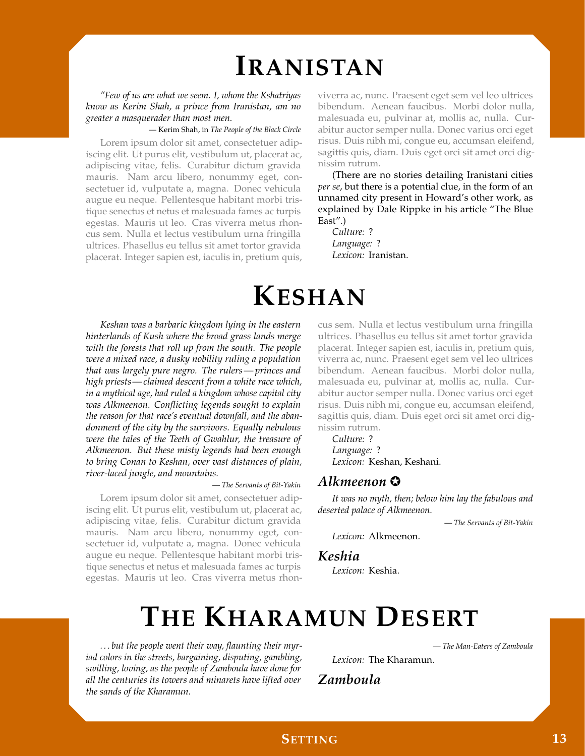## **IRANISTAN**

<span id="page-14-0"></span>*"Few of us are what we seem. I, whom the Kshatriyas know as Kerim Shah, a prince from Iranistan, am no greater a masquerader than most men.*

— Kerim Shah, in *The People of the Black Circle*

Lorem ipsum dolor sit amet, consectetuer adipiscing elit. Ut purus elit, vestibulum ut, placerat ac, adipiscing vitae, felis. Curabitur dictum gravida mauris. Nam arcu libero, nonummy eget, consectetuer id, vulputate a, magna. Donec vehicula augue eu neque. Pellentesque habitant morbi tristique senectus et netus et malesuada fames ac turpis egestas. Mauris ut leo. Cras viverra metus rhoncus sem. Nulla et lectus vestibulum urna fringilla ultrices. Phasellus eu tellus sit amet tortor gravida placerat. Integer sapien est, iaculis in, pretium quis,

viverra ac, nunc. Praesent eget sem vel leo ultrices bibendum. Aenean faucibus. Morbi dolor nulla, malesuada eu, pulvinar at, mollis ac, nulla. Curabitur auctor semper nulla. Donec varius orci eget risus. Duis nibh mi, congue eu, accumsan eleifend, sagittis quis, diam. Duis eget orci sit amet orci dignissim rutrum.

(There are no stories detailing Iranistani cities *per se*, but there is a potential clue, in the form of an unnamed city present in Howard's other work, as explained by Dale Rippke in his article ["The Blue](https://thedarkstormfiles.blogspot.com/2010/12/the-blue-east.html) [East".](https://thedarkstormfiles.blogspot.com/2010/12/the-blue-east.html))

*Culture:* ? *Language:* ? *Lexicon:* Iranistan.

## **KESHAN**

<span id="page-14-1"></span>*Keshan was a barbaric kingdom lying in the eastern hinterlands of Kush where the broad grass lands merge with the forests that roll up from the south. The people were a mixed race, a dusky nobility ruling a population that was largely pure negro. The rulers— princes and high priests—claimed descent from a white race which, in a mythical age, had ruled a kingdom whose capital city was Alkmeenon. Conflicting legends sought to explain the reason for that race's eventual downfall, and the abandonment of the city by the survivors. Equally nebulous were the tales of the Teeth of Gwahlur, the treasure of Alkmeenon. But these misty legends had been enough to bring Conan to Keshan, over vast distances of plain, river-laced jungle, and mountains.*

— *The Servants of Bit-Yakin*

Lorem ipsum dolor sit amet, consectetuer adipiscing elit. Ut purus elit, vestibulum ut, placerat ac, adipiscing vitae, felis. Curabitur dictum gravida mauris. Nam arcu libero, nonummy eget, consectetuer id, vulputate a, magna. Donec vehicula augue eu neque. Pellentesque habitant morbi tristique senectus et netus et malesuada fames ac turpis egestas. Mauris ut leo. Cras viverra metus rhoncus sem. Nulla et lectus vestibulum urna fringilla ultrices. Phasellus eu tellus sit amet tortor gravida placerat. Integer sapien est, iaculis in, pretium quis, viverra ac, nunc. Praesent eget sem vel leo ultrices bibendum. Aenean faucibus. Morbi dolor nulla, malesuada eu, pulvinar at, mollis ac, nulla. Curabitur auctor semper nulla. Donec varius orci eget risus. Duis nibh mi, congue eu, accumsan eleifend, sagittis quis, diam. Duis eget orci sit amet orci dignissim rutrum.

*Culture:* ? *Language:* ? *Lexicon:* Keshan, Keshani.

#### <span id="page-14-2"></span>*Alkmeenon* ✪

*It was no myth, then; below him lay the fabulous and deserted palace of Alkmeenon.*

— *The Servants of Bit-Yakin*

*Lexicon:* Alkmeenon.

#### <span id="page-14-3"></span>*Keshia*

*Lexicon:* Keshia.

## **THE KHARAMUN DESERT**

<span id="page-14-4"></span>*. . . but the people went their way, flaunting their myriad colors in the streets, bargaining, disputing, gambling, swilling, loving, as the people of Zamboula have done for all the centuries its towers and minarets have lifted over the sands of the Kharamun.*

— *The Man-Eaters of Zamboula*

*Lexicon:* The Kharamun.

<span id="page-14-5"></span>*Zamboula*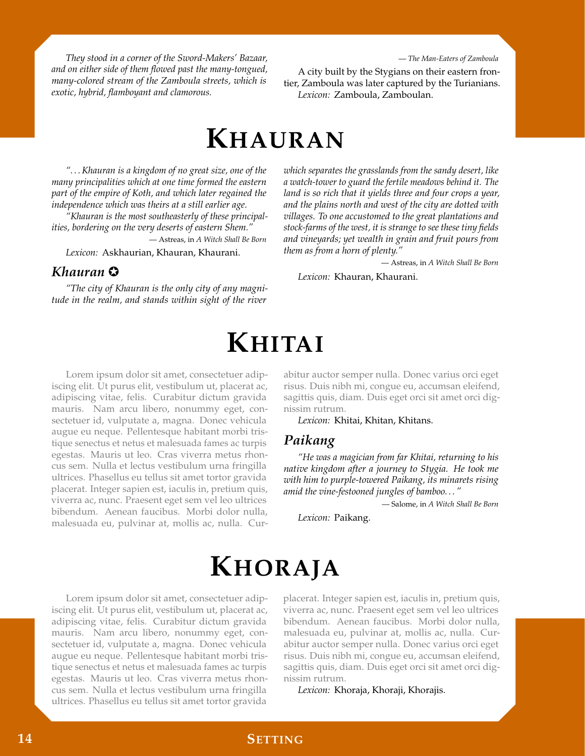— *The Man-Eaters of Zamboula*

*They stood in a corner of the Sword-Makers' Bazaar, and on either side of them flowed past the many-tongued, many-colored stream of the Zamboula streets, which is exotic, hybrid, flamboyant and clamorous.*

A city built by the Stygians on their eastern frontier, Zamboula was later captured by the Turianians. *Lexicon:* Zamboula, Zamboulan.

## **KHAURAN**

<span id="page-15-0"></span>*". . . Khauran is a kingdom of no great size, one of the many principalities which at one time formed the eastern part of the empire of Koth, and which later regained the independence which was theirs at a still earlier age.*

*"Khauran is the most southeasterly of these principalities, bordering on the very deserts of eastern Shem."*

— Astreas, in *A Witch Shall Be Born*

*Lexicon:* Askhaurian, Khauran, Khaurani.

#### <span id="page-15-1"></span>*Khauran* ✪

<span id="page-15-2"></span>*"The city of Khauran is the only city of any magnitude in the realm, and stands within sight of the river*

*which separates the grasslands from the sandy desert, like a watch-tower to guard the fertile meadows behind it. The land is so rich that it yields three and four crops a year, and the plains north and west of the city are dotted with villages. To one accustomed to the great plantations and stock-farms of the west, it is strange to see these tiny fields and vineyards; yet wealth in grain and fruit pours from them as from a horn of plenty."*

— Astreas, in *A Witch Shall Be Born*

*Lexicon:* Khauran, Khaurani.

## **KHITAI**

Lorem ipsum dolor sit amet, consectetuer adipiscing elit. Ut purus elit, vestibulum ut, placerat ac, adipiscing vitae, felis. Curabitur dictum gravida mauris. Nam arcu libero, nonummy eget, consectetuer id, vulputate a, magna. Donec vehicula augue eu neque. Pellentesque habitant morbi tristique senectus et netus et malesuada fames ac turpis egestas. Mauris ut leo. Cras viverra metus rhoncus sem. Nulla et lectus vestibulum urna fringilla ultrices. Phasellus eu tellus sit amet tortor gravida placerat. Integer sapien est, iaculis in, pretium quis, viverra ac, nunc. Praesent eget sem vel leo ultrices bibendum. Aenean faucibus. Morbi dolor nulla, malesuada eu, pulvinar at, mollis ac, nulla. Cur-

abitur auctor semper nulla. Donec varius orci eget risus. Duis nibh mi, congue eu, accumsan eleifend, sagittis quis, diam. Duis eget orci sit amet orci dignissim rutrum.

*Lexicon:* Khitai, Khitan, Khitans.

#### <span id="page-15-3"></span>*Paikang*

*"He was a magician from far Khitai, returning to his native kingdom after a journey to Stygia. He took me with him to purple-towered Paikang, its minarets rising amid the vine-festooned jungles of bamboo. . . "*

— Salome, in *A Witch Shall Be Born*

*Lexicon:* Paikang.

## **KHORAJA**

<span id="page-15-4"></span>Lorem ipsum dolor sit amet, consectetuer adipiscing elit. Ut purus elit, vestibulum ut, placerat ac, adipiscing vitae, felis. Curabitur dictum gravida mauris. Nam arcu libero, nonummy eget, consectetuer id, vulputate a, magna. Donec vehicula augue eu neque. Pellentesque habitant morbi tristique senectus et netus et malesuada fames ac turpis egestas. Mauris ut leo. Cras viverra metus rhoncus sem. Nulla et lectus vestibulum urna fringilla ultrices. Phasellus eu tellus sit amet tortor gravida

placerat. Integer sapien est, iaculis in, pretium quis, viverra ac, nunc. Praesent eget sem vel leo ultrices bibendum. Aenean faucibus. Morbi dolor nulla, malesuada eu, pulvinar at, mollis ac, nulla. Curabitur auctor semper nulla. Donec varius orci eget risus. Duis nibh mi, congue eu, accumsan eleifend, sagittis quis, diam. Duis eget orci sit amet orci dignissim rutrum.

*Lexicon:* Khoraja, Khoraji, Khorajis.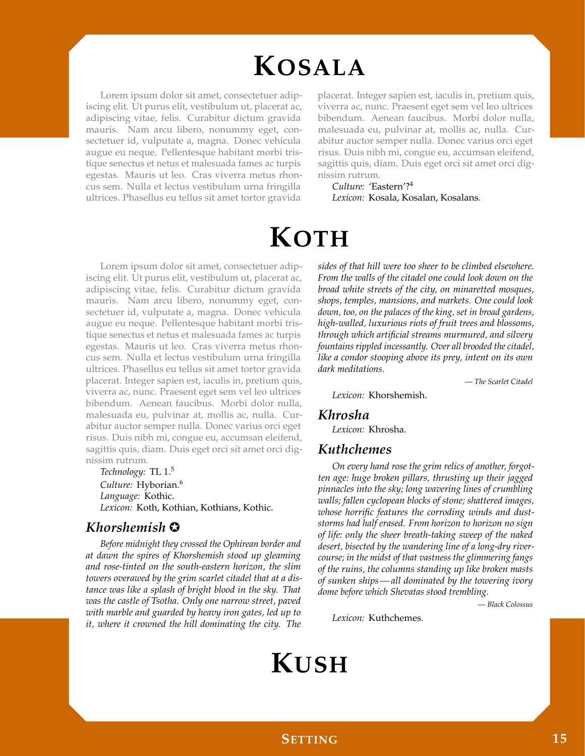## **KOSALA**

<span id="page-16-0"></span>Lorem ipsum dolor sit amet, consectetuer adipiscing elit. Ut purus elit, vestibulum ut, placerat ac, adipiscing vitae, felis. Curabitur dictum gravida mauris. Nam arcu libero, nonummy eget, consectetuer id, vulputate a, magna. Donec vehicula augue eu neque. Pellentesque habitant morbi tristique senectus et netus et malesuada fames ac turpis egestas. Mauris ut leo. Cras viverra metus rhoncus sem. Nulla et lectus vestibulum urna fringilla ultrices. Phasellus eu tellus sit amet tortor gravida

placerat. Integer sapien est, iaculis in, pretium quis, viverra ac, nunc. Praesent eget sem vel leo ultrices bibendum. Aenean faucibus. Morbi dolor nulla, malesuada eu, pulvinar at, mollis ac, nulla. Curabitur auctor semper nulla. Donec varius orci eget risus. Duis nibh mi, congue eu, accumsan eleifend, sagittis quis, diam. Duis eget orci sit amet orci dignissim rutrum.

*Culture:* 'Eastern'?[4](#page-75-4) *Lexicon:* Kosala, Kosalan, Kosalans.

## **KOTH**

<span id="page-16-1"></span>Lorem ipsum dolor sit amet, consectetuer adipiscing elit. Ut purus elit, vestibulum ut, placerat ac, adipiscing vitae, felis. Curabitur dictum gravida mauris. Nam arcu libero, nonummy eget, consectetuer id, vulputate a, magna. Donec vehicula augue eu neque. Pellentesque habitant morbi tristique senectus et netus et malesuada fames ac turpis egestas. Mauris ut leo. Cras viverra metus rhoncus sem. Nulla et lectus vestibulum urna fringilla ultrices. Phasellus eu tellus sit amet tortor gravida placerat. Integer sapien est, iaculis in, pretium quis, viverra ac, nunc. Praesent eget sem vel leo ultrices bibendum. Aenean faucibus. Morbi dolor nulla, malesuada eu, pulvinar at, mollis ac, nulla. Curabitur auctor semper nulla. Donec varius orci eget risus. Duis nibh mi, congue eu, accumsan eleifend, sagittis quis, diam. Duis eget orci sit amet orci dignissim rutrum.

*Technology:* TL 1.[5](#page-75-5) *Culture:* Hyborian.[6](#page-75-6) *Language:* Kothic. *Lexicon:* Koth, Kothian, Kothians, Kothic.

#### <span id="page-16-2"></span>*Khorshemish* ✪

<span id="page-16-5"></span>*Before midnight they crossed the Ophirean border and at dawn the spires of Khorshemish stood up gleaming and rose-tinted on the south-eastern horizon, the slim towers overawed by the grim scarlet citadel that at a distance was like a splash of bright blood in the sky. That was the castle of Tsotha. Only one narrow street, paved with marble and guarded by heavy iron gates, led up to it, where it crowned the hill dominating the city. The*

*sides of that hill were too sheer to be climbed elsewhere. From the walls of the citadel one could look down on the broad white streets of the city, on minaretted mosques, shops, temples, mansions, and markets. One could look down, too, on the palaces of the king, set in broad gardens, high-walled, luxurious riots of fruit trees and blossoms, through which artificial streams murmured, and silvery fountains rippled incessantly. Over all brooded the citadel, like a condor stooping above its prey, intent on its own dark meditations.*

— *The Scarlet Citadel*

*Lexicon:* Khorshemish.

#### <span id="page-16-3"></span>*Khrosha*

*Lexicon:* Khrosha.

#### <span id="page-16-4"></span>*Kuthchemes*

*On every hand rose the grim relics of another, forgotten age: huge broken pillars, thrusting up their jagged pinnacles into the sky; long wavering lines of crumbling walls; fallen cyclopean blocks of stone; shattered images, whose horrific features the corroding winds and duststorms had half erased. From horizon to horizon no sign of life: only the sheer breath-taking sweep of the naked desert, bisected by the wandering line of a long-dry rivercourse; in the midst of that vastness the glimmering fangs of the ruins, the columns standing up like broken masts of sunken ships— all dominated by the towering ivory dome before which Shevatas stood trembling.*

— *Black Colossus*

*Lexicon:* Kuthchemes.

## **KUSH**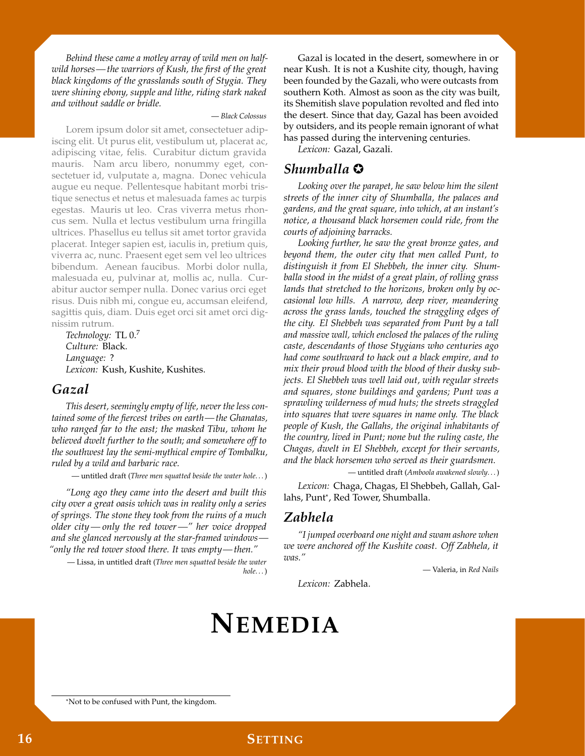*Behind these came a motley array of wild men on halfwild horses—the warriors of Kush, the first of the great black kingdoms of the grasslands south of Stygia. They were shining ebony, supple and lithe, riding stark naked and without saddle or bridle.*

— *Black Colossus*

Lorem ipsum dolor sit amet, consectetuer adipiscing elit. Ut purus elit, vestibulum ut, placerat ac, adipiscing vitae, felis. Curabitur dictum gravida mauris. Nam arcu libero, nonummy eget, consectetuer id, vulputate a, magna. Donec vehicula augue eu neque. Pellentesque habitant morbi tristique senectus et netus et malesuada fames ac turpis egestas. Mauris ut leo. Cras viverra metus rhoncus sem. Nulla et lectus vestibulum urna fringilla ultrices. Phasellus eu tellus sit amet tortor gravida placerat. Integer sapien est, iaculis in, pretium quis, viverra ac, nunc. Praesent eget sem vel leo ultrices bibendum. Aenean faucibus. Morbi dolor nulla, malesuada eu, pulvinar at, mollis ac, nulla. Curabitur auctor semper nulla. Donec varius orci eget risus. Duis nibh mi, congue eu, accumsan eleifend, sagittis quis, diam. Duis eget orci sit amet orci dignissim rutrum.

*Technology:* TL 0.[7](#page-75-7) *Culture:* Black. *Language:* ? *Lexicon:* Kush, Kushite, Kushites.

#### <span id="page-17-0"></span>*Gazal*

*This desert, seemingly empty of life, never the less contained some of the fiercest tribes on earth—the Ghanatas, who ranged far to the east; the masked Tibu, whom he believed dwelt further to the south; and somewhere off to the southwest lay the semi-mythical empire of Tombalku, ruled by a wild and barbaric race.*

— untitled draft (*Three men squatted beside the water hole. . .*)

*"Long ago they came into the desert and built this city over a great oasis which was in reality only a series of springs. The stone they took from the ruins of a much older city— only the red tower—" her voice dropped and she glanced nervously at the star-framed windows— "only the red tower stood there. It was empty— then."*

<span id="page-17-3"></span>— Lissa, in untitled draft (*Three men squatted beside the water hole. . .*)

Gazal is located in the desert, somewhere in or near Kush. It is not a Kushite city, though, having been founded by the Gazali, who were outcasts from southern Koth. Almost as soon as the city was built, its Shemitish slave population revolted and fled into the desert. Since that day, Gazal has been avoided by outsiders, and its people remain ignorant of what has passed during the intervening centuries.

*Lexicon:* Gazal, Gazali.

#### <span id="page-17-1"></span>*Shumballa* ✪

*Looking over the parapet, he saw below him the silent streets of the inner city of Shumballa, the palaces and gardens, and the great square, into which, at an instant's notice, a thousand black horsemen could ride, from the courts of adjoining barracks.*

*Looking further, he saw the great bronze gates, and beyond them, the outer city that men called Punt, to distinguish it from El Shebbeh, the inner city. Shumballa stood in the midst of a great plain, of rolling grass lands that stretched to the horizons, broken only by occasional low hills. A narrow, deep river, meandering across the grass lands, touched the straggling edges of the city. El Shebbeh was separated from Punt by a tall and massive wall, which enclosed the palaces of the ruling caste, descendants of those Stygians who centuries ago had come southward to hack out a black empire, and to mix their proud blood with the blood of their dusky subjects. El Shebbeh was well laid out, with regular streets and squares, stone buildings and gardens; Punt was a sprawling wilderness of mud huts; the streets straggled into squares that were squares in name only. The black people of Kush, the Gallahs, the original inhabitants of the country, lived in Punt; none but the ruling caste, the Chagas, dwelt in El Shebbeh, except for their servants, and the black horsemen who served as their guardsmen.*

— untitled draft (*Amboola awakened slowly. . .*)

*Lexicon:* Chaga, Chagas, El Shebbeh, Gallah, Gallahs, Punt[\\*](#page-17-4), Red Tower, Shumballa.

#### <span id="page-17-2"></span>*Zabhela*

*"I jumped overboard one night and swam ashore when we were anchored off the Kushite coast. Off Zabhela, it was."*

— Valeria, in *Red Nails*

*Lexicon:* Zabhela.

## **NEMEDIA**

<span id="page-17-4"></span>\*Not to be confused with Punt, the kingdom.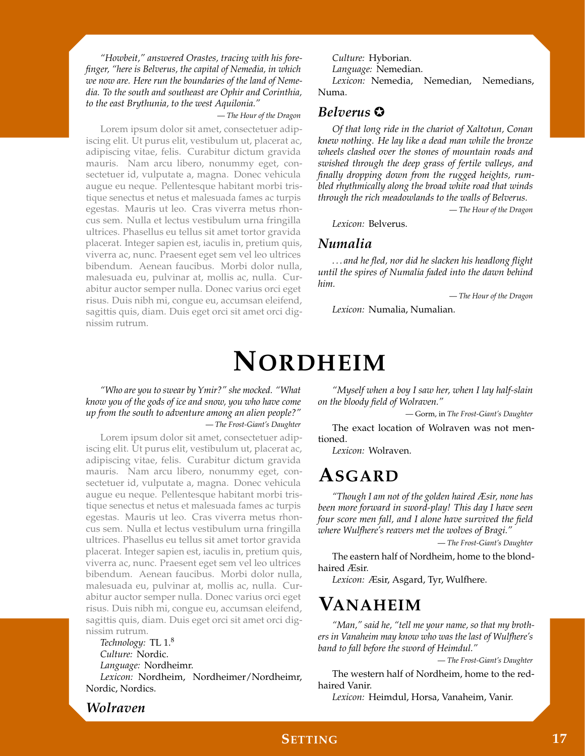*"Howbeit," answered Orastes, tracing with his forefinger, "here is Belverus, the capital of Nemedia, in which we now are. Here run the boundaries of the land of Nemedia. To the south and southeast are Ophir and Corinthia, to the east Brythunia, to the west Aquilonia."*

#### — *The Hour of the Dragon*

Lorem ipsum dolor sit amet, consectetuer adipiscing elit. Ut purus elit, vestibulum ut, placerat ac, adipiscing vitae, felis. Curabitur dictum gravida mauris. Nam arcu libero, nonummy eget, consectetuer id, vulputate a, magna. Donec vehicula augue eu neque. Pellentesque habitant morbi tristique senectus et netus et malesuada fames ac turpis egestas. Mauris ut leo. Cras viverra metus rhoncus sem. Nulla et lectus vestibulum urna fringilla ultrices. Phasellus eu tellus sit amet tortor gravida placerat. Integer sapien est, iaculis in, pretium quis, viverra ac, nunc. Praesent eget sem vel leo ultrices bibendum. Aenean faucibus. Morbi dolor nulla, malesuada eu, pulvinar at, mollis ac, nulla. Curabitur auctor semper nulla. Donec varius orci eget risus. Duis nibh mi, congue eu, accumsan eleifend, sagittis quis, diam. Duis eget orci sit amet orci dignissim rutrum.

*Culture:* Hyborian.

*Language:* Nemedian.

*Lexicon:* Nemedia, Nemedian, Nemedians, Numa.

#### <span id="page-18-0"></span>*Belverus* ✪

*Of that long ride in the chariot of Xaltotun, Conan knew nothing. He lay like a dead man while the bronze wheels clashed over the stones of mountain roads and swished through the deep grass of fertile valleys, and finally dropping down from the rugged heights, rumbled rhythmically along the broad white road that winds through the rich meadowlands to the walls of Belverus.*

— *The Hour of the Dragon*

*Lexicon:* Belverus.

#### <span id="page-18-1"></span>*Numalia*

*. . . and he fled, nor did he slacken his headlong flight until the spires of Numalia faded into the dawn behind him.*

— *The Hour of the Dragon*

*Lexicon:* Numalia, Numalian.

## **NORDHEIM**

<span id="page-18-2"></span>*"Who are you to swear by Ymir?" she mocked. "What know you of the gods of ice and snow, you who have come up from the south to adventure among an alien people?"* — *The Frost-Giant's Daughter*

Lorem ipsum dolor sit amet, consectetuer adipiscing elit. Ut purus elit, vestibulum ut, placerat ac, adipiscing vitae, felis. Curabitur dictum gravida mauris. Nam arcu libero, nonummy eget, consectetuer id, vulputate a, magna. Donec vehicula augue eu neque. Pellentesque habitant morbi tristique senectus et netus et malesuada fames ac turpis egestas. Mauris ut leo. Cras viverra metus rhoncus sem. Nulla et lectus vestibulum urna fringilla ultrices. Phasellus eu tellus sit amet tortor gravida placerat. Integer sapien est, iaculis in, pretium quis, viverra ac, nunc. Praesent eget sem vel leo ultrices bibendum. Aenean faucibus. Morbi dolor nulla, malesuada eu, pulvinar at, mollis ac, nulla. Curabitur auctor semper nulla. Donec varius orci eget risus. Duis nibh mi, congue eu, accumsan eleifend, sagittis quis, diam. Duis eget orci sit amet orci dignissim rutrum.

*Technology:* TL 1.[8](#page-75-8) *Culture:* Nordic. *Language:* Nordheimr. *Lexicon:* Nordheim, Nordheimer/Nordheimr, Nordic, Nordics.

*"Myself when a boy I saw her, when I lay half-slain on the bloody field of Wolraven."*

— Gorm, in *The Frost-Giant's Daughter*

The exact location of Wolraven was not mentioned.

*Lexicon:* Wolraven.

### <span id="page-18-4"></span>**ASGARD**

*"Though I am not of the golden haired Æsir, none has been more forward in sword-play! This day I have seen four score men fall, and I alone have survived the field where Wulfhere's reavers met the wolves of Bragi."*

— *The Frost-Giant's Daughter*

The eastern half of Nordheim, home to the blondhaired Æsir.

*Lexicon:* Æsir, Asgard, Tyr, Wulfhere.

### <span id="page-18-5"></span>**VANAHEIM**

*"Man," said he, "tell me your name, so that my brothers in Vanaheim may know who was the last of Wulfhere's band to fall before the sword of Heimdul."*

— *The Frost-Giant's Daughter*

The western half of Nordheim, home to the redhaired Vanir.

*Lexicon:* Heimdul, Horsa, Vanaheim, Vanir.

<span id="page-18-3"></span>*Wolraven*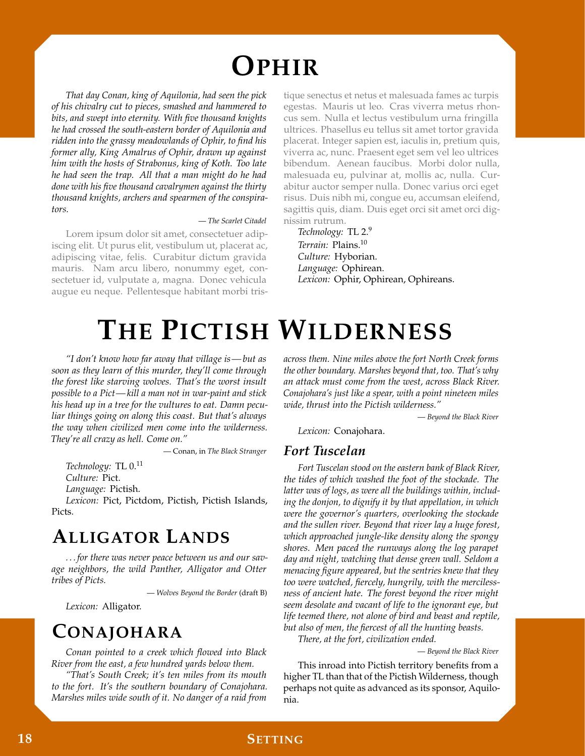## **OPHIR**

<span id="page-19-0"></span>*That day Conan, king of Aquilonia, had seen the pick of his chivalry cut to pieces, smashed and hammered to bits, and swept into eternity. With five thousand knights he had crossed the south-eastern border of Aquilonia and ridden into the grassy meadowlands of Ophir, to find his former ally, King Amalrus of Ophir, drawn up against him with the hosts of Strabonus, king of Koth. Too late he had seen the trap. All that a man might do he had done with his five thousand cavalrymen against the thirty thousand knights, archers and spearmen of the conspirators.*

#### — *The Scarlet Citadel*

Lorem ipsum dolor sit amet, consectetuer adipiscing elit. Ut purus elit, vestibulum ut, placerat ac, adipiscing vitae, felis. Curabitur dictum gravida mauris. Nam arcu libero, nonummy eget, consectetuer id, vulputate a, magna. Donec vehicula augue eu neque. Pellentesque habitant morbi tris-

tique senectus et netus et malesuada fames ac turpis egestas. Mauris ut leo. Cras viverra metus rhoncus sem. Nulla et lectus vestibulum urna fringilla ultrices. Phasellus eu tellus sit amet tortor gravida placerat. Integer sapien est, iaculis in, pretium quis, viverra ac, nunc. Praesent eget sem vel leo ultrices bibendum. Aenean faucibus. Morbi dolor nulla, malesuada eu, pulvinar at, mollis ac, nulla. Curabitur auctor semper nulla. Donec varius orci eget risus. Duis nibh mi, congue eu, accumsan eleifend, sagittis quis, diam. Duis eget orci sit amet orci dignissim rutrum.

*Technology:* TL 2.[9](#page-75-9) *Terrain:* Plains.[10](#page-75-10) *Culture:* Hyborian. *Language:* Ophirean. *Lexicon:* Ophir, Ophirean, Ophireans.

## <span id="page-19-1"></span>**THE PICTISH WILDERNESS**

*"I don't know how far away that village is—but as soon as they learn of this murder, they'll come through the forest like starving wolves. That's the worst insult possible to a Pict—kill a man not in war-paint and stick his head up in a tree for the vultures to eat. Damn peculiar things going on along this coast. But that's always the way when civilized men come into the wilderness. They're all crazy as hell. Come on."*

— Conan, in *The Black Stranger*

*Technology:* TL 0.[11](#page-75-11) *Culture:* Pict.

*Language:* Pictish.

*Lexicon:* Pict, Pictdom, Pictish, Pictish Islands, Picts.

### <span id="page-19-2"></span>**ALLIGATOR LANDS**

*. . . for there was never peace between us and our savage neighbors, the wild Panther, Alligator and Otter tribes of Picts.*

— *Wolves Beyond the Border* (draft B)

*Lexicon:* Alligator.

### <span id="page-19-3"></span>**CONAJOHARA**

*Conan pointed to a creek which flowed into Black River from the east, a few hundred yards below them.*

*"That's South Creek; it's ten miles from its mouth to the fort. It's the southern boundary of Conajohara. Marshes miles wide south of it. No danger of a raid from*

*across them. Nine miles above the fort North Creek forms the other boundary. Marshes beyond that, too. That's why an attack must come from the west, across Black River. Conajohara's just like a spear, with a point nineteen miles wide, thrust into the Pictish wilderness."*

— *Beyond the Black River*

*Lexicon:* Conajohara.

#### <span id="page-19-4"></span>*Fort Tuscelan*

*Fort Tuscelan stood on the eastern bank of Black River, the tides of which washed the foot of the stockade. The latter was of logs, as were all the buildings within, including the donjon, to dignify it by that appellation, in which were the governor's quarters, overlooking the stockade and the sullen river. Beyond that river lay a huge forest, which approached jungle-like density along the spongy shores. Men paced the runways along the log parapet day and night, watching that dense green wall. Seldom a menacing figure appeared, but the sentries knew that they too were watched, fiercely, hungrily, with the mercilessness of ancient hate. The forest beyond the river might seem desolate and vacant of life to the ignorant eye, but life teemed there, not alone of bird and beast and reptile, but also of men, the fiercest of all the hunting beasts.*

*There, at the fort, civilization ended.*

— *Beyond the Black River*

This inroad into Pictish territory benefits from a higher TL than that of the Pictish Wilderness, though perhaps not quite as advanced as its sponsor, Aquilonia.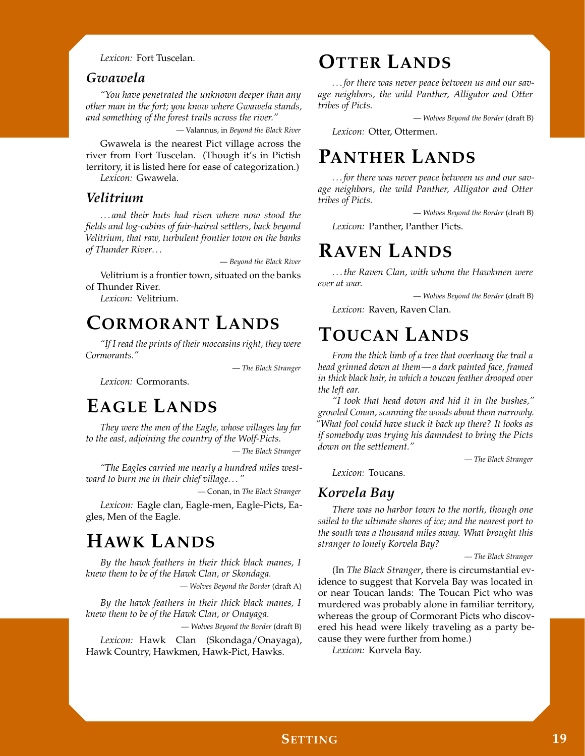*Lexicon:* Fort Tuscelan.

#### <span id="page-20-0"></span>*Gwawela*

*"You have penetrated the unknown deeper than any other man in the fort; you know where Gwawela stands, and something of the forest trails across the river."*

— Valannus, in *Beyond the Black River*

Gwawela is the nearest Pict village across the river from Fort Tuscelan. (Though it's in Pictish territory, it is listed here for ease of categorization.) *Lexicon:* Gwawela.

#### <span id="page-20-1"></span>*Velitrium*

*. . . and their huts had risen where now stood the fields and log-cabins of fair-haired settlers, back beyond Velitrium, that raw, turbulent frontier town on the banks of Thunder River. . .*

— *Beyond the Black River*

Velitrium is a frontier town, situated on the banks of Thunder River.

*Lexicon:* Velitrium.

### <span id="page-20-2"></span>**CORMORANT LANDS**

*"If I read the prints of their moccasins right, they were Cormorants."*

— *The Black Stranger*

*Lexicon:* Cormorants.

### <span id="page-20-3"></span>**EAGLE LANDS**

*They were the men of the Eagle, whose villages lay far to the east, adjoining the country of the Wolf-Picts.* — *The Black Stranger*

*"The Eagles carried me nearly a hundred miles westward to burn me in their chief village. . . "*

— Conan, in *The Black Stranger*

*Lexicon:* Eagle clan, Eagle-men, Eagle-Picts, Eagles, Men of the Eagle.

### <span id="page-20-4"></span>**HAWK LANDS**

*By the hawk feathers in their thick black manes, I knew them to be of the Hawk Clan, or Skondaga.*

— *Wolves Beyond the Border* (draft A)

*By the hawk feathers in their thick black manes, I knew them to be of the Hawk Clan, or Onayaga.*

— *Wolves Beyond the Border* (draft B)

*Lexicon:* Hawk Clan (Skondaga/Onayaga), Hawk Country, Hawkmen, Hawk-Pict, Hawks.

### <span id="page-20-5"></span>**OTTER LANDS**

*. . . for there was never peace between us and our savage neighbors, the wild Panther, Alligator and Otter tribes of Picts.*

— *Wolves Beyond the Border* (draft B)

*Lexicon:* Otter, Ottermen.

### <span id="page-20-6"></span>**PANTHER LANDS**

*. . . for there was never peace between us and our savage neighbors, the wild Panther, Alligator and Otter tribes of Picts.*

— *Wolves Beyond the Border* (draft B)

*Lexicon:* Panther, Panther Picts.

### <span id="page-20-7"></span>**RAVEN LANDS**

*. . . the Raven Clan, with whom the Hawkmen were ever at war.*

— *Wolves Beyond the Border* (draft B)

*Lexicon:* Raven, Raven Clan.

## <span id="page-20-8"></span>**TOUCAN LANDS**

*From the thick limb of a tree that overhung the trail a head grinned down at them—a dark painted face, framed in thick black hair, in which a toucan feather drooped over the left ear.*

*"I took that head down and hid it in the bushes," growled Conan, scanning the woods about them narrowly. "What fool could have stuck it back up there? It looks as if somebody was trying his damndest to bring the Picts down on the settlement."*

— *The Black Stranger*

*Lexicon:* Toucans.

#### <span id="page-20-9"></span>*Korvela Bay*

*There was no harbor town to the north, though one sailed to the ultimate shores of ice; and the nearest port to the south was a thousand miles away. What brought this stranger to lonely Korvela Bay?*

— *The Black Stranger*

(In *The Black Stranger*, there is circumstantial evidence to suggest that Korvela Bay was located in or near Toucan lands: The Toucan Pict who was murdered was probably alone in familiar territory, whereas the group of Cormorant Picts who discovered his head were likely traveling as a party because they were further from home.)

*Lexicon:* Korvela Bay.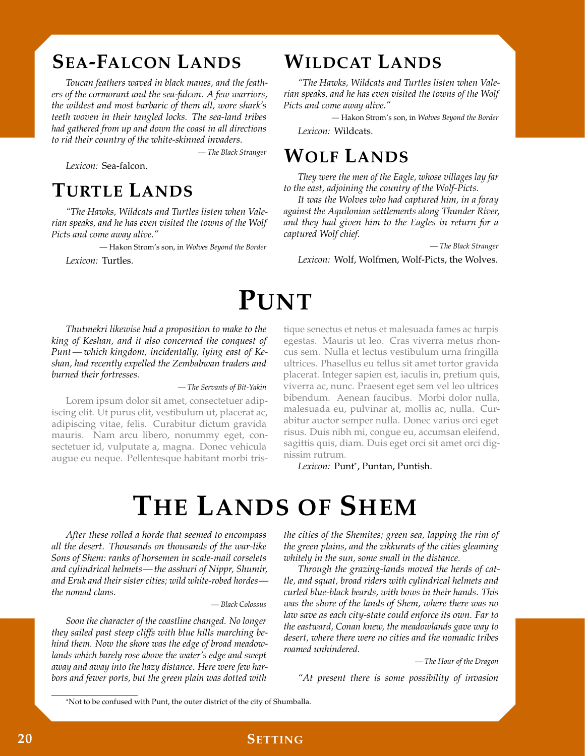### <span id="page-21-0"></span>**SEA-FALCON LANDS**

*Toucan feathers waved in black manes, and the feathers of the cormorant and the sea-falcon. A few warriors, the wildest and most barbaric of them all, wore shark's teeth woven in their tangled locks. The sea-land tribes had gathered from up and down the coast in all directions to rid their country of the white-skinned invaders.*

— *The Black Stranger*

*Lexicon:* Sea-falcon.

### <span id="page-21-1"></span>**TURTLE LANDS**

*"The Hawks, Wildcats and Turtles listen when Valerian speaks, and he has even visited the towns of the Wolf Picts and come away alive."*

<span id="page-21-4"></span>— Hakon Strom's son, in *Wolves Beyond the Border Lexicon:* Turtles.

### <span id="page-21-2"></span>**WILDCAT LANDS**

*"The Hawks, Wildcats and Turtles listen when Valerian speaks, and he has even visited the towns of the Wolf Picts and come away alive."*

— Hakon Strom's son, in *Wolves Beyond the Border Lexicon:* Wildcats.

### <span id="page-21-3"></span>**WOLF LANDS**

*They were the men of the Eagle, whose villages lay far to the east, adjoining the country of the Wolf-Picts.*

*It was the Wolves who had captured him, in a foray against the Aquilonian settlements along Thunder River, and they had given him to the Eagles in return for a captured Wolf chief.*

— *The Black Stranger*

*Lexicon:* Wolf, Wolfmen, Wolf-Picts, the Wolves.

## **PUNT**

*Thutmekri likewise had a proposition to make to the king of Keshan, and it also concerned the conquest of Punt— which kingdom, incidentally, lying east of Keshan, had recently expelled the Zembabwan traders and burned their fortresses.*

— *The Servants of Bit-Yakin*

Lorem ipsum dolor sit amet, consectetuer adipiscing elit. Ut purus elit, vestibulum ut, placerat ac, adipiscing vitae, felis. Curabitur dictum gravida mauris. Nam arcu libero, nonummy eget, consectetuer id, vulputate a, magna. Donec vehicula augue eu neque. Pellentesque habitant morbi tris-

tique senectus et netus et malesuada fames ac turpis egestas. Mauris ut leo. Cras viverra metus rhoncus sem. Nulla et lectus vestibulum urna fringilla ultrices. Phasellus eu tellus sit amet tortor gravida placerat. Integer sapien est, iaculis in, pretium quis, viverra ac, nunc. Praesent eget sem vel leo ultrices bibendum. Aenean faucibus. Morbi dolor nulla, malesuada eu, pulvinar at, mollis ac, nulla. Curabitur auctor semper nulla. Donec varius orci eget risus. Duis nibh mi, congue eu, accumsan eleifend, sagittis quis, diam. Duis eget orci sit amet orci dignissim rutrum.

*Lexicon:* Punt[\\*](#page-21-6), Puntan, Puntish.

## **THE LANDS OF SHEM**

<span id="page-21-5"></span>*After these rolled a horde that seemed to encompass all the desert. Thousands on thousands of the war-like Sons of Shem: ranks of horsemen in scale-mail corselets and cylindrical helmets—the asshuri of Nippr, Shumir, and Eruk and their sister cities; wild white-robed hordes the nomad clans.*

— *Black Colossus*

*Soon the character of the coastline changed. No longer they sailed past steep cliffs with blue hills marching behind them. Now the shore was the edge of broad meadowlands which barely rose above the water's edge and swept away and away into the hazy distance. Here were few harbors and fewer ports, but the green plain was dotted with*

*the cities of the Shemites; green sea, lapping the rim of the green plains, and the zikkurats of the cities gleaming whitely in the sun, some small in the distance.*

*Through the grazing-lands moved the herds of cattle, and squat, broad riders with cylindrical helmets and curled blue-black beards, with bows in their hands. This was the shore of the lands of Shem, where there was no law save as each city-state could enforce its own. Far to the eastward, Conan knew, the meadowlands gave way to desert, where there were no cities and the nomadic tribes roamed unhindered.*

— *The Hour of the Dragon*

*"At present there is some possibility of invasion*

<span id="page-21-6"></span><sup>\*</sup>Not to be confused with Punt, the outer district of the city of Shumballa.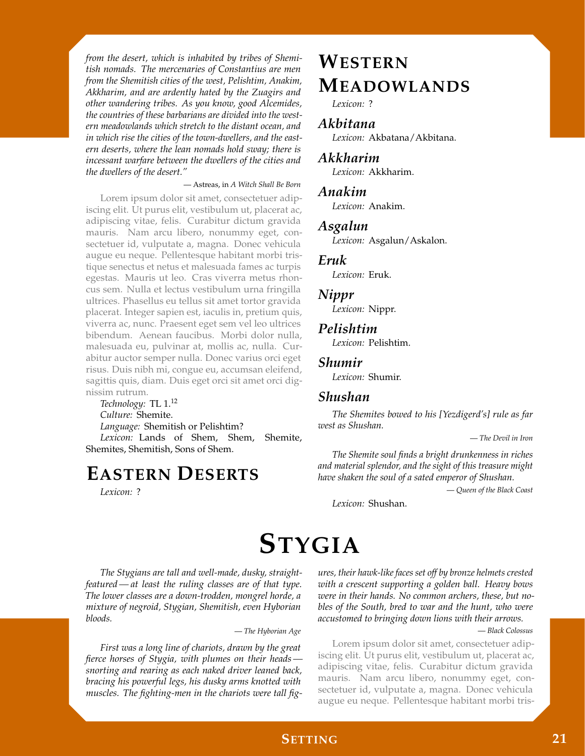*from the desert, which is inhabited by tribes of Shemitish nomads. The mercenaries of Constantius are men from the Shemitish cities of the west, Pelishtim, Anakim, Akkharim, and are ardently hated by the Zuagirs and other wandering tribes. As you know, good Alcemides, the countries of these barbarians are divided into the western meadowlands which stretch to the distant ocean, and in which rise the cities of the town-dwellers, and the eastern deserts, where the lean nomads hold sway; there is incessant warfare between the dwellers of the cities and the dwellers of the desert."*

#### — Astreas, in *A Witch Shall Be Born*

Lorem ipsum dolor sit amet, consectetuer adipiscing elit. Ut purus elit, vestibulum ut, placerat ac, adipiscing vitae, felis. Curabitur dictum gravida mauris. Nam arcu libero, nonummy eget, consectetuer id, vulputate a, magna. Donec vehicula augue eu neque. Pellentesque habitant morbi tristique senectus et netus et malesuada fames ac turpis egestas. Mauris ut leo. Cras viverra metus rhoncus sem. Nulla et lectus vestibulum urna fringilla ultrices. Phasellus eu tellus sit amet tortor gravida placerat. Integer sapien est, iaculis in, pretium quis, viverra ac, nunc. Praesent eget sem vel leo ultrices bibendum. Aenean faucibus. Morbi dolor nulla, malesuada eu, pulvinar at, mollis ac, nulla. Curabitur auctor semper nulla. Donec varius orci eget risus. Duis nibh mi, congue eu, accumsan eleifend, sagittis quis, diam. Duis eget orci sit amet orci dignissim rutrum.

*Technology:* TL 1.[12](#page-75-12) *Culture:* Shemite. *Language:* Shemitish or Pelishtim? *Lexicon:* Lands of Shem, Shem, Shemite, Shemites, Shemitish, Sons of Shem.

### <span id="page-22-0"></span>**EASTERN DESERTS**

<span id="page-22-11"></span>*Lexicon:* ?

## <span id="page-22-1"></span>**WESTERN MEADOWLANDS**

*Lexicon:* ?

#### <span id="page-22-2"></span>*Akbitana*

*Lexicon:* Akbatana/Akbitana.

#### <span id="page-22-3"></span>*Akkharim*

*Lexicon:* Akkharim.

#### <span id="page-22-4"></span>*Anakim*

*Lexicon:* Anakim.

#### <span id="page-22-5"></span>*Asgalun*

*Lexicon:* Asgalun/Askalon.

#### <span id="page-22-6"></span>*Eruk*

*Lexicon:* Eruk.

#### <span id="page-22-7"></span>*Nippr*

*Lexicon:* Nippr.

#### <span id="page-22-8"></span>*Pelishtim*

*Lexicon:* Pelishtim.

#### <span id="page-22-9"></span>*Shumir*

*Lexicon:* Shumir.

#### <span id="page-22-10"></span>*Shushan*

*The Shemites bowed to his [Yezdigerd's] rule as far west as Shushan.*

— *The Devil in Iron*

*The Shemite soul finds a bright drunkenness in riches and material splendor, and the sight of this treasure might have shaken the soul of a sated emperor of Shushan.*

— *Queen of the Black Coast*

*Lexicon:* Shushan.

## **STYGIA**

*The Stygians are tall and well-made, dusky, straightfeatured — at least the ruling classes are of that type. The lower classes are a down-trodden, mongrel horde, a mixture of negroid, Stygian, Shemitish, even Hyborian bloods.*

— *The Hyborian Age*

*First was a long line of chariots, drawn by the great fierce horses of Stygia, with plumes on their heads snorting and rearing as each naked driver leaned back, bracing his powerful legs, his dusky arms knotted with muscles. The fighting-men in the chariots were tall fig-* *ures, their hawk-like faces set off by bronze helmets crested with a crescent supporting a golden ball. Heavy bows were in their hands. No common archers, these, but nobles of the South, bred to war and the hunt, who were accustomed to bringing down lions with their arrows.*

#### — *Black Colossus*

Lorem ipsum dolor sit amet, consectetuer adipiscing elit. Ut purus elit, vestibulum ut, placerat ac, adipiscing vitae, felis. Curabitur dictum gravida mauris. Nam arcu libero, nonummy eget, consectetuer id, vulputate a, magna. Donec vehicula augue eu neque. Pellentesque habitant morbi tris-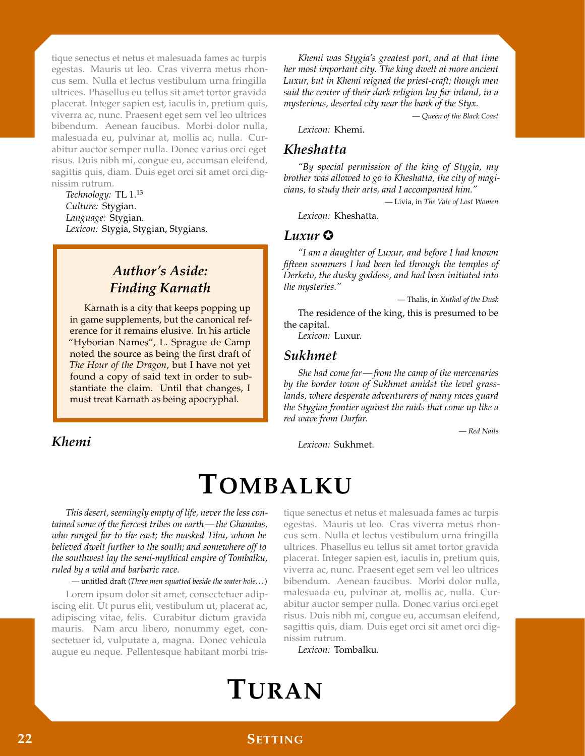tique senectus et netus et malesuada fames ac turpis egestas. Mauris ut leo. Cras viverra metus rhoncus sem. Nulla et lectus vestibulum urna fringilla ultrices. Phasellus eu tellus sit amet tortor gravida placerat. Integer sapien est, iaculis in, pretium quis, viverra ac, nunc. Praesent eget sem vel leo ultrices bibendum. Aenean faucibus. Morbi dolor nulla, malesuada eu, pulvinar at, mollis ac, nulla. Curabitur auctor semper nulla. Donec varius orci eget risus. Duis nibh mi, congue eu, accumsan eleifend, sagittis quis, diam. Duis eget orci sit amet orci dignissim rutrum.

*Technology:* TL 1.[13](#page-75-13) *Culture:* Stygian. *Language:* Stygian. *Lexicon:* Stygia, Stygian, Stygians.

### <span id="page-23-0"></span>*Author's Aside: Finding Karnath*

Karnath is a city that keeps popping up in game supplements, but the canonical reference for it remains elusive. In his article "Hyborian Names", L. Sprague de Camp noted the source as being the first draft of *The Hour of the Dragon*, but I have not yet found a copy of said text in order to substantiate the claim. Until that changes, I must treat Karnath as being apocryphal.

#### <span id="page-23-5"></span><span id="page-23-1"></span>*Khemi*

*Khemi was Stygia's greatest port, and at that time her most important city. The king dwelt at more ancient Luxur, but in Khemi reigned the priest-craft; though men said the center of their dark religion lay far inland, in a mysterious, deserted city near the bank of the Styx.*

— *Queen of the Black Coast*

*Lexicon:* Khemi.

#### <span id="page-23-2"></span>*Kheshatta*

*"By special permission of the king of Stygia, my brother was allowed to go to Kheshatta, the city of magicians, to study their arts, and I accompanied him."*

— Livia, in *The Vale of Lost Women*

*Lexicon:* Kheshatta.

#### <span id="page-23-3"></span>*Luxur* ✪

*"I am a daughter of Luxur, and before I had known fifteen summers I had been led through the temples of Derketo, the dusky goddess, and had been initiated into the mysteries."*

— Thalis, in *Xuthal of the Dusk*

The residence of the king, this is presumed to be the capital.

*Lexicon:* Luxur.

#### <span id="page-23-4"></span>*Sukhmet*

*She had come far—from the camp of the mercenaries by the border town of Sukhmet amidst the level grasslands, where desperate adventurers of many races guard the Stygian frontier against the raids that come up like a red wave from Darfar.*

— *Red Nails*

*Lexicon:* Sukhmet.

## **TOMBALKU**

*This desert, seemingly empty of life, never the less contained some of the fiercest tribes on earth—the Ghanatas, who ranged far to the east; the masked Tibu, whom he believed dwelt further to the south; and somewhere off to the southwest lay the semi-mythical empire of Tombalku, ruled by a wild and barbaric race.*

— untitled draft (*Three men squatted beside the water hole. . .*)

<span id="page-23-6"></span>Lorem ipsum dolor sit amet, consectetuer adipiscing elit. Ut purus elit, vestibulum ut, placerat ac, adipiscing vitae, felis. Curabitur dictum gravida mauris. Nam arcu libero, nonummy eget, consectetuer id, vulputate a, magna. Donec vehicula augue eu neque. Pellentesque habitant morbi tris-

tique senectus et netus et malesuada fames ac turpis egestas. Mauris ut leo. Cras viverra metus rhoncus sem. Nulla et lectus vestibulum urna fringilla ultrices. Phasellus eu tellus sit amet tortor gravida placerat. Integer sapien est, iaculis in, pretium quis, viverra ac, nunc. Praesent eget sem vel leo ultrices bibendum. Aenean faucibus. Morbi dolor nulla, malesuada eu, pulvinar at, mollis ac, nulla. Curabitur auctor semper nulla. Donec varius orci eget risus. Duis nibh mi, congue eu, accumsan eleifend, sagittis quis, diam. Duis eget orci sit amet orci dignissim rutrum.

*Lexicon:* Tombalku.

## **TURAN**

**22 SETTING**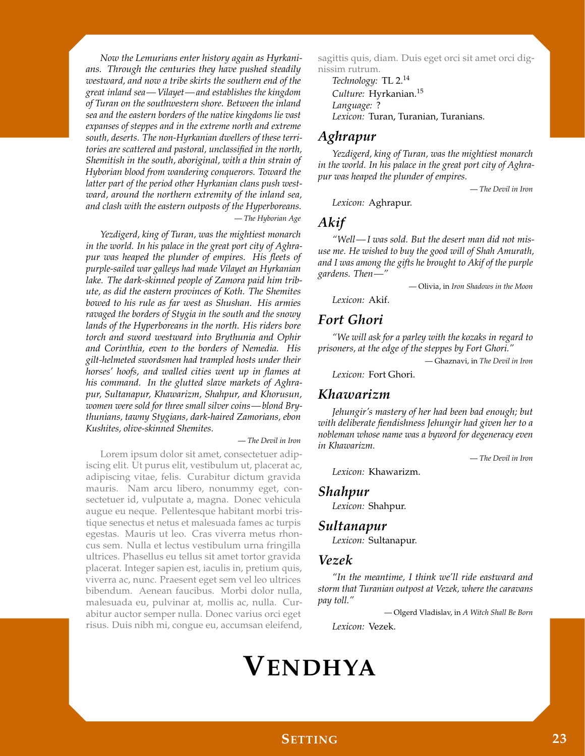*Now the Lemurians enter history again as Hyrkanians. Through the centuries they have pushed steadily westward, and now a tribe skirts the southern end of the great inland sea—Vilayet—and establishes the kingdom of Turan on the southwestern shore. Between the inland sea and the eastern borders of the native kingdoms lie vast expanses of steppes and in the extreme north and extreme south, deserts. The non-Hyrkanian dwellers of these territories are scattered and pastoral, unclassified in the north, Shemitish in the south, aboriginal, with a thin strain of Hyborian blood from wandering conquerors. Toward the latter part of the period other Hyrkanian clans push westward, around the northern extremity of the inland sea, and clash with the eastern outposts of the Hyperboreans.* — *The Hyborian Age*

*Yezdigerd, king of Turan, was the mightiest monarch in the world. In his palace in the great port city of Aghrapur was heaped the plunder of empires. His fleets of purple-sailed war galleys had made Vilayet an Hyrkanian lake. The dark-skinned people of Zamora paid him tribute, as did the eastern provinces of Koth. The Shemites bowed to his rule as far west as Shushan. His armies ravaged the borders of Stygia in the south and the snowy lands of the Hyperboreans in the north. His riders bore torch and sword westward into Brythunia and Ophir and Corinthia, even to the borders of Nemedia. His gilt-helmeted swordsmen had trampled hosts under their horses' hoofs, and walled cities went up in flames at his command. In the glutted slave markets of Aghrapur, Sultanapur, Khawarizm, Shahpur, and Khorusun, women were sold for three small silver coins—blond Brythunians, tawny Stygians, dark-haired Zamorians, ebon Kushites, olive-skinned Shemites.*

— *The Devil in Iron*

Lorem ipsum dolor sit amet, consectetuer adipiscing elit. Ut purus elit, vestibulum ut, placerat ac, adipiscing vitae, felis. Curabitur dictum gravida mauris. Nam arcu libero, nonummy eget, consectetuer id, vulputate a, magna. Donec vehicula augue eu neque. Pellentesque habitant morbi tristique senectus et netus et malesuada fames ac turpis egestas. Mauris ut leo. Cras viverra metus rhoncus sem. Nulla et lectus vestibulum urna fringilla ultrices. Phasellus eu tellus sit amet tortor gravida placerat. Integer sapien est, iaculis in, pretium quis, viverra ac, nunc. Praesent eget sem vel leo ultrices bibendum. Aenean faucibus. Morbi dolor nulla, malesuada eu, pulvinar at, mollis ac, nulla. Curabitur auctor semper nulla. Donec varius orci eget risus. Duis nibh mi, congue eu, accumsan eleifend,

sagittis quis, diam. Duis eget orci sit amet orci dignissim rutrum.

*Technology:* TL 2.[14](#page-75-14) *Culture:* Hyrkanian.[15](#page-75-15) *Language:* ? *Lexicon:* Turan, Turanian, Turanians.

#### <span id="page-24-0"></span>*Aghrapur*

*Yezdigerd, king of Turan, was the mightiest monarch in the world. In his palace in the great port city of Aghrapur was heaped the plunder of empires.*

— *The Devil in Iron*

*Lexicon:* Aghrapur.

#### <span id="page-24-1"></span>*Akif*

*"Well—I was sold. But the desert man did not misuse me. He wished to buy the good will of Shah Amurath, and I was among the gifts he brought to Akif of the purple gardens. Then—"*

— Olivia, in *Iron Shadows in the Moon*

*Lexicon:* Akif.

#### <span id="page-24-2"></span>*Fort Ghori*

*"We will ask for a parley with the kozaks in regard to prisoners, at the edge of the steppes by Fort Ghori."*

— Ghaznavi, in *The Devil in Iron*

*Lexicon:* Fort Ghori.

#### <span id="page-24-3"></span>*Khawarizm*

*Jehungir's mastery of her had been bad enough; but with deliberate fiendishness Jehungir had given her to a nobleman whose name was a byword for degeneracy even in Khawarizm.*

— *The Devil in Iron*

*Lexicon:* Khawarizm.

### <span id="page-24-4"></span>*Shahpur*

*Lexicon:* Shahpur.

#### <span id="page-24-5"></span>*Sultanapur*

*Lexicon:* Sultanapur.

#### <span id="page-24-6"></span>*Vezek*

*"In the meantime, I think we'll ride eastward and storm that Turanian outpost at Vezek, where the caravans pay toll."*

— Olgerd Vladislav, in *A Witch Shall Be Born*

*Lexicon:* Vezek.

## <span id="page-24-7"></span>**VENDHYA**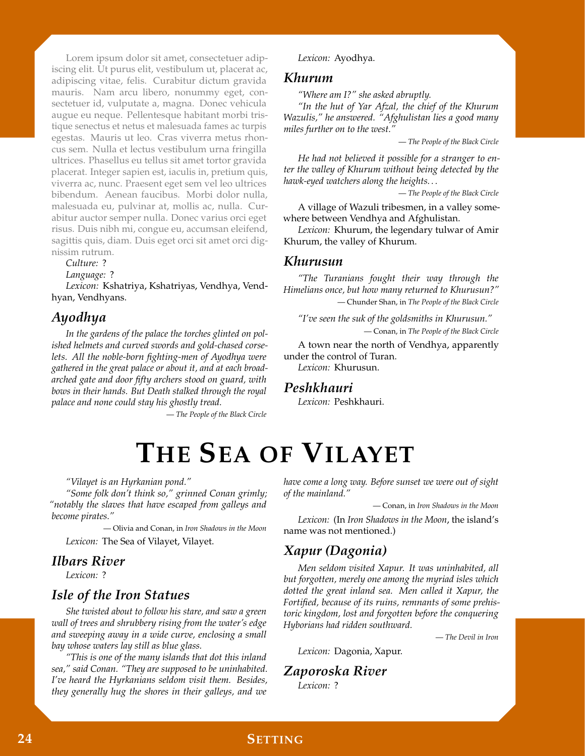Lorem ipsum dolor sit amet, consectetuer adipiscing elit. Ut purus elit, vestibulum ut, placerat ac, adipiscing vitae, felis. Curabitur dictum gravida mauris. Nam arcu libero, nonummy eget, consectetuer id, vulputate a, magna. Donec vehicula augue eu neque. Pellentesque habitant morbi tristique senectus et netus et malesuada fames ac turpis egestas. Mauris ut leo. Cras viverra metus rhoncus sem. Nulla et lectus vestibulum urna fringilla ultrices. Phasellus eu tellus sit amet tortor gravida placerat. Integer sapien est, iaculis in, pretium quis, viverra ac, nunc. Praesent eget sem vel leo ultrices bibendum. Aenean faucibus. Morbi dolor nulla, malesuada eu, pulvinar at, mollis ac, nulla. Curabitur auctor semper nulla. Donec varius orci eget risus. Duis nibh mi, congue eu, accumsan eleifend, sagittis quis, diam. Duis eget orci sit amet orci dignissim rutrum.

*Culture:* ?

*Language:* ?

*Lexicon:* Kshatriya, Kshatriyas, Vendhya, Vendhyan, Vendhyans.

#### <span id="page-25-0"></span>*Ayodhya*

*In the gardens of the palace the torches glinted on polished helmets and curved swords and gold-chased corselets. All the noble-born fighting-men of Ayodhya were gathered in the great palace or about it, and at each broadarched gate and door fifty archers stood on guard, with bows in their hands. But Death stalked through the royal palace and none could stay his ghostly tread.*

— *The People of the Black Circle*

*Lexicon:* Ayodhya.

#### <span id="page-25-1"></span>*Khurum*

*"Where am I?" she asked abruptly.*

*"In the hut of Yar Afzal, the chief of the Khurum Wazulis," he answered. "Afghulistan lies a good many miles further on to the west."*

— *The People of the Black Circle*

*He had not believed it possible for a stranger to enter the valley of Khurum without being detected by the hawk-eyed watchers along the heights. . .*

— *The People of the Black Circle*

A village of Wazuli tribesmen, in a valley somewhere between Vendhya and Afghulistan.

*Lexicon:* Khurum, the legendary tulwar of Amir Khurum, the valley of Khurum.

#### <span id="page-25-2"></span>*Khurusun*

*"The Turanians fought their way through the Himelians once, but how many returned to Khurusun?"* — Chunder Shan, in *The People of the Black Circle*

*"I've seen the suk of the goldsmiths in Khurusun."* — Conan, in *The People of the Black Circle*

A town near the north of Vendhya, apparently under the control of Turan.

*Lexicon:* Khurusun.

#### <span id="page-25-3"></span>*Peshkhauri*

*Lexicon:* Peshkhauri.

## **THE SEA OF VILAYET**

<span id="page-25-4"></span>*"Vilayet is an Hyrkanian pond."*

*"Some folk don't think so," grinned Conan grimly; "notably the slaves that have escaped from galleys and become pirates."*

— Olivia and Conan, in *Iron Shadows in the Moon Lexicon:* The Sea of Vilayet, Vilayet.

#### <span id="page-25-5"></span>*Ilbars River*

*Lexicon:* ?

#### <span id="page-25-6"></span>*Isle of the Iron Statues*

*She twisted about to follow his stare, and saw a green wall of trees and shrubbery rising from the water's edge and sweeping away in a wide curve, enclosing a small bay whose waters lay still as blue glass.*

*"This is one of the many islands that dot this inland sea," said Conan. "They are supposed to be uninhabited. I've heard the Hyrkanians seldom visit them. Besides, they generally hug the shores in their galleys, and we*

*have come a long way. Before sunset we were out of sight of the mainland."*

— Conan, in *Iron Shadows in the Moon*

*Lexicon:* (In *Iron Shadows in the Moon*, the island's name was not mentioned.)

#### <span id="page-25-7"></span>*Xapur (Dagonia)*

*Men seldom visited Xapur. It was uninhabited, all but forgotten, merely one among the myriad isles which dotted the great inland sea. Men called it Xapur, the Fortified, because of its ruins, remnants of some prehistoric kingdom, lost and forgotten before the conquering Hyborians had ridden southward.*

— *The Devil in Iron*

*Lexicon:* Dagonia, Xapur.

#### <span id="page-25-8"></span>*Zaporoska River*

*Lexicon:* ?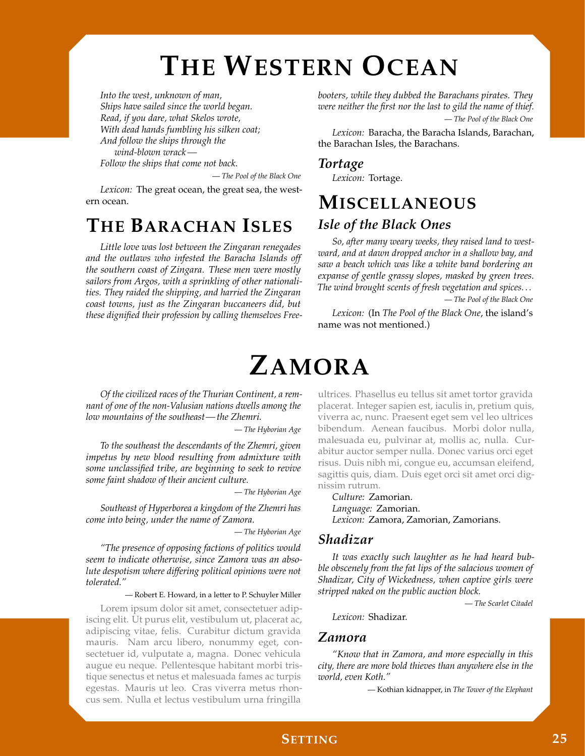## **THE WESTERN OCEAN**

<span id="page-26-0"></span>*Into the west, unknown of man, Ships have sailed since the world began. Read, if you dare, what Skelos wrote, With dead hands fumbling his silken coat; And follow the ships through the wind-blown wrack— Follow the ships that come not back.*

— *The Pool of the Black One*

*Lexicon:* The great ocean, the great sea, the western ocean.

### <span id="page-26-1"></span>**THE BARACHAN ISLES**

*Little love was lost between the Zingaran renegades and the outlaws who infested the Baracha Islands off the southern coast of Zingara. These men were mostly sailors from Argos, with a sprinkling of other nationalities. They raided the shipping, and harried the Zingaran coast towns, just as the Zingaran buccaneers did, but these dignified their profession by calling themselves Free-* *booters, while they dubbed the Barachans pirates. They were neither the first nor the last to gild the name of thief.* — *The Pool of the Black One*

*Lexicon:* Baracha, the Baracha Islands, Barachan, the Barachan Isles, the Barachans.

#### <span id="page-26-2"></span>*Tortage*

*Lexicon:* Tortage.

### <span id="page-26-4"></span><span id="page-26-3"></span>**MISCELLANEOUS** *Isle of the Black Ones*

*So, after many weary weeks, they raised land to westward, and at dawn dropped anchor in a shallow bay, and saw a beach which was like a white band bordering an expanse of gentle grassy slopes, masked by green trees. The wind brought scents of fresh vegetation and spices. . .*

— *The Pool of the Black One*

*Lexicon:* (In *The Pool of the Black One*, the island's name was not mentioned.)

## **ZAMORA**

<span id="page-26-5"></span>*Of the civilized races of the Thurian Continent, a remnant of one of the non-Valusian nations dwells among the low mountains of the southeast— the Zhemri.*

— *The Hyborian Age*

*To the southeast the descendants of the Zhemri, given impetus by new blood resulting from admixture with some unclassified tribe, are beginning to seek to revive some faint shadow of their ancient culture.*

— *The Hyborian Age*

*Southeast of Hyperborea a kingdom of the Zhemri has come into being, under the name of Zamora.*

— *The Hyborian Age*

*"The presence of opposing factions of politics would seem to indicate otherwise, since Zamora was an absolute despotism where differing political opinions were not tolerated."*

— Robert E. Howard, in a letter to P. Schuyler Miller

Lorem ipsum dolor sit amet, consectetuer adipiscing elit. Ut purus elit, vestibulum ut, placerat ac, adipiscing vitae, felis. Curabitur dictum gravida mauris. Nam arcu libero, nonummy eget, consectetuer id, vulputate a, magna. Donec vehicula augue eu neque. Pellentesque habitant morbi tristique senectus et netus et malesuada fames ac turpis egestas. Mauris ut leo. Cras viverra metus rhoncus sem. Nulla et lectus vestibulum urna fringilla

ultrices. Phasellus eu tellus sit amet tortor gravida placerat. Integer sapien est, iaculis in, pretium quis, viverra ac, nunc. Praesent eget sem vel leo ultrices bibendum. Aenean faucibus. Morbi dolor nulla, malesuada eu, pulvinar at, mollis ac, nulla. Curabitur auctor semper nulla. Donec varius orci eget risus. Duis nibh mi, congue eu, accumsan eleifend, sagittis quis, diam. Duis eget orci sit amet orci dignissim rutrum.

*Culture:* Zamorian. *Language:* Zamorian. *Lexicon:* Zamora, Zamorian, Zamorians.

#### <span id="page-26-6"></span>*Shadizar*

*It was exactly such laughter as he had heard bubble obscenely from the fat lips of the salacious women of Shadizar, City of Wickedness, when captive girls were stripped naked on the public auction block.*

— *The Scarlet Citadel*

*Lexicon:* Shadizar.

#### <span id="page-26-7"></span>*Zamora*

*"Know that in Zamora, and more especially in this city, there are more bold thieves than anywhere else in the world, even Koth."*

— Kothian kidnapper, in *The Tower of the Elephant*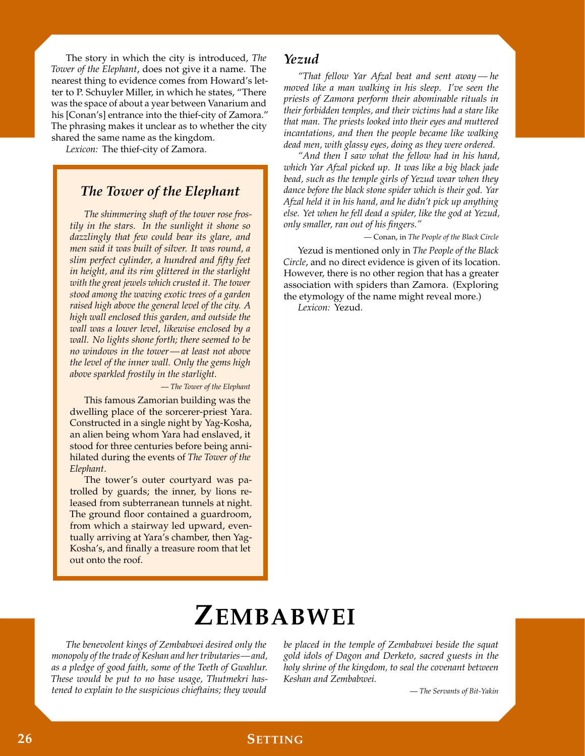The story in which the city is introduced, *The Tower of the Elephant*, does not give it a name. The nearest thing to evidence comes from Howard's letter to P. Schuyler Miller, in which he states, "There was the space of about a year between Vanarium and his [Conan's] entrance into the thief-city of Zamora." The phrasing makes it unclear as to whether the city shared the same name as the kingdom.

*Lexicon:* The thief-city of Zamora.

#### <span id="page-27-0"></span>*The Tower of the Elephant*

*The shimmering shaft of the tower rose frostily in the stars. In the sunlight it shone so dazzlingly that few could bear its glare, and men said it was built of silver. It was round, a slim perfect cylinder, a hundred and fifty feet in height, and its rim glittered in the starlight with the great jewels which crusted it. The tower stood among the waving exotic trees of a garden raised high above the general level of the city. A high wall enclosed this garden, and outside the wall was a lower level, likewise enclosed by a wall. No lights shone forth; there seemed to be no windows in the tower— at least not above the level of the inner wall. Only the gems high above sparkled frostily in the starlight.*

— *The Tower of the Elephant*

This famous Zamorian building was the dwelling place of the sorcerer-priest Yara. Constructed in a single night by Yag-Kosha, an alien being whom Yara had enslaved, it stood for three centuries before being annihilated during the events of *The Tower of the Elephant*.

The tower's outer courtyard was patrolled by guards; the inner, by lions released from subterranean tunnels at night. The ground floor contained a guardroom, from which a stairway led upward, eventually arriving at Yara's chamber, then Yag-Kosha's, and finally a treasure room that let out onto the roof.

#### <span id="page-27-1"></span>*Yezud*

*"That fellow Yar Afzal beat and sent away — he moved like a man walking in his sleep. I've seen the priests of Zamora perform their abominable rituals in their forbidden temples, and their victims had a stare like that man. The priests looked into their eyes and muttered incantations, and then the people became like walking dead men, with glassy eyes, doing as they were ordered.*

*"And then I saw what the fellow had in his hand, which Yar Afzal picked up. It was like a big black jade bead, such as the temple girls of Yezud wear when they dance before the black stone spider which is their god. Yar Afzal held it in his hand, and he didn't pick up anything else. Yet when he fell dead a spider, like the god at Yezud, only smaller, ran out of his fingers."*

— Conan, in *The People of the Black Circle*

Yezud is mentioned only in *The People of the Black Circle*, and no direct evidence is given of its location. However, there is no other region that has a greater association with spiders than Zamora. (Exploring the etymology of the name might reveal more.)

*Lexicon:* Yezud.

## **ZEMBABWEI**

<span id="page-27-2"></span>*The benevolent kings of Zembabwei desired only the monopoly of the trade of Keshan and her tributaries—and, as a pledge of good faith, some of the Teeth of Gwahlur. These would be put to no base usage, Thutmekri hastened to explain to the suspicious chieftains; they would*

*be placed in the temple of Zembabwei beside the squat gold idols of Dagon and Derketo, sacred guests in the holy shrine of the kingdom, to seal the covenant between Keshan and Zembabwei.*

— *The Servants of Bit-Yakin*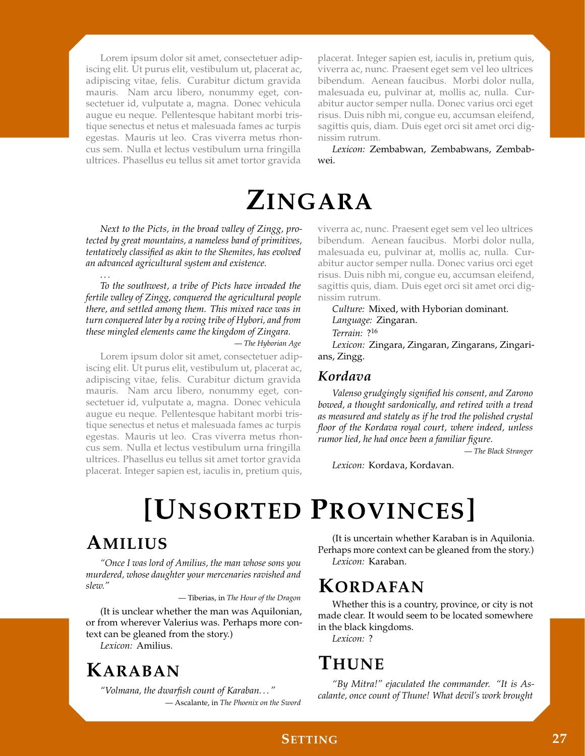Lorem ipsum dolor sit amet, consectetuer adipiscing elit. Ut purus elit, vestibulum ut, placerat ac, adipiscing vitae, felis. Curabitur dictum gravida mauris. Nam arcu libero, nonummy eget, consectetuer id, vulputate a, magna. Donec vehicula augue eu neque. Pellentesque habitant morbi tristique senectus et netus et malesuada fames ac turpis egestas. Mauris ut leo. Cras viverra metus rhoncus sem. Nulla et lectus vestibulum urna fringilla ultrices. Phasellus eu tellus sit amet tortor gravida

placerat. Integer sapien est, iaculis in, pretium quis, viverra ac, nunc. Praesent eget sem vel leo ultrices bibendum. Aenean faucibus. Morbi dolor nulla, malesuada eu, pulvinar at, mollis ac, nulla. Curabitur auctor semper nulla. Donec varius orci eget risus. Duis nibh mi, congue eu, accumsan eleifend, sagittis quis, diam. Duis eget orci sit amet orci dignissim rutrum.

*Lexicon:* Zembabwan, Zembabwans, Zembabwei.

## **ZINGARA**

<span id="page-28-0"></span>*Next to the Picts, in the broad valley of Zingg, protected by great mountains, a nameless band of primitives, tentatively classified as akin to the Shemites, has evolved an advanced agricultural system and existence.*

*. . . To the southwest, a tribe of Picts have invaded the fertile valley of Zingg, conquered the agricultural people there, and settled among them. This mixed race was in turn conquered later by a roving tribe of Hybori, and from these mingled elements came the kingdom of Zingara.* — *The Hyborian Age*

Lorem ipsum dolor sit amet, consectetuer adipiscing elit. Ut purus elit, vestibulum ut, placerat ac, adipiscing vitae, felis. Curabitur dictum gravida mauris. Nam arcu libero, nonummy eget, consectetuer id, vulputate a, magna. Donec vehicula augue eu neque. Pellentesque habitant morbi tristique senectus et netus et malesuada fames ac turpis egestas. Mauris ut leo. Cras viverra metus rhoncus sem. Nulla et lectus vestibulum urna fringilla ultrices. Phasellus eu tellus sit amet tortor gravida placerat. Integer sapien est, iaculis in, pretium quis,

viverra ac, nunc. Praesent eget sem vel leo ultrices bibendum. Aenean faucibus. Morbi dolor nulla, malesuada eu, pulvinar at, mollis ac, nulla. Curabitur auctor semper nulla. Donec varius orci eget risus. Duis nibh mi, congue eu, accumsan eleifend, sagittis quis, diam. Duis eget orci sit amet orci dignissim rutrum.

*Culture:* Mixed, with Hyborian dominant. *Language:* Zingaran. *Terrain:* ? [16](#page-75-16)

*Lexicon:* Zingara, Zingaran, Zingarans, Zingarians, Zingg.

#### <span id="page-28-1"></span>*Kordava*

*Valenso grudgingly signified his consent, and Zarono bowed, a thought sardonically, and retired with a tread as measured and stately as if he trod the polished crystal floor of the Kordava royal court, where indeed, unless rumor lied, he had once been a familiar figure.*

— *The Black Stranger*

*Lexicon:* Kordava, Kordavan.

## **[UNSORTED PROVINCES]**

### <span id="page-28-3"></span><span id="page-28-2"></span>**AMILIUS**

*"Once I was lord of Amilius, the man whose sons you murdered, whose daughter your mercenaries ravished and slew."*

— Tiberias, in *The Hour of the Dragon*

(It is unclear whether the man was Aquilonian, or from wherever Valerius was. Perhaps more context can be gleaned from the story.)

*Lexicon:* Amilius.

### <span id="page-28-4"></span>**KARABAN**

*"Volmana, the dwarfish count of Karaban. . . "* — Ascalante, in *The Phoenix on the Sword*

(It is uncertain whether Karaban is in Aquilonia. Perhaps more context can be gleaned from the story.) *Lexicon:* Karaban.

### <span id="page-28-5"></span>**KORDAFAN**

Whether this is a country, province, or city is not made clear. It would seem to be located somewhere in the black kingdoms.

*Lexicon:* ?

### <span id="page-28-6"></span>**THUNE**

*"By Mitra!" ejaculated the commander. "It is Ascalante, once count of Thune! What devil's work brought*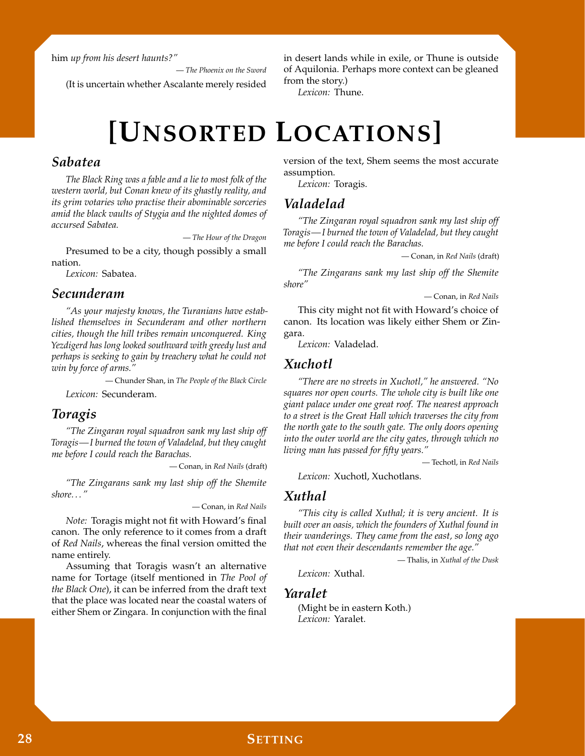— *The Phoenix on the Sword*

<span id="page-29-0"></span>(It is uncertain whether Ascalante merely resided

in desert lands while in exile, or Thune is outside of Aquilonia. Perhaps more context can be gleaned from the story.)

*Lexicon:* Thune.

## **[UNSORTED LOCATIONS]**

#### <span id="page-29-1"></span>*Sabatea*

*The Black Ring was a fable and a lie to most folk of the western world, but Conan knew of its ghastly reality, and its grim votaries who practise their abominable sorceries amid the black vaults of Stygia and the nighted domes of accursed Sabatea.*

— *The Hour of the Dragon*

Presumed to be a city, though possibly a small nation.

*Lexicon:* Sabatea.

#### <span id="page-29-2"></span>*Secunderam*

*"As your majesty knows, the Turanians have established themselves in Secunderam and other northern cities, though the hill tribes remain unconquered. King Yezdigerd has long looked southward with greedy lust and perhaps is seeking to gain by treachery what he could not win by force of arms."*

— Chunder Shan, in *The People of the Black Circle Lexicon:* Secunderam.

#### <span id="page-29-3"></span>*Toragis*

*"The Zingaran royal squadron sank my last ship off Toragis—I burned the town of Valadelad, but they caught me before I could reach the Barachas.*

— Conan, in *Red Nails* (draft)

*"The Zingarans sank my last ship off the Shemite shore. . . "*

— Conan, in *Red Nails*

*Note:* Toragis might not fit with Howard's final canon. The only reference to it comes from a draft of *Red Nails*, whereas the final version omitted the name entirely.

Assuming that Toragis wasn't an alternative name for Tortage (itself mentioned in *The Pool of the Black One*), it can be inferred from the draft text that the place was located near the coastal waters of either Shem or Zingara. In conjunction with the final

version of the text, Shem seems the most accurate assumption.

*Lexicon:* Toragis.

#### <span id="page-29-4"></span>*Valadelad*

*"The Zingaran royal squadron sank my last ship off Toragis—I burned the town of Valadelad, but they caught me before I could reach the Barachas.*

— Conan, in *Red Nails* (draft)

*"The Zingarans sank my last ship off the Shemite shore"*

— Conan, in *Red Nails*

This city might not fit with Howard's choice of canon. Its location was likely either Shem or Zingara.

*Lexicon:* Valadelad.

#### <span id="page-29-5"></span>*Xuchotl*

*"There are no streets in Xuchotl," he answered. "No squares nor open courts. The whole city is built like one giant palace under one great roof. The nearest approach to a street is the Great Hall which traverses the city from the north gate to the south gate. The only doors opening into the outer world are the city gates, through which no living man has passed for fifty years."*

— Techotl, in *Red Nails*

*Lexicon:* Xuchotl, Xuchotlans.

#### <span id="page-29-6"></span>*Xuthal*

*"This city is called Xuthal; it is very ancient. It is built over an oasis, which the founders of Xuthal found in their wanderings. They came from the east, so long ago that not even their descendants remember the age."*

— Thalis, in *Xuthal of the Dusk*

*Lexicon:* Xuthal.

#### <span id="page-29-7"></span>*Yaralet*

(Might be in eastern Koth.) *Lexicon:* Yaralet.

#### **28 SETTING**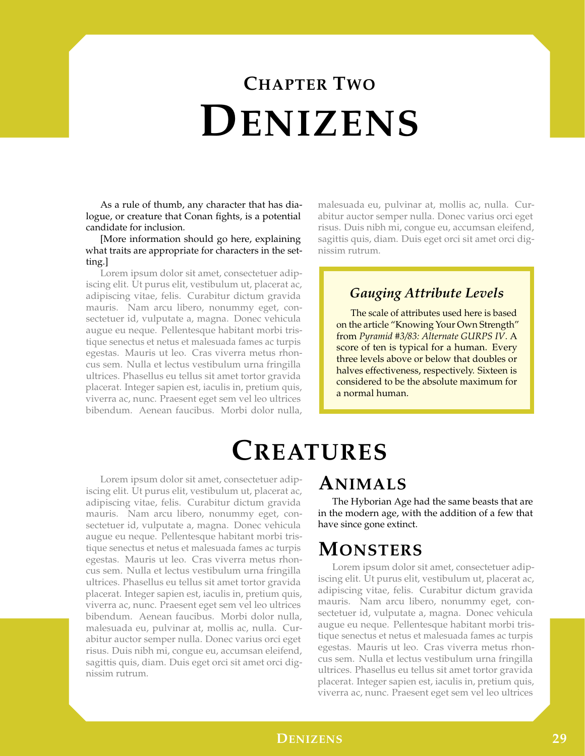## <span id="page-30-0"></span>**CHAPTER TWO DENIZENS**

As a rule of thumb, any character that has dialogue, or creature that Conan fights, is a potential candidate for inclusion.

[More information should go here, explaining what traits are appropriate for characters in the setting.]

Lorem ipsum dolor sit amet, consectetuer adipiscing elit. Ut purus elit, vestibulum ut, placerat ac, adipiscing vitae, felis. Curabitur dictum gravida mauris. Nam arcu libero, nonummy eget, consectetuer id, vulputate a, magna. Donec vehicula augue eu neque. Pellentesque habitant morbi tristique senectus et netus et malesuada fames ac turpis egestas. Mauris ut leo. Cras viverra metus rhoncus sem. Nulla et lectus vestibulum urna fringilla ultrices. Phasellus eu tellus sit amet tortor gravida placerat. Integer sapien est, iaculis in, pretium quis, viverra ac, nunc. Praesent eget sem vel leo ultrices bibendum. Aenean faucibus. Morbi dolor nulla,

malesuada eu, pulvinar at, mollis ac, nulla. Curabitur auctor semper nulla. Donec varius orci eget risus. Duis nibh mi, congue eu, accumsan eleifend, sagittis quis, diam. Duis eget orci sit amet orci dignissim rutrum.

#### <span id="page-30-1"></span>*Gauging Attribute Levels*

The scale of attributes used here is based on the article "Knowing Your Own Strength" from *Pyramid #3/83: Alternate GURPS IV*. A score of ten is typical for a human. Every three levels above or below that doubles or halves effectiveness, respectively. Sixteen is considered to be the absolute maximum for a normal human.

## **CREATURES**

<span id="page-30-2"></span>Lorem ipsum dolor sit amet, consectetuer adipiscing elit. Ut purus elit, vestibulum ut, placerat ac, adipiscing vitae, felis. Curabitur dictum gravida mauris. Nam arcu libero, nonummy eget, consectetuer id, vulputate a, magna. Donec vehicula augue eu neque. Pellentesque habitant morbi tristique senectus et netus et malesuada fames ac turpis egestas. Mauris ut leo. Cras viverra metus rhoncus sem. Nulla et lectus vestibulum urna fringilla ultrices. Phasellus eu tellus sit amet tortor gravida placerat. Integer sapien est, iaculis in, pretium quis, viverra ac, nunc. Praesent eget sem vel leo ultrices bibendum. Aenean faucibus. Morbi dolor nulla, malesuada eu, pulvinar at, mollis ac, nulla. Curabitur auctor semper nulla. Donec varius orci eget risus. Duis nibh mi, congue eu, accumsan eleifend, sagittis quis, diam. Duis eget orci sit amet orci dignissim rutrum.

### <span id="page-30-3"></span>**ANIMALS**

The Hyborian Age had the same beasts that are in the modern age, with the addition of a few that have since gone extinct.

### <span id="page-30-4"></span>**MONSTERS**

Lorem ipsum dolor sit amet, consectetuer adipiscing elit. Ut purus elit, vestibulum ut, placerat ac, adipiscing vitae, felis. Curabitur dictum gravida mauris. Nam arcu libero, nonummy eget, consectetuer id, vulputate a, magna. Donec vehicula augue eu neque. Pellentesque habitant morbi tristique senectus et netus et malesuada fames ac turpis egestas. Mauris ut leo. Cras viverra metus rhoncus sem. Nulla et lectus vestibulum urna fringilla ultrices. Phasellus eu tellus sit amet tortor gravida placerat. Integer sapien est, iaculis in, pretium quis, viverra ac, nunc. Praesent eget sem vel leo ultrices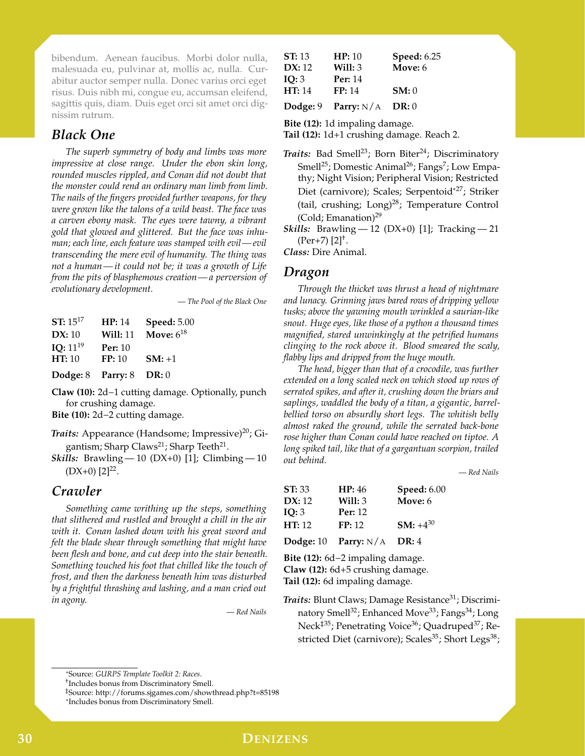bibendum. Aenean faucibus. Morbi dolor nulla, malesuada eu, pulvinar at, mollis ac, nulla. Curabitur auctor semper nulla. Donec varius orci eget risus. Duis nibh mi, congue eu, accumsan eleifend, sagittis quis, diam. Duis eget orci sit amet orci dignissim rutrum.

#### <span id="page-31-0"></span>*Black One*

*The superb symmetry of body and limbs was more impressive at close range. Under the ebon skin long, rounded muscles rippled, and Conan did not doubt that the monster could rend an ordinary man limb from limb. The nails of the fingers provided further weapons, for they were grown like the talons of a wild beast. The face was a carven ebony mask. The eyes were tawny, a vibrant gold that glowed and glittered. But the face was inhuman; each line, each feature was stamped with evil—evil transcending the mere evil of humanity. The thing was not a human— it could not be; it was a growth of Life from the pits of blasphemous creation—a perversion of evolutionary development.*

— *The Pool of the Black One*

| ST: $15^{17}$     | HP: 14          | <b>Speed: 5.00</b> |
|-------------------|-----------------|--------------------|
| DX: 10            | <b>Will: 11</b> | Move: $6^{18}$     |
| IQ: $11^{19}$     | Per: 10         |                    |
| <b>HT:</b> 10     | FP:10           | $SM: +1$           |
| Dodge: 8 Parry: 8 |                 | DR: 0              |

**Claw (10):** 2d−1 cutting damage. Optionally, punch for crushing damage.

**Bite (10):** 2d−2 cutting damage.

- *Traits:* Appearance (Handsome; Impressive)<sup>[20](#page-75-20)</sup>; Gi-gantism; Sharp Claws<sup>[21](#page-0-0)</sup>; Sharp Teeth<sup>21</sup>.
- *Skills:* Brawling 10 (DX+0) [1]; Climbing 10  $(DX+0)$  [2]<sup>[22](#page-76-1)</sup>.

#### <span id="page-31-1"></span>*Crawler*

*Something came writhing up the steps, something that slithered and rustled and brought a chill in the air with it. Conan lashed down with his great sword and felt the blade shear through something that might have been flesh and bone, and cut deep into the stair beneath. Something touched his foot that chilled like the touch of frost, and then the darkness beneath him was disturbed by a frightful thrashing and lashing, and a man cried out in agony.*

— *Red Nails*

| ST:13         | HP: 10                    | <b>Speed: 6.25</b> |
|---------------|---------------------------|--------------------|
| DX: 12        | Will: 3                   | Move: $6$          |
| IO: 3         | <b>Per: 14</b>            |                    |
| <b>HT: 14</b> | FP: 14                    | SM:0               |
|               | Dodge: 9 Parry: N/A DR: 0 |                    |

**Bite (12):** 1d impaling damage.

**Tail (12):** 1d+1 crushing damage. Reach 2.

- Traits: Bad Smell<sup>[23](#page-76-2)</sup>; Born Biter<sup>[24](#page-76-3)</sup>; Discriminatory Smell<sup>[25](#page-76-4)</sup>; Domestic Animal<sup>[26](#page-76-5)</sup>; Fangs<sup>[7](#page-0-0)</sup>; Low Empathy; Night Vision; Peripheral Vision; Restricted Diet (carnivore); Scales; Serpentoid<sup>[\\*](#page-31-3)[27](#page-76-6)</sup>; Striker (tail, crushing; Long)<sup>[28](#page-76-7)</sup>; Temperature Control (Cold; Emanation) $^{29}$  $^{29}$  $^{29}$
- *Skills:* Brawling 12 (DX+0) [1]; Tracking 21 (Per+7) [2][†](#page-31-4) .

*Class:* Dire Animal.

#### <span id="page-31-2"></span>*Dragon*

*Through the thicket was thrust a head of nightmare and lunacy. Grinning jaws bared rows of dripping yellow tusks; above the yawning mouth wrinkled a saurian-like snout. Huge eyes, like those of a python a thousand times magnified, stared unwinkingly at the petrified humans clinging to the rock above it. Blood smeared the scaly, flabby lips and dripped from the huge mouth.*

*The head, bigger than that of a crocodile, was further extended on a long scaled neck on which stood up rows of serrated spikes, and after it, crushing down the briars and saplings, waddled the body of a titan, a gigantic, barrelbellied torso on absurdly short legs. The whitish belly almost raked the ground, while the serrated back-bone rose higher than Conan could have reached on tiptoe. A long spiked tail, like that of a gargantuan scorpion, trailed out behind.*

— *Red Nails*

| ST: 33<br>DX: 12 | <b>HP</b> : 46<br>Will: $3$ | <b>Speed: 6.00</b> |
|------------------|-----------------------------|--------------------|
| IQ: $3$          | <b>Per:</b> 12              | Move: 6            |
| HT:12            | FP: 12                      | SM: $+4^{30}$      |
| Dodge: $10$      | <b>Parry:</b> $N/A$         | <b>DR:</b> 4       |

**Bite (12):** 6d−2 impaling damage. **Claw (12):** 6d+5 crushing damage. **Tail (12):** 6d impaling damage.

*Traits:* Blunt Claws; Damage Resistance<sup>[31](#page-76-10)</sup>; Discrimi-natory Smell<sup>[32](#page-76-11)</sup>; Enhanced Move<sup>[33](#page-76-12)</sup>; Fangs<sup>[34](#page-76-13)</sup>; Long Neck<sup>[‡](#page-31-5)[35](#page-76-14)</sup>; Penetrating Voice<sup>[36](#page-76-15)</sup>; Quadruped<sup>[37](#page-76-16)</sup>; Re-stricted Diet (carnivore); Scales<sup>[35](#page-0-0)</sup>; Short Legs<sup>[38](#page-76-17)</sup>;

<span id="page-31-3"></span>\*Source: *GURPS Template Toolkit 2: Races*.

<span id="page-31-4"></span>† Includes bonus from Discriminatory Smell.

<span id="page-31-5"></span>‡Source: http://forums.sjgames.com/showthread.php?t=85198

<span id="page-31-6"></span>\*Includes bonus from Discriminatory Smell.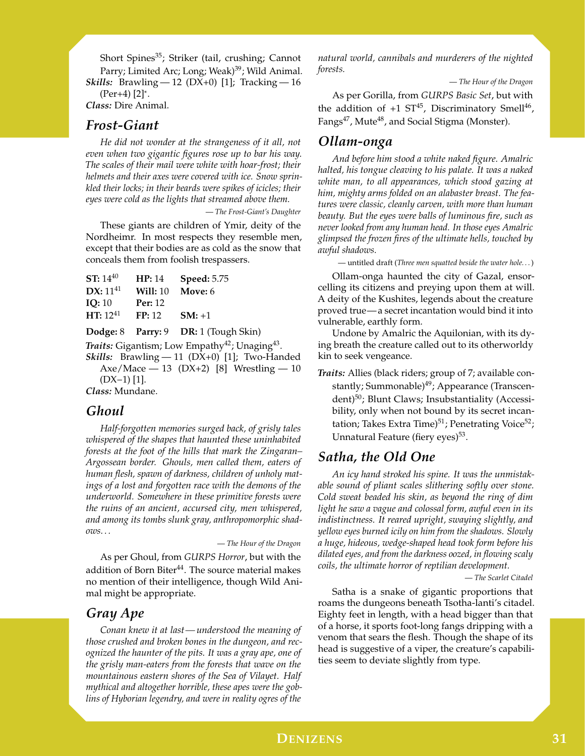Short Spines<sup>[35](#page-0-0)</sup>; Striker (tail, crushing; Cannot Parry; Limited Arc; Long; Weak)<sup>[39](#page-76-18)</sup>; Wild Animal. *Skills*: Brawling — 12 (DX+0) [1]; Tracking — 16 (Per+4) [2][\\*](#page-31-6).

*Class:* Dire Animal.

#### <span id="page-32-0"></span>*Frost-Giant*

*He did not wonder at the strangeness of it all, not even when two gigantic figures rose up to bar his way. The scales of their mail were white with hoar-frost; their helmets and their axes were covered with ice. Snow sprinkled their locks; in their beards were spikes of icicles; their eyes were cold as the lights that streamed above them.*

— *The Frost-Giant's Daughter*

These giants are children of Ymir, deity of the Nordheimr. In most respects they resemble men, except that their bodies are as cold as the snow that conceals them from foolish trespassers.

| $ST: 14^{40}$         | HP: 14         | <b>Speed: 5.75</b> |
|-----------------------|----------------|--------------------|
| $DX: 11^{41}$         | Will: 10       | Move: 6            |
| IO:10                 | <b>Per:</b> 12 |                    |
| $\text{HT: } 12^{41}$ | FP: 12         | $SM: +1$           |
|                       |                |                    |

**Dodge:** 8 **Parry:** 9 **DR:** 1 (Tough Skin)

Traits: Gigantism; Low Empathy<sup>[42](#page-77-1)</sup>; Unaging<sup>[43](#page-77-2)</sup>.

*Skills:* Brawling — 11 (DX+0) [1]; Two-Handed  $Axe/Mace - 13$  (DX+2) [8] Wrestling  $-10$ (DX−1) [1].

*Class:* Mundane.

#### <span id="page-32-1"></span>*Ghoul*

*Half-forgotten memories surged back, of grisly tales whispered of the shapes that haunted these uninhabited forests at the foot of the hills that mark the Zingaran– Argossean border. Ghouls, men called them, eaters of human flesh, spawn of darkness, children of unholy matings of a lost and forgotten race with the demons of the underworld. Somewhere in these primitive forests were the ruins of an ancient, accursed city, men whispered, and among its tombs slunk gray, anthropomorphic shadows. . .*

— *The Hour of the Dragon*

As per Ghoul, from *GURPS Horror*, but with the addition of Born Biter<sup>[44](#page-77-3)</sup>. The source material makes no mention of their intelligence, though Wild Animal might be appropriate.

#### <span id="page-32-2"></span>*Gray Ape*

*Conan knew it at last—understood the meaning of those crushed and broken bones in the dungeon, and recognized the haunter of the pits. It was a gray ape, one of the grisly man-eaters from the forests that wave on the mountainous eastern shores of the Sea of Vilayet. Half mythical and altogether horrible, these apes were the goblins of Hyborian legendry, and were in reality ogres of the*

*natural world, cannibals and murderers of the nighted forests.*

— *The Hour of the Dragon*

As per Gorilla, from *GURPS Basic Set*, but with the addition of  $+1$  ST<sup>[45](#page-77-4)</sup>, Discriminatory Smell<sup>[46](#page-77-5)</sup>, Fangs<sup>[47](#page-77-6)</sup>, Mute<sup>[48](#page-77-7)</sup>, and Social Stigma (Monster).

#### <span id="page-32-3"></span>*Ollam-onga*

*And before him stood a white naked figure. Amalric halted, his tongue cleaving to his palate. It was a naked white man, to all appearances, which stood gazing at him, mighty arms folded on an alabaster breast. The features were classic, cleanly carven, with more than human beauty. But the eyes were balls of luminous fire, such as never looked from any human head. In those eyes Amalric glimpsed the frozen fires of the ultimate hells, touched by awful shadows.*

— untitled draft (*Three men squatted beside the water hole. . .*)

Ollam-onga haunted the city of Gazal, ensorcelling its citizens and preying upon them at will. A deity of the Kushites, legends about the creature proved true—a secret incantation would bind it into vulnerable, earthly form.

Undone by Amalric the Aquilonian, with its dying breath the creature called out to its otherworldy kin to seek vengeance.

*Traits:* Allies (black riders; group of 7; available con-stantly; Summonable)<sup>[49](#page-77-8)</sup>; Appearance (Transcen-dent)<sup>[50](#page-77-9)</sup>; Blunt Claws; Insubstantiality (Accessibility, only when not bound by its secret incantation; Takes Extra Time) $51$ ; Penetrating Voice $52$ ; Unnatural Feature (fiery eyes)<sup>[53](#page-77-12)</sup>.

#### <span id="page-32-4"></span>*Satha, the Old One*

*An icy hand stroked his spine. It was the unmistakable sound of pliant scales slithering softly over stone. Cold sweat beaded his skin, as beyond the ring of dim light he saw a vague and colossal form, awful even in its indistinctness. It reared upright, swaying slightly, and yellow eyes burned icily on him from the shadows. Slowly a huge, hideous, wedge-shaped head took form before his dilated eyes, and from the darkness oozed, in flowing scaly coils, the ultimate horror of reptilian development.*

— *The Scarlet Citadel*

Satha is a snake of gigantic proportions that roams the dungeons beneath Tsotha-lanti's citadel. Eighty feet in length, with a head bigger than that of a horse, it sports foot-long fangs dripping with a venom that sears the flesh. Though the shape of its head is suggestive of a viper, the creature's capabilities seem to deviate slightly from type.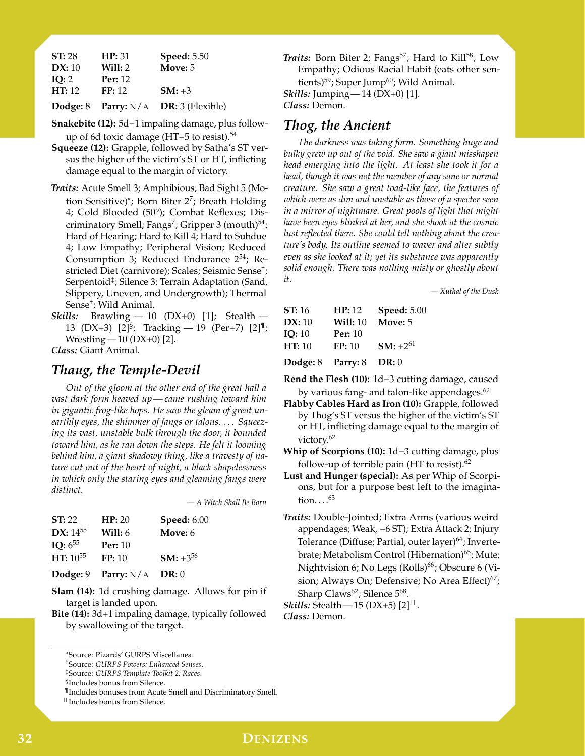| ST: 28 | HP: 31         | <b>Speed: 5.50</b>                   |
|--------|----------------|--------------------------------------|
| DX: 10 | Will: 2        | Move: 5                              |
| IO: 2  | <b>Per:</b> 12 |                                      |
| HT:12  | FP: 12         | $SM: +3$                             |
|        |                | Dodge: 8 Parry: N/A DR: 3 (Flexible) |

- **Snakebite (12):** 5d−1 impaling damage, plus followup of 6d toxic damage (HT−5 to resist).[54](#page-77-13)
- **Squeeze (12):** Grapple, followed by Satha's ST versus the higher of the victim's ST or HT, inflicting damage equal to the margin of victory.
- *Traits:* Acute Smell 3; Amphibious; Bad Sight 5 (Mo-tion Sensitive)<sup>[\\*](#page-33-2)</sup>; Born Biter  $2^7$  $2^7$ ; Breath Holding 4; Cold Blooded (50°); Combat Reflexes; Dis-criminatory Smell; Fangs<sup>[7](#page-0-0)</sup>; Gripper 3 (mouth)<sup>[54](#page-0-0)</sup>; Hard of Hearing; Hard to Kill 4; Hard to Subdue 4; Low Empathy; Peripheral Vision; Reduced Consumption 3; Reduced Endurance  $2^{54}$  $2^{54}$  $2^{54}$ ; Restricted Diet (carnivore); Scales; Seismic Sense[†](#page-33-3) ; Serpentoid[‡](#page-33-4) ; Silence 3; Terrain Adaptation (Sand, Slippery, Uneven, and Undergrowth); Thermal Sense[†](#page-0-0) ; Wild Animal.
- *Skills:* Brawling 10 (DX+0) [1]; Stealth 13 (DX+3) [2][§](#page-33-5) ; Tracking — 19 (Per+7) [2][¶](#page-33-6) ; Wrestling— $10 (DX+0) [2]$ .

*Class:* Giant Animal.

#### <span id="page-33-0"></span>*Thaug, the Temple-Devil*

*Out of the gloom at the other end of the great hall a vast dark form heaved up— came rushing toward him in gigantic frog-like hops. He saw the gleam of great unearthly eyes, the shimmer of fangs or talons. . . . Squeezing its vast, unstable bulk through the door, it bounded toward him, as he ran down the steps. He felt it looming behind him, a giant shadowy thing, like a travesty of nature cut out of the heart of night, a black shapelessness in which only the staring eyes and gleaming fangs were distinct.*

— *A Witch Shall Be Born*

| ST: 22        | HP: 20                  | <b>Speed: 6.00</b>   |
|---------------|-------------------------|----------------------|
| $DX: 14^{55}$ | Will: $6$               | Move: 6              |
| IQ: $6^{55}$  | Per: $10$               |                      |
| HT: $10^{55}$ | FP:10                   | <b>SM:</b> $+3^{56}$ |
|               | Dodge: $9$ Parry: $N/A$ | DR: 0                |

**Slam (14):** 1d crushing damage. Allows for pin if target is landed upon.

**Bite (14):** 3d+1 impaling damage, typically followed by swallowing of the target.

- <span id="page-33-3"></span>†Source: *GURPS Powers: Enhanced Senses*.
- <span id="page-33-4"></span>‡Source: *GURPS Template Toolkit 2: Races*.

Traits: Born Biter 2; Fangs<sup>[57](#page-77-16)</sup>; Hard to Kill<sup>[58](#page-77-17)</sup>; Low Empathy; Odious Racial Habit (eats other sen-tients)<sup>[59](#page-77-18)</sup>; Super Jump<sup>[60](#page-77-19)</sup>; Wild Animal. *Skills:* Jumping— 14 (DX+0) [1]. *Class:* Demon.

#### <span id="page-33-1"></span>*Thog, the Ancient*

*The darkness was taking form. Something huge and bulky grew up out of the void. She saw a giant misshapen head emerging into the light. At least she took it for a head, though it was not the member of any sane or normal creature. She saw a great toad-like face, the features of which were as dim and unstable as those of a specter seen in a mirror of nightmare. Great pools of light that might have been eyes blinked at her, and she shook at the cosmic lust reflected there. She could tell nothing about the creature's body. Its outline seemed to waver and alter subtly even as she looked at it; yet its substance was apparently solid enough. There was nothing misty or ghostly about it.*

— *Xuthal of the Dusk*

| <b>ST:</b> 16     | HP: 12                       | <b>Speed: 5.00</b>   |
|-------------------|------------------------------|----------------------|
| DX: 10<br>IQ:10   | <b>Will: 10</b><br>Per: $10$ | Move: 5              |
| <b>HT:</b> 10     | FP:10                        | <b>SM:</b> $+2^{61}$ |
| Dodge: 8 Parry: 8 |                              | DR: 0                |

**Rend the Flesh (10):** 1d−3 cutting damage, caused by various fang- and talon-like appendages.<sup>[62](#page-77-21)</sup>

- **Flabby Cables Hard as Iron (10):** Grapple, followed by Thog's ST versus the higher of the victim's ST or HT, inflicting damage equal to the margin of victory.<sup>[62](#page-0-0)</sup>
- **Whip of Scorpions (10):** 1d−3 cutting damage, plus follow-up of terrible pain (HT to resist). $62$
- **Lust and Hunger (special):** As per Whip of Scorpions, but for a purpose best left to the imagination... $^{63}$  $^{63}$  $^{63}$
- *Traits:* Double-Jointed; Extra Arms (various weird appendages; Weak, −6 ST); Extra Attack 2; Injury Tolerance (Diffuse; Partial, outer layer) $64$ ; Inverte-brate; Metabolism Control (Hibernation)<sup>[65](#page-78-2)</sup>; Mute; Nightvision 6; No Legs (Rolls)<sup>[66](#page-78-3)</sup>; Obscure 6 (Vi-sion; Always On; Defensive; No Area Effect)<sup>[67](#page-78-4)</sup>; Sharp Claws $^{62}$  $^{62}$  $^{62}$ ; Silence  $5^{68}.$  $5^{68}.$  $5^{68}.$

 $\textit{Skills:} \ \text{Stealth}\!\!=\!\!15 \, \text{(DX+5)} \ [2]^\text{||}.$  $\textit{Skills:} \ \text{Stealth}\!\!=\!\!15 \, \text{(DX+5)} \ [2]^\text{||}.$  $\textit{Skills:} \ \text{Stealth}\!\!=\!\!15 \, \text{(DX+5)} \ [2]^\text{||}.$ *Class:* Demon.

<span id="page-33-2"></span><sup>\*</sup>[Source: Pizards' GURPS Miscellanea.](http://panoptesv.com/)

<span id="page-33-5"></span><sup>§</sup> Includes bonus from Silence.

<span id="page-33-6"></span><sup>¶</sup>Includes bonuses from Acute Smell and Discriminatory Smell.

<span id="page-33-7"></span><sup>||</sup>Includes bonus from Silence.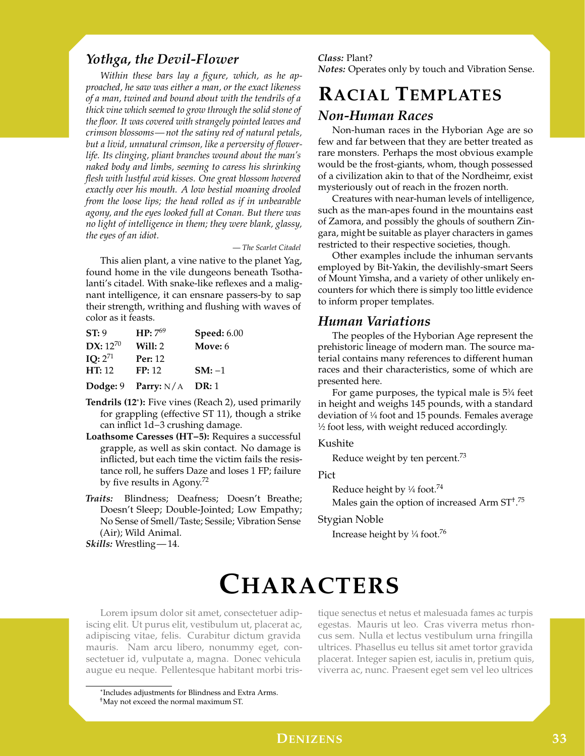#### <span id="page-34-0"></span>*Yothga, the Devil-Flower*

*Within these bars lay a figure, which, as he approached, he saw was either a man, or the exact likeness of a man, twined and bound about with the tendrils of a thick vine which seemed to grow through the solid stone of the floor. It was covered with strangely pointed leaves and crimson blossoms—not the satiny red of natural petals, but a livid, unnatural crimson, like a perversity of flowerlife. Its clinging, pliant branches wound about the man's naked body and limbs, seeming to caress his shrinking flesh with lustful avid kisses. One great blossom hovered exactly over his mouth. A low bestial moaning drooled from the loose lips; the head rolled as if in unbearable agony, and the eyes looked full at Conan. But there was no light of intelligence in them; they were blank, glassy, the eyes of an idiot.*

— *The Scarlet Citadel*

This alien plant, a vine native to the planet Yag, found home in the vile dungeons beneath Tsothalanti's citadel. With snake-like reflexes and a malignant intelligence, it can ensnare passers-by to sap their strength, writhing and flushing with waves of color as it feasts.

| ST: 9          | $HP: 7^{69}$   | <b>Speed: 6.00</b> |
|----------------|----------------|--------------------|
| $DX: 12^{70}$  | Will: 2        | Move: 6            |
| $IO: 2^{71}$   | <b>Per: 12</b> |                    |
| <b>HT</b> : 12 | FP: 12         | $SM: -1$           |
|                |                |                    |

**Dodge:** 9 **Parry:** N/A **DR:** 1

- **Tendrils (12**[\\*](#page-34-5)**):** Five vines (Reach 2), used primarily for grappling (effective ST 11), though a strike can inflict 1d−3 crushing damage.
- **Loathsome Caresses (HT−5):** Requires a successful grapple, as well as skin contact. No damage is inflicted, but each time the victim fails the resistance roll, he suffers Daze and loses 1 FP; failure by five results in Agony.<sup>[72](#page-78-9)</sup>

*Traits:* Blindness; Deafness; Doesn't Breathe; Doesn't Sleep; Double-Jointed; Low Empathy; No Sense of Smell/Taste; Sessile; Vibration Sense (Air); Wild Animal. *Skills:* Wrestling— 14.

*Class:* Plant? *Notes:* Operates only by touch and Vibration Sense.

### <span id="page-34-1"></span>**RACIAL TEMPLATES**

#### <span id="page-34-2"></span>*Non-Human Races*

Non-human races in the Hyborian Age are so few and far between that they are better treated as rare monsters. Perhaps the most obvious example would be the frost-giants, whom, though possessed of a civilization akin to that of the Nordheimr, exist mysteriously out of reach in the frozen north.

Creatures with near-human levels of intelligence, such as the man-apes found in the mountains east of Zamora, and possibly the ghouls of southern Zingara, might be suitable as player characters in games restricted to their respective societies, though.

Other examples include the inhuman servants employed by Bit-Yakin, the devilishly-smart Seers of Mount Yimsha, and a variety of other unlikely encounters for which there is simply too little evidence to inform proper templates.

#### <span id="page-34-3"></span>*Human Variations*

The peoples of the Hyborian Age represent the prehistoric lineage of modern man. The source material contains many references to different human races and their characteristics, some of which are presented here.

For game purposes, the typical male is 5<sup>3</sup> ⁄<sup>4</sup> feet in height and weighs 145 pounds, with a standard deviation of <sup>1</sup> ⁄<sup>4</sup> foot and 15 pounds. Females average 1 ⁄<sup>2</sup> foot less, with weight reduced accordingly.

#### Kushite

Reduce weight by ten percent.<sup>[73](#page-78-10)</sup>

Pict

Reduce height by  $\frac{1}{4}$  foot.<sup>[74](#page-78-11)</sup>

Males gain the option of increased Arm ST<sup>+</sup>.<sup>[75](#page-78-12)</sup>

Stygian Noble

Increase height by  $\frac{1}{4}$  foot.<sup>[76](#page-78-13)</sup>

## **CHARACTERS**

<span id="page-34-4"></span>Lorem ipsum dolor sit amet, consectetuer adipiscing elit. Ut purus elit, vestibulum ut, placerat ac, adipiscing vitae, felis. Curabitur dictum gravida mauris. Nam arcu libero, nonummy eget, consectetuer id, vulputate a, magna. Donec vehicula augue eu neque. Pellentesque habitant morbi tris-

<span id="page-34-6"></span><span id="page-34-5"></span>\*Includes adjustments for Blindness and Extra Arms. †May not exceed the normal maximum ST.

tique senectus et netus et malesuada fames ac turpis egestas. Mauris ut leo. Cras viverra metus rhoncus sem. Nulla et lectus vestibulum urna fringilla ultrices. Phasellus eu tellus sit amet tortor gravida placerat. Integer sapien est, iaculis in, pretium quis, viverra ac, nunc. Praesent eget sem vel leo ultrices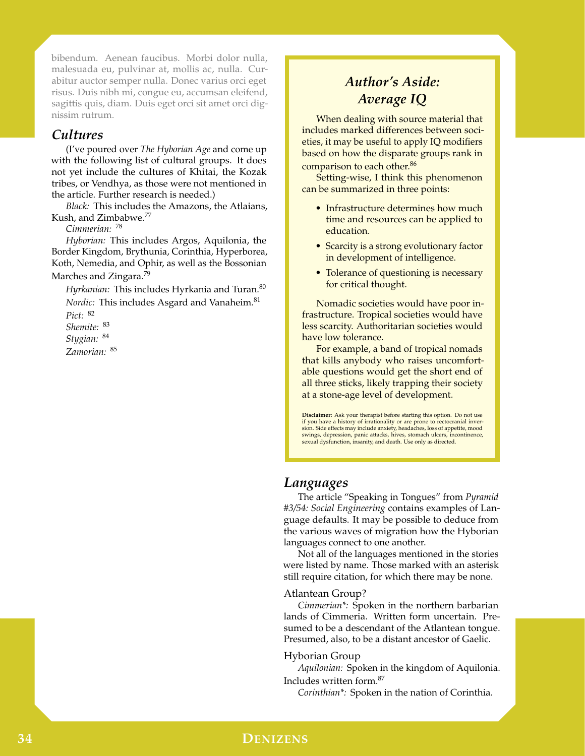bibendum. Aenean faucibus. Morbi dolor nulla, malesuada eu, pulvinar at, mollis ac, nulla. Curabitur auctor semper nulla. Donec varius orci eget risus. Duis nibh mi, congue eu, accumsan eleifend, sagittis quis, diam. Duis eget orci sit amet orci dignissim rutrum.

#### <span id="page-35-0"></span>*Cultures*

(I've poured over *The Hyborian Age* and come up with the following list of cultural groups. It does not yet include the cultures of Khitai, the Kozak tribes, or Vendhya, as those were not mentioned in the article. Further research is needed.)

*Black:* This includes the Amazons, the Atlaians, Kush, and Zimbabwe.[77](#page-78-14)

*Cimmerian:* [78](#page-78-15)

*Hyborian:* This includes Argos, Aquilonia, the Border Kingdom, Brythunia, Corinthia, Hyperborea, Koth, Nemedia, and Ophir, as well as the Bossonian Marches and Zingara.<sup>[79](#page-78-16)</sup>

Hyrkanian: This includes Hyrkania and Turan.<sup>[80](#page-78-17)</sup> *Nordic:* This includes Asgard and Vanaheim.<sup>[81](#page-79-0)</sup> *Pict:* [82](#page-79-1) *Shemite:* [83](#page-79-2) *Stygian:* [84](#page-79-3) *Zamorian:* [85](#page-79-4)

### *Author's Aside: Average IQ*

<span id="page-35-1"></span>When dealing with source material that includes marked differences between societies, it may be useful to apply IQ modifiers based on how the disparate groups rank in comparison to each other.<sup>[86](#page-79-5)</sup>

Setting-wise, I think this phenomenon can be summarized in three points:

- Infrastructure determines how much time and resources can be applied to education.
- Scarcity is a strong evolutionary factor in development of intelligence.
- Tolerance of questioning is necessary for critical thought.

Nomadic societies would have poor infrastructure. Tropical societies would have less scarcity. Authoritarian societies would have low tolerance.

For example, a band of tropical nomads that kills anybody who raises uncomfortable questions would get the short end of all three sticks, likely trapping their society at a stone-age level of development.

**Disclaimer:** Ask your therapist before starting this option. Do not use if you have a history of irrationality or are prone to rectocranial inver-sion. Side effects may include anxiety, headaches, loss of appetite, mood swings, depression, panic attacks, hives, stomach ulcers, incontinence, sexual dysfunction, insanity, and death. Use only as directed.

#### <span id="page-35-2"></span>*Languages*

The article "Speaking in Tongues" from *Pyramid #3/54: Social Engineering* contains examples of Language defaults. It may be possible to deduce from the various waves of migration how the Hyborian languages connect to one another.

Not all of the languages mentioned in the stories were listed by name. Those marked with an asterisk still require citation, for which there may be none.

#### Atlantean Group?

*Cimmerian\*:* Spoken in the northern barbarian lands of Cimmeria. Written form uncertain. Presumed to be a descendant of the Atlantean tongue. Presumed, also, to be a distant ancestor of Gaelic.

#### Hyborian Group

*Aquilonian:* Spoken in the kingdom of Aquilonia. Includes written form.[87](#page-79-6)

*Corinthian\*:* Spoken in the nation of Corinthia.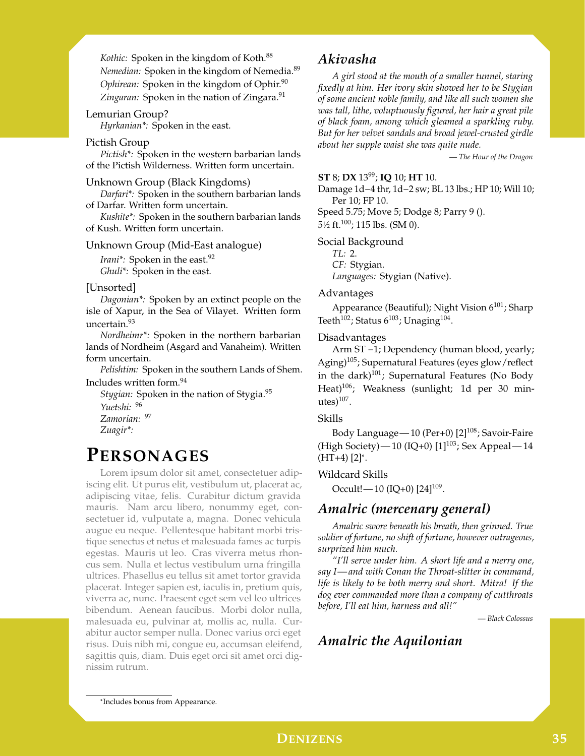Kothic: Spoken in the kingdom of Koth.<sup>[88](#page-79-0)</sup> *Nemedian:* Spoken in the kingdom of Nemedia.[89](#page-79-1) *Ophirean:* Spoken in the kingdom of Ophir.<sup>[90](#page-79-2)</sup> *Zingaran:* Spoken in the nation of Zingara.<sup>[91](#page-79-3)</sup>

Lemurian Group?

*Hyrkanian\*:* Spoken in the east.

#### Pictish Group

*Pictish\*:* Spoken in the western barbarian lands of the Pictish Wilderness. Written form uncertain.

#### Unknown Group (Black Kingdoms)

*Darfari\*:* Spoken in the southern barbarian lands of Darfar. Written form uncertain.

*Kushite\*:* Spoken in the southern barbarian lands of Kush. Written form uncertain.

#### Unknown Group (Mid-East analogue)

*Irani\*:* Spoken in the east.<sup>[92](#page-79-4)</sup> *Ghuli\*:* Spoken in the east.

#### [Unsorted]

*Dagonian\*:* Spoken by an extinct people on the isle of Xapur, in the Sea of Vilayet. Written form uncertain.[93](#page-79-5)

*Nordheimr\*:* Spoken in the northern barbarian lands of Nordheim (Asgard and Vanaheim). Written form uncertain.

*Pelishtim:* Spoken in the southern Lands of Shem. Includes written form.[94](#page-79-6)

*Stygian:* Spoken in the nation of Stygia.[95](#page-79-7) *Yuetshi:* [96](#page-79-8) *Zamorian:* [97](#page-79-9) *Zuagir\*:*

## **PERSONAGES**

Lorem ipsum dolor sit amet, consectetuer adipiscing elit. Ut purus elit, vestibulum ut, placerat ac, adipiscing vitae, felis. Curabitur dictum gravida mauris. Nam arcu libero, nonummy eget, consectetuer id, vulputate a, magna. Donec vehicula augue eu neque. Pellentesque habitant morbi tristique senectus et netus et malesuada fames ac turpis egestas. Mauris ut leo. Cras viverra metus rhoncus sem. Nulla et lectus vestibulum urna fringilla ultrices. Phasellus eu tellus sit amet tortor gravida placerat. Integer sapien est, iaculis in, pretium quis, viverra ac, nunc. Praesent eget sem vel leo ultrices bibendum. Aenean faucibus. Morbi dolor nulla, malesuada eu, pulvinar at, mollis ac, nulla. Curabitur auctor semper nulla. Donec varius orci eget risus. Duis nibh mi, congue eu, accumsan eleifend, sagittis quis, diam. Duis eget orci sit amet orci dignissim rutrum.

## <span id="page-36-0"></span>*Akivasha*

*A girl stood at the mouth of a smaller tunnel, staring fixedly at him. Her ivory skin showed her to be Stygian of some ancient noble family, and like all such women she was tall, lithe, voluptuously figured, her hair a great pile of black foam, among which gleamed a sparkling ruby. But for her velvet sandals and broad jewel-crusted girdle about her supple waist she was quite nude.*

— *The Hour of the Dragon*

**ST** 8; **DX** 13[99](#page-79-10); **IQ** 10; **HT** 10.

Damage 1d−4 thr, 1d−2 sw; BL 13 lbs.; HP 10; Will 10; Per 10; FP 10.

Speed 5.75; Move 5; Dodge 8; Parry 9 ().

5 1 ⁄<sup>2</sup> ft.[100](#page-79-11); 115 lbs. (SM 0).

Social Background

*TL:* 2. *CF:* Stygian.

*Languages:* Stygian (Native).

#### Advantages

Appearance (Beautiful); Night Vision 6<sup>[101](#page-79-12)</sup>; Sharp Teeth $^{102}$  $^{102}$  $^{102}$ ; Status 6 $^{103}$  $^{103}$  $^{103}$ ; Unaging $^{104}$  $^{104}$  $^{104}$ .

#### Disadvantages

Arm ST −1; Dependency (human blood, yearly; Aging)[105](#page-80-0); Supernatural Features (eyes glow/reflect in the dark)<sup>[101](#page-0-0)</sup>; Supernatural Features (No Body Heat)<sup>[106](#page-80-1)</sup>; Weakness (sunlight; 1d per 30 minutes) $^{107}$  $^{107}$  $^{107}$ .

Skills

Body Language — 10 (Per+0)  $[2]^{108}$  $[2]^{108}$  $[2]^{108}$ ; Savoir-Faire (High Society) — 10 (IQ+0)  $[1]^{103}$  $[1]^{103}$  $[1]^{103}$ ; Sex Appeal — 14  $(HT+4)$  [2]<sup>[\\*](#page-36-1)</sup>.

#### Wildcard Skills

Occult!— 10 (IQ+0) [24][109](#page-80-4) .

## *Amalric (mercenary general)*

*Amalric swore beneath his breath, then grinned. True soldier of fortune, no shift of fortune, however outrageous, surprized him much.*

*"I'll serve under him. A short life and a merry one, say I—and with Conan the Throat-slitter in command, life is likely to be both merry and short. Mitra! If the dog ever commanded more than a company of cutthroats before, I'll eat him, harness and all!"*

— *Black Colossus*

## *Amalric the Aquilonian*

<span id="page-36-1"></span>\*Includes bonus from Appearance.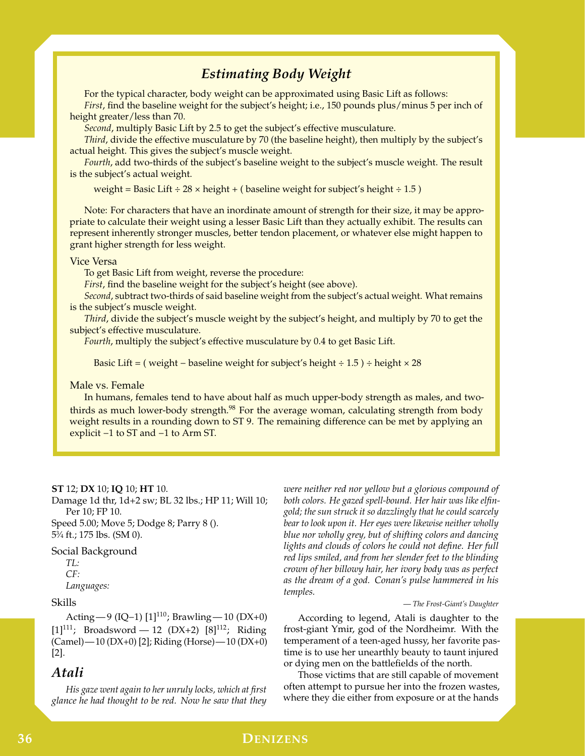## *Estimating Body Weight*

For the typical character, body weight can be approximated using Basic Lift as follows: *First*, find the baseline weight for the subject's height; i.e., 150 pounds plus/minus 5 per inch of height greater/less than 70.

*Second*, multiply Basic Lift by 2.5 to get the subject's effective musculature.

*Third*, divide the effective musculature by 70 (the baseline height), then multiply by the subject's actual height. This gives the subject's muscle weight.

*Fourth*, add two-thirds of the subject's baseline weight to the subject's muscle weight. The result is the subject's actual weight.

weight = Basic Lift  $\div$  28  $\times$  height + ( baseline weight for subject's height  $\div$  1.5 )

Note: For characters that have an inordinate amount of strength for their size, it may be appropriate to calculate their weight using a lesser Basic Lift than they actually exhibit. The results can represent inherently stronger muscles, better tendon placement, or whatever else might happen to grant higher strength for less weight.

#### Vice Versa

To get Basic Lift from weight, reverse the procedure:

*First*, find the baseline weight for the subject's height (see above).

*Second*, subtract two-thirds of said baseline weight from the subject's actual weight. What remains is the subject's muscle weight.

*Third*, divide the subject's muscle weight by the subject's height, and multiply by 70 to get the subject's effective musculature.

*Fourth*, multiply the subject's effective musculature by 0.4 to get Basic Lift.

Basic Lift = ( weight – baseline weight for subject's height  $\div$  1.5 )  $\div$  height  $\times$  28

#### Male vs. Female

In humans, females tend to have about half as much upper-body strength as males, and two-thirds as much lower-body strength.<sup>[98](#page-79-16)</sup> For the average woman, calculating strength from body weight results in a rounding down to ST 9. The remaining difference can be met by applying an explicit −1 to ST and −1 to Arm ST.

#### **ST** 12; **DX** 10; **IQ** 10; **HT** 10.

Damage 1d thr, 1d+2 sw; BL 32 lbs.; HP 11; Will 10; Per 10; FP 10. Speed 5.00; Move 5; Dodge 8; Parry 8 ().

5 3 ⁄<sup>4</sup> ft.; 175 lbs. (SM 0).

Social Background

*TL:*

*CF:*

*Languages:*

#### Skills

Acting—9 (IQ–1) [1]<sup>[110](#page-80-5)</sup>; Brawling—10 (DX+0)  $[1]^{111}$  $[1]^{111}$  $[1]^{111}$ ; Broadsword — 12 (DX+2)  $[8]^{112}$  $[8]^{112}$  $[8]^{112}$ ; Riding (Camel)—10 (DX+0) [2]; Riding (Horse)—10 (DX+0) [2].

#### *Atali*

*His gaze went again to her unruly locks, which at first glance he had thought to be red. Now he saw that they*

*were neither red nor yellow but a glorious compound of both colors. He gazed spell-bound. Her hair was like elfingold; the sun struck it so dazzlingly that he could scarcely bear to look upon it. Her eyes were likewise neither wholly blue nor wholly grey, but of shifting colors and dancing lights and clouds of colors he could not define. Her full red lips smiled, and from her slender feet to the blinding crown of her billowy hair, her ivory body was as perfect as the dream of a god. Conan's pulse hammered in his temples.*

#### — *The Frost-Giant's Daughter*

According to legend, Atali is daughter to the frost-giant Ymir, god of the Nordheimr. With the temperament of a teen-aged hussy, her favorite pastime is to use her unearthly beauty to taunt injured or dying men on the battlefields of the north.

Those victims that are still capable of movement often attempt to pursue her into the frozen wastes, where they die either from exposure or at the hands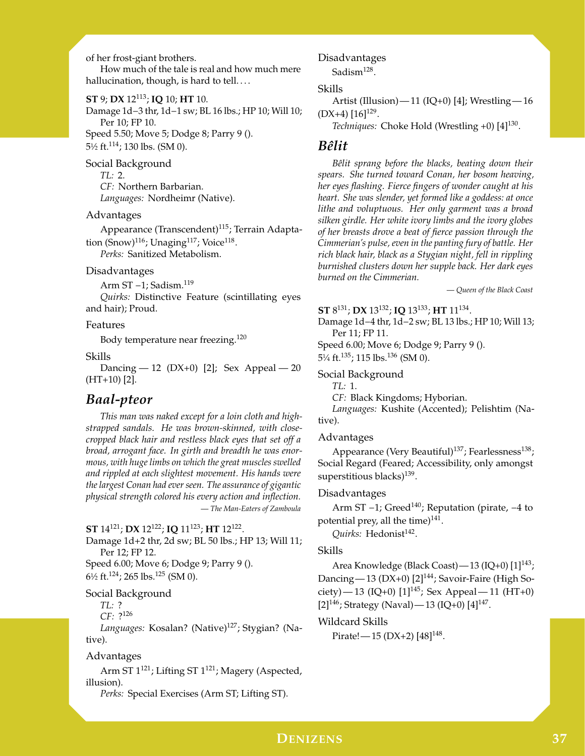of her frost-giant brothers.

How much of the tale is real and how much mere hallucination, though, is hard to tell....

#### **ST** 9; **DX** 12[113](#page-80-8); **IQ** 10; **HT** 10.

Damage 1d−3 thr, 1d−1 sw; BL 16 lbs.; HP 10; Will 10; Per 10; FP 10. Speed 5.50; Move 5; Dodge 8; Parry 9 ().

5 1 ⁄<sup>2</sup> ft.[114](#page-80-9); 130 lbs. (SM 0).

Social Background *TL:* 2. *CF:* Northern Barbarian. *Languages:* Nordheimr (Native).

#### Advantages

Appearance (Transcendent)<sup>[115](#page-80-10)</sup>; Terrain Adaptation (Snow) $^{116}$  $^{116}$  $^{116}$ ; Unaging $^{117}$  $^{117}$  $^{117}$ ; Voice $^{118}$  $^{118}$  $^{118}$ .

*Perks:* Sanitized Metabolism.

#### Disadvantages

Arm ST −1; Sadism.[119](#page-80-14)

*Quirks:* Distinctive Feature (scintillating eyes and hair); Proud.

#### Features

Body temperature near freezing.<sup>[120](#page-80-15)</sup>

#### Skills

Dancing  $-12$  (DX+0) [2]; Sex Appeal  $-20$ (HT+10) [2].

## <span id="page-38-0"></span>*Baal-pteor*

*This man was naked except for a loin cloth and highstrapped sandals. He was brown-skinned, with closecropped black hair and restless black eyes that set off a broad, arrogant face. In girth and breadth he was enormous, with huge limbs on which the great muscles swelled and rippled at each slightest movement. His hands were the largest Conan had ever seen. The assurance of gigantic physical strength colored his every action and inflection.* — *The Man-Eaters of Zamboula*

**ST** 14[121](#page-80-16); **DX** 12[122](#page-80-17); **IQ** 11[123](#page-80-18); **HT** 12[122](#page-0-0) .

Damage 1d+2 thr, 2d sw; BL 50 lbs.; HP 13; Will 11; Per 12; FP 12.

Speed 6.00; Move 6; Dodge 9; Parry 9 (). 6 1 ⁄<sup>2</sup> ft.[124](#page-80-19); 265 lbs.[125](#page-80-20) (SM 0).

#### Social Background

*TL:* ?

*CF:* ? [126](#page-80-21)

Languages: Kosalan? (Native)<sup>[127](#page-80-22)</sup>; Stygian? (Native).

#### Advantages

Arm ST  $1^{121}$  $1^{121}$  $1^{121}$ ; Lifting ST  $1^{121}$ ; Magery (Aspected, illusion).

*Perks:* Special Exercises (Arm ST; Lifting ST).

#### Disadvantages

 $S$ adis $m<sup>128</sup>$  $m<sup>128</sup>$  $m<sup>128</sup>$ .

### Skills

Artist (Illusion)—11 (IQ+0) [4]; Wrestling—16  $(DX+4)$  [16]<sup>[129](#page-80-24)</sup>.

Techniques: Choke Hold (Wrestling +0) [4]<sup>[130](#page-81-0)</sup>.

## *Bêlit*

*Bêlit sprang before the blacks, beating down their spears. She turned toward Conan, her bosom heaving, her eyes flashing. Fierce fingers of wonder caught at his heart. She was slender, yet formed like a goddess: at once lithe and voluptuous. Her only garment was a broad silken girdle. Her white ivory limbs and the ivory globes of her breasts drove a beat of fierce passion through the Cimmerian's pulse, even in the panting fury of battle. Her rich black hair, black as a Stygian night, fell in rippling burnished clusters down her supple back. Her dark eyes burned on the Cimmerian.*

— *Queen of the Black Coast*

**ST** 8 [131](#page-81-1); **DX** 13[132](#page-81-2); **IQ** 13[133](#page-81-3); **HT** 11[134](#page-81-4) .

Damage 1d−4 thr, 1d−2 sw; BL 13 lbs.; HP 10; Will 13; Per 11; FP 11.

Speed 6.00; Move 6; Dodge 9; Parry 9 ().

5 1 ⁄<sup>4</sup> ft.[135](#page-81-5); 115 lbs.[136](#page-81-6) (SM 0).

#### Social Background

*TL:* 1.

*CF:* Black Kingdoms; Hyborian.

*Languages:* Kushite (Accented); Pelishtim (Native).

#### Advantages

Appearance (Very Beautiful)<sup>[137](#page-81-7)</sup>; Fearlessness<sup>[138](#page-81-8)</sup>; Social Regard (Feared; Accessibility, only amongst superstitious blacks)<sup>[139](#page-81-9)</sup>.

Disadvantages

Arm ST -1; Greed<sup>[140](#page-81-10)</sup>; Reputation (pirate, -4 to potential prey, all the time) $^{141}$  $^{141}$  $^{141}$ .

Quirks: Hedonist<sup>[142](#page-81-12)</sup>.

#### Skills

Area Knowledge (Black Coast)—13 (IQ+0)  $[1]^{143}$  $[1]^{143}$  $[1]^{143}$ ; Dancing — 13 (DX+0)  $[2]^{144}$  $[2]^{144}$  $[2]^{144}$ ; Savoir-Faire (High Society) — 13 (IQ+0)  $[1]^{145}$  $[1]^{145}$  $[1]^{145}$ ; Sex Appeal — 11 (HT+0) [2]<sup>[146](#page-81-16)</sup>; Strategy (Naval)—13 (IQ+0) [4]<sup>[147](#page-81-17)</sup>.

#### Wildcard Skills

Pirate!—15 (DX+2) [48]<sup>[148](#page-81-18)</sup>.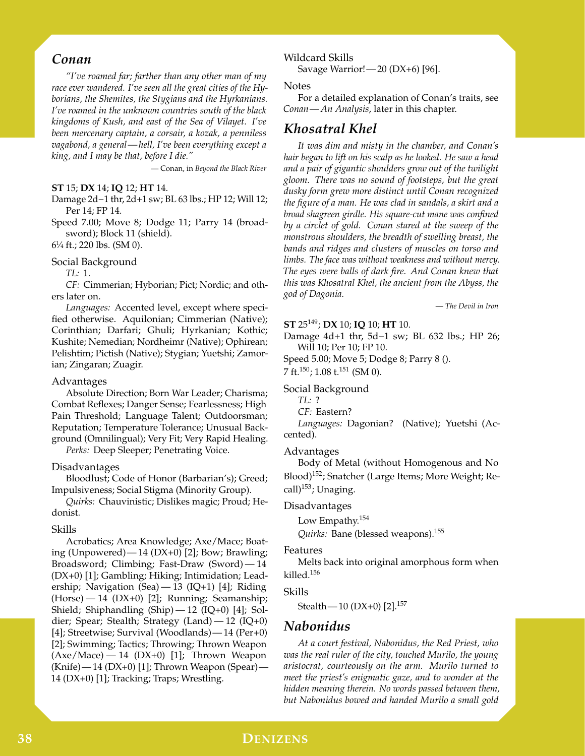## *Conan*

*"I've roamed far; farther than any other man of my race ever wandered. I've seen all the great cities of the Hyborians, the Shemites, the Stygians and the Hyrkanians. I've roamed in the unknown countries south of the black kingdoms of Kush, and east of the Sea of Vilayet. I've been mercenary captain, a corsair, a kozak, a penniless vagabond, a general—hell, I've been everything except a king, and I may be that, before I die."*

— Conan, in *Beyond the Black River*

#### **ST** 15; **DX** 14; **IQ** 12; **HT** 14.

Damage 2d−1 thr, 2d+1 sw; BL 63 lbs.; HP 12; Will 12; Per 14; FP 14.

Speed 7.00; Move 8; Dodge 11; Parry 14 (broadsword); Block 11 (shield).

6 1 ⁄<sup>4</sup> ft.; 220 lbs. (SM 0).

#### Social Background

*TL:* 1.

*CF:* Cimmerian; Hyborian; Pict; Nordic; and others later on.

*Languages:* Accented level, except where specified otherwise. Aquilonian; Cimmerian (Native); Corinthian; Darfari; Ghuli; Hyrkanian; Kothic; Kushite; Nemedian; Nordheimr (Native); Ophirean; Pelishtim; Pictish (Native); Stygian; Yuetshi; Zamorian; Zingaran; Zuagir.

#### Advantages

Absolute Direction; Born War Leader; Charisma; Combat Reflexes; Danger Sense; Fearlessness; High Pain Threshold; Language Talent; Outdoorsman; Reputation; Temperature Tolerance; Unusual Background (Omnilingual); Very Fit; Very Rapid Healing.

*Perks:* Deep Sleeper; Penetrating Voice.

#### Disadvantages

Bloodlust; Code of Honor (Barbarian's); Greed; Impulsiveness; Social Stigma (Minority Group).

*Quirks:* Chauvinistic; Dislikes magic; Proud; Hedonist.

#### Skills

Acrobatics; Area Knowledge; Axe/Mace; Boating (Unpowered)— 14 (DX+0) [2]; Bow; Brawling; Broadsword; Climbing; Fast-Draw (Sword) — 14 (DX+0) [1]; Gambling; Hiking; Intimidation; Leadership; Navigation (Sea)  $-13$  (IQ+1) [4]; Riding (Horse) — 14 (DX+0) [2]; Running; Seamanship; Shield; Shiphandling  $(Ship) - 12 (IQ+0) [4]$ ; Soldier; Spear; Stealth; Strategy  $(Land)$  — 12 (IQ+0) [4]; Streetwise; Survival (Woodlands)—14 (Per+0) [2]; Swimming; Tactics; Throwing; Thrown Weapon  $(Axe/Mace)$  - 14  $(DX+0)$  [1]; Thrown Weapon (Knife)—14 (DX+0) [1]; Thrown Weapon (Spear)— 14 (DX+0) [1]; Tracking; Traps; Wrestling.

#### Wildcard Skills

Savage Warrior!— 20 (DX+6) [96].

#### Notes

For a detailed explanation of Conan's traits, see *Conan— An Analysis*, later in this chapter.

#### *Khosatral Khel*

*It was dim and misty in the chamber, and Conan's hair began to lift on his scalp as he looked. He saw a head and a pair of gigantic shoulders grow out of the twilight gloom. There was no sound of footsteps, but the great dusky form grew more distinct until Conan recognized the figure of a man. He was clad in sandals, a skirt and a broad shagreen girdle. His square-cut mane was confined by a circlet of gold. Conan stared at the sweep of the monstrous shoulders, the breadth of swelling breast, the bands and ridges and clusters of muscles on torso and limbs. The face was without weakness and without mercy. The eyes were balls of dark fire. And Conan knew that this was Khosatral Khel, the ancient from the Abyss, the god of Dagonia.*

— *The Devil in Iron*

**ST** 25[149](#page-81-19); **DX** 10; **IQ** 10; **HT** 10.

Damage 4d+1 thr, 5d−1 sw; BL 632 lbs.; HP 26; Will 10; Per 10; FP 10.

Speed 5.00; Move 5; Dodge 8; Parry 8 (). 7 ft.[150](#page-81-20); 1.08 t.[151](#page-81-21) (SM 0).

Social Background

```
TL: ?
```
*CF:* Eastern?

*Languages:* Dagonian? (Native); Yuetshi (Accented).

Advantages

Body of Metal (without Homogenous and No Blood)[152](#page-81-22); Snatcher (Large Items; More Weight; Recall $1^{153}$  $1^{153}$  $1^{153}$ ; Unaging.

Disadvantages

Low Empathy.<sup>[154](#page-82-1)</sup>

*Quirks:* Bane (blessed weapons).[155](#page-82-2)

#### Features

Melts back into original amorphous form when killed.[156](#page-82-3)

#### Skills

Stealth—10 (DX+0) [2].<sup>[157](#page-82-4)</sup>

## *Nabonidus*

*At a court festival, Nabonidus, the Red Priest, who was the real ruler of the city, touched Murilo, the young aristocrat, courteously on the arm. Murilo turned to meet the priest's enigmatic gaze, and to wonder at the hidden meaning therein. No words passed between them, but Nabonidus bowed and handed Murilo a small gold*

#### **38 DENIZENS**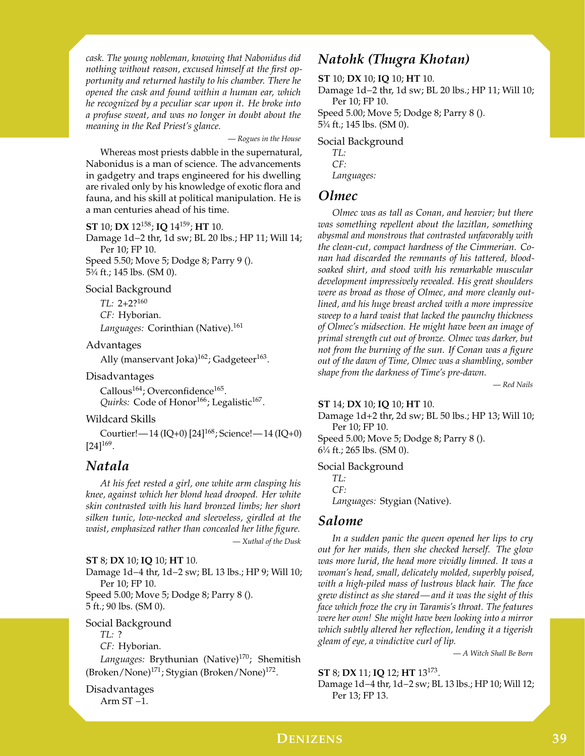*cask. The young nobleman, knowing that Nabonidus did nothing without reason, excused himself at the first opportunity and returned hastily to his chamber. There he opened the cask and found within a human ear, which he recognized by a peculiar scar upon it. He broke into a profuse sweat, and was no longer in doubt about the meaning in the Red Priest's glance.*

— *Rogues in the House*

Whereas most priests dabble in the supernatural, Nabonidus is a man of science. The advancements in gadgetry and traps engineered for his dwelling are rivaled only by his knowledge of exotic flora and fauna, and his skill at political manipulation. He is a man centuries ahead of his time.

**ST** 10; **DX** 12[158](#page-82-5); **IQ** 14[159](#page-82-6); **HT** 10.

Damage 1d−2 thr, 1d sw; BL 20 lbs.; HP 11; Will 14; Per 10; FP 10.

Speed 5.50; Move 5; Dodge 8; Parry 9 (). 5 3 ⁄<sup>4</sup> ft.; 145 lbs. (SM 0).

Social Background

*TL:* 2+2?[160](#page-82-7) *CF:* Hyborian. Languages: Corinthian (Native).<sup>[161](#page-82-8)</sup>

Advantages

Ally (manservant Joka)<sup>[162](#page-82-9)</sup>; Gadgeteer<sup>[163](#page-82-10)</sup>.

Disadvantages

Callous<sup>[164](#page-82-11)</sup>; Overconfidence<sup>[165](#page-82-12)</sup>. Quirks: Code of Honor<sup>[166](#page-82-13)</sup>; Legalistic<sup>[167](#page-82-14)</sup>.

#### Wildcard Skills

Courtier!—14 (IQ+0)  $[24]^{168}$  $[24]^{168}$  $[24]^{168}$ ; Science!—14 (IQ+0)  $[24]^{169}$  $[24]^{169}$  $[24]^{169}$ .

## *Natala*

*At his feet rested a girl, one white arm clasping his knee, against which her blond head drooped. Her white skin contrasted with his hard bronzed limbs; her short silken tunic, low-necked and sleeveless, girdled at the waist, emphasized rather than concealed her lithe figure.* — *Xuthal of the Dusk*

**ST** 8; **DX** 10; **IQ** 10; **HT** 10.

Damage 1d−4 thr, 1d−2 sw; BL 13 lbs.; HP 9; Will 10; Per 10; FP 10.

Speed 5.00; Move 5; Dodge 8; Parry 8 (). 5 ft.; 90 lbs. (SM 0).

Social Background

*TL:* ?

*CF:* Hyborian.

*Languages:* Brythunian (Native)[170](#page-82-17); Shemitish (Broken/None)<sup>[171](#page-82-18)</sup>; Stygian (Broken/None)<sup>[172](#page-82-19)</sup>.

Disadvantages Arm ST −1.

## *Natohk (Thugra Khotan)*

**ST** 10; **DX** 10; **IQ** 10; **HT** 10.

Damage 1d−2 thr, 1d sw; BL 20 lbs.; HP 11; Will 10; Per 10; FP 10.

Speed 5.00; Move 5; Dodge 8; Parry 8 (). 5 3 ⁄<sup>4</sup> ft.; 145 lbs. (SM 0).

Social Background

*TL: CF:*

*Languages:*

### *Olmec*

*Olmec was as tall as Conan, and heavier; but there was something repellent about the lazitlan, something abysmal and monstrous that contrasted unfavorably with the clean-cut, compact hardness of the Cimmerian. Conan had discarded the remnants of his tattered, bloodsoaked shirt, and stood with his remarkable muscular development impressively revealed. His great shoulders were as broad as those of Olmec, and more cleanly outlined, and his huge breast arched with a more impressive sweep to a hard waist that lacked the paunchy thickness of Olmec's midsection. He might have been an image of primal strength cut out of bronze. Olmec was darker, but not from the burning of the sun. If Conan was a figure out of the dawn of Time, Olmec was a shambling, somber shape from the darkness of Time's pre-dawn.*

— *Red Nails*

#### **ST** 14; **DX** 10; **IQ** 10; **HT** 10.

Damage 1d+2 thr, 2d sw; BL 50 lbs.; HP 13; Will 10; Per 10; FP 10.

Speed 5.00; Move 5; Dodge 8; Parry 8 (). 6 1 ⁄<sup>4</sup> ft.; 265 lbs. (SM 0).

Social Background

*TL: CF:*

*Languages:* Stygian (Native).

#### *Salome*

*In a sudden panic the queen opened her lips to cry out for her maids, then she checked herself. The glow was more lurid, the head more vividly limned. It was a woman's head, small, delicately molded, superbly poised, with a high-piled mass of lustrous black hair. The face grew distinct as she stared—and it was the sight of this face which froze the cry in Taramis's throat. The features were her own! She might have been looking into a mirror which subtly altered her reflection, lending it a tigerish gleam of eye, a vindictive curl of lip.*

— *A Witch Shall Be Born*

**ST** 8; **DX** 11; **IQ** 12; **HT** 13[173](#page-83-0) .

Damage 1d−4 thr, 1d−2 sw; BL 13 lbs.; HP 10; Will 12; Per 13; FP 13.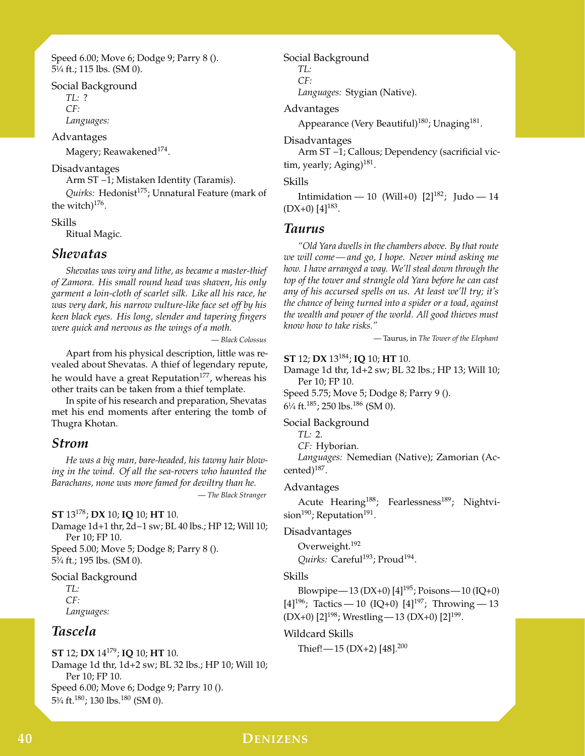Speed 6.00; Move 6; Dodge 9; Parry 8 (). 5 1 ⁄<sup>4</sup> ft.; 115 lbs. (SM 0).

#### Social Background

*TL:* ? *CF:*

*Languages:*

Advantages

Magery; Reawakened<sup>[174](#page-83-1)</sup>.

Disadvantages

Arm ST −1; Mistaken Identity (Taramis).

Quirks: Hedonist<sup>[175](#page-83-2)</sup>; Unnatural Feature (mark of the witch) $176$ .

#### Skills

Ritual Magic.

### *Shevatas*

*Shevatas was wiry and lithe, as became a master-thief of Zamora. His small round head was shaven, his only garment a loin-cloth of scarlet silk. Like all his race, he was very dark, his narrow vulture-like face set off by his keen black eyes. His long, slender and tapering fingers were quick and nervous as the wings of a moth.*

— *Black Colossus*

Apart from his physical description, little was revealed about Shevatas. A thief of legendary repute, he would have a great Reputation $177$ , whereas his other traits can be taken from a thief template.

In spite of his research and preparation, Shevatas met his end moments after entering the tomb of Thugra Khotan.

#### *Strom*

*He was a big man, bare-headed, his tawny hair blowing in the wind. Of all the sea-rovers who haunted the Barachans, none was more famed for deviltry than he.* — *The Black Stranger*

#### **ST** 13[178](#page-83-5); **DX** 10; **IQ** 10; **HT** 10.

Damage 1d+1 thr, 2d−1 sw; BL 40 lbs.; HP 12; Will 10; Per 10; FP 10.

Speed 5.00; Move 5; Dodge 8; Parry 8 (). 5 3 ⁄<sup>4</sup> ft.; 195 lbs. (SM 0).

Social Background

*TL: CF: Languages:*

## <span id="page-41-0"></span>*Tascela*

**ST** 12; **DX** 14[179](#page-83-6); **IQ** 10; **HT** 10.

Damage 1d thr, 1d+2 sw; BL 32 lbs.; HP 10; Will 10; Per 10; FP 10. Speed 6.00; Move 6; Dodge 9; Parry 10 ().

5 3 ⁄<sup>4</sup> ft.[180](#page-83-7); 130 lbs.[180](#page-0-0) (SM 0).

#### Social Background

*TL: CF:*

*Languages:* Stygian (Native).

#### Advantages

Appearance (Very Beautiful)<sup>[180](#page-0-0)</sup>; Unaging<sup>[181](#page-83-8)</sup>.

Disadvantages

Arm ST −1; Callous; Dependency (sacrificial vic-tim, yearly; Aging)<sup>[181](#page-0-0)</sup>.

#### Skills

Intimidation — 10 (Will+0)  $[2]^{182}$  $[2]^{182}$  $[2]^{182}$ ; Judo — 14  $(DX+0)$  [4]<sup>[183](#page-83-10)</sup>.

#### *Taurus*

*"Old Yara dwells in the chambers above. By that route we will come— and go, I hope. Never mind asking me how. I have arranged a way. We'll steal down through the top of the tower and strangle old Yara before he can cast any of his accursed spells on us. At least we'll try; it's the chance of being turned into a spider or a toad, against the wealth and power of the world. All good thieves must know how to take risks."*

— Taurus, in *The Tower of the Elephant*

#### **ST** 12; **DX** 13[184](#page-83-11); **IQ** 10; **HT** 10.

Damage 1d thr, 1d+2 sw; BL 32 lbs.; HP 13; Will 10; Per 10; FP 10.

Speed 5.75; Move 5; Dodge 8; Parry 9 ().

 $6\frac{1}{4}$  ft.<sup>[185](#page-83-12)</sup>; 250 lbs.<sup>[186](#page-83-13)</sup> (SM 0).

Social Background

*TL:* 2.

*CF:* Hyborian.

*Languages:* Nemedian (Native); Zamorian (Accented)[187](#page-84-0) .

#### Advantages

Acute Hearing<sup>[188](#page-84-1)</sup>; Fearlessness<sup>[189](#page-84-2)</sup>; Nightvi-sion<sup>[190](#page-84-3)</sup>; Reputation<sup>[191](#page-84-4)</sup>.

#### Disadvantages

Overweight.[192](#page-84-5) Quirks: Careful<sup>[193](#page-84-6)</sup>; Proud<sup>[194](#page-84-7)</sup>.

#### Skills

Blowpipe—13 (DX+0)  $[4]^{195}$  $[4]^{195}$  $[4]^{195}$ ; Poisons—10 (IQ+0)  $[4]^{196}$  $[4]^{196}$  $[4]^{196}$ ; Tactics — 10 (IQ+0)  $[4]^{197}$  $[4]^{197}$  $[4]^{197}$ ; Throwing — 13  $(DX+0)$  [2]<sup>[198](#page-84-11)</sup>; Wrestling—13 (DX+0) [2]<sup>[199](#page-84-12)</sup>.

#### Wildcard Skills

Thief! $-15$  (DX+2) [48].<sup>[200](#page-84-13)</sup>

## **40 DENIZENS**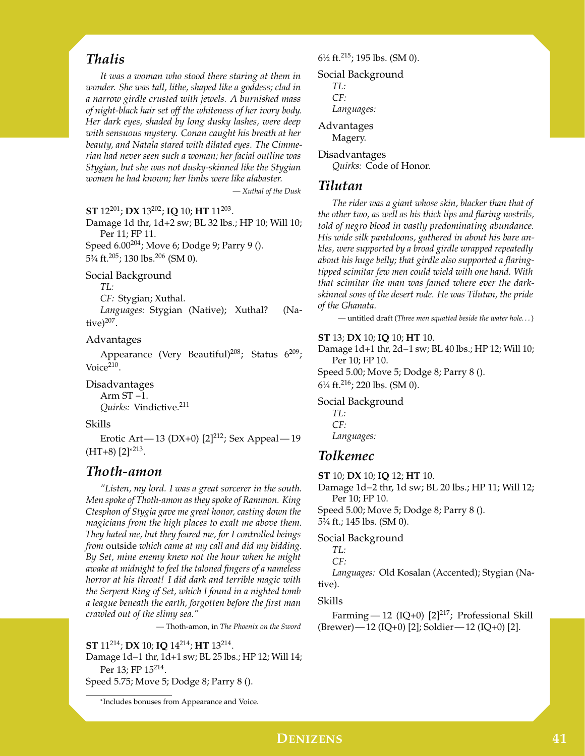## *Thalis*

*It was a woman who stood there staring at them in wonder. She was tall, lithe, shaped like a goddess; clad in a narrow girdle crusted with jewels. A burnished mass of night-black hair set off the whiteness of her ivory body. Her dark eyes, shaded by long dusky lashes, were deep with sensuous mystery. Conan caught his breath at her beauty, and Natala stared with dilated eyes. The Cimmerian had never seen such a woman; her facial outline was Stygian, but she was not dusky-skinned like the Stygian women he had known; her limbs were like alabaster.*

— *Xuthal of the Dusk*

**ST** 12[201](#page-84-14); **DX** 13[202](#page-84-15); **IQ** 10; **HT** 11[203](#page-84-16) .

Damage 1d thr, 1d+2 sw; BL 32 lbs.; HP 10; Will 10; Per 11; FP 11.

Speed  $6.00^{204}$  $6.00^{204}$  $6.00^{204}$ ; Move 6; Dodge 9; Parry 9 ().

5 3 ⁄<sup>4</sup> ft.[205](#page-84-18); 130 lbs.[206](#page-84-19) (SM 0).

Social Background

*TL:*

*CF:* Stygian; Xuthal. *Languages:* Stygian (Native); Xuthal? (Native) $^{207}$  $^{207}$  $^{207}$ .

#### Advantages

Appearance (Very Beautiful)<sup>[208](#page-84-21)</sup>; Status  $6^{209}$  $6^{209}$  $6^{209}$ ; Voice<sup>[210](#page-85-1)</sup>.

Disadvantages Arm ST −1. *Quirks:* Vindictive.[211](#page-85-2)

Skills

Erotic Art—13 (DX+0) [2]<sup>[212](#page-85-3)</sup>; Sex Appeal—19  $(HT+8) [2]^{*213}.$  $(HT+8) [2]^{*213}.$  $(HT+8) [2]^{*213}.$  $(HT+8) [2]^{*213}.$ 

## <span id="page-42-1"></span>*Thoth-amon*

*"Listen, my lord. I was a great sorcerer in the south. Men spoke of Thoth-amon as they spoke of Rammon. King Ctesphon of Stygia gave me great honor, casting down the magicians from the high places to exalt me above them. They hated me, but they feared me, for I controlled beings from* outside *which came at my call and did my bidding. By Set, mine enemy knew not the hour when he might awake at midnight to feel the taloned fingers of a nameless horror at his throat! I did dark and terrible magic with the Serpent Ring of Set, which I found in a nighted tomb a league beneath the earth, forgotten before the first man crawled out of the slimy sea."*

— Thoth-amon, in *The Phoenix on the Sword*

**ST** 11[214](#page-85-5); **DX** 10; **IQ** 14[214](#page-0-0); **HT** 13[214](#page-0-0) . Damage 1d−1 thr, 1d+1 sw; BL 25 lbs.; HP 12; Will 14; Per 13; FP 15<sup>[214](#page-0-0)</sup>. Speed 5.75; Move 5; Dodge 8; Parry 8 ().

<span id="page-42-0"></span>\*Includes bonuses from Appearance and Voice.

6 1 ⁄<sup>2</sup> ft.[215](#page-85-6); 195 lbs. (SM 0).

Social Background *TL: CF: Languages:*

Advantages Magery.

Disadvantages *Quirks:* Code of Honor.

## *Tilutan*

*The rider was a giant whose skin, blacker than that of the other two, as well as his thick lips and flaring nostrils, told of negro blood in vastly predominating abundance. His wide silk pantaloons, gathered in about his bare ankles, were supported by a broad girdle wrapped repeatedly about his huge belly; that girdle also supported a flaringtipped scimitar few men could wield with one hand. With that scimitar the man was famed where ever the darkskinned sons of the desert rode. He was Tilutan, the pride of the Ghanata.*

— untitled draft (*Three men squatted beside the water hole. . .*)

#### **ST** 13; **DX** 10; **IQ** 10; **HT** 10.

Damage 1d+1 thr, 2d−1 sw; BL 40 lbs.; HP 12; Will 10; Per 10; FP 10. Speed 5.00; Move 5; Dodge 8; Parry 8 ().

6 1 ⁄<sup>4</sup> ft.[216](#page-85-7); 220 lbs. (SM 0).

Social Background

*TL: CF: Languages:*

## *Tolkemec*

**ST** 10; **DX** 10; **IQ** 12; **HT** 10.

Damage 1d−2 thr, 1d sw; BL 20 lbs.; HP 11; Will 12; Per 10; FP 10.

Speed 5.00; Move 5; Dodge 8; Parry 8 (). 5 3 ⁄<sup>4</sup> ft.; 145 lbs. (SM 0).

Social Background

*TL: CF:*

*Languages:* Old Kosalan (Accented); Stygian (Native).

#### Skills

Farming  $-12$  (IQ+0) [2]<sup>[217](#page-85-8)</sup>; Professional Skill (Brewer)— 12 (IQ+0) [2]; Soldier— 12 (IQ+0) [2].

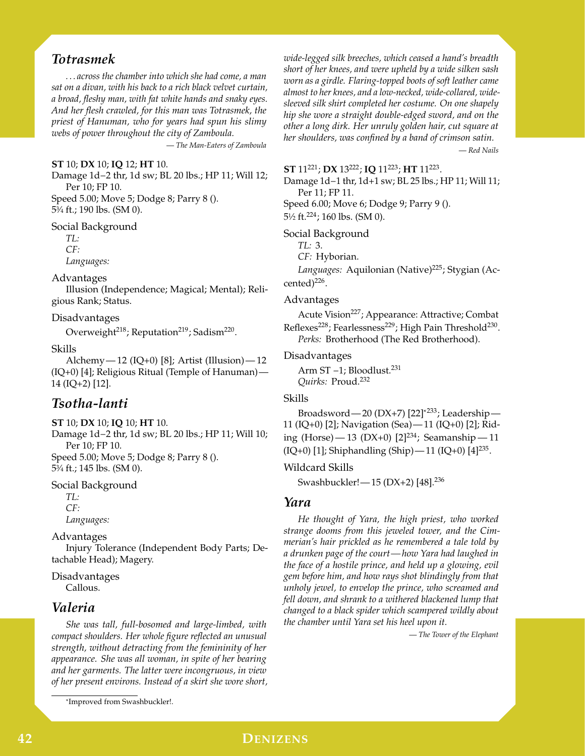## *Totrasmek*

*. . . across the chamber into which she had come, a man sat on a divan, with his back to a rich black velvet curtain, a broad, fleshy man, with fat white hands and snaky eyes. And her flesh crawled, for this man was Totrasmek, the priest of Hanuman, who for years had spun his slimy webs of power throughout the city of Zamboula.*

— *The Man-Eaters of Zamboula*

#### **ST** 10; **DX** 10; **IQ** 12; **HT** 10.

Damage 1d−2 thr, 1d sw; BL 20 lbs.; HP 11; Will 12; Per 10; FP 10.

Speed 5.00; Move 5; Dodge 8; Parry 8 (). 5 3 ⁄<sup>4</sup> ft.; 190 lbs. (SM 0).

Social Background

*TL: CF:*

*Languages:*

#### Advantages

Illusion (Independence; Magical; Mental); Religious Rank; Status.

#### Disadvantages

Overweight<sup>[218](#page-85-9)</sup>; Reputation<sup>[219](#page-85-10)</sup>; Sadism<sup>[220](#page-85-11)</sup>.

#### Skills

Alchemy— 12 (IQ+0) [8]; Artist (Illusion)— 12 (IQ+0) [4]; Religious Ritual (Temple of Hanuman)— 14 (IQ+2) [12].

## *Tsotha-lanti*

**ST** 10; **DX** 10; **IQ** 10; **HT** 10.

Damage 1d−2 thr, 1d sw; BL 20 lbs.; HP 11; Will 10; Per 10; FP 10. Speed 5.00; Move 5; Dodge 8; Parry 8 ().

5 3 ⁄<sup>4</sup> ft.; 145 lbs. (SM 0).

Social Background

*TL: CF: Languages:*

Advantages

Injury Tolerance (Independent Body Parts; Detachable Head); Magery.

Disadvantages Callous.

#### <span id="page-43-0"></span>*Valeria*

*She was tall, full-bosomed and large-limbed, with compact shoulders. Her whole figure reflected an unusual strength, without detracting from the femininity of her appearance. She was all woman, in spite of her bearing and her garments. The latter were incongruous, in view of her present environs. Instead of a skirt she wore short,*

<span id="page-43-1"></span>\*Improved from Swashbuckler!.

*wide-legged silk breeches, which ceased a hand's breadth short of her knees, and were upheld by a wide silken sash worn as a girdle. Flaring-topped boots of soft leather came almost to her knees, and a low-necked, wide-collared, widesleeved silk shirt completed her costume. On one shapely hip she wore a straight double-edged sword, and on the other a long dirk. Her unruly golden hair, cut square at her shoulders, was confined by a band of crimson satin.* — *Red Nails*

**ST** 11[221](#page-85-12); **DX** 13[222](#page-85-13); **IQ** 11[223](#page-85-14); **HT** 11[223](#page-0-0) .

Damage 1d−1 thr, 1d+1 sw; BL 25 lbs.; HP 11; Will 11; Per 11; FP 11.

Speed 6.00; Move 6; Dodge 9; Parry 9 ().

5 1 ⁄<sup>2</sup> ft.[224](#page-85-15); 160 lbs. (SM 0).

Social Background

*TL:* 3.

*CF:* Hyborian.

*Languages:* Aquilonian (Native)<sup>[225](#page-85-16)</sup>; Stygian (Ac $c$ ented) $^{226}$  $^{226}$  $^{226}$ .

#### Advantages

Acute Vision<sup>[227](#page-85-18)</sup>; Appearance: Attractive; Combat Reflexes<sup>[228](#page-85-19)</sup>; Fearlessness<sup>[229](#page-85-20)</sup>; High Pain Threshold<sup>[230](#page-85-21)</sup>. *Perks:* Brotherhood (The Red Brotherhood).

Disadvantages

Arm ST −1; Bloodlust.[231](#page-85-22) *Quirks:* Proud.[232](#page-86-0)

#### Skills

Broadsword—20 (DX+7) [22][\\*](#page-43-1) [233](#page-86-1); Leadership— 11 (IQ+0) [2]; Navigation (Sea)—11 (IQ+0) [2]; Riding (Horse) — 13 (DX+0)  $[2]^{234}$  $[2]^{234}$  $[2]^{234}$ ; Seamanship — 11 (IQ+0) [1]; Shiphandling (Ship)—11 (IQ+0) [4]<sup>[235](#page-86-3)</sup>.

#### Wildcard Skills

Swashbuckler!— 15 (DX+2) [48].[236](#page-86-4)

#### *Yara*

*He thought of Yara, the high priest, who worked strange dooms from this jeweled tower, and the Cimmerian's hair prickled as he remembered a tale told by a drunken page of the court—how Yara had laughed in the face of a hostile prince, and held up a glowing, evil gem before him, and how rays shot blindingly from that unholy jewel, to envelop the prince, who screamed and fell down, and shrank to a withered blackened lump that changed to a black spider which scampered wildly about the chamber until Yara set his heel upon it.*

— *The Tower of the Elephant*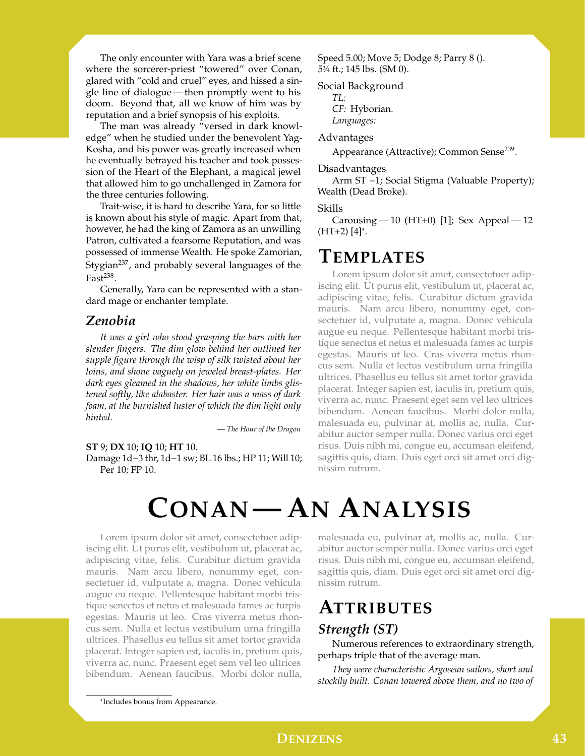The only encounter with Yara was a brief scene where the sorcerer-priest "towered" over Conan, glared with "cold and cruel" eyes, and hissed a single line of dialogue— then promptly went to his doom. Beyond that, all we know of him was by reputation and a brief synopsis of his exploits.

The man was already "versed in dark knowledge" when he studied under the benevolent Yag-Kosha, and his power was greatly increased when he eventually betrayed his teacher and took possession of the Heart of the Elephant, a magical jewel that allowed him to go unchallenged in Zamora for the three centuries following.

Trait-wise, it is hard to describe Yara, for so little is known about his style of magic. Apart from that, however, he had the king of Zamora as an unwilling Patron, cultivated a fearsome Reputation, and was possessed of immense Wealth. He spoke Zamorian, Stygian<sup>[237](#page-86-5)</sup>, and probably several languages of the  $East<sup>238</sup>$  $East<sup>238</sup>$  $East<sup>238</sup>$ .

Generally, Yara can be represented with a standard mage or enchanter template.

## *Zenobia*

*It was a girl who stood grasping the bars with her slender fingers. The dim glow behind her outlined her supple figure through the wisp of silk twisted about her loins, and shone vaguely on jeweled breast-plates. Her dark eyes gleamed in the shadows, her white limbs glistened softly, like alabaster. Her hair was a mass of dark foam, at the burnished luster of which the dim light only hinted.*

— *The Hour of the Dragon*

#### **ST** 9; **DX** 10; **IQ** 10; **HT** 10.

Damage 1d−3 thr, 1d−1 sw; BL 16 lbs.; HP 11; Will 10; Per 10; FP 10.

Speed 5.00; Move 5; Dodge 8; Parry 8 (). 5 3 ⁄<sup>4</sup> ft.; 145 lbs. (SM 0).

Social Background *TL: CF:* Hyborian.

*Languages:*

Advantages

Appearance (Attractive); Common Sense<sup>[239](#page-86-7)</sup>.

#### Disadvantages

Arm ST −1; Social Stigma (Valuable Property); Wealth (Dead Broke).

#### Skills

Carousing  $-10$  (HT+0) [1]; Sex Appeal  $-12$  $(HT+2) [4]^*$  $(HT+2) [4]^*$ .

## **TEMPLATES**

Lorem ipsum dolor sit amet, consectetuer adipiscing elit. Ut purus elit, vestibulum ut, placerat ac, adipiscing vitae, felis. Curabitur dictum gravida mauris. Nam arcu libero, nonummy eget, consectetuer id, vulputate a, magna. Donec vehicula augue eu neque. Pellentesque habitant morbi tristique senectus et netus et malesuada fames ac turpis egestas. Mauris ut leo. Cras viverra metus rhoncus sem. Nulla et lectus vestibulum urna fringilla ultrices. Phasellus eu tellus sit amet tortor gravida placerat. Integer sapien est, iaculis in, pretium quis, viverra ac, nunc. Praesent eget sem vel leo ultrices bibendum. Aenean faucibus. Morbi dolor nulla, malesuada eu, pulvinar at, mollis ac, nulla. Curabitur auctor semper nulla. Donec varius orci eget risus. Duis nibh mi, congue eu, accumsan eleifend, sagittis quis, diam. Duis eget orci sit amet orci dignissim rutrum.

# **CONAN— AN ANALYSIS**

Lorem ipsum dolor sit amet, consectetuer adipiscing elit. Ut purus elit, vestibulum ut, placerat ac, adipiscing vitae, felis. Curabitur dictum gravida mauris. Nam arcu libero, nonummy eget, consectetuer id, vulputate a, magna. Donec vehicula augue eu neque. Pellentesque habitant morbi tristique senectus et netus et malesuada fames ac turpis egestas. Mauris ut leo. Cras viverra metus rhoncus sem. Nulla et lectus vestibulum urna fringilla ultrices. Phasellus eu tellus sit amet tortor gravida placerat. Integer sapien est, iaculis in, pretium quis, viverra ac, nunc. Praesent eget sem vel leo ultrices bibendum. Aenean faucibus. Morbi dolor nulla,

malesuada eu, pulvinar at, mollis ac, nulla. Curabitur auctor semper nulla. Donec varius orci eget risus. Duis nibh mi, congue eu, accumsan eleifend, sagittis quis, diam. Duis eget orci sit amet orci dignissim rutrum.

## **ATTRIBUTES** *Strength (ST)*

Numerous references to extraordinary strength, perhaps triple that of the average man.

*They were characteristic Argosean sailors, short and stockily built. Conan towered above them, and no two of*

<span id="page-44-0"></span>\*Includes bonus from Appearance.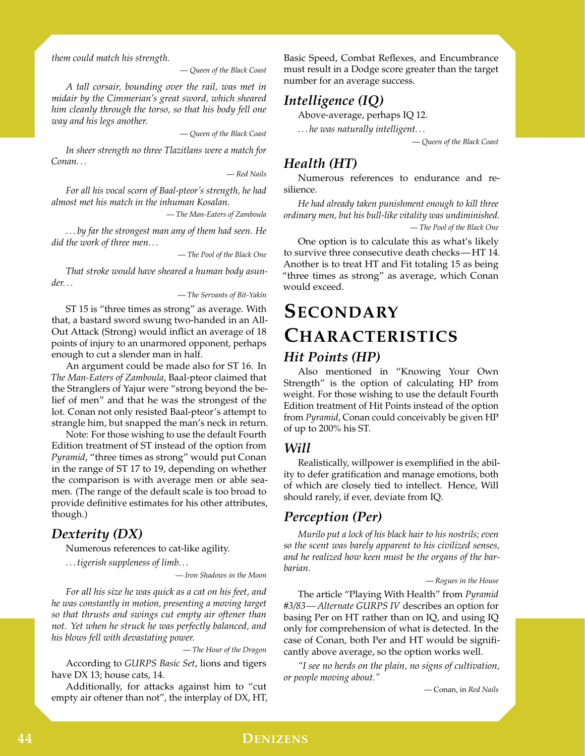*them could match his strength.*

— *Queen of the Black Coast*

*A tall corsair, bounding over the rail, was met in midair by the Cimmerian's great sword, which sheared him cleanly through the torso, so that his body fell one way and his legs another.*

— *Queen of the Black Coast*

*In sheer strength no three Tlazitlans were a match for Conan. . .*

— *Red Nails*

*For all his vocal scorn of Baal-pteor's strength, he had almost met his match in the inhuman Kosalan.*

— *The Man-Eaters of Zamboula*

*. . . by far the strongest man any of them had seen. He did the work of three men. . .*

— *The Pool of the Black One*

*That stroke would have sheared a human body asunder. . .*

— *The Servants of Bit-Yakin*

ST 15 is "three times as strong" as average. With that, a bastard sword swung two-handed in an All-Out Attack (Strong) would inflict an average of 18 points of injury to an unarmored opponent, perhaps enough to cut a slender man in half.

An argument could be made also for ST 16. In *The Man-Eaters of Zamboula*, Baal-pteor claimed that the Stranglers of Yajur were "strong beyond the belief of men" and that he was the strongest of the lot. Conan not only resisted Baal-pteor's attempt to strangle him, but snapped the man's neck in return.

Note: For those wishing to use the default Fourth Edition treatment of ST instead of the option from *Pyramid*, "three times as strong" would put Conan in the range of ST 17 to 19, depending on whether the comparison is with average men or able seamen. (The range of the default scale is too broad to provide definitive estimates for his other attributes, though.)

## *Dexterity (DX)*

Numerous references to cat-like agility.

*. . . tigerish suppleness of limb. . .*

— *Iron Shadows in the Moon*

*For all his size he was quick as a cat on his feet, and he was constantly in motion, presenting a moving target so that thrusts and swings cut empty air oftener than not. Yet when he struck he was perfectly balanced, and his blows fell with devastating power.*

— *The Hour of the Dragon*

According to *GURPS Basic Set*, lions and tigers have DX 13; house cats, 14.

Additionally, for attacks against him to "cut empty air oftener than not", the interplay of DX, HT,

Basic Speed, Combat Reflexes, and Encumbrance must result in a Dodge score greater than the target number for an average success.

## *Intelligence (IQ)*

Above-average, perhaps IQ 12.

*. . . he was naturally intelligent. . .*

— *Queen of the Black Coast*

## *Health (HT)*

Numerous references to endurance and resilience.

*He had already taken punishment enough to kill three ordinary men, but his bull-like vitality was undiminished.* — *The Pool of the Black One*

One option is to calculate this as what's likely to survive three consecutive death checks—HT 14. Another is to treat HT and Fit totaling 15 as being "three times as strong" as average, which Conan would exceed.

## **SECONDARY CHARACTERISTICS** *Hit Points (HP)*

# Also mentioned in "Knowing Your Own

Strength" is the option of calculating HP from weight. For those wishing to use the default Fourth Edition treatment of Hit Points instead of the option from *Pyramid*, Conan could conceivably be given HP of up to 200% his ST.

## *Will*

Realistically, willpower is exemplified in the ability to defer gratification and manage emotions, both of which are closely tied to intellect. Hence, Will should rarely, if ever, deviate from IQ.

## *Perception (Per)*

*Murilo put a lock of his black hair to his nostrils; even so the scent was barely apparent to his civilized senses, and he realized how keen must be the organs of the barbarian.*

#### — *Rogues in the House*

The article "Playing With Health" from *Pyramid #3/83—Alternate GURPS IV* describes an option for basing Per on HT rather than on IQ, and using IQ only for comprehension of what is detected. In the case of Conan, both Per and HT would be significantly above average, so the option works well.

*"I see no herds on the plain, no signs of cultivation, or people moving about."*

— Conan, in *Red Nails*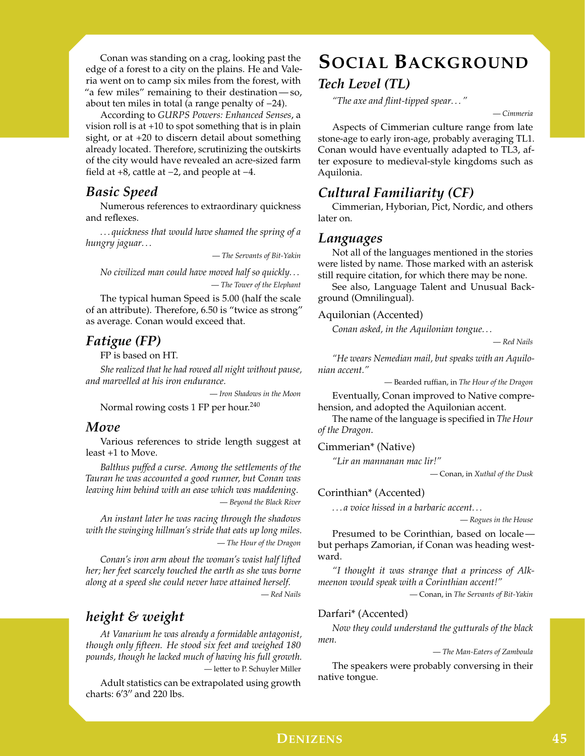Conan was standing on a crag, looking past the edge of a forest to a city on the plains. He and Valeria went on to camp six miles from the forest, with "a few miles" remaining to their destination— so, about ten miles in total (a range penalty of −24).

According to *GURPS Powers: Enhanced Senses*, a vision roll is at +10 to spot something that is in plain sight, or at +20 to discern detail about something already located. Therefore, scrutinizing the outskirts of the city would have revealed an acre-sized farm field at +8, cattle at −2, and people at −4.

## *Basic Speed*

Numerous references to extraordinary quickness and reflexes.

*. . . quickness that would have shamed the spring of a hungry jaguar. . .*

— *The Servants of Bit-Yakin*

*No civilized man could have moved half so quickly. . .* — *The Tower of the Elephant*

The typical human Speed is 5.00 (half the scale of an attribute). Therefore, 6.50 is "twice as strong" as average. Conan would exceed that.

## *Fatigue (FP)*

FP is based on HT.

*She realized that he had rowed all night without pause, and marvelled at his iron endurance.*

— *Iron Shadows in the Moon*

Normal rowing costs 1 FP per hour.<sup>[240](#page-86-8)</sup>

## *Move*

Various references to stride length suggest at least +1 to Move.

*Balthus puffed a curse. Among the settlements of the Tauran he was accounted a good runner, but Conan was leaving him behind with an ease which was maddening.* — *Beyond the Black River*

*An instant later he was racing through the shadows with the swinging hillman's stride that eats up long miles.* — *The Hour of the Dragon*

*Conan's iron arm about the woman's waist half lifted her; her feet scarcely touched the earth as she was borne along at a speed she could never have attained herself.* — *Red Nails*

## *height & weight*

*At Vanarium he was already a formidable antagonist, though only fifteen. He stood six feet and weighed 180 pounds, though he lacked much of having his full growth.* — letter to P. Schuyler Miller

Adult statistics can be extrapolated using growth charts:  $6'3''$  and 220 lbs.

# **SOCIAL BACKGROUND**

## *Tech Level (TL)*

*"The axe and flint-tipped spear. . . "*

— *Cimmeria*

Aspects of Cimmerian culture range from late stone-age to early iron-age, probably averaging TL1. Conan would have eventually adapted to TL3, after exposure to medieval-style kingdoms such as Aquilonia.

## *Cultural Familiarity (CF)*

Cimmerian, Hyborian, Pict, Nordic, and others later on.

## *Languages*

Not all of the languages mentioned in the stories were listed by name. Those marked with an asterisk still require citation, for which there may be none.

See also, Language Talent and Unusual Background (Omnilingual).

#### Aquilonian (Accented)

*Conan asked, in the Aquilonian tongue. . .*

— *Red Nails*

*"He wears Nemedian mail, but speaks with an Aquilonian accent."*

— Bearded ruffian, in *The Hour of the Dragon*

Eventually, Conan improved to Native comprehension, and adopted the Aquilonian accent.

The name of the language is specified in *The Hour of the Dragon*.

Cimmerian\* (Native)

*"Lir an mannanan mac lir!"*

— Conan, in *Xuthal of the Dusk*

#### Corinthian\* (Accented)

*. . . a voice hissed in a barbaric accent. . .*

— *Rogues in the House*

Presumed to be Corinthian, based on locale but perhaps Zamorian, if Conan was heading westward.

*"I thought it was strange that a princess of Alkmeenon would speak with a Corinthian accent!"*

— Conan, in *The Servants of Bit-Yakin*

#### Darfari\* (Accented)

*Now they could understand the gutturals of the black men.*

— *The Man-Eaters of Zamboula*

The speakers were probably conversing in their native tongue.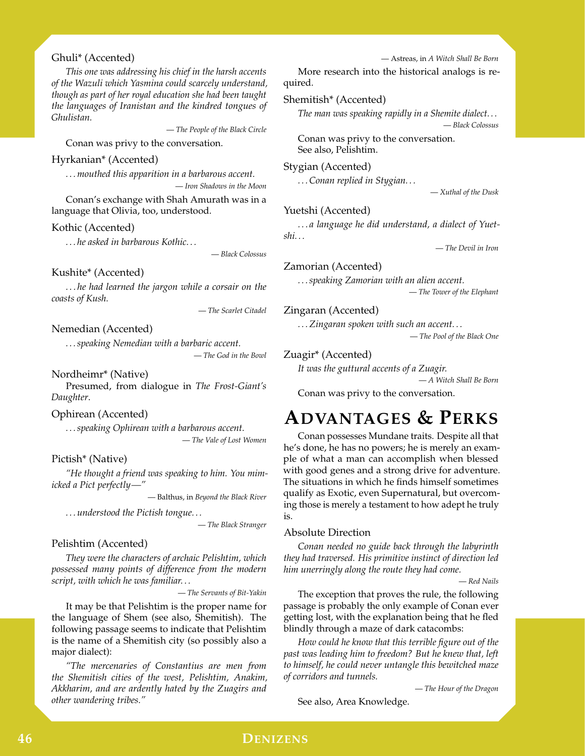#### Ghuli\* (Accented)

*This one was addressing his chief in the harsh accents of the Wazuli which Yasmina could scarcely understand, though as part of her royal education she had been taught the languages of Iranistan and the kindred tongues of Ghulistan.*

— *The People of the Black Circle*

Conan was privy to the conversation.

#### Hyrkanian\* (Accented)

*. . . mouthed this apparition in a barbarous accent.*

— *Iron Shadows in the Moon*

Conan's exchange with Shah Amurath was in a language that Olivia, too, understood.

#### Kothic (Accented)

*. . . he asked in barbarous Kothic. . .*

— *Black Colossus*

#### Kushite\* (Accented)

*. . . he had learned the jargon while a corsair on the coasts of Kush.*

— *The Scarlet Citadel*

#### Nemedian (Accented)

*. . . speaking Nemedian with a barbaric accent.*

— *The God in the Bowl*

#### Nordheimr\* (Native)

Presumed, from dialogue in *The Frost-Giant's Daughter*.

#### Ophirean (Accented)

*. . . speaking Ophirean with a barbarous accent.*

— *The Vale of Lost Women*

#### Pictish\* (Native)

*"He thought a friend was speaking to him. You mimicked a Pict perfectly—"*

— Balthus, in *Beyond the Black River*

*. . . understood the Pictish tongue. . .*

— *The Black Stranger*

#### Pelishtim (Accented)

*They were the characters of archaic Pelishtim, which possessed many points of difference from the modern script, with which he was familiar. . .*

— *The Servants of Bit-Yakin*

It may be that Pelishtim is the proper name for the language of Shem (see also, Shemitish). The following passage seems to indicate that Pelishtim is the name of a Shemitish city (so possibly also a major dialect):

*"The mercenaries of Constantius are men from the Shemitish cities of the west, Pelishtim, Anakim, Akkharim, and are ardently hated by the Zuagirs and other wandering tribes."*

— Astreas, in *A Witch Shall Be Born*

More research into the historical analogs is required.

#### Shemitish\* (Accented)

*The man was speaking rapidly in a Shemite dialect. . .* — *Black Colossus*

Conan was privy to the conversation. See also, Pelishtim.

Stygian (Accented)

*. . . Conan replied in Stygian. . .*

— *Xuthal of the Dusk*

#### Yuetshi (Accented)

*. . . a language he did understand, a dialect of Yuetshi. . .*

— *The Devil in Iron*

### Zamorian (Accented)

*. . . speaking Zamorian with an alien accent.*

— *The Tower of the Elephant*

#### Zingaran (Accented)

*. . . Zingaran spoken with such an accent. . .*

— *The Pool of the Black One*

#### Zuagir\* (Accented)

*It was the guttural accents of a Zuagir.*

— *A Witch Shall Be Born*

Conan was privy to the conversation.

## **ADVANTAGES & PERKS**

Conan possesses Mundane traits. Despite all that he's done, he has no powers; he is merely an example of what a man can accomplish when blessed with good genes and a strong drive for adventure. The situations in which he finds himself sometimes qualify as Exotic, even Supernatural, but overcoming those is merely a testament to how adept he truly is.

#### Absolute Direction

*Conan needed no guide back through the labyrinth they had traversed. His primitive instinct of direction led him unerringly along the route they had come.*

— *Red Nails*

The exception that proves the rule, the following passage is probably the only example of Conan ever getting lost, with the explanation being that he fled blindly through a maze of dark catacombs:

*How could he know that this terrible figure out of the past was leading him to freedom? But he knew that, left to himself, he could never untangle this bewitched maze of corridors and tunnels.*

— *The Hour of the Dragon*

See also, Area Knowledge.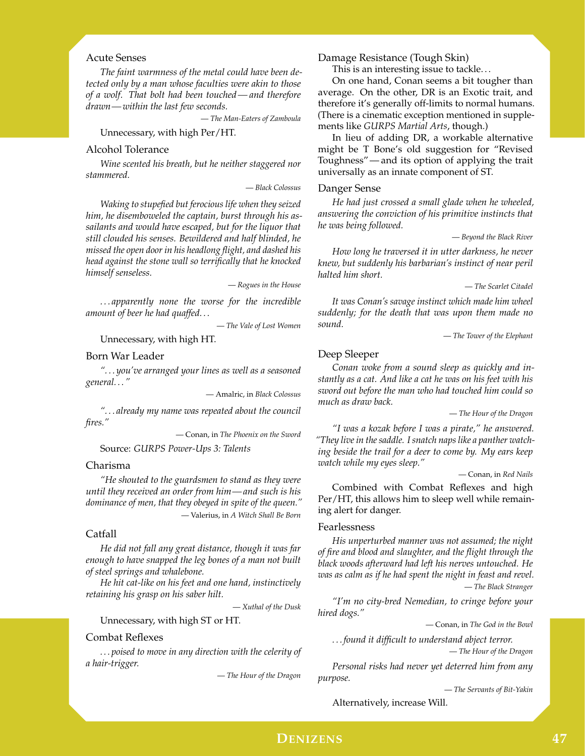#### Acute Senses

*The faint warmness of the metal could have been detected only by a man whose faculties were akin to those of a wolf. That bolt had been touched— and therefore drawn— within the last few seconds.*

— *The Man-Eaters of Zamboula*

Unnecessary, with high Per/HT.

#### Alcohol Tolerance

*Wine scented his breath, but he neither staggered nor stammered.*

— *Black Colossus*

*Waking to stupefied but ferocious life when they seized him, he disemboweled the captain, burst through his assailants and would have escaped, but for the liquor that still clouded his senses. Bewildered and half blinded, he missed the open door in his headlong flight, and dashed his head against the stone wall so terrifically that he knocked himself senseless.*

— *Rogues in the House*

*. . . apparently none the worse for the incredible amount of beer he had quaffed. . .*

— *The Vale of Lost Women*

Unnecessary, with high HT.

#### Born War Leader

*". . . you've arranged your lines as well as a seasoned general. . . "*

— Amalric, in *Black Colossus*

*". . . already my name was repeated about the council fires."*

— Conan, in *The Phoenix on the Sword*

Source: *GURPS Power-Ups 3: Talents*

#### Charisma

*"He shouted to the guardsmen to stand as they were until they received an order from him—and such is his dominance of men, that they obeyed in spite of the queen."* — Valerius, in *A Witch Shall Be Born*

#### Catfall

*He did not fall any great distance, though it was far enough to have snapped the leg bones of a man not built of steel springs and whalebone.*

*He hit cat-like on his feet and one hand, instinctively retaining his grasp on his saber hilt.*

— *Xuthal of the Dusk*

Unnecessary, with high ST or HT.

#### Combat Reflexes

*. . . poised to move in any direction with the celerity of a hair-trigger.*

— *The Hour of the Dragon*

Damage Resistance (Tough Skin)

This is an interesting issue to tackle. . .

On one hand, Conan seems a bit tougher than average. On the other, DR is an Exotic trait, and therefore it's generally off-limits to normal humans. (There is a cinematic exception mentioned in supplements like *GURPS Martial Arts*, though.)

In lieu of adding DR, a workable alternative might be T Bone's old suggestion for ["Revised](http://www.gamesdiner.com/rules-nugget-gurps-revised-toughness) [Toughness"](http://www.gamesdiner.com/rules-nugget-gurps-revised-toughness)— and its option of applying the trait universally as an innate component of ST.

#### Danger Sense

*He had just crossed a small glade when he wheeled, answering the conviction of his primitive instincts that he was being followed.*

— *Beyond the Black River*

*How long he traversed it in utter darkness, he never knew, but suddenly his barbarian's instinct of near peril halted him short.*

— *The Scarlet Citadel*

*It was Conan's savage instinct which made him wheel suddenly; for the death that was upon them made no sound.*

— *The Tower of the Elephant*

#### Deep Sleeper

*Conan woke from a sound sleep as quickly and instantly as a cat. And like a cat he was on his feet with his sword out before the man who had touched him could so much as draw back.*

— *The Hour of the Dragon*

*"I was a kozak before I was a pirate," he answered. "They live in the saddle. I snatch naps like a panther watching beside the trail for a deer to come by. My ears keep watch while my eyes sleep."*

— Conan, in *Red Nails*

Combined with Combat Reflexes and high Per/HT, this allows him to sleep well while remaining alert for danger.

#### Fearlessness

*His unperturbed manner was not assumed; the night of fire and blood and slaughter, and the flight through the black woods afterward had left his nerves untouched. He was as calm as if he had spent the night in feast and revel.* — *The Black Stranger*

*"I'm no city-bred Nemedian, to cringe before your hired dogs."*

— Conan, in *The God in the Bowl*

*. . . found it difficult to understand abject terror.*

— *The Hour of the Dragon*

*Personal risks had never yet deterred him from any purpose.*

— *The Servants of Bit-Yakin*

Alternatively, increase Will.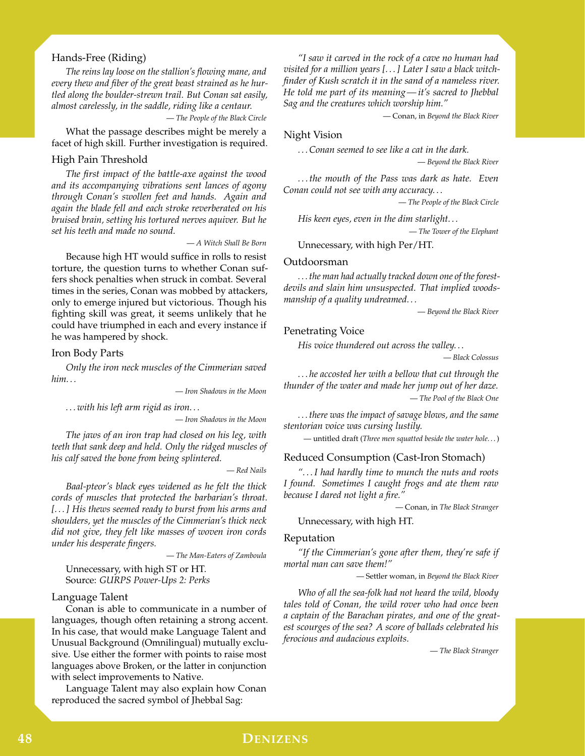### Hands-Free (Riding)

*The reins lay loose on the stallion's flowing mane, and every thew and fiber of the great beast strained as he hurtled along the boulder-strewn trail. But Conan sat easily, almost carelessly, in the saddle, riding like a centaur.*

— *The People of the Black Circle*

What the passage describes might be merely a facet of high skill. Further investigation is required.

#### High Pain Threshold

*The first impact of the battle-axe against the wood and its accompanying vibrations sent lances of agony through Conan's swollen feet and hands. Again and again the blade fell and each stroke reverberated on his bruised brain, setting his tortured nerves aquiver. But he set his teeth and made no sound.*

— *A Witch Shall Be Born*

Because high HT would suffice in rolls to resist torture, the question turns to whether Conan suffers shock penalties when struck in combat. Several times in the series, Conan was mobbed by attackers, only to emerge injured but victorious. Though his fighting skill was great, it seems unlikely that he could have triumphed in each and every instance if he was hampered by shock.

#### Iron Body Parts

*Only the iron neck muscles of the Cimmerian saved him. . .*

— *Iron Shadows in the Moon*

*. . . with his left arm rigid as iron. . .*

— *Iron Shadows in the Moon*

*The jaws of an iron trap had closed on his leg, with teeth that sank deep and held. Only the ridged muscles of his calf saved the bone from being splintered.*

#### — *Red Nails*

*Baal-pteor's black eyes widened as he felt the thick cords of muscles that protected the barbarian's throat. [. . . ] His thews seemed ready to burst from his arms and shoulders, yet the muscles of the Cimmerian's thick neck did not give, they felt like masses of woven iron cords under his desperate fingers.*

— *The Man-Eaters of Zamboula*

Unnecessary, with high ST or HT. Source: *GURPS Power-Ups 2: Perks*

#### Language Talent

Conan is able to communicate in a number of languages, though often retaining a strong accent. In his case, that would make Language Talent and Unusual Background (Omnilingual) mutually exclusive. Use either the former with points to raise most languages above Broken, or the latter in conjunction with select improvements to Native.

Language Talent may also explain how Conan reproduced the sacred symbol of Jhebbal Sag:

*"I saw it carved in the rock of a cave no human had visited for a million years [. . . ] Later I saw a black witchfinder of Kush scratch it in the sand of a nameless river. He told me part of its meaning— it's sacred to Jhebbal Sag and the creatures which worship him."*

— Conan, in *Beyond the Black River*

#### Night Vision

*. . . Conan seemed to see like a cat in the dark.*

— *Beyond the Black River*

*. . . the mouth of the Pass was dark as hate. Even Conan could not see with any accuracy. . .*

— *The People of the Black Circle*

*His keen eyes, even in the dim starlight. . .* — *The Tower of the Elephant*

Unnecessary, with high Per/HT.

#### Outdoorsman

*. . . the man had actually tracked down one of the forestdevils and slain him unsuspected. That implied woodsmanship of a quality undreamed. . .*

— *Beyond the Black River*

#### Penetrating Voice

*His voice thundered out across the valley. . .*

— *Black Colossus*

*. . . he accosted her with a bellow that cut through the thunder of the water and made her jump out of her daze.* — *The Pool of the Black One*

*. . . there was the impact of savage blows, and the same stentorian voice was cursing lustily.*

— untitled draft (*Three men squatted beside the water hole. . .*)

#### Reduced Consumption (Cast-Iron Stomach)

*". . . I had hardly time to munch the nuts and roots I found. Sometimes I caught frogs and ate them raw because I dared not light a fire."*

— Conan, in *The Black Stranger*

Unnecessary, with high HT.

#### Reputation

*"If the Cimmerian's gone after them, they're safe if mortal man can save them!"*

— Settler woman, in *Beyond the Black River*

*Who of all the sea-folk had not heard the wild, bloody tales told of Conan, the wild rover who had once been a captain of the Barachan pirates, and one of the greatest scourges of the sea? A score of ballads celebrated his ferocious and audacious exploits.*

— *The Black Stranger*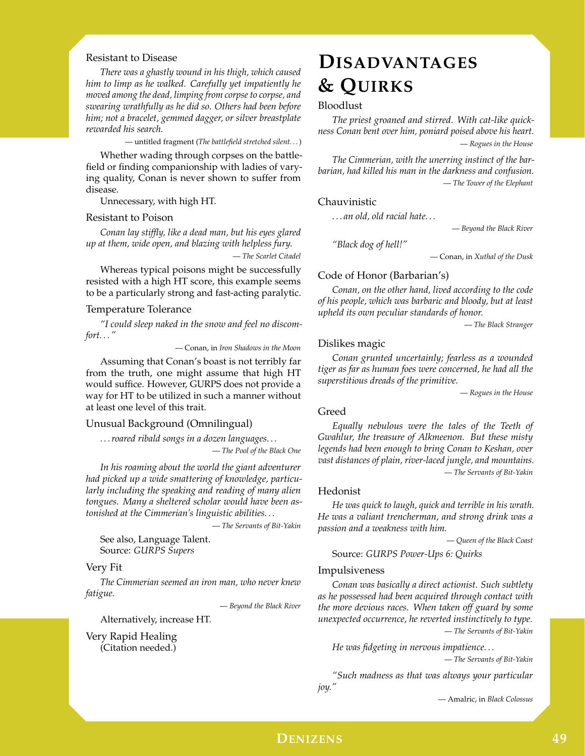#### Resistant to Disease

*There was a ghastly wound in his thigh, which caused him to limp as he walked. Carefully yet impatiently he moved among the dead, limping from corpse to corpse, and swearing wrathfully as he did so. Others had been before him; not a bracelet, gemmed dagger, or silver breastplate rewarded his search.*

— untitled fragment (*The battlefield stretched silent. . .*)

Whether wading through corpses on the battlefield or finding companionship with ladies of varying quality, Conan is never shown to suffer from disease.

Unnecessary, with high HT.

#### Resistant to Poison

*Conan lay stiffly, like a dead man, but his eyes glared up at them, wide open, and blazing with helpless fury.* — *The Scarlet Citadel*

Whereas typical poisons might be successfully resisted with a high HT score, this example seems to be a particularly strong and fast-acting paralytic.

#### Temperature Tolerance

*"I could sleep naked in the snow and feel no discomfort. . . "*

— Conan, in *Iron Shadows in the Moon*

Assuming that Conan's boast is not terribly far from the truth, one might assume that high HT would suffice. However, GURPS does not provide a way for HT to be utilized in such a manner without at least one level of this trait.

#### Unusual Background (Omnilingual)

*. . . roared ribald songs in a dozen languages. . .* — *The Pool of the Black One*

*In his roaming about the world the giant adventurer had picked up a wide smattering of knowledge, particularly including the speaking and reading of many alien tongues. Many a sheltered scholar would have been astonished at the Cimmerian's linguistic abilities. . .*

— *The Servants of Bit-Yakin*

See also, Language Talent. Source: *GURPS Supers*

#### Very Fit

*The Cimmerian seemed an iron man, who never knew fatigue.*

— *Beyond the Black River*

Alternatively, increase HT.

Very Rapid Healing (Citation needed.)

# **DISADVANTAGES & QUIRKS**

#### Bloodlust

*The priest groaned and stirred. With cat-like quickness Conan bent over him, poniard poised above his heart.* — *Rogues in the House*

*The Cimmerian, with the unerring instinct of the barbarian, had killed his man in the darkness and confusion.* — *The Tower of the Elephant*

#### Chauvinistic

*. . . an old, old racial hate. . .*

— *Beyond the Black River*

*"Black dog of hell!"*

— Conan, in *Xuthal of the Dusk*

#### Code of Honor (Barbarian's)

*Conan, on the other hand, lived according to the code of his people, which was barbaric and bloody, but at least upheld its own peculiar standards of honor.*

— *The Black Stranger*

#### Dislikes magic

*Conan grunted uncertainly; fearless as a wounded tiger as far as human foes were concerned, he had all the superstitious dreads of the primitive.*

— *Rogues in the House*

#### Greed

*Equally nebulous were the tales of the Teeth of Gwahlur, the treasure of Alkmeenon. But these misty legends had been enough to bring Conan to Keshan, over vast distances of plain, river-laced jungle, and mountains.* — *The Servants of Bit-Yakin*

#### Hedonist

*He was quick to laugh, quick and terrible in his wrath. He was a valiant trencherman, and strong drink was a passion and a weakness with him.*

— *Queen of the Black Coast*

Source: *GURPS Power-Ups 6: Quirks*

#### Impulsiveness

*Conan was basically a direct actionist. Such subtlety as he possessed had been acquired through contact with the more devious races. When taken off guard by some unexpected occurrence, he reverted instinctively to type.* — *The Servants of Bit-Yakin*

*He was fidgeting in nervous impatience. . .*

— *The Servants of Bit-Yakin*

*"Such madness as that was always your particular joy."*

— Amalric, in *Black Colossus*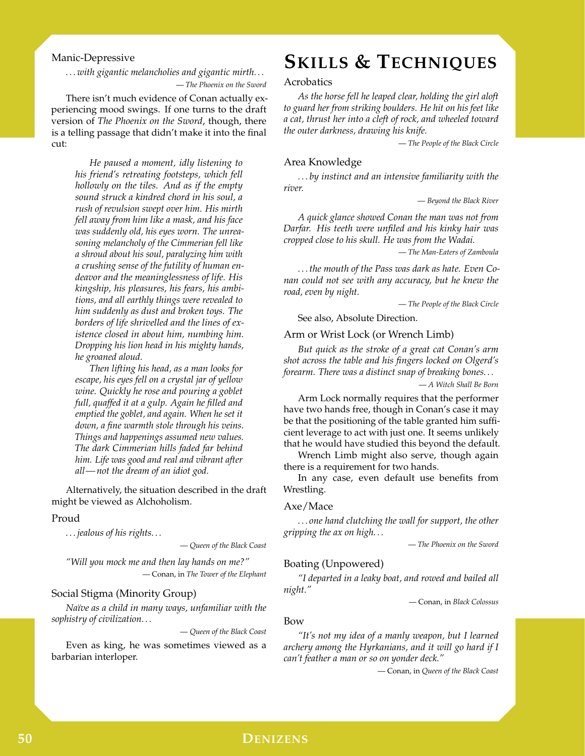#### Manic-Depressive

*. . . with gigantic melancholies and gigantic mirth. . .* — *The Phoenix on the Sword*

There isn't much evidence of Conan actually experiencing mood swings. If one turns to the draft version of *The Phoenix on the Sword*, though, there is a telling passage that didn't make it into the final cut:

> *He paused a moment, idly listening to his friend's retreating footsteps, which fell hollowly on the tiles. And as if the empty sound struck a kindred chord in his soul, a rush of revulsion swept over him. His mirth fell away from him like a mask, and his face was suddenly old, his eyes worn. The unreasoning melancholy of the Cimmerian fell like a shroud about his soul, paralyzing him with a crushing sense of the futility of human endeavor and the meaninglessness of life. His kingship, his pleasures, his fears, his ambitions, and all earthly things were revealed to him suddenly as dust and broken toys. The borders of life shrivelled and the lines of existence closed in about him, numbing him. Dropping his lion head in his mighty hands, he groaned aloud.*

> *Then lifting his head, as a man looks for escape, his eyes fell on a crystal jar of yellow wine. Quickly he rose and pouring a goblet full, quaffed it at a gulp. Again he filled and emptied the goblet, and again. When he set it down, a fine warmth stole through his veins. Things and happenings assumed new values. The dark Cimmerian hills faded far behind him. Life was good and real and vibrant after all— not the dream of an idiot god.*

Alternatively, the situation described in the draft might be viewed as Alchoholism.

#### Proud

*. . . jealous of his rights. . .*

— *Queen of the Black Coast*

*"Will you mock me and then lay hands on me?"* — Conan, in *The Tower of the Elephant*

#### Social Stigma (Minority Group)

*Naïve as a child in many ways, unfamiliar with the sophistry of civilization. . .*

— *Queen of the Black Coast*

Even as king, he was sometimes viewed as a barbarian interloper.

# **SKILLS & TECHNIQUES**

#### Acrobatics

*As the horse fell he leaped clear, holding the girl aloft to guard her from striking boulders. He hit on his feet like a cat, thrust her into a cleft of rock, and wheeled toward the outer darkness, drawing his knife.*

— *The People of the Black Circle*

#### Area Knowledge

*. . . by instinct and an intensive familiarity with the river.*

— *Beyond the Black River*

*A quick glance showed Conan the man was not from Darfar. His teeth were unfiled and his kinky hair was cropped close to his skull. He was from the Wadai.*

— *The Man-Eaters of Zamboula*

*. . . the mouth of the Pass was dark as hate. Even Conan could not see with any accuracy, but he knew the road, even by night.*

— *The People of the Black Circle*

See also, Absolute Direction.

#### Arm or Wrist Lock (or Wrench Limb)

*But quick as the stroke of a great cat Conan's arm shot across the table and his fingers locked on Olgerd's forearm. There was a distinct snap of breaking bones. . .*

— *A Witch Shall Be Born*

Arm Lock normally requires that the performer have two hands free, though in Conan's case it may be that the positioning of the table granted him sufficient leverage to act with just one. It seems unlikely that he would have studied this beyond the default.

Wrench Limb might also serve, though again there is a requirement for two hands.

In any case, even default use benefits from Wrestling.

#### Axe/Mace

*. . . one hand clutching the wall for support, the other gripping the ax on high. . .*

— *The Phoenix on the Sword*

#### Boating (Unpowered)

*"I departed in a leaky boat, and rowed and bailed all night."*

— Conan, in *Black Colossus*

#### Bow

*"It's not my idea of a manly weapon, but I learned archery among the Hyrkanians, and it will go hard if I can't feather a man or so on yonder deck."*

— Conan, in *Queen of the Black Coast*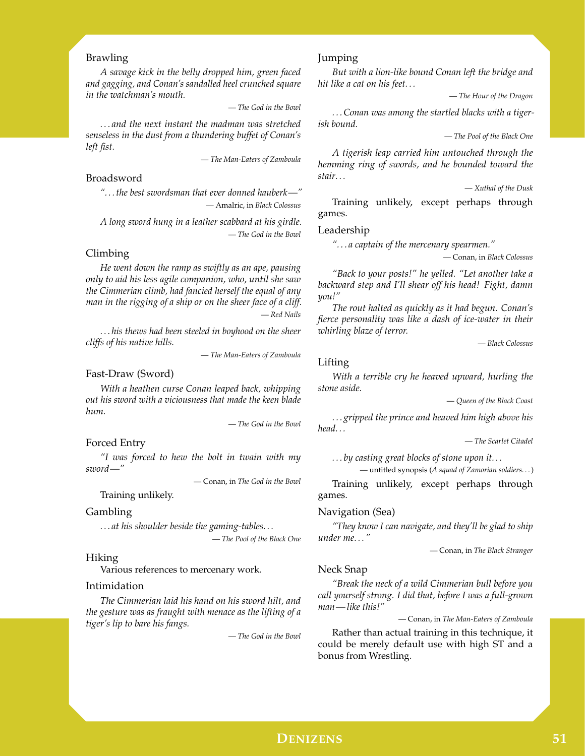#### Brawling

*A savage kick in the belly dropped him, green faced and gagging, and Conan's sandalled heel crunched square in the watchman's mouth.*

— *The God in the Bowl*

*. . . and the next instant the madman was stretched senseless in the dust from a thundering buffet of Conan's left fist.*

— *The Man-Eaters of Zamboula*

#### Broadsword

*". . . the best swordsman that ever donned hauberk—"* — Amalric, in *Black Colossus*

*A long sword hung in a leather scabbard at his girdle.* — *The God in the Bowl*

#### Climbing

*He went down the ramp as swiftly as an ape, pausing only to aid his less agile companion, who, until she saw the Cimmerian climb, had fancied herself the equal of any man in the rigging of a ship or on the sheer face of a cliff.* — *Red Nails*

*. . . his thews had been steeled in boyhood on the sheer cliffs of his native hills.*

— *The Man-Eaters of Zamboula*

#### Fast-Draw (Sword)

*With a heathen curse Conan leaped back, whipping out his sword with a viciousness that made the keen blade hum.*

— *The God in the Bowl*

#### Forced Entry

*"I was forced to hew the bolt in twain with my sword—"*

— Conan, in *The God in the Bowl*

#### Training unlikely.

#### Gambling

*. . . at his shoulder beside the gaming-tables. . .* — *The Pool of the Black One*

#### Hiking

Various references to mercenary work.

#### Intimidation

*The Cimmerian laid his hand on his sword hilt, and the gesture was as fraught with menace as the lifting of a tiger's lip to bare his fangs.*

— *The God in the Bowl*

#### Jumping

*But with a lion-like bound Conan left the bridge and hit like a cat on his feet. . .*

— *The Hour of the Dragon*

*. . . Conan was among the startled blacks with a tigerish bound.*

— *The Pool of the Black One*

*A tigerish leap carried him untouched through the hemming ring of swords, and he bounded toward the stair. . .*

— *Xuthal of the Dusk*

Training unlikely, except perhaps through games.

#### Leadership

*". . . a captain of the mercenary spearmen."*

— Conan, in *Black Colossus*

*"Back to your posts!" he yelled. "Let another take a backward step and I'll shear off his head! Fight, damn you!"*

*The rout halted as quickly as it had begun. Conan's fierce personality was like a dash of ice-water in their whirling blaze of terror.*

— *Black Colossus*

#### Lifting

*With a terrible cry he heaved upward, hurling the stone aside.*

— *Queen of the Black Coast*

*. . . gripped the prince and heaved him high above his head. . .*

— *The Scarlet Citadel*

*. . . by casting great blocks of stone upon it. . .*

— untitled synopsis (*A squad of Zamorian soldiers. . .*)

Training unlikely, except perhaps through games.

#### Navigation (Sea)

*"They know I can navigate, and they'll be glad to ship under me. . . "*

— Conan, in *The Black Stranger*

#### Neck Snap

*"Break the neck of a wild Cimmerian bull before you call yourself strong. I did that, before I was a full-grown man— like this!"*

— Conan, in *The Man-Eaters of Zamboula*

Rather than actual training in this technique, it could be merely default use with high ST and a bonus from Wrestling.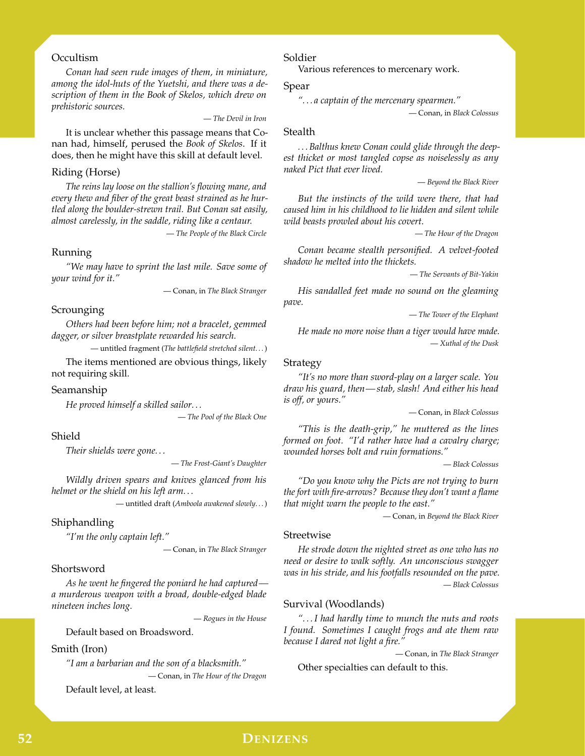#### **Occultism**

*Conan had seen rude images of them, in miniature, among the idol-huts of the Yuetshi, and there was a description of them in the Book of Skelos, which drew on prehistoric sources.*

#### — *The Devil in Iron*

It is unclear whether this passage means that Conan had, himself, perused the *Book of Skelos*. If it does, then he might have this skill at default level.

#### Riding (Horse)

*The reins lay loose on the stallion's flowing mane, and every thew and fiber of the great beast strained as he hurtled along the boulder-strewn trail. But Conan sat easily, almost carelessly, in the saddle, riding like a centaur.*

— *The People of the Black Circle*

#### Running

*"We may have to sprint the last mile. Save some of your wind for it."*

— Conan, in *The Black Stranger*

#### Scrounging

*Others had been before him; not a bracelet, gemmed dagger, or silver breastplate rewarded his search.*

— untitled fragment (*The battlefield stretched silent. . .*)

The items mentioned are obvious things, likely not requiring skill.

#### Seamanship

*He proved himself a skilled sailor. . .*

— *The Pool of the Black One*

#### Shield

*Their shields were gone. . .*

— *The Frost-Giant's Daughter*

*Wildly driven spears and knives glanced from his helmet or the shield on his left arm. . .*

— untitled draft (*Amboola awakened slowly. . .*)

#### Shiphandling

*"I'm the only captain left."*

— Conan, in *The Black Stranger*

#### Shortsword

*As he went he fingered the poniard he had captured a murderous weapon with a broad, double-edged blade nineteen inches long.*

— *Rogues in the House*

Default based on Broadsword.

#### Smith (Iron)

*"I am a barbarian and the son of a blacksmith."* — Conan, in *The Hour of the Dragon*

Default level, at least.

#### Soldier

Various references to mercenary work.

#### Spear

*". . . a captain of the mercenary spearmen."*

— Conan, in *Black Colossus*

#### Stealth

*. . . Balthus knew Conan could glide through the deepest thicket or most tangled copse as noiselessly as any naked Pict that ever lived.*

— *Beyond the Black River*

*But the instincts of the wild were there, that had caused him in his childhood to lie hidden and silent while wild beasts prowled about his covert.*

— *The Hour of the Dragon*

*Conan became stealth personified. A velvet-footed shadow he melted into the thickets.*

— *The Servants of Bit-Yakin*

*His sandalled feet made no sound on the gleaming pave.*

— *The Tower of the Elephant*

*He made no more noise than a tiger would have made.* — *Xuthal of the Dusk*

#### Strategy

*"It's no more than sword-play on a larger scale. You draw his guard, then—stab, slash! And either his head is off, or yours."*

— Conan, in *Black Colossus*

*"This is the death-grip," he muttered as the lines formed on foot. "I'd rather have had a cavalry charge; wounded horses bolt and ruin formations."*

— *Black Colossus*

*"Do you know why the Picts are not trying to burn the fort with fire-arrows? Because they don't want a flame that might warn the people to the east."*

— Conan, in *Beyond the Black River*

#### Streetwise

*He strode down the nighted street as one who has no need or desire to walk softly. An unconscious swagger was in his stride, and his footfalls resounded on the pave.* — *Black Colossus*

#### Survival (Woodlands)

*". . . I had hardly time to munch the nuts and roots I found. Sometimes I caught frogs and ate them raw because I dared not light a fire."*

— Conan, in *The Black Stranger*

Other specialties can default to this.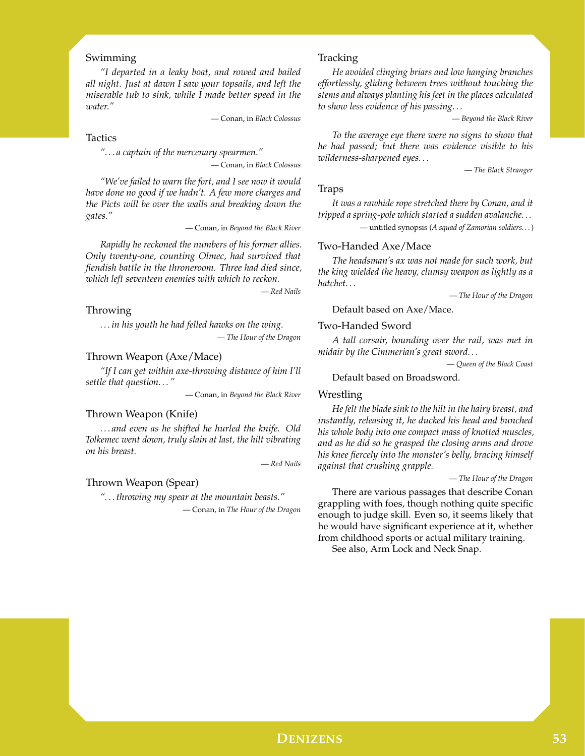#### Swimming

*"I departed in a leaky boat, and rowed and bailed all night. Just at dawn I saw your topsails, and left the miserable tub to sink, while I made better speed in the water."*

— Conan, in *Black Colossus*

Tactics

*". . . a captain of the mercenary spearmen."*

— Conan, in *Black Colossus*

*"We've failed to warn the fort, and I see now it would have done no good if we hadn't. A few more charges and the Picts will be over the walls and breaking down the gates."*

— Conan, in *Beyond the Black River*

*Rapidly he reckoned the numbers of his former allies. Only twenty-one, counting Olmec, had survived that fiendish battle in the throneroom. Three had died since, which left seventeen enemies with which to reckon.*

— *Red Nails*

#### Throwing

*. . . in his youth he had felled hawks on the wing.*

— *The Hour of the Dragon*

#### Thrown Weapon (Axe/Mace)

*"If I can get within axe-throwing distance of him I'll settle that question. . . "*

— Conan, in *Beyond the Black River*

#### Thrown Weapon (Knife)

*. . . and even as he shifted he hurled the knife. Old Tolkemec went down, truly slain at last, the hilt vibrating on his breast.*

— *Red Nails*

#### Thrown Weapon (Spear)

*". . . throwing my spear at the mountain beasts."* — Conan, in *The Hour of the Dragon*

#### Tracking

*He avoided clinging briars and low hanging branches effortlessly, gliding between trees without touching the stems and always planting his feet in the places calculated to show less evidence of his passing. . .*

— *Beyond the Black River*

*To the average eye there were no signs to show that he had passed; but there was evidence visible to his wilderness-sharpened eyes. . .*

— *The Black Stranger*

#### Traps

*It was a rawhide rope stretched there by Conan, and it tripped a spring-pole which started a sudden avalanche. . .*

— untitled synopsis (*A squad of Zamorian soldiers. . .*)

#### Two-Handed Axe/Mace

*The headsman's ax was not made for such work, but the king wielded the heavy, clumsy weapon as lightly as a hatchet. . .*

— *The Hour of the Dragon*

Default based on Axe/Mace.

#### Two-Handed Sword

*A tall corsair, bounding over the rail, was met in midair by the Cimmerian's great sword. . .*

— *Queen of the Black Coast*

Default based on Broadsword.

#### Wrestling

*He felt the blade sink to the hilt in the hairy breast, and instantly, releasing it, he ducked his head and bunched his whole body into one compact mass of knotted muscles, and as he did so he grasped the closing arms and drove his knee fiercely into the monster's belly, bracing himself against that crushing grapple.*

— *The Hour of the Dragon*

There are various passages that describe Conan grappling with foes, though nothing quite specific enough to judge skill. Even so, it seems likely that he would have significant experience at it, whether from childhood sports or actual military training. See also, Arm Lock and Neck Snap.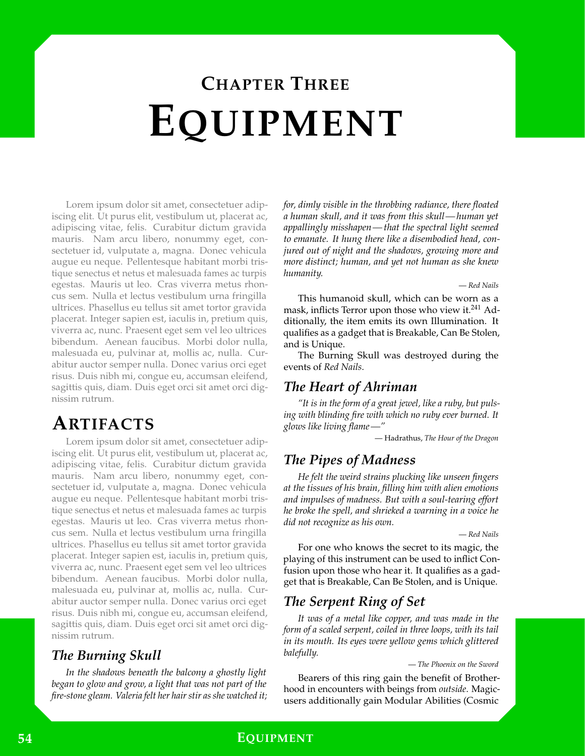# **CHAPTER THREE EQUIPMENT**

Lorem ipsum dolor sit amet, consectetuer adipiscing elit. Ut purus elit, vestibulum ut, placerat ac, adipiscing vitae, felis. Curabitur dictum gravida mauris. Nam arcu libero, nonummy eget, consectetuer id, vulputate a, magna. Donec vehicula augue eu neque. Pellentesque habitant morbi tristique senectus et netus et malesuada fames ac turpis egestas. Mauris ut leo. Cras viverra metus rhoncus sem. Nulla et lectus vestibulum urna fringilla ultrices. Phasellus eu tellus sit amet tortor gravida placerat. Integer sapien est, iaculis in, pretium quis, viverra ac, nunc. Praesent eget sem vel leo ultrices bibendum. Aenean faucibus. Morbi dolor nulla, malesuada eu, pulvinar at, mollis ac, nulla. Curabitur auctor semper nulla. Donec varius orci eget risus. Duis nibh mi, congue eu, accumsan eleifend, sagittis quis, diam. Duis eget orci sit amet orci dignissim rutrum.

# **ARTIFACTS**

Lorem ipsum dolor sit amet, consectetuer adipiscing elit. Ut purus elit, vestibulum ut, placerat ac, adipiscing vitae, felis. Curabitur dictum gravida mauris. Nam arcu libero, nonummy eget, consectetuer id, vulputate a, magna. Donec vehicula augue eu neque. Pellentesque habitant morbi tristique senectus et netus et malesuada fames ac turpis egestas. Mauris ut leo. Cras viverra metus rhoncus sem. Nulla et lectus vestibulum urna fringilla ultrices. Phasellus eu tellus sit amet tortor gravida placerat. Integer sapien est, iaculis in, pretium quis, viverra ac, nunc. Praesent eget sem vel leo ultrices bibendum. Aenean faucibus. Morbi dolor nulla, malesuada eu, pulvinar at, mollis ac, nulla. Curabitur auctor semper nulla. Donec varius orci eget risus. Duis nibh mi, congue eu, accumsan eleifend, sagittis quis, diam. Duis eget orci sit amet orci dignissim rutrum.

## *The Burning Skull*

*In the shadows beneath the balcony a ghostly light began to glow and grow, a light that was not part of the fire-stone gleam. Valeria felt her hair stir as she watched it;* *for, dimly visible in the throbbing radiance, there floated a human skull, and it was from this skull—human yet appallingly misshapen— that the spectral light seemed to emanate. It hung there like a disembodied head, conjured out of night and the shadows, growing more and more distinct; human, and yet not human as she knew humanity.*

— *Red Nails*

This humanoid skull, which can be worn as a mask, inflicts Terror upon those who view it.<sup>[241](#page-86-9)</sup> Additionally, the item emits its own Illumination. It qualifies as a gadget that is Breakable, Can Be Stolen, and is Unique.

The Burning Skull was destroyed during the events of *Red Nails*.

## *The Heart of Ahriman*

*"It is in the form of a great jewel, like a ruby, but pulsing with blinding fire with which no ruby ever burned. It glows like living flame—"*

— Hadrathus, *The Hour of the Dragon*

## *The Pipes of Madness*

*He felt the weird strains plucking like unseen fingers at the tissues of his brain, filling him with alien emotions and impulses of madness. But with a soul-tearing effort he broke the spell, and shrieked a warning in a voice he did not recognize as his own.*

— *Red Nails*

For one who knows the secret to its magic, the playing of this instrument can be used to inflict Confusion upon those who hear it. It qualifies as a gadget that is Breakable, Can Be Stolen, and is Unique.

## *The Serpent Ring of Set*

*It was of a metal like copper, and was made in the form of a scaled serpent, coiled in three loops, with its tail in its mouth. Its eyes were yellow gems which glittered balefully.*

— *The Phoenix on the Sword*

Bearers of this ring gain the benefit of Brotherhood in encounters with beings from *outside*. Magicusers additionally gain Modular Abilities (Cosmic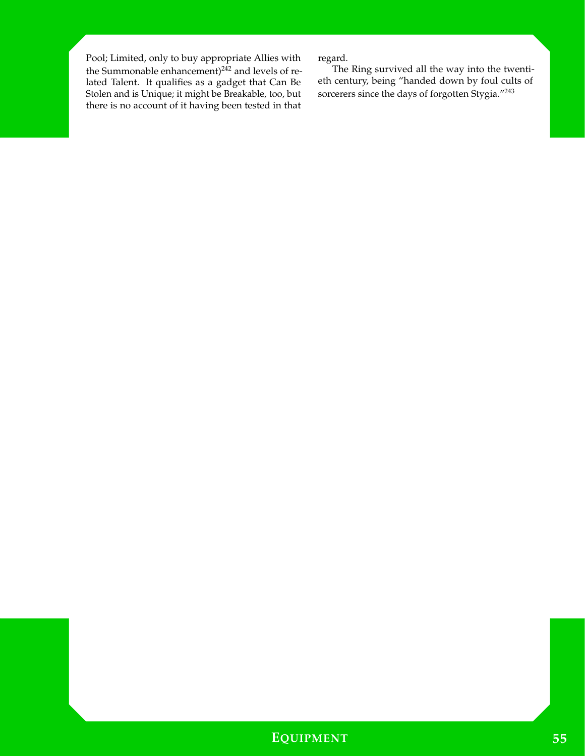Pool; Limited, only to buy appropriate Allies with the Summonable enhancement) $^{242}$  $^{242}$  $^{242}$  and levels of related Talent. It qualifies as a gadget that Can Be Stolen and is Unique; it might be Breakable, too, but there is no account of it having been tested in that

regard.

The Ring survived all the way into the twentieth century, being "handed down by foul cults of sorcerers since the days of forgotten Stygia."[243](#page-86-11)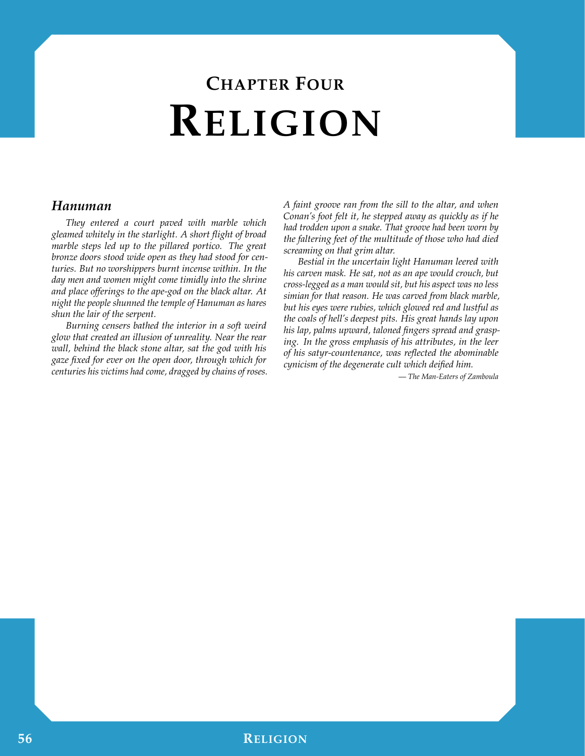# **CHAPTER FOUR RELIGION**

## *Hanuman*

*They entered a court paved with marble which gleamed whitely in the starlight. A short flight of broad marble steps led up to the pillared portico. The great bronze doors stood wide open as they had stood for centuries. But no worshippers burnt incense within. In the day men and women might come timidly into the shrine and place offerings to the ape-god on the black altar. At night the people shunned the temple of Hanuman as hares shun the lair of the serpent.*

*Burning censers bathed the interior in a soft weird glow that created an illusion of unreality. Near the rear wall, behind the black stone altar, sat the god with his gaze fixed for ever on the open door, through which for centuries his victims had come, dragged by chains of roses.* *A faint groove ran from the sill to the altar, and when Conan's foot felt it, he stepped away as quickly as if he had trodden upon a snake. That groove had been worn by the faltering feet of the multitude of those who had died screaming on that grim altar.*

*Bestial in the uncertain light Hanuman leered with his carven mask. He sat, not as an ape would crouch, but cross-legged as a man would sit, but his aspect was no less simian for that reason. He was carved from black marble, but his eyes were rubies, which glowed red and lustful as the coals of hell's deepest pits. His great hands lay upon his lap, palms upward, taloned fingers spread and grasping. In the gross emphasis of his attributes, in the leer of his satyr-countenance, was reflected the abominable cynicism of the degenerate cult which deified him.*

— *The Man-Eaters of Zamboula*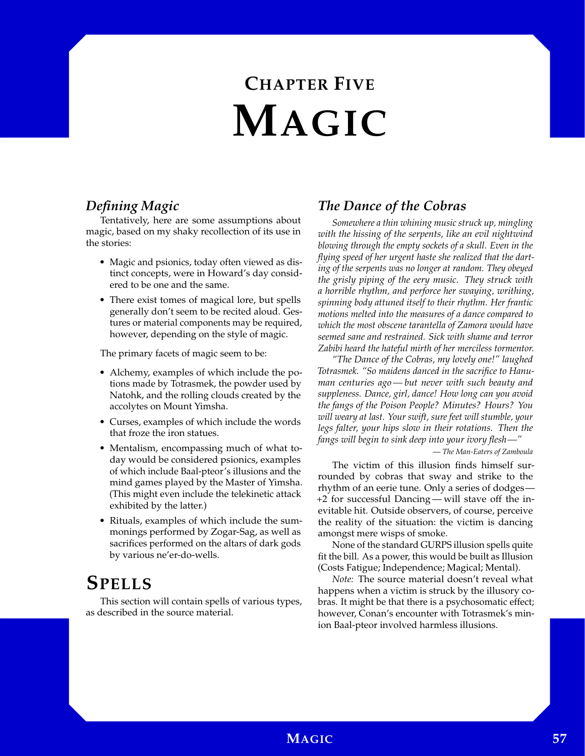# **CHAPTER FIVE MAGIC**

## *Defining Magic*

Tentatively, here are some assumptions about magic, based on my shaky recollection of its use in the stories:

- Magic and psionics, today often viewed as distinct concepts, were in Howard's day considered to be one and the same.
- There exist tomes of magical lore, but spells generally don't seem to be recited aloud. Gestures or material components may be required, however, depending on the style of magic.

The primary facets of magic seem to be:

- Alchemy, examples of which include the potions made by Totrasmek, the powder used by Natohk, and the rolling clouds created by the accolytes on Mount Yimsha.
- Curses, examples of which include the words that froze the iron statues.
- Mentalism, encompassing much of what today would be considered psionics, examples of which include Baal-pteor's illusions and the mind games played by the Master of Yimsha. (This might even include the telekinetic attack exhibited by the latter.)
- Rituals, examples of which include the summonings performed by Zogar-Sag, as well as sacrifices performed on the altars of dark gods by various ne'er-do-wells.

## **SPELLS**

This section will contain spells of various types, as described in the source material.

## *The Dance of the Cobras*

*Somewhere a thin whining music struck up, mingling with the hissing of the serpents, like an evil nightwind blowing through the empty sockets of a skull. Even in the flying speed of her urgent haste she realized that the darting of the serpents was no longer at random. They obeyed the grisly piping of the eery music. They struck with a horrible rhythm, and perforce her swaying, writhing, spinning body attuned itself to their rhythm. Her frantic motions melted into the measures of a dance compared to which the most obscene tarantella of Zamora would have seemed sane and restrained. Sick with shame and terror Zabibi heard the hateful mirth of her merciless tormentor.*

*"The Dance of the Cobras, my lovely one!" laughed Totrasmek. "So maidens danced in the sacrifice to Hanuman centuries ago— but never with such beauty and suppleness. Dance, girl, dance! How long can you avoid the fangs of the Poison People? Minutes? Hours? You will weary at last. Your swift, sure feet will stumble, your legs falter, your hips slow in their rotations. Then the fangs will begin to sink deep into your ivory flesh—"*

— *The Man-Eaters of Zamboula*

The victim of this illusion finds himself surrounded by cobras that sway and strike to the rhythm of an eerie tune. Only a series of dodges— +2 for successful Dancing — will stave off the inevitable hit. Outside observers, of course, perceive the reality of the situation: the victim is dancing amongst mere wisps of smoke.

None of the standard GURPS illusion spells quite fit the bill. As a power, this would be built as Illusion (Costs Fatigue; Independence; Magical; Mental).

*Note:* The source material doesn't reveal what happens when a victim is struck by the illusory cobras. It might be that there is a psychosomatic effect; however, Conan's encounter with Totrasmek's minion Baal-pteor involved harmless illusions.

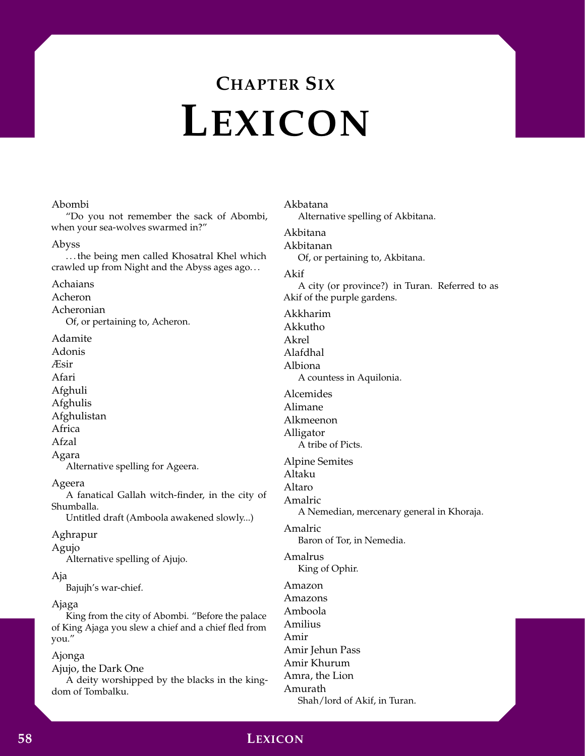# **CHAPTER SIX LEXICON**

#### Abombi

"Do you not remember the sack of Abombi, when your sea-wolves swarmed in?"

#### Abyss

. . . the being men called Khosatral Khel which crawled up from Night and the Abyss ages ago. . .

Achaians

Acheron

Acheronian

Of, or pertaining to, Acheron.

Adamite Adonis Æsir Afari Afghuli Afghulis Afghulistan Africa Afzal Agara

Alternative spelling for Ageera.

#### Ageera

A fanatical Gallah witch-finder, in the city of Shumballa.

Untitled draft (Amboola awakened slowly...)

#### Aghrapur

Agujo

Alternative spelling of Ajujo.

#### Aja

Bajujh's war-chief.

#### Ajaga

King from the city of Abombi. "Before the palace of King Ajaga you slew a chief and a chief fled from you."

#### Ajonga

Ajujo, the Dark One

A deity worshipped by the blacks in the kingdom of Tombalku.

#### Akbatana

Alternative spelling of Akbitana.

#### Akbitana

Akbitanan

Of, or pertaining to, Akbitana.

#### Akif

A city (or province?) in Turan. Referred to as Akif of the purple gardens.

Akkharim Akkutho Akrel Alafdhal Albiona A countess in Aquilonia. Alcemides Alimane Alkmeenon Alligator A tribe of Picts. Alpine Semites Altaku Altaro Amalric A Nemedian, mercenary general in Khoraja. Amalric Baron of Tor, in Nemedia. Amalrus King of Ophir. Amazon Amazons Amboola Amilius Amir Amir Jehun Pass Amir Khurum Amra, the Lion Amurath

Shah/lord of Akif, in Turan.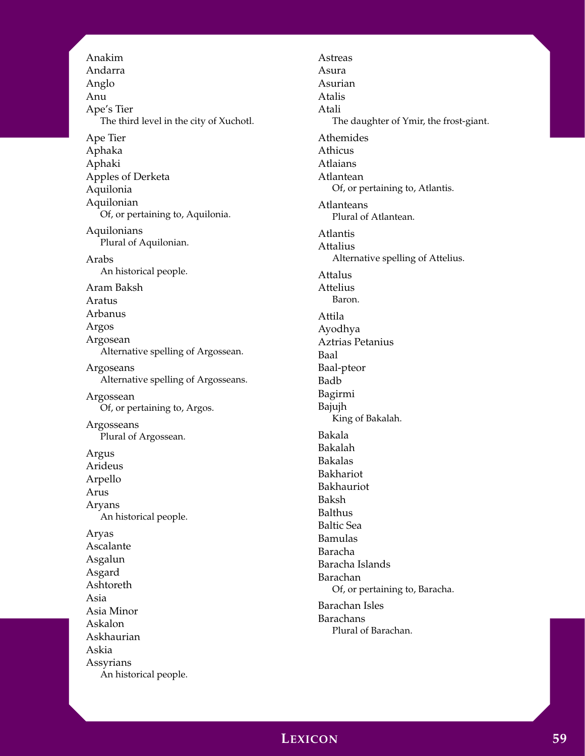Anakim Andarra Anglo Anu Ape's Tier The third level in the city of Xuchotl. Ape Tier Aphaka Aphaki Apples of Derketa Aquilonia Aquilonian Of, or pertaining to, Aquilonia. Aquilonians Plural of Aquilonian. Arabs An historical people. Aram Baksh Aratus Arbanus Argos Argosean Alternative spelling of Argossean. Argoseans Alternative spelling of Argosseans. Argossean Of, or pertaining to, Argos. Argosseans Plural of Argossean. Argus Arideus Arpello Arus Aryans An historical people. Aryas Ascalante Asgalun Asgard Ashtoreth Asia Asia Minor Askalon Askhaurian Askia Assyrians An historical people.

Astreas Asura Asurian Atalis Atali The daughter of Ymir, the frost-giant. Athemides Athicus Atlaians Atlantean Of, or pertaining to, Atlantis. Atlanteans Plural of Atlantean. Atlantis Attalius Alternative spelling of Attelius. Attalus Attelius Baron. Attila Ayodhya Aztrias Petanius Baal Baal-pteor Badb Bagirmi Bajujh King of Bakalah. Bakala Bakalah Bakalas Bakhariot Bakhauriot Baksh Balthus Baltic Sea Bamulas Baracha Baracha Islands Barachan Of, or pertaining to, Baracha. Barachan Isles Barachans Plural of Barachan.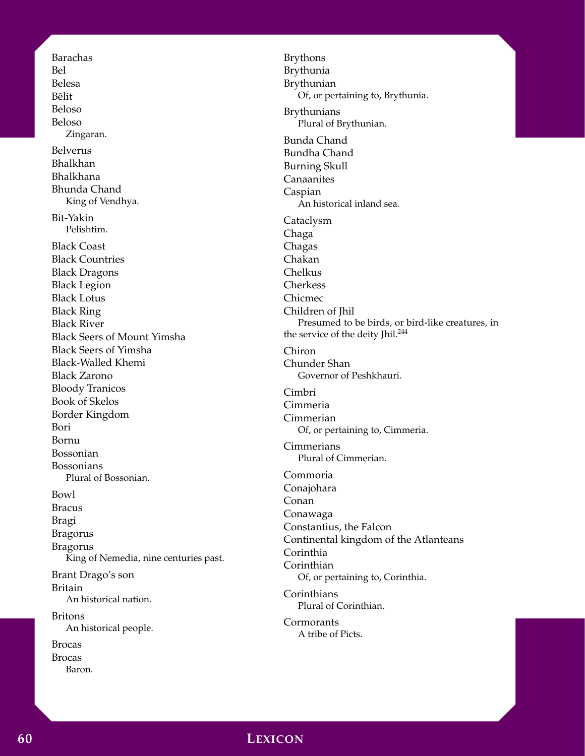Barachas Bel Belesa Bêlit Beloso Beloso Zingaran. Belverus Bhalkhan Bhalkhana Bhunda Chand King of Vendhya. Bit-Yakin Pelishtim. Black Coast Black Countries Black Dragons Black Legion Black Lotus Black Ring Black River Black Seers of Mount Yimsha Black Seers of Yimsha Black-Walled Khemi Black Zarono Bloody Tranicos Book of Skelos Border Kingdom Bori Bornu Bossonian Bossonians Plural of Bossonian. Bowl Bracus Bragi Bragorus Bragorus King of Nemedia, nine centuries past. Brant Drago's son Britain An historical nation. Britons An historical people. Brocas Brocas Baron.

Brythons Brythunia Brythunian Of, or pertaining to, Brythunia. Brythunians Plural of Brythunian. Bunda Chand Bundha Chand Burning Skull Canaanites Caspian An historical inland sea. Cataclysm Chaga Chagas Chakan Chelkus Cherkess Chicmec Children of Jhil Presumed to be birds, or bird-like creatures, in the service of the deity Jhil.<sup>[244](#page-86-12)</sup> Chiron Chunder Shan Governor of Peshkhauri. Cimbri Cimmeria Cimmerian Of, or pertaining to, Cimmeria. Cimmerians Plural of Cimmerian. Commoria Conajohara Conan Conawaga Constantius, the Falcon Continental kingdom of the Atlanteans Corinthia Corinthian Of, or pertaining to, Corinthia. Corinthians Plural of Corinthian. **Cormorants** 

A tribe of Picts.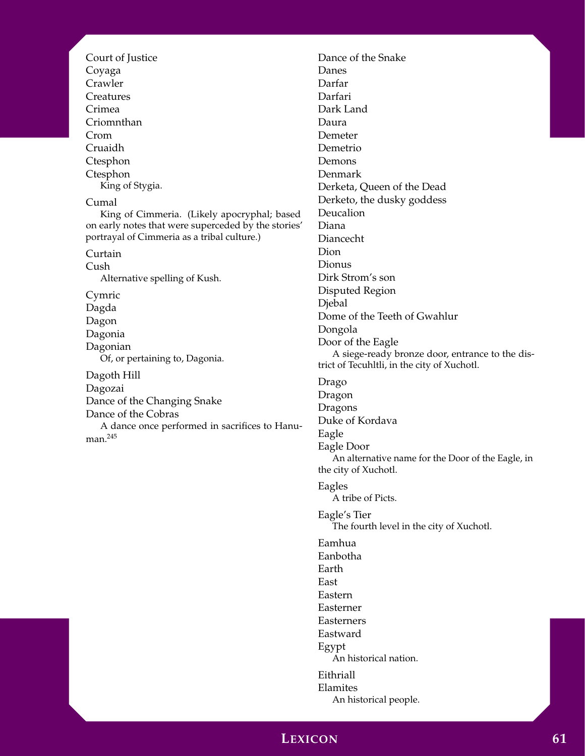Court of Justice Coyaga Crawler **Creatures** Crimea Criomnthan Crom Cruaidh Ctesphon Ctesphon King of Stygia. Cumal King of Cimmeria. (Likely apocryphal; based on early notes that were superceded by the stories' portrayal of Cimmeria as a tribal culture.) Curtain Cush Alternative spelling of Kush. Cymric Dagda Dagon Dagonia Dagonian Of, or pertaining to, Dagonia. Dagoth Hill Dagozai Dance of the Changing Snake Dance of the Cobras A dance once performed in sacrifices to Hanu-man.<sup>[245](#page-86-13)</sup>

Dance of the Snake Danes Darfar Darfari Dark Land Daura Demeter Demetrio Demons Denmark Derketa, Queen of the Dead Derketo, the dusky goddess Deucalion Diana Diancecht Dion Dionus Dirk Strom's son Disputed Region Djebal Dome of the Teeth of Gwahlur Dongola Door of the Eagle A siege-ready bronze door, entrance to the district of Tecuhltli, in the city of Xuchotl. Drago Dragon Dragons Duke of Kordava Eagle Eagle Door An alternative name for the Door of the Eagle, in the city of Xuchotl. Eagles A tribe of Picts. Eagle's Tier The fourth level in the city of Xuchotl. Eamhua Eanbotha Earth East Eastern Easterner Easterners Eastward Egypt An historical nation. Eithriall Elamites

## **LEXICON 61**

An historical people.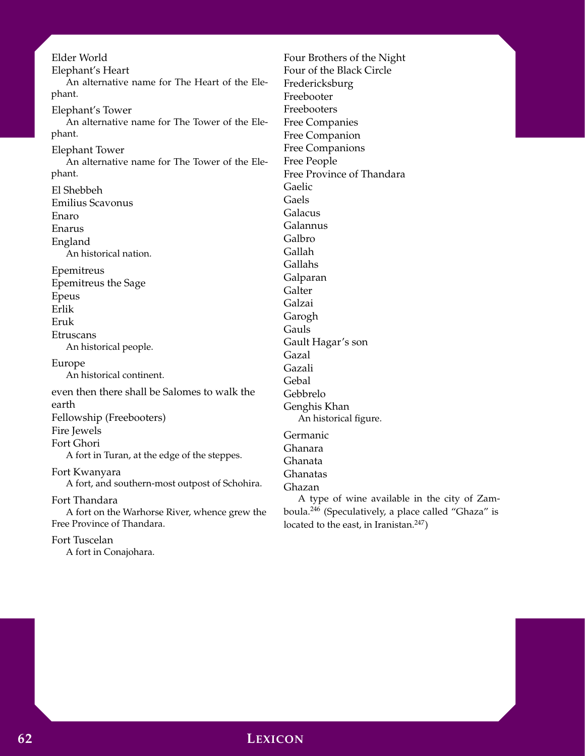| Elder World                                    | Four Brothers of the Night                                      |
|------------------------------------------------|-----------------------------------------------------------------|
| Elephant's Heart                               | Four of the Black Circle                                        |
| An alternative name for The Heart of the Ele-  | Fredericksburg                                                  |
| phant.                                         | Freebooter                                                      |
| Elephant's Tower                               | Freebooters                                                     |
| An alternative name for The Tower of the Ele-  | Free Companies                                                  |
| phant.                                         | Free Companion                                                  |
| Elephant Tower                                 | Free Companions                                                 |
| An alternative name for The Tower of the Ele-  | Free People                                                     |
| phant.                                         | Free Province of Thandara                                       |
| El Shebbeh                                     | Gaelic                                                          |
| <b>Emilius Scavonus</b>                        | Gaels                                                           |
| Enaro                                          | Galacus                                                         |
| Enarus                                         | Galannus                                                        |
| England                                        | Galbro                                                          |
| An historical nation.                          | Gallah                                                          |
|                                                | Gallahs                                                         |
| Epemitreus                                     | Galparan                                                        |
| <b>Epemitreus the Sage</b>                     | Galter                                                          |
| Epeus                                          | Galzai                                                          |
| Erlik                                          | Garogh                                                          |
| Eruk                                           | Gauls                                                           |
| Etruscans                                      | Gault Hagar's son                                               |
| An historical people.                          | Gazal                                                           |
| Europe                                         | Gazali                                                          |
| An historical continent.                       | Gebal                                                           |
| even then there shall be Salomes to walk the   | Gebbrelo                                                        |
| earth                                          | Genghis Khan                                                    |
| Fellowship (Freebooters)                       | An historical figure.                                           |
| Fire Jewels                                    |                                                                 |
| Fort Ghori                                     | Germanic                                                        |
| A fort in Turan, at the edge of the steppes.   | Ghanara                                                         |
| Fort Kwanyara                                  | Ghanata                                                         |
| A fort, and southern-most outpost of Schohira. | Ghanatas                                                        |
|                                                | Ghazan                                                          |
| Fort Thandara                                  | A type of wine available in the city of Zam-                    |
| A fort on the Warhorse River, whence grew the  | boula. <sup>246</sup> (Speculatively, a place called "Ghaza" is |
| Free Province of Thandara.                     | located to the east, in Iranistan. <sup>247</sup> )             |
| Fort Tuscelan                                  |                                                                 |
| A fort in Conajohara.                          |                                                                 |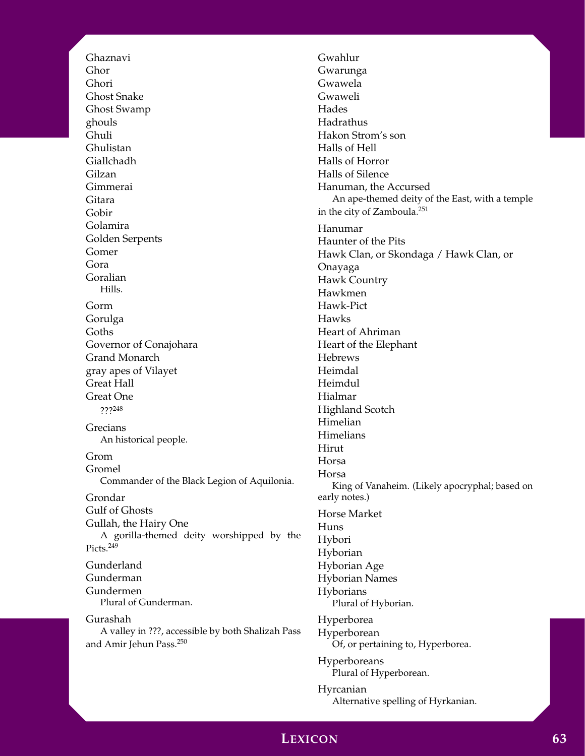Ghaznavi Ghor Ghori Ghost Snake Ghost Swamp ghouls Ghuli Ghulistan Giallchadh Gilzan Gimmerai Gitara Gobir Golamira Golden Serpents Gomer Gora Goralian Hills. Gorm Gorulga Goths Governor of Conajohara Grand Monarch gray apes of Vilayet Great Hall Great One ???[248](#page-86-16) Grecians An historical people. Grom Gromel Commander of the Black Legion of Aquilonia. Grondar Gulf of Ghosts Gullah, the Hairy One A gorilla-themed deity worshipped by the Picts.<sup>[249](#page-86-17)</sup> Gunderland Gunderman Gundermen Plural of Gunderman. Gurashah A valley in ???, accessible by both Shalizah Pass and Amir Jehun Pass.<sup>[250](#page-86-18)</sup>

Gwahlur Gwarunga Gwawela Gwaweli Hades Hadrathus Hakon Strom's son Halls of Hell Halls of Horror Halls of Silence Hanuman, the Accursed An ape-themed deity of the East, with a temple in the city of Zamboula.[251](#page-86-19) Hanumar Haunter of the Pits Hawk Clan, or Skondaga / Hawk Clan, or Onayaga Hawk Country Hawkmen Hawk-Pict Hawks Heart of Ahriman Heart of the Elephant Hebrews Heimdal Heimdul Hialmar Highland Scotch Himelian Himelians Hirut Horsa Horsa King of Vanaheim. (Likely apocryphal; based on early notes.) Horse Market Huns Hybori Hyborian Hyborian Age Hyborian Names Hyborians Plural of Hyborian. Hyperborea Hyperborean Of, or pertaining to, Hyperborea. Hyperboreans Plural of Hyperborean. Hyrcanian Alternative spelling of Hyrkanian.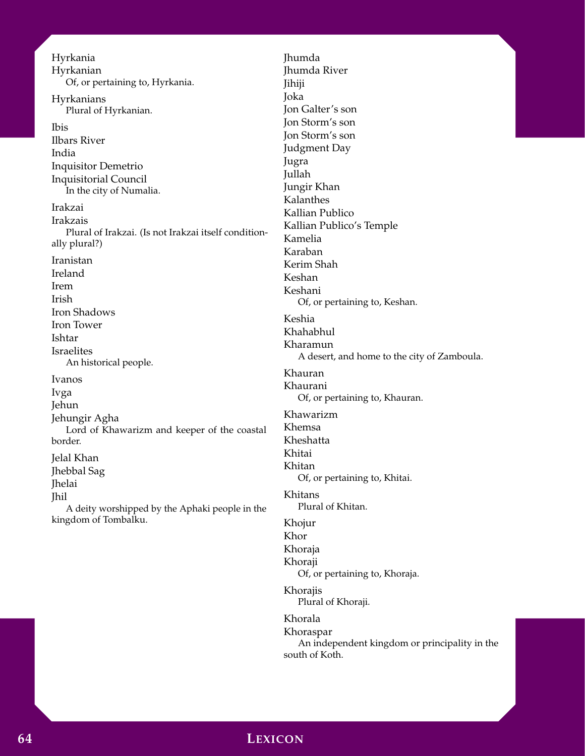Hyrkania Hyrkanian Of, or pertaining to, Hyrkania. Hyrkanians Plural of Hyrkanian. Ibis Ilbars River India Inquisitor Demetrio Inquisitorial Council In the city of Numalia. Irakzai Irakzais Plural of Irakzai. (Is not Irakzai itself conditionally plural?) Iranistan Ireland Irem Irish Iron Shadows Iron Tower Ishtar Israelites An historical people. Ivanos Ivga Jehun Jehungir Agha Lord of Khawarizm and keeper of the coastal border. Jelal Khan Jhebbal Sag Jhelai Jhil A deity worshipped by the Aphaki people in the kingdom of Tombalku.

Jhumda Jhumda River Jihiji Joka Jon Galter's son Jon Storm's son Jon Storm's son Judgment Day Jugra Jullah Jungir Khan Kalanthes Kallian Publico Kallian Publico's Temple Kamelia Karaban Kerim Shah Keshan Keshani Of, or pertaining to, Keshan. Keshia Khahabhul Kharamun A desert, and home to the city of Zamboula. Khauran Khaurani Of, or pertaining to, Khauran. Khawarizm Khemsa Kheshatta Khitai Khitan Of, or pertaining to, Khitai. Khitans Plural of Khitan. Khojur Khor Khoraja Khoraji Of, or pertaining to, Khoraja. Khorajis Plural of Khoraji. Khorala Khoraspar An independent kingdom or principality in the south of Koth.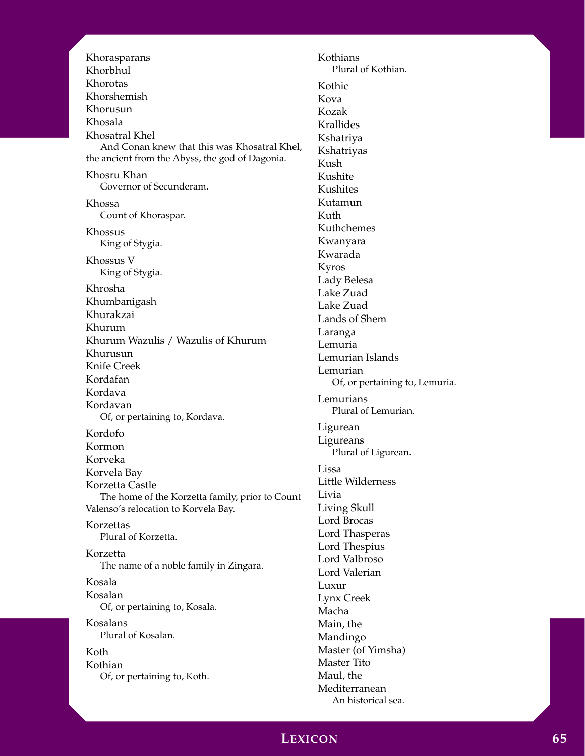Khorasparans Khorbhul Khorotas Khorshemish Khorusun Khosala Khosatral Khel And Conan knew that this was Khosatral Khel, the ancient from the Abyss, the god of Dagonia. Khosru Khan Governor of Secunderam. Khossa Count of Khoraspar. Khossus King of Stygia. Khossus V King of Stygia. Khrosha Khumbanigash Khurakzai Khurum Khurum Wazulis / Wazulis of Khurum Khurusun Knife Creek Kordafan Kordava Kordavan Of, or pertaining to, Kordava. Kordofo Kormon Korveka Korvela Bay Korzetta Castle The home of the Korzetta family, prior to Count Valenso's relocation to Korvela Bay. Korzettas Plural of Korzetta. Korzetta The name of a noble family in Zingara. Kosala Kosalan Of, or pertaining to, Kosala. Kosalans Plural of Kosalan. Koth Kothian Of, or pertaining to, Koth.

Kothians Plural of Kothian. Kothic Kova Kozak Krallides Kshatriya Kshatriyas Kush Kushite Kushites Kutamun Kuth Kuthchemes Kwanyara Kwarada Kyros Lady Belesa Lake Zuad Lake Zuad Lands of Shem Laranga Lemuria Lemurian Islands Lemurian Of, or pertaining to, Lemuria. Lemurians Plural of Lemurian. Ligurean Ligureans Plural of Ligurean. Lissa Little Wilderness Livia Living Skull Lord Brocas Lord Thasperas Lord Thespius Lord Valbroso Lord Valerian Luxur Lynx Creek Macha Main, the Mandingo Master (of Yimsha) Master Tito Maul, the Mediterranean An historical sea.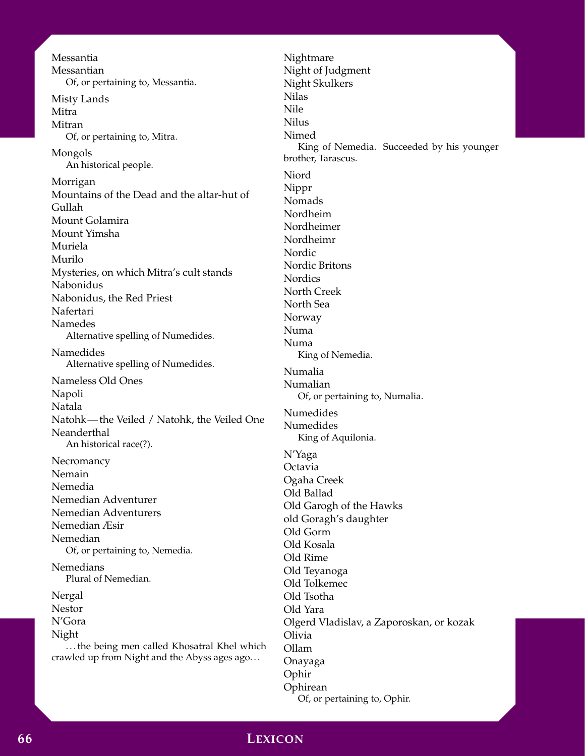Messantia Messantian Of, or pertaining to, Messantia. Misty Lands Mitra Mitran Of, or pertaining to, Mitra. Mongols An historical people. Morrigan Mountains of the Dead and the altar-hut of Gullah Mount Golamira Mount Yimsha Muriela Murilo Mysteries, on which Mitra's cult stands Nabonidus Nabonidus, the Red Priest Nafertari Namedes Alternative spelling of Numedides. Namedides Alternative spelling of Numedides. Nameless Old Ones Napoli Natala Natohk— the Veiled / Natohk, the Veiled One Neanderthal An historical race(?). **Necromancy** Nemain Nemedia Nemedian Adventurer Nemedian Adventurers Nemedian Æsir Nemedian Of, or pertaining to, Nemedia. Nemedians Plural of Nemedian. Nergal Nestor N'Gora Night . . . the being men called Khosatral Khel which crawled up from Night and the Abyss ages ago. . .

Nightmare Night of Judgment Night Skulkers Nilas Nile Nilus Nimed King of Nemedia. Succeeded by his younger brother, Tarascus. Niord Nippr Nomads Nordheim Nordheimer Nordheimr Nordic Nordic Britons Nordics North Creek North Sea Norway Numa Numa King of Nemedia. Numalia Numalian Of, or pertaining to, Numalia. Numedides Numedides King of Aquilonia. N'Yaga Octavia Ogaha Creek Old Ballad Old Garogh of the Hawks old Goragh's daughter Old Gorm Old Kosala Old Rime Old Teyanoga Old Tolkemec Old Tsotha Old Yara Olgerd Vladislav, a Zaporoskan, or kozak Olivia Ollam Onayaga Ophir Ophirean Of, or pertaining to, Ophir.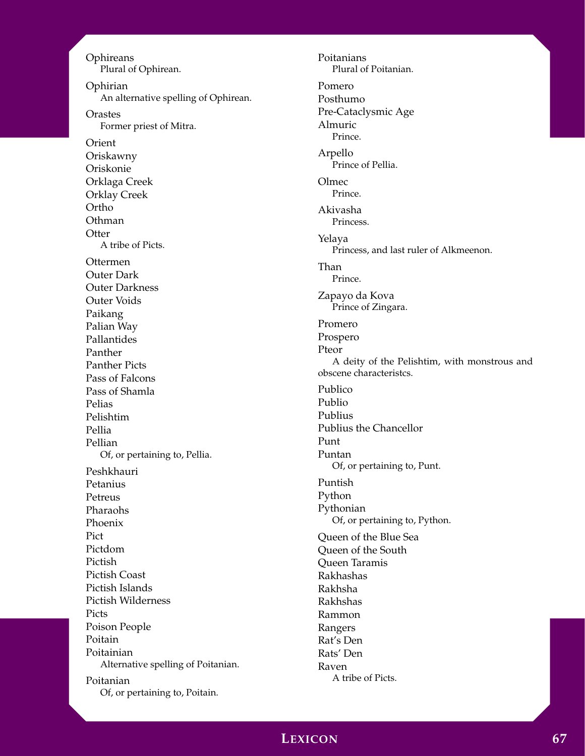**Ophireans** Plural of Ophirean. Ophirian An alternative spelling of Ophirean. **Orastes** Former priest of Mitra. Orient Oriskawny Oriskonie Orklaga Creek Orklay Creek Ortho **Othman Otter** A tribe of Picts. Ottermen Outer Dark Outer Darkness Outer Voids Paikang Palian Way Pallantides Panther Panther Picts Pass of Falcons Pass of Shamla Pelias Pelishtim Pellia Pellian Of, or pertaining to, Pellia. Peshkhauri Petanius Petreus Pharaohs Phoenix Pict Pictdom Pictish Pictish Coast Pictish Islands Pictish Wilderness Picts Poison People Poitain Poitainian Alternative spelling of Poitanian. Poitanian Of, or pertaining to, Poitain.

Poitanians Plural of Poitanian. Pomero Posthumo Pre-Cataclysmic Age Almuric Prince. Arpello Prince of Pellia. Olmec Prince. Akivasha Princess. Yelaya Princess, and last ruler of Alkmeenon. Than Prince. Zapayo da Kova Prince of Zingara. Promero Prospero Pteor A deity of the Pelishtim, with monstrous and obscene characteristcs. Publico Publio Publius Publius the Chancellor Punt Puntan Of, or pertaining to, Punt. Puntish Python Pythonian Of, or pertaining to, Python. Queen of the Blue Sea Queen of the South Queen Taramis Rakhashas Rakhsha Rakhshas Rammon Rangers Rat's Den Rats' Den Raven A tribe of Picts.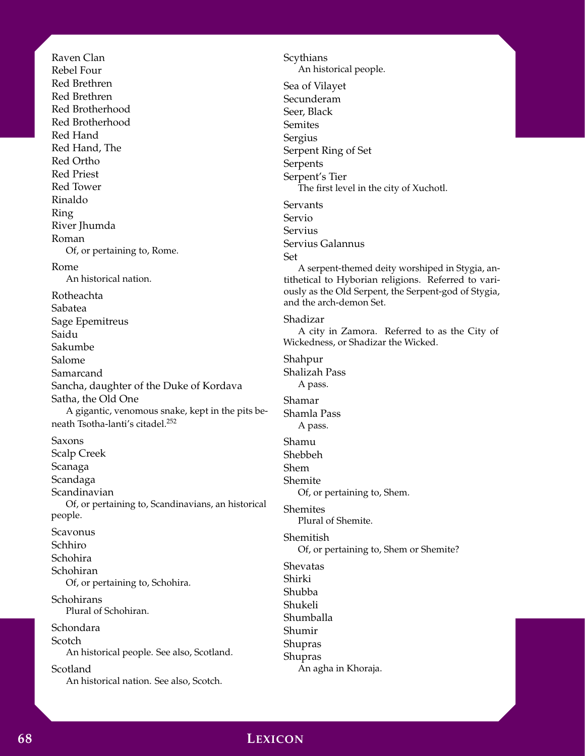Raven Clan Rebel Four Red Brethren Red Brethren Red Brotherhood Red Brotherhood Red Hand Red Hand, The Red Ortho Red Priest Red Tower Rinaldo Ring River Jhumda Roman Of, or pertaining to, Rome. Rome An historical nation. Rotheachta Sabatea Sage Epemitreus Saidu Sakumbe Salome Samarcand Sancha, daughter of the Duke of Kordava Satha, the Old One A gigantic, venomous snake, kept in the pits beneath Tsotha-lanti's citadel.[252](#page-87-0) Saxons Scalp Creek Scanaga Scandaga Scandinavian Of, or pertaining to, Scandinavians, an historical people. Scavonus Schhiro Schohira Schohiran Of, or pertaining to, Schohira. **Schohirans** Plural of Schohiran. Schondara Scotch An historical people. See also, Scotland. Scotland An historical nation. See also, Scotch.

Scythians An historical people. Sea of Vilayet Secunderam Seer, Black Semites Sergius Serpent Ring of Set Serpents Serpent's Tier The first level in the city of Xuchotl. Servants Servio Servius Servius Galannus Set A serpent-themed deity worshiped in Stygia, antithetical to Hyborian religions. Referred to variously as the Old Serpent, the Serpent-god of Stygia, and the arch-demon Set. Shadizar A city in Zamora. Referred to as the City of Wickedness, or Shadizar the Wicked. Shahpur Shalizah Pass A pass. Shamar Shamla Pass A pass. Shamu Shebbeh Shem Shemite Of, or pertaining to, Shem. Shemites Plural of Shemite. Shemitish Of, or pertaining to, Shem or Shemite? Shevatas Shirki Shubba Shukeli Shumballa Shumir Shupras Shupras An agha in Khoraja.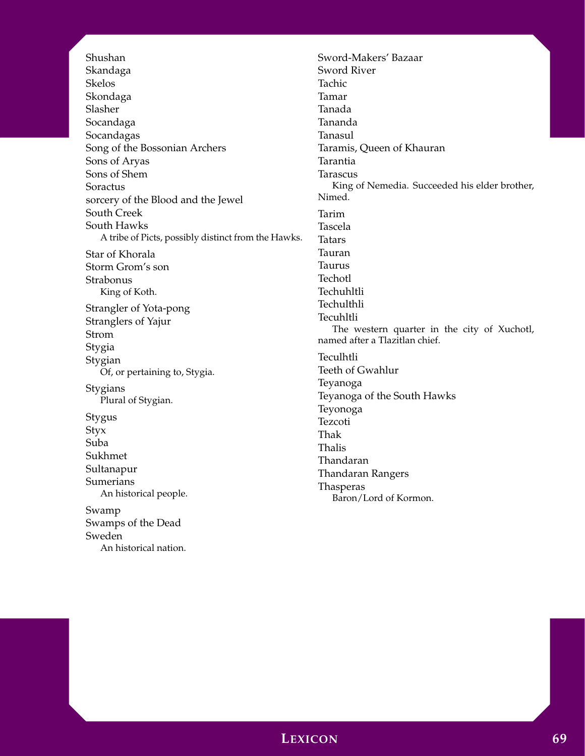Shushan Skandaga Skelos Skondaga Slasher Socandaga Socandagas Song of the Bossonian Archers Sons of Aryas Sons of Shem **Soractus** sorcery of the Blood and the Jewel South Creek South Hawks A tribe of Picts, possibly distinct from the Hawks. Star of Khorala Storm Grom's son Strabonus King of Koth. Strangler of Yota-pong Stranglers of Yajur Strom Stygia Stygian Of, or pertaining to, Stygia. Stygians Plural of Stygian. Stygus Styx Suba Sukhmet Sultanapur Sumerians An historical people. Swamp Swamps of the Dead Sweden An historical nation.

Sword-Makers' Bazaar Sword River Tachic Tamar Tanada Tananda Tanasul Taramis, Queen of Khauran Tarantia Tarascus King of Nemedia. Succeeded his elder brother, Nimed. Tarim Tascela Tatars Tauran Taurus Techotl **Techuhltli Techulthli Tecuhltli** The western quarter in the city of Xuchotl, named after a Tlazitlan chief. Teculhtli Teeth of Gwahlur Teyanoga Teyanoga of the South Hawks Teyonoga Tezcoti Thak Thalis Thandaran Thandaran Rangers Thasperas Baron/Lord of Kormon.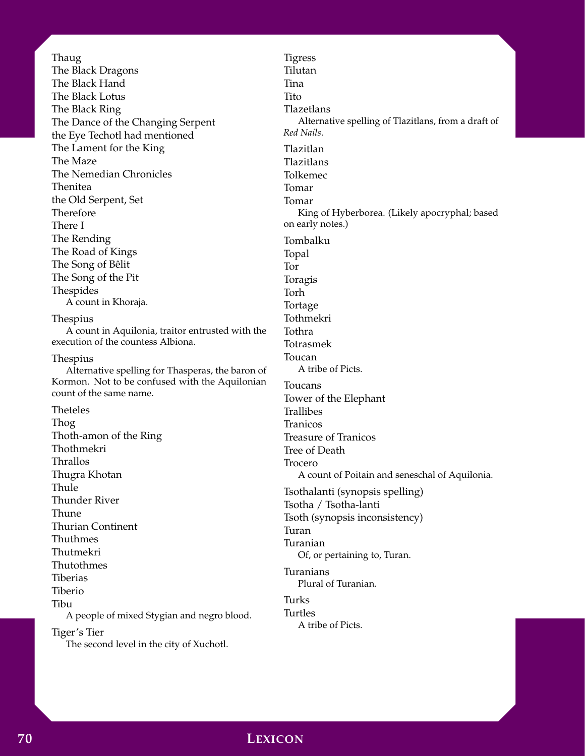Thaug The Black Dragons The Black Hand The Black Lotus The Black Ring The Dance of the Changing Serpent the Eye Techotl had mentioned The Lament for the King The Maze The Nemedian Chronicles Thenitea the Old Serpent, Set Therefore There I The Rending The Road of Kings The Song of Bêlit The Song of the Pit Thespides A count in Khoraja. Thespius A count in Aquilonia, traitor entrusted with the execution of the countess Albiona. Thespius Alternative spelling for Thasperas, the baron of Kormon. Not to be confused with the Aquilonian count of the same name. **Theteles** Thog Thoth-amon of the Ring Thothmekri Thrallos Thugra Khotan Thule Thunder River Thune Thurian Continent Thuthmes Thutmekri Thutothmes Tiberias Tiberio Tibu A people of mixed Stygian and negro blood. Tiger's Tier

The second level in the city of Xuchotl.

Tigress Tilutan Tina Tito Tlazetlans Alternative spelling of Tlazitlans, from a draft of *Red Nails*. Tlazitlan Tlazitlans Tolkemec Tomar Tomar King of Hyberborea. (Likely apocryphal; based on early notes.) Tombalku Topal Tor Toragis Torh Tortage Tothmekri Tothra Totrasmek Toucan A tribe of Picts. Toucans Tower of the Elephant Trallibes Tranicos Treasure of Tranicos Tree of Death Trocero A count of Poitain and seneschal of Aquilonia. Tsothalanti (synopsis spelling) Tsotha / Tsotha-lanti Tsoth (synopsis inconsistency) Turan Turanian Of, or pertaining to, Turan. Turanians Plural of Turanian. Turks Turtles

**70 LEXICON**

A tribe of Picts.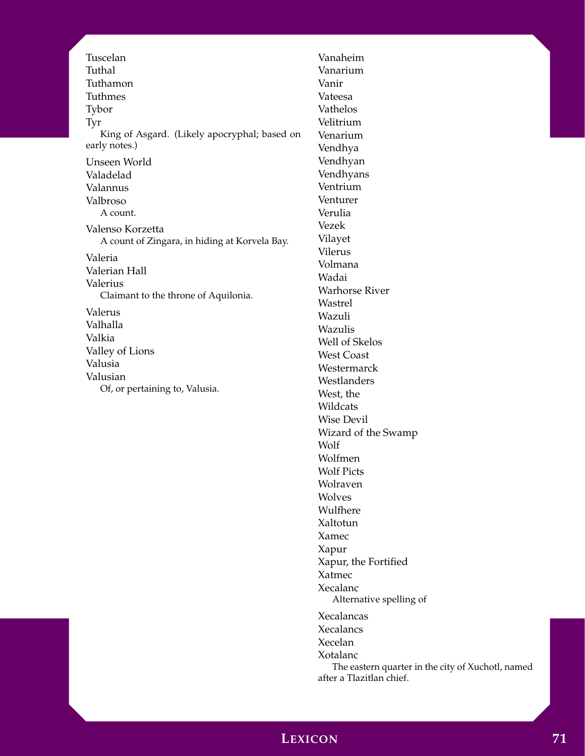| Tuscelan                                         | Vanaheim                                                                      |
|--------------------------------------------------|-------------------------------------------------------------------------------|
| Tuthal                                           | Vanarium                                                                      |
| Tuthamon                                         | Vanir                                                                         |
| Tuthmes                                          | Vateesa                                                                       |
| Tybor                                            | Vathelos                                                                      |
| Tyr                                              | Velitrium                                                                     |
| King of Asgard. (Likely apocryphal; based on     | Venarium                                                                      |
| early notes.)                                    | Vendhya                                                                       |
| Unseen World                                     | Vendhyan                                                                      |
| Valadelad                                        | Vendhyans                                                                     |
| Valannus                                         | Ventrium                                                                      |
| Valbroso                                         | Venturer                                                                      |
| A count.                                         | Verulia                                                                       |
| Valenso Korzetta                                 | <b>Vezek</b>                                                                  |
| A count of Zingara, in hiding at Korvela Bay.    | Vilayet                                                                       |
| Valeria                                          | Vilerus                                                                       |
|                                                  | Volmana                                                                       |
| Valerian Hall                                    | Wadai                                                                         |
| Valerius<br>Claimant to the throne of Aquilonia. | <b>Warhorse River</b>                                                         |
|                                                  | Wastrel                                                                       |
| Valerus                                          | Wazuli                                                                        |
| Valhalla                                         | Wazulis                                                                       |
| Valkia                                           | Well of Skelos                                                                |
| Valley of Lions                                  | <b>West Coast</b>                                                             |
| Valusia                                          | Westermarck                                                                   |
| Valusian                                         | Westlanders                                                                   |
| Of, or pertaining to, Valusia.                   | West, the                                                                     |
|                                                  | Wildcats                                                                      |
|                                                  | <b>Wise Devil</b>                                                             |
|                                                  | Wizard of the Swamp                                                           |
|                                                  | Wolf                                                                          |
|                                                  | Wolfmen                                                                       |
|                                                  | <b>Wolf Picts</b>                                                             |
|                                                  | Wolraven                                                                      |
|                                                  | Wolves                                                                        |
|                                                  | Wulfhere                                                                      |
|                                                  | Xaltotun                                                                      |
|                                                  | Xamec                                                                         |
|                                                  | Xapur                                                                         |
|                                                  | Xapur, the Fortified                                                          |
|                                                  | <b>Xatmec</b>                                                                 |
|                                                  | Xecalanc                                                                      |
|                                                  | Alternative spelling of                                                       |
|                                                  | Xecalancas                                                                    |
|                                                  |                                                                               |
|                                                  | Xecalancs                                                                     |
|                                                  | Xecelan                                                                       |
|                                                  | Xotalanc                                                                      |
|                                                  | The eastern quarter in the city of Xuchotl, named<br>after a Tlazitlan chief. |
|                                                  |                                                                               |

**LEXICON 71**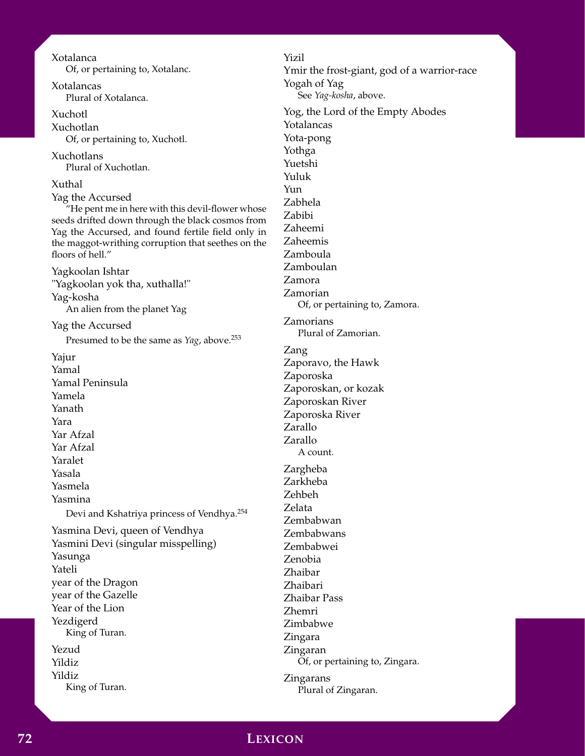Xotalanca Of, or pertaining to, Xotalanc. Xotalancas Plural of Xotalanca. Xuchotl Xuchotlan Of, or pertaining to, Xuchotl. Xuchotlans Plural of Xuchotlan. Xuthal Yag the Accursed "He pent me in here with this devil-flower whose seeds drifted down through the black cosmos from Yag the Accursed, and found fertile field only in the maggot-writhing corruption that seethes on the floors of hell." Yagkoolan Ishtar "Yagkoolan yok tha, xuthalla!" Yag-kosha An alien from the planet Yag Yag the Accursed Presumed to be the same as *Yag*, above.[253](#page-87-0) Yajur Yamal Yamal Peninsula Yamela Yanath Yara Yar Afzal Yar Afzal Yaralet Yasala Yasmela Yasmina Devi and Kshatriya princess of Vendhya.[254](#page-87-1) Yasmina Devi, queen of Vendhya Yasmini Devi (singular misspelling) Yasunga Yateli year of the Dragon year of the Gazelle Year of the Lion Yezdigerd King of Turan. Yezud Yildiz Yildiz King of Turan.

<span id="page-73-0"></span>Yizil Ymir the frost-giant, god of a warrior-race Yogah of Yag See *Yag-kosha*, above. Yog, the Lord of the Empty Abodes Yotalancas Yota-pong Yothga Yuetshi Yuluk Yun Zabhela Zabibi Zaheemi Zaheemis Zamboula Zamboulan Zamora Zamorian Of, or pertaining to, Zamora. Zamorians Plural of Zamorian. Zang Zaporavo, the Hawk Zaporoska Zaporoskan, or kozak Zaporoskan River Zaporoska River Zarallo Zarallo A count. Zargheba Zarkheba Zehbeh Zelata Zembabwan Zembabwans Zembabwei Zenobia Zhaibar Zhaibari Zhaibar Pass Zhemri Zimbabwe Zingara Zingaran Of, or pertaining to, Zingara. Zingarans Plural of Zingaran.

# <span id="page-73-1"></span>**72 LEXICON**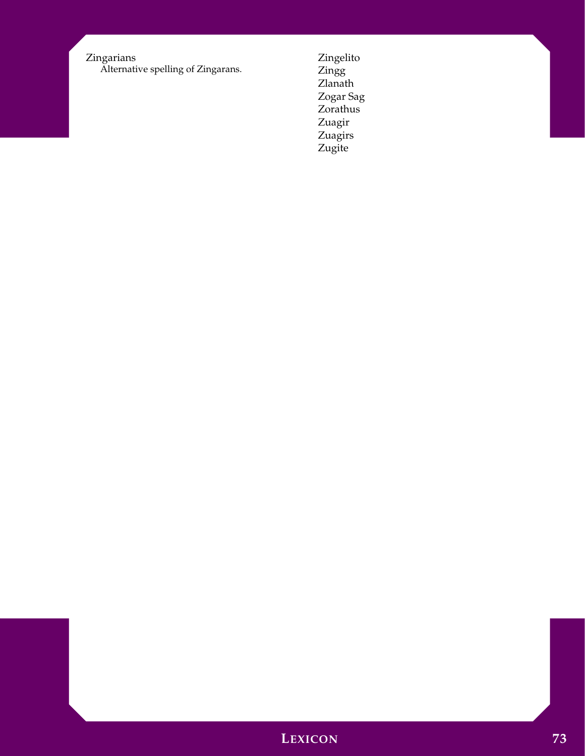# Zingarians

Alternative spelling of Zingarans.

Zingelito Zingg Zlanath Zogar Sag Zorathus Zuagir Zuagirs Zugite

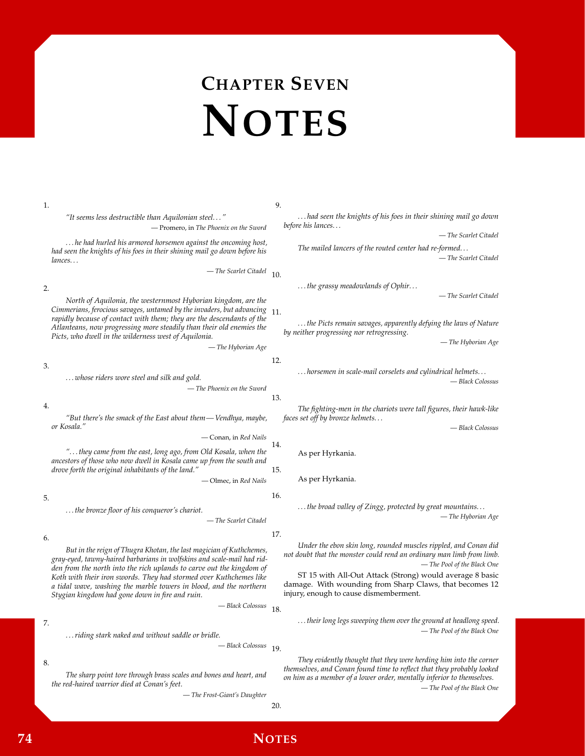# **CHAPTER SEVEN NOTES**

[9.](#page-19-0)

[10.](#page-19-1)

[12.](#page-22-0)

[13.](#page-23-0)

#### [1.](#page-7-0)

*"It seems less destructible than Aquilonian steel. . . "* — Promero, in *The Phoenix on the Sword . . . he had hurled his armored horsemen against the oncoming host,*

*had seen the knights of his foes in their shining mail go down before his lances. . .* — *The Scarlet Citadel*

[2.](#page-11-0)

[4.](#page-16-0)

[5.](#page-16-1)

[6.](#page-16-2)

*North of Aquilonia, the westernmost Hyborian kingdom, are the Cimmerians, ferocious savages, untamed by the invaders, but advancing rapidly because of contact with them; they are the descendants of the Atlanteans, now progressing more steadily than their old enemies the Picts, who dwell in the wilderness west of Aquilonia.* [11.](#page-19-2)

[3.](#page-13-0) *. . . whose riders wore steel and silk and gold.* — *The Phoenix on the Sword*

*"But there's the smack of the East about them—Vendhya, maybe,*

*or Kosala."* — Conan, in *Red Nails*

*". . . they came from the east, long ago, from Old Kosala, when the ancestors of those who now dwell in Kosala came up from the south and drove forth the original inhabitants of the land."* — Olmec, in *Red Nails* [14.](#page-24-0) [15.](#page-24-1)

*. . . the bronze floor of his conqueror's chariot.*

— *The Scarlet Citadel*

— *The Hyborian Age*

[17.](#page-31-0)

[16.](#page-28-0)

*But in the reign of Thugra Khotan, the last magician of Kuthchemes, gray-eyed, tawny-haired barbarians in wolfskins and scale-mail had ridden from the north into the rich uplands to carve out the kingdom of Koth with their iron swords. They had stormed over Kuthchemes like a tidal wave, washing the marble towers in blood, and the northern Stygian kingdom had gone down in fire and ruin.*

— *Black Colossus* [18.](#page-31-1)

*. . . riding stark naked and without saddle or bridle.*

— *Black Colossus* [19.](#page-31-2)

## [8.](#page-18-0)

[7.](#page-17-0)

*The sharp point tore through brass scales and bones and heart, and the red-haired warrior died at Conan's feet.*

— *The Frost-Giant's Daughter*

[20.](#page-31-3)

*. . . had seen the knights of his foes in their shining mail go down before his lances. . .* — *The Scarlet Citadel*

*The mailed lancers of the routed center had re-formed. . .* — *The Scarlet Citadel*

*. . . the grassy meadowlands of Ophir. . .*

— *The Scarlet Citadel*

*. . . the Picts remain savages, apparently defying the laws of Nature by neither progressing nor retrogressing.*

— *The Hyborian Age*

*. . . horsemen in scale-mail corselets and cylindrical helmets. . .* — *Black Colossus*

*The fighting-men in the chariots were tall figures, their hawk-like faces set off by bronze helmets. . .*

— *Black Colossus*

As per Hyrkania.

As per Hyrkania.

*. . . the broad valley of Zingg, protected by great mountains. . .* — *The Hyborian Age*

*Under the ebon skin long, rounded muscles rippled, and Conan did not doubt that the monster could rend an ordinary man limb from limb.* — *The Pool of the Black One*

ST 15 with All-Out Attack (Strong) would average 8 basic damage. With wounding from Sharp Claws, that becomes 12 injury, enough to cause dismemberment.

*. . . their long legs sweeping them over the ground at headlong speed.* — *The Pool of the Black One*

*They evidently thought that they were herding him into the corner themselves, and Conan found time to reflect that they probably looked on him as a member of a lower order, mentally inferior to themselves.* — *The Pool of the Black One*

# **74 NOTES**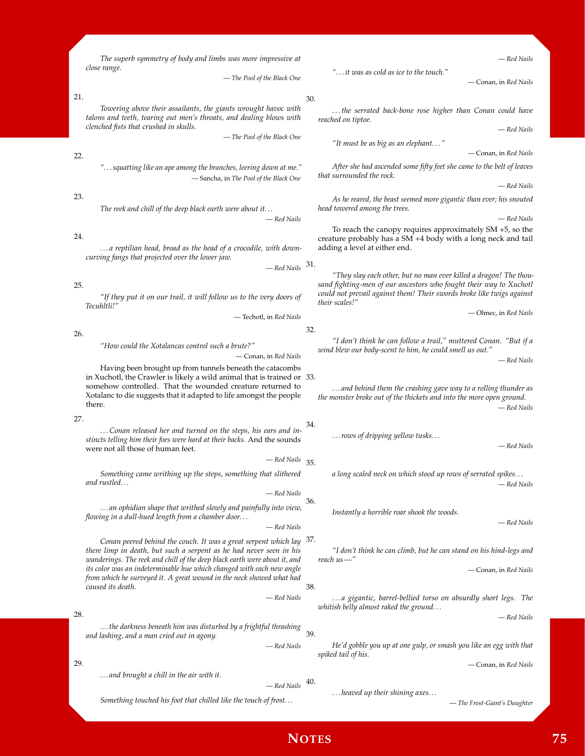*The superb symmetry of body and limbs was more impressive at close range.*

— *The Pool of the Black One*

# [21.](#page-31-4)

*Towering above their assailants, the giants wrought havoc with talons and teeth, tearing out men's throats, and dealing blows with clenched fists that crushed in skulls.*

— *The Pool of the Black One*

# [22.](#page-31-5)

*". . . squatting like an ape among the branches, leering down at me."* — Sancha, in *The Pool of the Black One*

# [23.](#page-31-6)

[24.](#page-31-7)

*The reek and chill of the deep black earth were about it. . .*

— *Red Nails*

*. . . a reptilian head, broad as the head of a crocodile, with downcurving fangs that projected over the lower jaw.* — *Red Nails* [31.](#page-31-14)

#### [25.](#page-31-8)

*"If they put it on our trail, it will follow us to the very doors of Tecuhltli!"*

#### [26.](#page-31-9)

*"How could the Xotalancas control such a brute?"*

— Conan, in *Red Nails*

— Techotl, in *Red Nails*

[32.](#page-31-15)

Having been brought up from tunnels beneath the catacombs in Xuchotl, the Crawler is likely a wild animal that is trained or [33.](#page-31-16) somehow controlled. That the wounded creature returned to Xotalanc to die suggests that it adapted to life amongst the people there.

#### [27.](#page-31-10)

[28.](#page-31-11)

[29.](#page-31-12)

*. . . Conan released her and turned on the steps, his ears and instincts telling him their foes were hard at their backs.* And the sounds were not all those of human feet. [34.](#page-31-17)

— *Red Nails* [35.](#page-31-18) *Something came writhing up the steps, something that slithered and rustled. . .*

*. . . an ophidian shape that writhed slowly and painfully into view, flowing in a dull-hued length from a chamber door. . .*

#### — *Red Nails*

— *Red Nails*

[36.](#page-31-19)

[39.](#page-32-0)

[40.](#page-32-1)

*Conan peered behind the couch. It was a great serpent which lay* [37.](#page-31-20) *there limp in death, but such a serpent as he had never seen in his wanderings. The reek and chill of the deep black earth were about it, and its color was an indeterminable hue which changed with each new angle from which he surveyed it. A great wound in the neck showed what had caused its death.* [38.](#page-31-21)

*. . . the darkness beneath him was disturbed by a frightful thrashing and lashing, and a man cried out in agony.*

— *Red Nails*

— *Red Nails*

— *Red Nails*

*Something touched his foot that chilled like the touch of frost. . .*

*. . . and brought a chill in the air with it.*

— *Red Nails*

*". . . it was as cold as ice to the touch."*

[30.](#page-31-13)

*. . . the serrated back-bone rose higher than Conan could have reached on tiptoe.*

— *Red Nails*

— Conan, in *Red Nails*

— Conan, in *Red Nails*

*"It must be as big as an elephant. . . "*

*After she had ascended some fifty feet she came to the belt of leaves that surrounded the rock.*

— *Red Nails*

*As he reared, the beast seemed more gigantic than ever; his snouted head towered among the trees.*

— *Red Nails* To reach the canopy requires approximately SM +5, so the

creature probably has a SM +4 body with a long neck and tail adding a level at either end.

*"They slay each other, but no man ever killed a dragon! The thousand fighting-men of our ancestors who fought their way to Xuchotl could not prevail against them! Their swords broke like twigs against their scales!"*

— Olmec, in *Red Nails*

# *"I don't think he can follow a trail," muttered Conan. "But if a wind blew our body-scent to him, he could smell us out."*

— *Red Nails*

*. . . and behind them the crashing gave way to a rolling thunder as the monster broke out of the thickets and into the more open ground.* — *Red Nails*

*. . . rows of dripping yellow tusks. . .*

— *Red Nails*

*a long scaled neck on which stood up rows of serrated spikes. . .* — *Red Nails*

*Instantly a horrible roar shook the woods.*

— *Red Nails*

*"I don't think he can climb, but he can stand on his hind-legs and reach us—"*

— Conan, in *Red Nails*

*. . . a gigantic, barrel-bellied torso on absurdly short legs. The whitish belly almost raked the ground. . .*

— *Red Nails*

*He'd gobble you up at one gulp, or smash you like an egg with that spiked tail of his.*

— Conan, in *Red Nails*

*. . . heaved up their shining axes. . .*

— *The Frost-Giant's Daughter*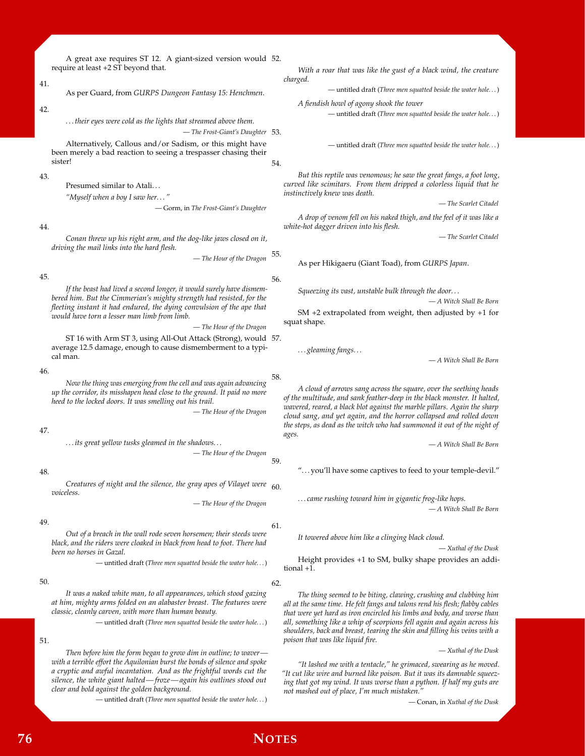#### [41.](#page-32-2)

As per Guard, from *GURPS Dungeon Fantasy 15: Henchmen*.

# [42.](#page-32-3)

*. . . their eyes were cold as the lights that streamed above them.* — *The Frost-Giant's Daughter* [53.](#page-32-14)

Alternatively, Callous and/or Sadism, or this might have been merely a bad reaction to seeing a trespasser chasing their sister! [54.](#page-33-0)

#### [43.](#page-32-4)

Presumed similar to Atali. . . *"Myself when a boy I saw her. . . "*

— Gorm, in *The Frost-Giant's Daughter*

#### [44.](#page-32-5)

*Conan threw up his right arm, and the dog-like jaws closed on it, driving the mail links into the hard flesh.*

#### [45.](#page-32-6)

*If the beast had lived a second longer, it would surely have dismembered him. But the Cimmerian's mighty strength had resisted, for the fleeting instant it had endured, the dying convulsion of the ape that would have torn a lesser man limb from limb.*

— *The Hour of the Dragon* ST 16 with Arm ST 3, using All-Out Attack (Strong), would [57.](#page-33-3) average 12.5 damage, enough to cause dismemberment to a typical man.

#### [46.](#page-32-7)

*Now the thing was emerging from the cell and was again advancing up the corridor, its misshapen head close to the ground. It paid no more heed to the locked doors. It was smelling out his trail.*

— *The Hour of the Dragon*

— *The Hour of the Dragon*

[55.](#page-33-1)

[56.](#page-33-2)

[58.](#page-33-4)

[59.](#page-33-5)

[61.](#page-33-7)

[62.](#page-33-8)

#### [47.](#page-32-8)

*. . . its great yellow tusks gleamed in the shadows. . .* — *The Hour of the Dragon*

#### [48.](#page-32-9)

*Creatures of night and the silence, the gray apes of Vilayet were voiceless.* [60.](#page-33-6)

— *The Hour of the Dragon*

#### [49.](#page-32-10)

*Out of a breach in the wall rode seven horsemen; their steeds were black, and the riders were cloaked in black from head to foot. There had been no horses in Gazal.*

— untitled draft (*Three men squatted beside the water hole. . .*)

#### [50.](#page-32-11)

*It was a naked white man, to all appearances, which stood gazing at him, mighty arms folded on an alabaster breast. The features were classic, cleanly carven, with more than human beauty.* — untitled draft (*Three men squatted beside the water hole. . .*)

#### [51.](#page-32-12)

*Then before him the form began to grow dim in outline; to waver with a terrible effort the Aquilonian burst the bonds of silence and spoke a cryptic and awful incantation. And as the frightful words cut the silence, the white giant halted— froze— again his outlines stood out clear and bold against the golden background.*

— untitled draft (*Three men squatted beside the water hole. . .*)

*With a roar that was like the gust of a black wind, the creature charged.*

— untitled draft (*Three men squatted beside the water hole. . .*)

*A fiendish howl of agony shook the tower* — untitled draft (*Three men squatted beside the water hole. . .*)

— untitled draft (*Three men squatted beside the water hole. . .*)

*But this reptile was venomous; he saw the great fangs, a foot long, curved like scimitars. From them dripped a colorless liquid that he instinctively knew was death.*

— *The Scarlet Citadel*

*A drop of venom fell on his naked thigh, and the feel of it was like a white-hot dagger driven into his flesh.*

— *The Scarlet Citadel*

As per Hikigaeru (Giant Toad), from *GURPS Japan*.

*Squeezing its vast, unstable bulk through the door. . .*

— *A Witch Shall Be Born* SM +2 extrapolated from weight, then adjusted by +1 for squat shape.

*. . . gleaming fangs. . .*

— *A Witch Shall Be Born*

*A cloud of arrows sang across the square, over the seething heads of the multitude, and sank feather-deep in the black monster. It halted, wavered, reared, a black blot against the marble pillars. Again the sharp cloud sang, and yet again, and the horror collapsed and rolled down the steps, as dead as the witch who had summoned it out of the night of ages.*

— *A Witch Shall Be Born*

". . . you'll have some captives to feed to your temple-devil."

*. . . came rushing toward him in gigantic frog-like hops.* — *A Witch Shall Be Born*

*It towered above him like a clinging black cloud.*

— *Xuthal of the Dusk*

Height provides +1 to SM, bulky shape provides an additional +1.

*The thing seemed to be biting, clawing, crushing and clubbing him all at the same time. He felt fangs and talons rend his flesh; flabby cables that were yet hard as iron encircled his limbs and body, and worse than all, something like a whip of scorpions fell again and again across his shoulders, back and breast, tearing the skin and filling his veins with a poison that was like liquid fire.*

— *Xuthal of the Dusk*

*"It lashed me with a tentacle," he grimaced, swearing as he moved. "It cut like wire and burned like poison. But it was its damnable squeezing that got my wind. It was worse than a python. If half my guts are not mashed out of place, I'm much mistaken."*

— Conan, in *Xuthal of the Dusk*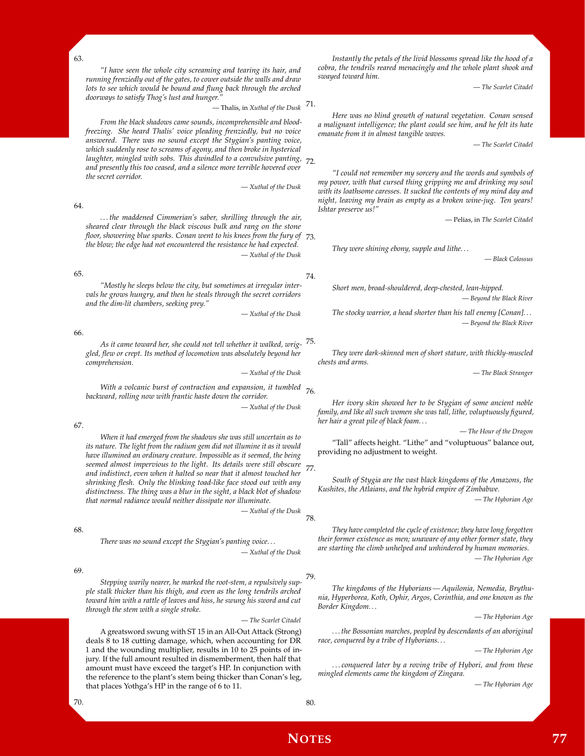[63.](#page-33-9)

*"I have seen the whole city screaming and tearing its hair, and running frenziedly out of the gates, to cower outside the walls and draw lots to see which would be bound and flung back through the arched doorways to satisfy Thog's lust and hunger."*

— Thalis, in *Xuthal of the Dusk*

— *Xuthal of the Dusk*

*From the black shadows came sounds, incomprehensible and bloodfreezing. She heard Thalis' voice pleading frenziedly, but no voice answered. There was no sound except the Stygian's panting voice, which suddenly rose to screams of agony, and then broke in hysterical laughter, mingled with sobs. This dwindled to a convulsive panting,* [72.](#page-34-3) *and presently this too ceased, and a silence more terrible hovered over the secret corridor.*

[64.](#page-33-10)

*. . . the maddened Cimmerian's saber, shrilling through the air, sheared clear through the black viscous bulk and rang on the stone floor, showering blue sparks. Conan went to his knees from the fury of* [73.](#page-34-4) *the blow; the edge had not encountered the resistance he had expected.* — *Xuthal of the Dusk*

# [65.](#page-33-11)

*"Mostly he sleeps below the city, but sometimes at irregular intervals he grows hungry, and then he steals through the secret corridors and the dim-lit chambers, seeking prey."*

— *Xuthal of the Dusk*

#### [66.](#page-33-12)

*As it came toward her, she could not tell whether it walked, wrig-*[75.](#page-34-6) *gled, flew or crept. Its method of locomotion was absolutely beyond her comprehension.*

— *Xuthal of the Dusk*

*With a volcanic burst of contraction and expansion, it tumbled* [76.](#page-34-7) *backward, rolling now with frantic haste down the corridor.*

— *Xuthal of the Dusk*

#### [67.](#page-33-13)

*When it had emerged from the shadows she was still uncertain as to its nature. The light from the radium gem did not illumine it as it would have illumined an ordinary creature. Impossible as it seemed, the being seemed almost impervious to the light. Its details were still obscure and indistinct, even when it halted so near that it almost touched her shrinking flesh. Only the blinking toad-like face stood out with any distinctness. The thing was a blur in the sight, a black blot of shadow that normal radiance would neither dissipate nor illuminate.*

— *Xuthal of the Dusk*

# [68.](#page-33-14)

*There was no sound except the Stygian's panting voice. . .* — *Xuthal of the Dusk*

[69.](#page-34-0)

[70.](#page-34-1)

*Stepping warily nearer, he marked the root-stem, a repulsively supple stalk thicker than his thigh, and even as the long tendrils arched toward him with a rattle of leaves and hiss, he swung his sword and cut through the stem with a single stroke.*

— *The Scarlet Citadel*

A greatsword swung with ST 15 in an All-Out Attack (Strong) deals 8 to 18 cutting damage, which, when accounting for DR 1 and the wounding multiplier, results in 10 to 25 points of injury. If the full amount resulted in dismemberment, then half that amount must have exceed the target's HP. In conjunction with the reference to the plant's stem being thicker than Conan's leg, that places Yothga's HP in the range of 6 to 11.

*Instantly the petals of the livid blossoms spread like the hood of a cobra, the tendrils reared menacingly and the whole plant shook and swayed toward him.*

— *The Scarlet Citadel*

[71.](#page-34-2)

*Here was no blind growth of natural vegetation. Conan sensed a malignant intelligence; the plant could see him, and he felt its hate emanate from it in almost tangible waves.*

— *The Scarlet Citadel*

*"I could not remember my sorcery and the words and symbols of my power, with that cursed thing gripping me and drinking my soul with its loathsome caresses. It sucked the contents of my mind day and night, leaving my brain as empty as a broken wine-jug. Ten years! Ishtar preserve us!"*

— Pelias, in *The Scarlet Citadel*

*They were shining ebony, supple and lithe. . .*

— *Black Colossus*

[74.](#page-34-5)

*Short men, broad-shouldered, deep-chested, lean-hipped.* — *Beyond the Black River*

*The stocky warrior, a head shorter than his tall enemy [Conan]. . .* — *Beyond the Black River*

*They were dark-skinned men of short stature, with thickly-muscled chests and arms.*

— *The Black Stranger*

*Her ivory skin showed her to be Stygian of some ancient noble family, and like all such women she was tall, lithe, voluptuously figured, her hair a great pile of black foam. . .*

— *The Hour of the Dragon* "Tall" affects height. "Lithe" and "voluptuous" balance out, providing no adjustment to weight.

[77.](#page-35-0)

[78.](#page-35-1)

*South of Stygia are the vast black kingdoms of the Amazons, the Kushites, the Atlaians, and the hybrid empire of Zimbabwe.*

— *The Hyborian Age*

*They have completed the cycle of existence; they have long forgotten their former existence as men; unaware of any other former state, they are starting the climb unhelped and unhindered by human memories.* — *The Hyborian Age*

[79.](#page-35-2)

*The kingdoms of the Hyborians— Aquilonia, Nemedia, Brythunia, Hyperborea, Koth, Ophir, Argos, Corinthia, and one known as the Border Kingdom. . .*

— *The Hyborian Age*

*. . . the Bossonian marches, peopled by descendants of an aboriginal race, conquered by a tribe of Hyborians. . .*

— *The Hyborian Age*

*. . . conquered later by a roving tribe of Hybori, and from these mingled elements came the kingdom of Zingara.*

— *The Hyborian Age*

**NOTES 77**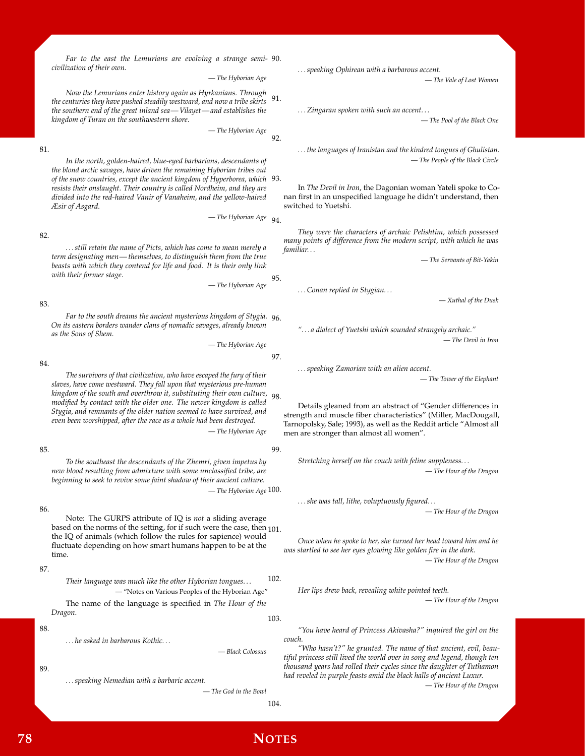*Far to the east the Lemurians are evolving a strange semi-*[90.](#page-36-2) *civilization of their own.*

— *The Hyborian Age*

*Now the Lemurians enter history again as Hyrkanians. Through the centuries they have pushed steadily westward, and now a tribe skirts the southern end of the great inland sea—Vilayet—and establishes the kingdom of Turan on the southwestern shore.* [91.](#page-36-3)

> — *The Hyborian Age* [92.](#page-36-4)

*In the north, golden-haired, blue-eyed barbarians, descendants of the blond arctic savages, have driven the remaining Hyborian tribes out of the snow countries, except the ancient kingdom of Hyperborea, which* [93.](#page-36-5) *resists their onslaught. Their country is called Nordheim, and they are divided into the red-haired Vanir of Vanaheim, and the yellow-haired Æsir of Asgard.*

— *The Hyborian Age* [94.](#page-36-6)

— *The Hyborian Age*

[82.](#page-35-5)

*as the Sons of Shem.*

[81.](#page-35-4)

*. . . still retain the name of Picts, which has come to mean merely a term designating men—themselves, to distinguish them from the true beasts with which they contend for life and food. It is their only link with their former stage.*

[83.](#page-35-6) *Far to the south dreams the ancient mysterious kingdom of Stygia.* [96.](#page-36-8) *On its eastern borders wander clans of nomadic savages, already known*

— *The Hyborian Age*

[97.](#page-36-9)

[99.](#page-36-10)

*The survivors of that civilization, who have escaped the fury of their slaves, have come westward. They fall upon that mysterious pre-human kingdom of the south and overthrow it, substituting their own culture, modified by contact with the older one. The newer kingdom is called Stygia, and remnants of the older nation seemed to have survived, and even been worshipped, after the race as a whole had been destroyed.* — *The Hyborian Age* [98.](#page-37-0)

[85.](#page-35-8)

[84.](#page-35-7)

*To the southeast the descendants of the Zhemri, given impetus by new blood resulting from admixture with some unclassified tribe, are beginning to seek to revive some faint shadow of their ancient culture.* — *The Hyborian Age* [100.](#page-36-11)

[86.](#page-35-9)

Note: The GURPS attribute of IQ is *not* a sliding average based on the norms of the setting, for if such were the case, then [101.](#page-36-12) the IQ of animals (which follow the rules for sapience) would fluctuate depending on how smart humans happen to be at the time.

#### [87.](#page-35-10)

*Their language was much like the other Hyborian tongues. . .* — "Notes on Various Peoples of the Hyborian Age" [102.](#page-36-13)

The name of the language is specified in *The Hour of the Dragon*.

#### [88.](#page-36-0)

*. . . he asked in barbarous Kothic. . .*

#### [89.](#page-36-1)

*. . . speaking Nemedian with a barbaric accent.*

— *The God in the Bowl*

— *Black Colossus*

[104.](#page-36-15)

[103.](#page-36-14)

*. . . speaking Ophirean with a barbarous accent.*

— *The Vale of Lost Women*

*. . . Zingaran spoken with such an accent. . .* — *The Pool of the Black One*

*. . . the languages of Iranistan and the kindred tongues of Ghulistan.* — *The People of the Black Circle*

In *The Devil in Iron*, the Dagonian woman Yateli spoke to Conan first in an unspecified language he didn't understand, then switched to Yuetshi.

[95.](#page-36-7)

*They were the characters of archaic Pelishtim, which possessed many points of difference from the modern script, with which he was familiar. . .*

— *The Servants of Bit-Yakin*

*. . . Conan replied in Stygian. . .*

— *Xuthal of the Dusk*

*". . . a dialect of Yuetshi which sounded strangely archaic."* — *The Devil in Iron*

*. . . speaking Zamorian with an alien accent.* — *The Tower of the Elephant*

Details gleaned from an abstract of "Gender differences in strength and muscle fiber characteristics" (Miller, MacDougall, Tarnopolsky, Sale; 1993), as well as the Reddit article "Almost all men are stronger than almost all women".

*Stretching herself on the couch with feline suppleness. . .* — *The Hour of the Dragon*

*. . . she was tall, lithe, voluptuously figured. . .* — *The Hour of the Dragon*

*Once when he spoke to her, she turned her head toward him and he was startled to see her eyes glowing like golden fire in the dark.* — *The Hour of the Dragon*

*Her lips drew back, revealing white pointed teeth.* — *The Hour of the Dragon*

*"You have heard of Princess Akivasha?" inquired the girl on the couch.*

*"Who hasn't?" he grunted. The name of that ancient, evil, beautiful princess still lived the world over in song and legend, though ten thousand years had rolled their cycles since the daughter of Tuthamon had reveled in purple feasts amid the black halls of ancient Luxur.*

— *The Hour of the Dragon*

**78 NOTES**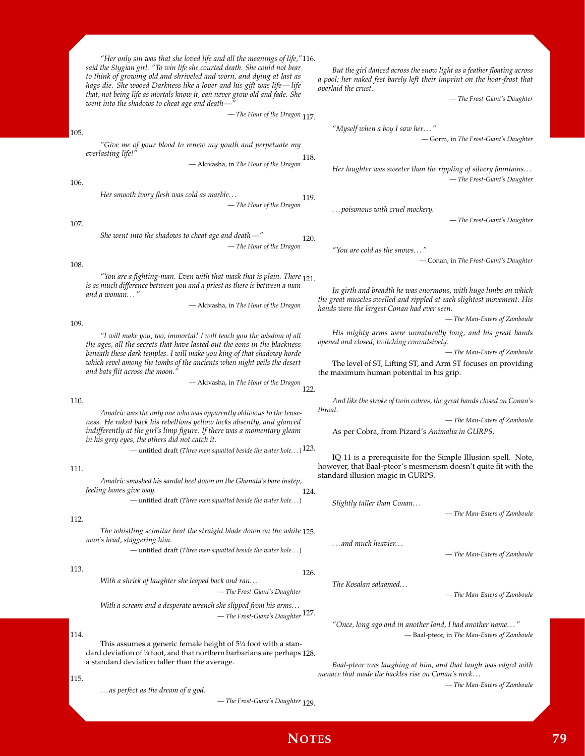[126.](#page-38-13)

*"Her only sin was that she loved life and all the meanings of life,"* [116.](#page-38-3) *said the Stygian girl. "To win life she courted death. She could not bear to think of growing old and shriveled and worn, and dying at last as hags die. She wooed Darkness like a lover and his gift was life— life that, not being life as mortals know it, can never grow old and fade. She went into the shadows to cheat age and death—"*

— *The Hour of the Dragon* [117.](#page-38-4)

#### [105.](#page-36-16)

*"Give me of your blood to renew my youth and perpetuate my everlasting life!"* [118.](#page-38-5)

— Akivasha, in *The Hour of the Dragon*

[106.](#page-36-17)

*Her smooth ivory flesh was cold as marble. . .* — *The Hour of the Dragon* [119.](#page-38-6)

#### [107.](#page-36-18)

*She went into the shadows to cheat age and death—"* — *The Hour of the Dragon* [120.](#page-38-7)

# [108.](#page-36-19)

*"You are a fighting-man. Even with that mask that is plain. There* [121.](#page-38-8) *is as much difference between you and a priest as there is between a man and a woman. . . "*

— Akivasha, in *The Hour of the Dragon*

#### [109.](#page-36-20)

*"I will make you, too, immortal! I will teach you the wisdom of all the ages, all the secrets that have lasted out the eons in the blackness beneath these dark temples. I will make you king of that shadowy horde which revel among the tombs of the ancients when night veils the desert and bats flit across the moon."*

> — Akivasha, in *The Hour of the Dragon* [122.](#page-38-9)

### [110.](#page-37-1)

*Amalric was the only one who was apparently oblivious to the tenseness. He raked back his rebellious yellow locks absently, and glanced indifferently at the girl's limp figure. If there was a momentary gleam in his grey eyes, the others did not catch it.*

— untitled draft (*Three men squatted beside the water hole. . .*) [123.](#page-38-10)

# [111.](#page-37-2)

*Amalric smashed his sandal heel down on the Ghanata's bare instep, feeling bones give way.* — untitled draft (*Three men squatted beside the water hole. . .*) [124.](#page-38-11)

# [112.](#page-37-3)

*The whistling scimitar beat the straight blade down on the white* [125.](#page-38-12) *man's head, staggering him.* — untitled draft (*Three men squatted beside the water hole. . .*)

#### [113.](#page-38-0)

*With a shriek of laughter she leaped back and ran. . .* — *The Frost-Giant's Daughter*

*With a scream and a desperate wrench she slipped from his arms. . .* — *The Frost-Giant's Daughter* [127.](#page-38-14)

# [114.](#page-38-1)

This assumes a generic female height of 5<sup>1</sup> ⁄<sup>4</sup> foot with a standard deviation of <sup>1</sup> ⁄<sup>4</sup> foot, and that northern barbarians are perhaps [128.](#page-38-15) a standard deviation taller than the average.

#### [115.](#page-38-2)

*. . . as perfect as the dream of a god.*

— *The Frost-Giant's Daughter* [129.](#page-38-16)

*But the girl danced across the snow light as a feather floating across a pool; her naked feet barely left their imprint on the hoar-frost that overlaid the crust.*

— *The Frost-Giant's Daughter*

*"Myself when a boy I saw her. . . "*

— Gorm, in *The Frost-Giant's Daughter*

*Her laughter was sweeter than the rippling of silvery fountains. . .* — *The Frost-Giant's Daughter*

*. . . poisonous with cruel mockery.*

— *The Frost-Giant's Daughter*

*"You are cold as the snows. . . "*

— Conan, in *The Frost-Giant's Daughter*

*In girth and breadth he was enormous, with huge limbs on which the great muscles swelled and rippled at each slightest movement. His hands were the largest Conan had ever seen.*

— *The Man-Eaters of Zamboula*

*His mighty arms were unnaturally long, and his great hands opened and closed, twitching convulsively.*

— *The Man-Eaters of Zamboula*

The level of ST, Lifting ST, and Arm ST focuses on providing the maximum human potential in his grip.

*And like the stroke of twin cobras, the great hands closed on Conan's throat.*

— *The Man-Eaters of Zamboula*

As per Cobra, from Pizard's *[Animalia in GURPS](http://panoptesv.com/RPGs/animalia/animalia.html)*.

IQ 11 is a prerequisite for the Simple Illusion spell. Note, however, that Baal-pteor's mesmerism doesn't quite fit with the standard illusion magic in GURPS.

*Slightly taller than Conan. . .*

— *The Man-Eaters of Zamboula*

*. . . and much heavier. . .*

— *The Man-Eaters of Zamboula*

```
The Kosalan salaamed. . .
```
— *The Man-Eaters of Zamboula*

*"Once, long ago and in another land, I had another name. . . "* — Baal-pteor, in *The Man-Eaters of Zamboula*

*Baal-pteor was laughing at him, and that laugh was edged with menace that made the hackles rise on Conan's neck. . .*

— *The Man-Eaters of Zamboula*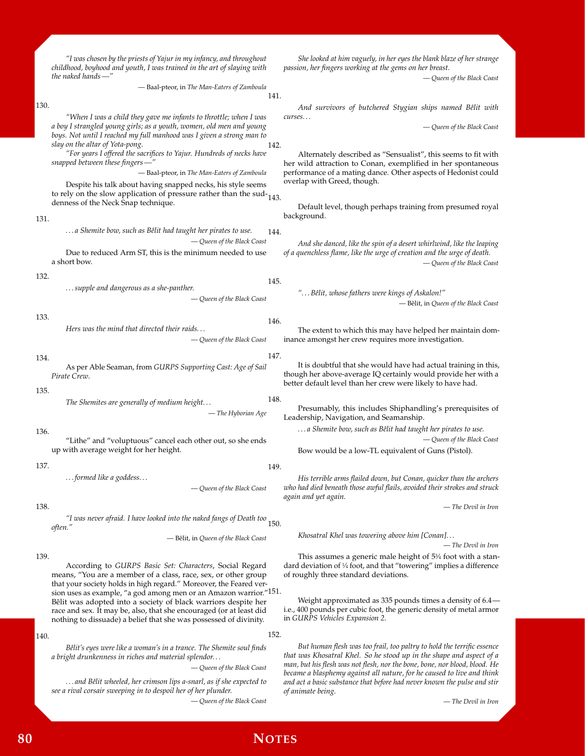*"I was chosen by the priests of Yajur in my infancy, and throughout childhood, boyhood and youth, I was trained in the art of slaying with the naked hands—"*

— Baal-pteor, in *The Man-Eaters of Zamboula*

[141.](#page-38-28)

[145.](#page-38-32)

[146.](#page-38-33)

[147.](#page-38-34)

[149.](#page-39-0)

[130.](#page-38-17) *"When I was a child they gave me infants to throttle; when I was a boy I strangled young girls; as a youth, women, old men and young*

*boys. Not until I reached my full manhood was I given a strong man to slay on the altar of Yota-pong. "For years I offered the sacrifices to Yajur. Hundreds of necks have snapped between these fingers—"* [142.](#page-38-29)

— Baal-pteor, in *The Man-Eaters of Zamboula*

Despite his talk about having snapped necks, his style seems to rely on the slow application of pressure rather than the sud-<br>danness of the Neak Span technique denness of the Neck Snap technique.

#### [131.](#page-38-18)

*. . . a Shemite bow, such as Bêlit had taught her pirates to use.* — *Queen of the Black Coast* [144.](#page-38-31)

Due to reduced Arm ST, this is the minimum needed to use a short bow.

# [132.](#page-38-19)

*. . . supple and dangerous as a she-panther.* — *Queen of the Black Coast*

#### [133.](#page-38-20)

*Hers was the mind that directed their raids. . .* — *Queen of the Black Coast*

#### [134.](#page-38-21)

As per Able Seaman, from *GURPS Supporting Cast: Age of Sail Pirate Crew*.

#### [135.](#page-38-22)

*The Shemites are generally of medium height. . .* — *The Hyborian Age* [148.](#page-38-35)

#### [136.](#page-38-23)

"Lithe" and "voluptuous" cancel each other out, so she ends up with average weight for her height.

#### [137.](#page-38-24)

*. . . formed like a goddess. . .*

— *Queen of the Black Coast*

#### [138.](#page-38-25)

*"I was never afraid. I have looked into the naked fangs of Death too* [150.](#page-39-1) *often."*

— Bêlit, in *Queen of the Black Coast*

#### [139.](#page-38-26)

According to *GURPS Basic Set: Characters*, Social Regard means, "You are a member of a class, race, sex, or other group that your society holds in high regard." Moreover, the Feared version uses as example, "a god among men or an Amazon warrior." [151.](#page-39-2) Bêlit was adopted into a society of black warriors despite her race and sex. It may be, also, that she encouraged (or at least did nothing to dissuade) a belief that she was possessed of divinity.

#### $140$

*Bêlit's eyes were like a woman's in a trance. The Shemite soul finds a bright drunkenness in riches and material splendor. . .*

— *Queen of the Black Coast*

*. . . and Bêlit wheeled, her crimson lips a-snarl, as if she expected to see a rival corsair sweeping in to despoil her of her plunder.*

— *Queen of the Black Coast*

*She looked at him vaguely, in her eyes the blank blaze of her strange passion, her fingers working at the gems on her breast.*

— *Queen of the Black Coast*

*And survivors of butchered Stygian ships named Bêlit with curses. . .*

— *Queen of the Black Coast*

Alternately described as "Sensualist", this seems to fit with her wild attraction to Conan, exemplified in her spontaneous performance of a mating dance. Other aspects of Hedonist could overlap with Greed, though.

Default level, though perhaps training from presumed royal background.

*And she danced, like the spin of a desert whirlwind, like the leaping of a quenchless flame, like the urge of creation and the urge of death.* — *Queen of the Black Coast*

*". . . Bêlit, whose fathers were kings of Askalon!"* — Bêlit, in *Queen of the Black Coast*

The extent to which this may have helped her maintain dominance amongst her crew requires more investigation.

It is doubtful that she would have had actual training in this, though her above-average IQ certainly would provide her with a better default level than her crew were likely to have had.

Presumably, this includes Shiphandling's prerequisites of Leadership, Navigation, and Seamanship.

*. . . a Shemite bow, such as Bêlit had taught her pirates to use.* — *Queen of the Black Coast*

Bow would be a low-TL equivalent of Guns (Pistol).

*His terrible arms flailed down, but Conan, quicker than the archers who had died beneath those awful flails, avoided their strokes and struck again and yet again.*

— *The Devil in Iron*

*Khosatral Khel was towering above him [Conan]. . .*

— *The Devil in Iron*

This assumes a generic male height of 5<sup>3</sup> ⁄<sup>4</sup> foot with a standard deviation of <sup>1</sup> ⁄<sup>4</sup> foot, and that "towering" implies a difference of roughly three standard deviations.

Weight approximated as 335 pounds times a density of 6.4 i.e., 400 pounds per cubic foot, the generic density of metal armor in *GURPS Vehicles Expansion 2*.

*But human flesh was too frail, too paltry to hold the terrific essence that was Khosatral Khel. So he stood up in the shape and aspect of a man, but his flesh was not flesh, nor the bone, bone, nor blood, blood. He became a blasphemy against all nature, for he caused to live and think and act a basic substance that before had never known the pulse and stir of animate being.*

— *The Devil in Iron*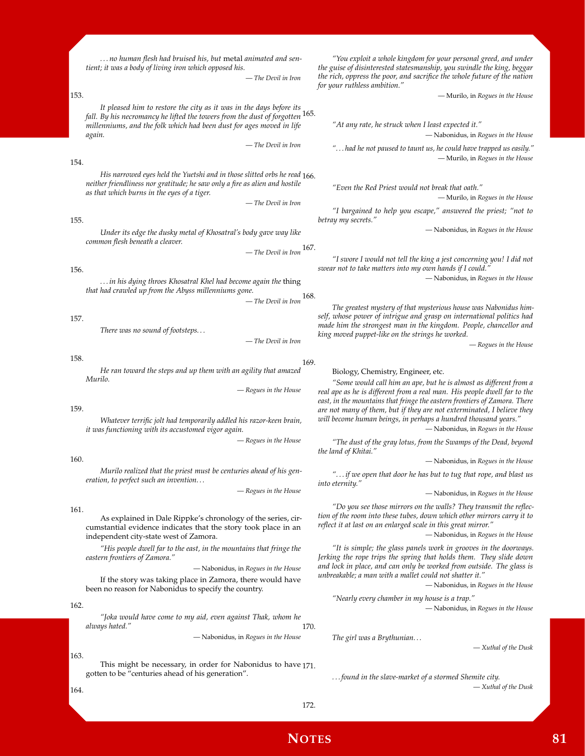*. . . no human flesh had bruised his, but* metal *animated and sentient; it was a body of living iron which opposed his.* — *The Devil in Iron*

# [153.](#page-39-4)

*It pleased him to restore the city as it was in the days before its fall. By his necromancy he lifted the towers from the dust of forgotten* [165.](#page-40-7) *millenniums, and the folk which had been dust for ages moved in life again.* — *The Devil in Iron*

# [154.](#page-39-5)

*His narrowed eyes held the Yuetshi and in those slitted orbs he read* [166.](#page-40-8) *neither friendliness nor gratitude; he saw only a fire as alien and hostile as that which burns in the eyes of a tiger.*

— *The Devil in Iron*

## [155.](#page-39-6)

*Under its edge the dusky metal of Khosatral's body gave way like common flesh beneath a cleaver.*

— *The Devil in Iron* [167.](#page-40-9)

#### [156.](#page-39-7)

*. . . in his dying throes Khosatral Khel had become again the* thing *that had crawled up from the Abyss millenniums gone.*

— *The Devil in Iron* [168.](#page-40-10)

#### [157.](#page-39-8)

*There was no sound of footsteps. . .*

— *The Devil in Iron*

[169.](#page-40-11)

## [158.](#page-40-0)

*He ran toward the steps and up them with an agility that amazed Murilo.*

— *Rogues in the House*

# [159.](#page-40-1)

*Whatever terrific jolt had temporarily addled his razor-keen brain, it was functioning with its accustomed vigor again.*

— *Rogues in the House*

#### [160.](#page-40-2)

*Murilo realized that the priest must be centuries ahead of his generation, to perfect such an invention. . .*

— *Rogues in the House*

## [161.](#page-40-3)

As explained in Dale Rippke's chronology of the series, circumstantial evidence indicates that the story took place in an independent city-state west of Zamora.

*"His people dwell far to the east, in the mountains that fringe the eastern frontiers of Zamora."*

— Nabonidus, in *Rogues in the House*

If the story was taking place in Zamora, there would have been no reason for Nabonidus to specify the country.

#### [162.](#page-40-4)

*"Joka would have come to my aid, even against Thak, whom he always hated."* [170.](#page-40-12)

— Nabonidus, in *Rogues in the House*

#### [163.](#page-40-5)

This might be necessary, in order for Nabonidus to have [171.](#page-40-13) gotten to be "centuries ahead of his generation".

# [164.](#page-40-6)

*"You exploit a whole kingdom for your personal greed, and under the guise of disinterested statesmanship, you swindle the king, beggar the rich, oppress the poor, and sacrifice the whole future of the nation for your ruthless ambition."*

— Murilo, in *Rogues in the House*

*"At any rate, he struck when I least expected it."* — Nabonidus, in *Rogues in the House*

*". . . had he not paused to taunt us, he could have trapped us easily."* — Murilo, in *Rogues in the House*

*"Even the Red Priest would not break that oath."*

— Murilo, in *Rogues in the House*

*"I bargained to help you escape," answered the priest; "not to betray my secrets."*

— Nabonidus, in *Rogues in the House*

*"I swore I would not tell the king a jest concerning you! I did not swear not to take matters into my own hands if I could."*

— Nabonidus, in *Rogues in the House*

*The greatest mystery of that mysterious house was Nabonidus himself, whose power of intrigue and grasp on international politics had made him the strongest man in the kingdom. People, chancellor and king moved puppet-like on the strings he worked.*

— *Rogues in the House*

Biology, Chemistry, Engineer, etc.

*"Some would call him an ape, but he is almost as different from a real ape as he is different from a real man. His people dwell far to the east, in the mountains that fringe the eastern frontiers of Zamora. There are not many of them, but if they are not exterminated, I believe they will become human beings, in perhaps a hundred thousand years."*

— Nabonidus, in *Rogues in the House*

*"The dust of the gray lotus, from the Swamps of the Dead, beyond the land of Khitai."*

— Nabonidus, in *Rogues in the House*

*". . . if we open that door he has but to tug that rope, and blast us into eternity."*

— Nabonidus, in *Rogues in the House*

*"Do you see those mirrors on the walls? They transmit the reflection of the room into these tubes, down which other mirrors carry it to reflect it at last on an enlarged scale in this great mirror."*

— Nabonidus, in *Rogues in the House*

*"It is simple; the glass panels work in grooves in the doorways. Jerking the rope trips the spring that holds them. They slide down and lock in place, and can only be worked from outside. The glass is unbreakable; a man with a mallet could not shatter it."*

— Nabonidus, in *Rogues in the House*

*"Nearly every chamber in my house is a trap."*

— Nabonidus, in *Rogues in the House*

*The girl was a Brythunian. . .*

— *Xuthal of the Dusk*

*. . . found in the slave-market of a stormed Shemite city.*

— *Xuthal of the Dusk*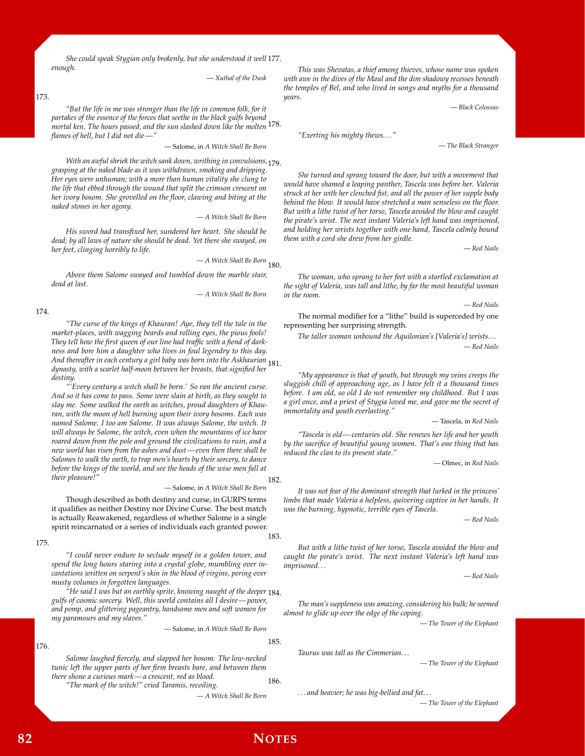*She could speak Stygian only brokenly, but she understood it well* [177.](#page-41-3) *enough.*

— *Xuthal of the Dusk*

[173.](#page-40-15)

*"But the life in me was stronger than the life in common folk, for it partakes of the essence of the forces that seethe in the black gulfs beyond mortal ken. The hours passed, and the sun slashed down like the molten* [178.](#page-41-4) *flames of hell, but I did not die—"*

— Salome, in *A Witch Shall Be Born*

*With an awful shriek the witch sank down, writhing in convulsions,* [179.](#page-41-5) *grasping at the naked blade as it was withdrawn, smoking and dripping. Her eyes were unhuman; with a more than human vitality she clung to the life that ebbed through the wound that split the crimson crescent on her ivory bosom. She grovelled on the floor, clawing and biting at the naked stones in her agony.*

— *A Witch Shall Be Born*

*His sword had transfixed her, sundered her heart. She should be dead; by all laws of nature she should be dead. Yet there she swayed, on her feet, clinging horribly to life.*

— *A Witch Shall Be Born* [180.](#page-41-6)

*Above them Salome swayed and tumbled down the marble stair, dead at last.*

— *A Witch Shall Be Born*

[174.](#page-41-0)

*"The curse of the kings of Khauran! Aye, they tell the tale in the market-places, with wagging beards and rolling eyes, the pious fools! They tell how the first queen of our line had traffic with a fiend of darkness and bore him a daughter who lives in foul legendry to this day. And thereafter in each century a girl baby was born into the Askhaurian* [181.](#page-41-7) *dynasty, with a scarlet half-moon between her breasts, that signified her destiny.*

*"'Every century a witch shall be born.' So ran the ancient curse. And so it has come to pass. Some were slain at birth, as they sought to slay me. Some walked the earth as witches, proud daughters of Khauran, with the moon of hell burning upon their ivory bosoms. Each was named Salome. I too am Salome. It was always Salome, the witch. It will always be Salome, the witch, even when the mountains of ice have roared down from the pole and ground the civilizations to ruin, and a new world has risen from the ashes and dust—even then there shall be Salomes to walk the earth, to trap men's hearts by their sorcery, to dance before the kings of the world, and see the heads of the wise men fall at their pleasure!"* [182.](#page-41-8)

— Salome, in *A Witch Shall Be Born*

Though described as both destiny and curse, in GURPS terms it qualifies as neither Destiny nor Divine Curse. The best match is actually Reawakened, regardless of whether Salome is a single spirit reincarnated or a series of individuals each granted power.

[175.](#page-41-1)

[176.](#page-41-2)

*"I could never endure to seclude myself in a golden tower, and spend the long hours staring into a crystal globe, mumbling over incantations written on serpent's skin in the blood of virgins, poring over musty volumes in forgotten languages.*

*"He said I was but an earthly sprite, knowing naught of the deeper* [184.](#page-41-10) *gulfs of cosmic sorcery. Well, this world contains all I desire—power, and pomp, and glittering pageantry, handsome men and soft women for my paramours and my slaves."*

— Salome, in *A Witch Shall Be Born*

*Salome laughed fiercely, and slapped her bosom. The low-necked tunic left the upper parts of her firm breasts bare, and between them there shone a curious mark— a crescent, red as blood. "The mark of the witch!" cried Taramis, recoiling.* [186.](#page-41-12)

— *A Witch Shall Be Born*

*This was Shevatas, a thief among thieves, whose name was spoken with awe in the dives of the Maul and the dim shadowy recesses beneath the temples of Bel, and who lived in songs and myths for a thousand years.*

— *Black Colossus*

*"Exerting his mighty thews. . . "*

— *The Black Stranger*

*She turned and sprang toward the door, but with a movement that would have shamed a leaping panther, Tascela was before her. Valeria struck at her with her clenched fist, and all the power of her supple body behind the blow. It would have stretched a man senseless on the floor. But with a lithe twist of her torso, Tascela avoided the blow and caught the pirate's wrist. The next instant Valeria's left hand was imprisoned, and holding her wrists together with one hand, Tascela calmly bound them with a cord she drew from her girdle.*

— *Red Nails*

*The woman, who sprang to her feet with a startled exclamation at the sight of Valeria, was tall and lithe, by far the most beautiful woman in the room.*

— *Red Nails*

The normal modifier for a "lithe" build is superceded by one representing her surprising strength.

*The taller woman unbound the Aquilonian's [Valeria's] wrists. . .* — *Red Nails*

*"My appearance is that of youth, but through my veins creeps the sluggish chill of approaching age, as I have felt it a thousand times before. I am old, so old I do not remember my childhood. But I was a girl once, and a priest of Stygia loved me, and gave me the secret of immortality and youth everlasting."*

— Tascela, in *Red Nails*

*"Tascela is old—centuries old. She renews her life and her youth by the sacrifice of beautiful young women. That's one thing that has reduced the clan to its present state."*

— Olmec, in *Red Nails*

*It was not fear of the dominant strength that lurked in the princess' limbs that made Valeria a helpless, quivering captive in her hands. It was the burning, hypnotic, terrible eyes of Tascela.*

— *Red Nails*

*But with a lithe twist of her torso, Tascela avoided the blow and caught the pirate's wrist. The next instant Valeria's left hand was imprisoned. . .*

— *Red Nails*

*The man's suppleness was amazing, considering his bulk; he seemed almost to glide up over the edge of the coping.*

— *The Tower of the Elephant*

*Taurus was tall as the Cimmerian. . .*

— *The Tower of the Elephant*

*. . . and heavier; he was big-bellied and fat. . .*

— *The Tower of the Elephant*

[185.](#page-41-11)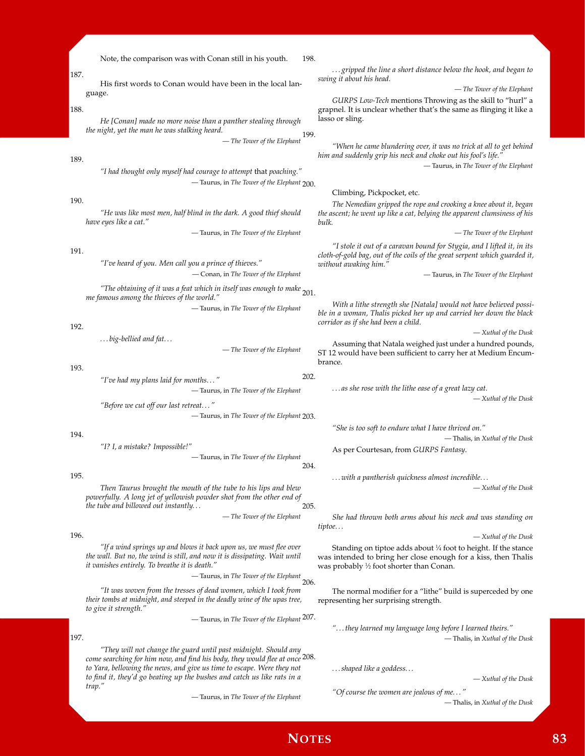Note, the comparison was with Conan still in his youth.

#### [187.](#page-41-13)

His first words to Conan would have been in the local language.

# [188.](#page-41-14)

*He [Conan] made no more noise than a panther stealing through the night, yet the man he was stalking heard.* — *The Tower of the Elephant* [199.](#page-41-25)

[189.](#page-41-15)

*"I had thought only myself had courage to attempt* that *poaching."* — Taurus, in *The Tower of the Elephant* [200.](#page-41-26)

#### [190.](#page-41-16)

*"He was like most men, half blind in the dark. A good thief should have eyes like a cat."*

— Taurus, in *The Tower of the Elephant*

## [191.](#page-41-17)

*"I've heard of you. Men call you a prince of thieves."* — Conan, in *The Tower of the Elephant*

*"The obtaining of it was a feat which in itself was enough to make* [201.](#page-42-0) *me famous among the thieves of the world."*

— Taurus, in *The Tower of the Elephant*

# [192.](#page-41-18)

*. . . big-bellied and fat. . .*

— *The Tower of the Elephant*

## [193.](#page-41-19)

*"I've had my plans laid for months. . . "* [202.](#page-42-1)

— Taurus, in *The Tower of the Elephant*

*"Before we cut off our last retreat. . . "*

— Taurus, in *The Tower of the Elephant* [203.](#page-42-2)

# [194.](#page-41-20)

*"I? I, a mistake? Impossible!"* — Taurus, in *The Tower of the Elephant* [204.](#page-42-3)

#### [195.](#page-41-21)

*Then Taurus brought the mouth of the tube to his lips and blew powerfully. A long jet of yellowish powder shot from the other end of the tube and billowed out instantly. . .* [205.](#page-42-4)

— *The Tower of the Elephant*

# [196.](#page-41-22)

*"If a wind springs up and blows it back upon us, we must flee over the wall. But no, the wind is still, and now it is dissipating. Wait until it vanishes entirely. To breathe it is death."*

— Taurus, in *The Tower of the Elephant* [206.](#page-42-5)

*"It was woven from the tresses of dead women, which I took from their tombs at midnight, and steeped in the deadly wine of the upas tree, to give it strength."*

— Taurus, in *The Tower of the Elephant* [207.](#page-42-6)

#### [197.](#page-41-23)

*"They will not change the guard until past midnight. Should any come searching for him now, and find his body, they would flee at once* [208.](#page-42-7) *to Yara, bellowing the news, and give us time to escape. Were they not to find it, they'd go beating up the bushes and catch us like rats in a trap."*

— Taurus, in *The Tower of the Elephant*

*. . . gripped the line a short distance below the hook, and began to swing it about his head.*

— *The Tower of the Elephant*

*GURPS Low-Tech* mentions Throwing as the skill to "hurl" a grapnel. It is unclear whether that's the same as flinging it like a lasso or sling.

*"When he came blundering over, it was no trick at all to get behind him and suddenly grip his neck and choke out his fool's life."*

— Taurus, in *The Tower of the Elephant*

#### Climbing, Pickpocket, etc.

[198.](#page-41-24)

*The Nemedian gripped the rope and crooking a knee about it, began the ascent; he went up like a cat, belying the apparent clumsiness of his bulk.*

— *The Tower of the Elephant*

*"I stole it out of a caravan bound for Stygia, and I lifted it, in its cloth-of-gold bag, out of the coils of the great serpent which guarded it, without awaking him."*

— Taurus, in *The Tower of the Elephant*

*With a lithe strength she [Natala] would not have believed possible in a woman, Thalis picked her up and carried her down the black corridor as if she had been a child.*

— *Xuthal of the Dusk*

Assuming that Natala weighed just under a hundred pounds, ST 12 would have been sufficient to carry her at Medium Encumbrance.

*. . . as she rose with the lithe ease of a great lazy cat.* — *Xuthal of the Dusk*

*"She is too soft to endure what I have thrived on."*

— Thalis, in *Xuthal of the Dusk* As per Courtesan, from *GURPS Fantasy*.

*. . . with a pantherish quickness almost incredible. . .*

— *Xuthal of the Dusk*

*She had thrown both arms about his neck and was standing on tiptoe. . .*

— *Xuthal of the Dusk*

Standing on tiptoe adds about <sup>1</sup> ⁄<sup>4</sup> foot to height. If the stance was intended to bring her close enough for a kiss, then Thalis was probably <sup>1</sup> ⁄<sup>2</sup> foot shorter than Conan.

The normal modifier for a "lithe" build is superceded by one representing her surprising strength.

*". . . they learned my language long before I learned theirs."* — Thalis, in *Xuthal of the Dusk*

*. . . shaped like a goddess. . .*

— *Xuthal of the Dusk*

*"Of course the women are jealous of me. . . "*

— Thalis, in *Xuthal of the Dusk*

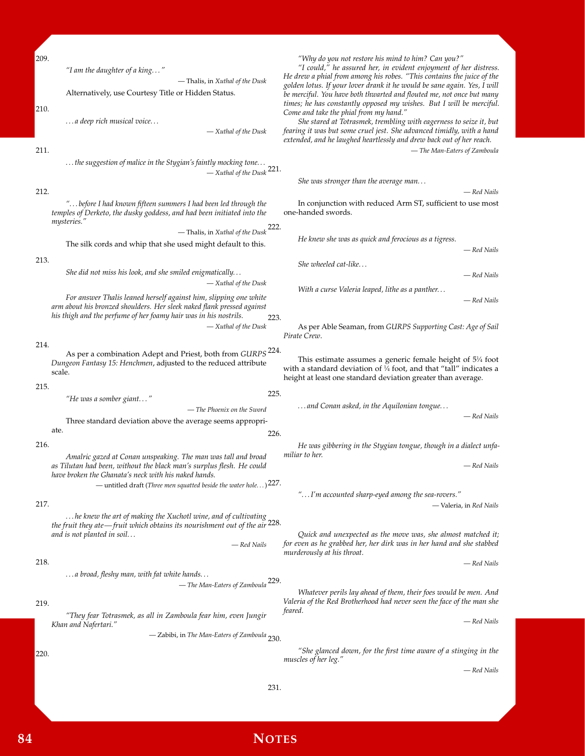| 210. | a deep rich musical voice<br>— Xuthal of the Dusk                                                                                                                                                                      | umes, ne nus consumuy o<br>Come and take the phial fro<br>She stared at Totrasme<br>fearing it was but some cri<br>extended, and he laughed h |
|------|------------------------------------------------------------------------------------------------------------------------------------------------------------------------------------------------------------------------|-----------------------------------------------------------------------------------------------------------------------------------------------|
| 211. |                                                                                                                                                                                                                        |                                                                                                                                               |
|      | the suggestion of malice in the Stygian's faintly mocking tone<br>- Xuthal of the Dusk 221.                                                                                                                            | She was stronger than                                                                                                                         |
| 212. |                                                                                                                                                                                                                        |                                                                                                                                               |
|      | "before I had known fifteen summers I had been led through the<br>temples of Derketo, the dusky goddess, and had been initiated into the<br>mysteries."                                                                | In conjunction with<br>one-handed swords.                                                                                                     |
|      | — Thalis, in Xuthal of the Dusk $^{222}$ .                                                                                                                                                                             |                                                                                                                                               |
|      | The silk cords and whip that she used might default to this.                                                                                                                                                           | He knew she was as qu                                                                                                                         |
|      |                                                                                                                                                                                                                        |                                                                                                                                               |
| 213. |                                                                                                                                                                                                                        | She wheeled cat-like                                                                                                                          |
|      | She did not miss his look, and she smiled enigmatically                                                                                                                                                                |                                                                                                                                               |
|      | – Xuthal of the Dusk                                                                                                                                                                                                   | With a curse Valeria le                                                                                                                       |
|      | For answer Thalis leaned herself against him, slipping one white<br>arm about his bronzed shoulders. Her sleek naked flank pressed against<br>his thigh and the perfume of her foamy hair was in his nostrils.<br>223. |                                                                                                                                               |
|      | - Xuthal of the Dusk                                                                                                                                                                                                   | As per Able Seaman,<br>Pirate Crew.                                                                                                           |
| 214. |                                                                                                                                                                                                                        |                                                                                                                                               |
|      | As per a combination Adept and Priest, both from GURPS <sup>224</sup> .<br>Dungeon Fantasy 15: Henchmen, adjusted to the reduced attribute<br>scale.                                                                   | This estimate assun<br>with a standard deviatic<br>height at least one standa                                                                 |
| 215. |                                                                                                                                                                                                                        |                                                                                                                                               |
|      | 225.<br>"He was a somber giant"                                                                                                                                                                                        |                                                                                                                                               |
|      | — The Phoenix on the Sword                                                                                                                                                                                             | …and Conan asked, ir                                                                                                                          |
|      | Three standard deviation above the average seems appropri-                                                                                                                                                             |                                                                                                                                               |
|      | ate.<br>226.                                                                                                                                                                                                           |                                                                                                                                               |
| 216. | Amalric gazed at Conan unspeaking. The man was tall and broad<br>as Tilutan had been, without the black man's surplus flesh. He could<br>have broken the Ghanata's neck with his naked hands.                          | He was gibbering in th<br>miliar to her.                                                                                                      |
|      | — untitled draft ( <i>Three men squatted beside the water hole</i> ) <sup>227</sup> .                                                                                                                                  | "I'm accounted sha                                                                                                                            |
| 217. |                                                                                                                                                                                                                        |                                                                                                                                               |
|      | he knew the art of making the Xuchotl wine, and of cultivating<br>the fruit they ate—fruit which obtains its nourishment out of the air 228.<br>and is not planted in soil.<br>- Red Nails                             | Quick and unexpected<br>for even as he grabbed her,                                                                                           |
|      |                                                                                                                                                                                                                        | murderously at his throat.                                                                                                                    |
| 218. |                                                                                                                                                                                                                        |                                                                                                                                               |
|      | a broad, fleshy man, with fat white hands                                                                                                                                                                              |                                                                                                                                               |
|      | - The Man-Eaters of Zamboula 229.                                                                                                                                                                                      |                                                                                                                                               |
| 219. |                                                                                                                                                                                                                        | Whatever perils lay ah<br>Valeria of the Red Brotherh                                                                                         |
|      | "They fear Totrasmek, as all in Zamboula fear him, even Jungir<br>Khan and Nafertari."                                                                                                                                 | feared.                                                                                                                                       |
|      | - Zabibi, in The Man-Eaters of Zamboula 230.                                                                                                                                                                           |                                                                                                                                               |
| 220. |                                                                                                                                                                                                                        | "She glanced down, fa<br>muscles of her leg."                                                                                                 |
|      | 231.                                                                                                                                                                                                                   |                                                                                                                                               |
|      |                                                                                                                                                                                                                        |                                                                                                                                               |

— Thalis, in *Xuthal of the Dusk*

*"Why do you not restore his mind to him? Can you?"*

*"I could," he assured her, in evident enjoyment of her distress. He drew a phial from among his robes. "This contains the juice of the golden lotus. If your lover drank it he would be sane again. Yes, I will be merciful. You have both thwarted and flouted me, not once but many times; he has constantly opposed my wishes. But I will be merciful. Come and take the phial from my hand."*

*She stared at Totrasmek, trembling with eagerness to seize it, but fearing it was but some cruel jest. She advanced timidly, with a hand* heartlessly and drew back out of her reach. — *The Man-Eaters of Zamboula*

*She was stronger than the average man. . .*

— *Red Nails* th reduced Arm ST, sufficient to use most

*He knew she was as quick and ferocious as a tigress.*

— *Red Nails*

*leaped, lithe as a panther...* 

— *Red Nails*

— *Red Nails*

an, from *GURPS Supporting Cast: Age of Sail* 

This estimate assumes a generic female height of 5<sup>1</sup> ⁄<sup>4</sup> foot with a standard deviation of <sup>1</sup> ⁄<sup>4</sup> foot, and that "tall" indicates a dard deviation greater than average.

*. . . and Conan asked, in the Aquilonian tongue. . .*

the Stygian tongue, though in a dialect unfa-

— *Red Nails*

— *Red Nails*

*". . . I'm accounted sharp-eyed among the sea-rovers."* — Valeria, in *Red Nails*

*Quick and unexpected as the move was, she almost matched it; for even as he grabbed her, her dirk was in her hand and she stabbed*

— *Red Nails*

*ahead of them, their foes would be men. And Valeria of the Red Brotherhood had never seen the face of the man she*

— *Red Nails*

*"She glanced down, for the first time aware of a stinging in the*

— *Red Nails*

[209.](#page-42-8)

*"I am the daughter of a king. . . "*

Alternatively, use Courtesy Title or Hidden Status.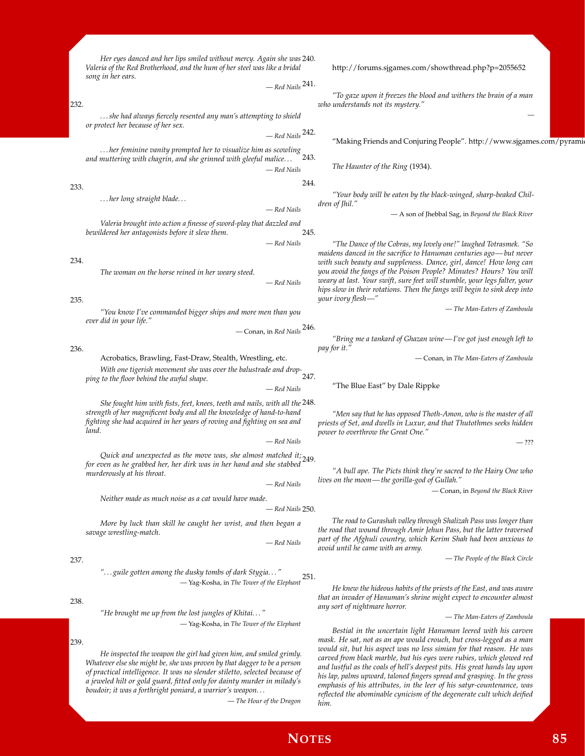*Her eyes danced and her lips smiled without mercy. Again she was* [240.](#page-46-0) *Valeria of the Red Brotherhood, and the hum of her steel was like a bridal song in her ears.*

*. . . she had always fiercely resented any man's attempting to shield or protect her because of her sex.*

*. . . her feminine vanity prompted her to visualize him as scowling* [243.](#page-56-1) *and muttering with chagrin, and she grinned with gleeful malice. . .* — *Red Nails*

# [233.](#page-43-15)

[232.](#page-43-14)

*. . . her long straight blade. . .*

*Valeria brought into action a finesse of sword-play that dazzled and bewildered her antagonists before it slew them.* [245.](#page-62-0)

— *Red Nails*

— *Red Nails*

— *Red Nails*

— *Red Nails* [241.](#page-55-0)

— *Red Nails* [242.](#page-56-0)

[244.](#page-61-0)

# [234.](#page-43-16)

*The woman on the horse reined in her weary steed.*

#### [235.](#page-43-17)

*"You know I've commanded bigger ships and more men than you ever did in your life."*

— Conan, in *Red Nails* [246.](#page-63-0)

# [236.](#page-43-18)

Acrobatics, Brawling, Fast-Draw, Stealth, Wrestling, etc.

*With one tigerish movement she was over the balustrade and drop-*[247.](#page-63-1) *ping to the floor behind the awful shape.*

#### — *Red Nails*

*She fought him with fists, feet, knees, teeth and nails, with all the* [248.](#page-64-0) *strength of her magnificent body and all the knowledge of hand-to-hand fighting she had acquired in her years of roving and fighting on sea and land.*

— *Red Nails*

*Quick and unexpected as the move was, she almost matched it;* [249.](#page-64-1) *for even as he grabbed her, her dirk was in her hand and she stabbed murderously at his throat.* — *Red Nails*

*Neither made as much noise as a cat would have made.*

*More by luck than skill he caught her wrist, and then began a savage wrestling-match.*

— *Red Nails*

*". . . guile gotten among the dusky tombs of dark Stygia. . . "* [251.](#page-64-3)

— Yag-Kosha, in *The Tower of the Elephant*

#### [238.](#page-44-1)

[237.](#page-44-0)

*"He brought me up from the lost jungles of Khitai. . . "* — Yag-Kosha, in *The Tower of the Elephant*

#### [239.](#page-44-2)

*He inspected the weapon the girl had given him, and smiled grimly. Whatever else she might be, she was proven by that dagger to be a person of practical intelligence. It was no slender stiletto, selected because of a jeweled hilt or gold guard, fitted only for dainty murder in milady's boudoir; it was a forthright poniard, a warrior's weapon. . .*

— *The Hour of the Dragon*

<http://forums.sjgames.com/showthread.php?p=2055652>

*"To gaze upon it freezes the blood and withers the brain of a man who understands not its mystery."*

"Making Friends and Conjuring People". http://www.sjgames.com/pyrami

*The Haunter of the Ring* (1934).

*"Your body will be eaten by the black-winged, sharp-beaked Children of Jhil."*

— A son of Jhebbal Sag, in *Beyond the Black River*

*"The Dance of the Cobras, my lovely one!" laughed Totrasmek. "So maidens danced in the sacrifice to Hanuman centuries ago—but never with such beauty and suppleness. Dance, girl, dance! How long can you avoid the fangs of the Poison People? Minutes? Hours? You will weary at last. Your swift, sure feet will stumble, your legs falter, your hips slow in their rotations. Then the fangs will begin to sink deep into your ivory flesh—"*

— *The Man-Eaters of Zamboula*

*"Bring me a tankard of Ghazan wine—I've got just enough left to pay for it."*

— Conan, in *The Man-Eaters of Zamboula*

["The Blue East" by Dale Rippke](https://thedarkstormfiles.blogspot.com/2010/12/the-blue-east.html)

*"Men say that he has opposed Thoth-Amon, who is the master of all priests of Set, and dwells in Luxur, and that Thutothmes seeks hidden power to overthrow the Great One."*

— ???

—

*"A bull ape. The Picts think they're sacred to the Hairy One who lives on the moon— the gorilla-god of Gullah."*

— Conan, in *Beyond the Black River*

*The road to Gurashah valley through Shalizah Pass was longer than the road that wound through Amir Jehun Pass, but the latter traversed part of the Afghuli country, which Kerim Shah had been anxious to avoid until he came with an army.*

— *The People of the Black Circle*

*He knew the hideous habits of the priests of the East, and was aware that an invader of Hanuman's shrine might expect to encounter almost any sort of nightmare horror.*

— *The Man-Eaters of Zamboula*

*Bestial in the uncertain light Hanuman leered with his carven mask. He sat, not as an ape would crouch, but cross-legged as a man would sit, but his aspect was no less simian for that reason. He was carved from black marble, but his eyes were rubies, which glowed red and lustful as the coals of hell's deepest pits. His great hands lay upon his lap, palms upward, taloned fingers spread and grasping. In the gross emphasis of his attributes, in the leer of his satyr-countenance, was reflected the abominable cynicism of the degenerate cult which deified him.*

— *Red Nails* [250.](#page-64-2)